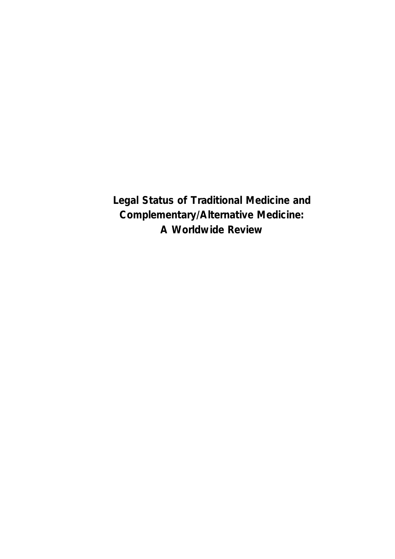**Legal Status of Traditional Medicine and Complementary/Alternative Medicine: A Worldwide Review**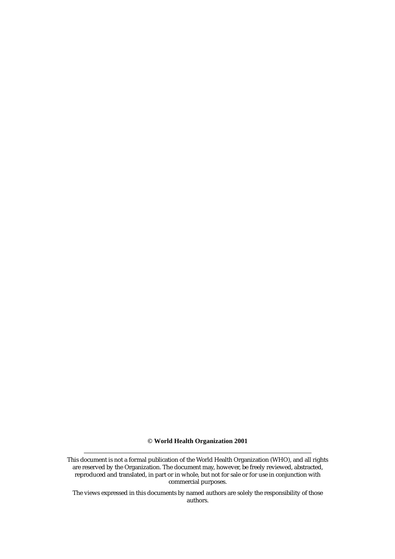**© World Health Organization 2001** 

The views expressed in this documents by named authors are solely the responsibility of those authors.

This document is not a formal publication of the World Health Organization (WHO), and all rights are reserved by the Organization. The document may, however, be freely reviewed, abstracted, reproduced and translated, in part or in whole, but not for sale or for use in conjunction with commercial purposes.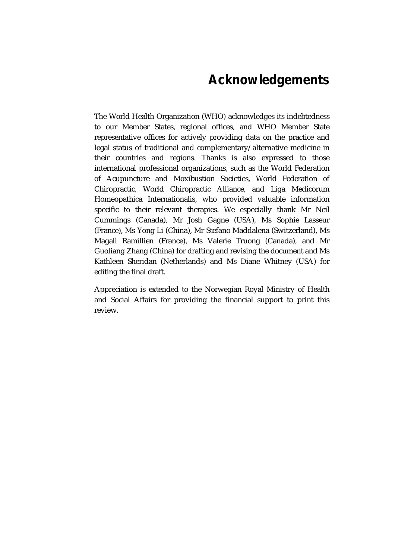# **Acknowledgements**

The World Health Organization (WHO) acknowledges its indebtedness to our Member States, regional offices, and WHO Member State representative offices for actively providing data on the practice and legal status of traditional and complementary/alternative medicine in their countries and regions. Thanks is also expressed to those international professional organizations, such as the World Federation of Acupuncture and Moxibustion Societies, World Federation of Chiropractic, World Chiropractic Alliance, and Liga Medicorum Homeopathica Internationalis, who provided valuable information specific to their relevant therapies. We especially thank Mr Neil Cummings (Canada), Mr Josh Gagne (USA), Ms Sophie Lasseur (France), Ms Yong Li (China), Mr Stefano Maddalena (Switzerland), Ms Magali Ramillien (France), Ms Valerie Truong (Canada), and Mr Guoliang Zhang (China) for drafting and revising the document and Ms Kathleen Sheridan (Netherlands) and Ms Diane Whitney (USA) for editing the final draft.

Appreciation is extended to the Norwegian Royal Ministry of Health and Social Affairs for providing the financial support to print this review.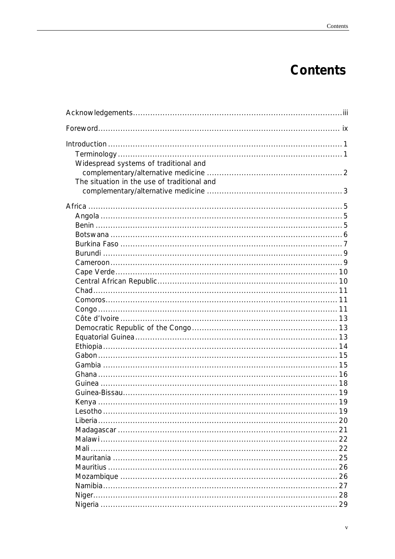# **Contents**

| Foreword…………………………………………………………………………………………… ix |  |
|------------------------------------------------|--|
|                                                |  |
|                                                |  |
| Widespread systems of traditional and          |  |
|                                                |  |
| The situation in the use of traditional and    |  |
|                                                |  |
|                                                |  |
|                                                |  |
|                                                |  |
|                                                |  |
|                                                |  |
|                                                |  |
|                                                |  |
|                                                |  |
|                                                |  |
|                                                |  |
|                                                |  |
|                                                |  |
|                                                |  |
|                                                |  |
|                                                |  |
|                                                |  |
|                                                |  |
|                                                |  |
|                                                |  |
|                                                |  |
|                                                |  |
|                                                |  |
|                                                |  |
|                                                |  |
|                                                |  |
|                                                |  |
|                                                |  |
|                                                |  |
|                                                |  |
|                                                |  |
|                                                |  |
|                                                |  |
|                                                |  |
|                                                |  |
|                                                |  |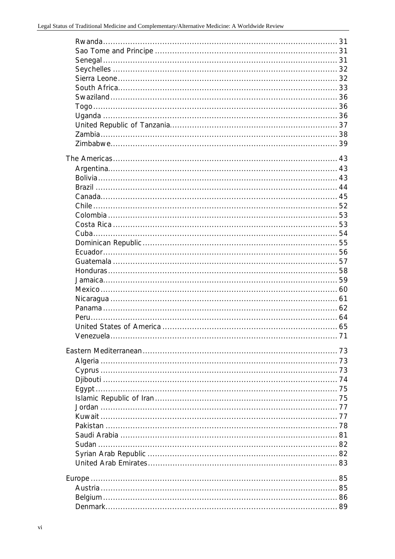| $\overline{71}$<br>Venezuela |  |
|------------------------------|--|
|                              |  |
|                              |  |
|                              |  |
|                              |  |
|                              |  |
|                              |  |
|                              |  |
|                              |  |
|                              |  |
|                              |  |
|                              |  |
|                              |  |
|                              |  |
|                              |  |
|                              |  |
|                              |  |
|                              |  |
|                              |  |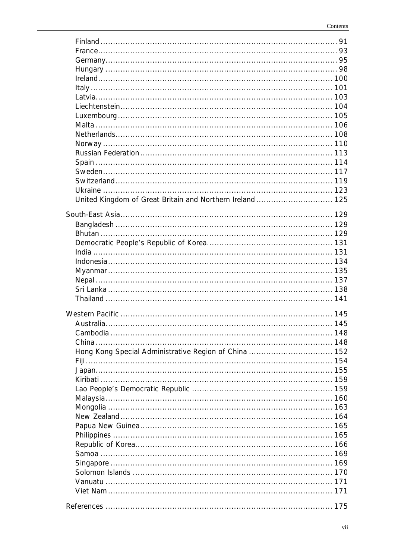| Camhodia<br>148                              |  |
|----------------------------------------------|--|
|                                              |  |
|                                              |  |
|                                              |  |
|                                              |  |
|                                              |  |
|                                              |  |
|                                              |  |
|                                              |  |
|                                              |  |
|                                              |  |
|                                              |  |
|                                              |  |
|                                              |  |
|                                              |  |
|                                              |  |
| Vanuatu …………………………………………………………………………………… 171 |  |
|                                              |  |
|                                              |  |
|                                              |  |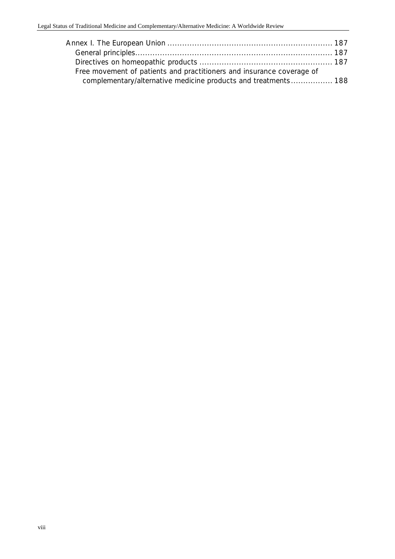| Free movement of patients and practitioners and insurance coverage of |  |
|-----------------------------------------------------------------------|--|
| complementary/alternative medicine products and treatments 188        |  |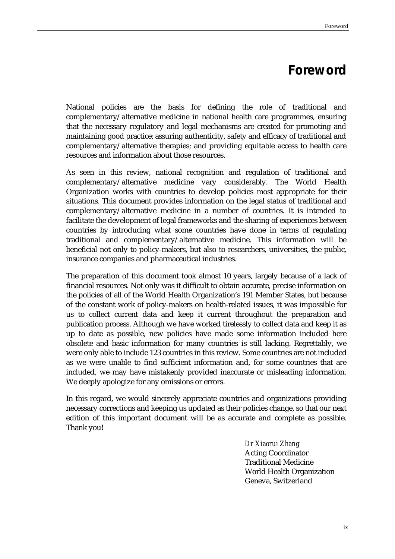# **Foreword**

National policies are the basis for defining the role of traditional and complementary/alternative medicine in national health care programmes, ensuring that the necessary regulatory and legal mechanisms are created for promoting and maintaining good practice; assuring authenticity, safety and efficacy of traditional and complementary/alternative therapies; and providing equitable access to health care resources and information about those resources.

As seen in this review, national recognition and regulation of traditional and complementary/alternative medicine vary considerably. The World Health Organization works with countries to develop policies most appropriate for their situations. This document provides information on the legal status of traditional and complementary/alternative medicine in a number of countries. It is intended to facilitate the development of legal frameworks and the sharing of experiences between countries by introducing what some countries have done in terms of regulating traditional and complementary/alternative medicine. This information will be beneficial not only to policy-makers, but also to researchers, universities, the public, insurance companies and pharmaceutical industries.

The preparation of this document took almost 10 years, largely because of a lack of financial resources. Not only was it difficult to obtain accurate, precise information on the policies of all of the World Health Organization's 191 Member States, but because of the constant work of policy-makers on health-related issues, it was impossible for us to collect current data and keep it current throughout the preparation and publication process. Although we have worked tirelessly to collect data and keep it as up to date as possible, new policies have made some information included here obsolete and basic information for many countries is still lacking. Regrettably, we were only able to include 123 countries in this review. Some countries are not included as we were unable to find sufficient information and, for some countries that are included, we may have mistakenly provided inaccurate or misleading information. We deeply apologize for any omissions or errors.

In this regard, we would sincerely appreciate countries and organizations providing necessary corrections and keeping us updated as their policies change, so that our next edition of this important document will be as accurate and complete as possible. Thank you!

> *Dr Xiaorui Zhang* Acting Coordinator Traditional Medicine World Health Organization Geneva, Switzerland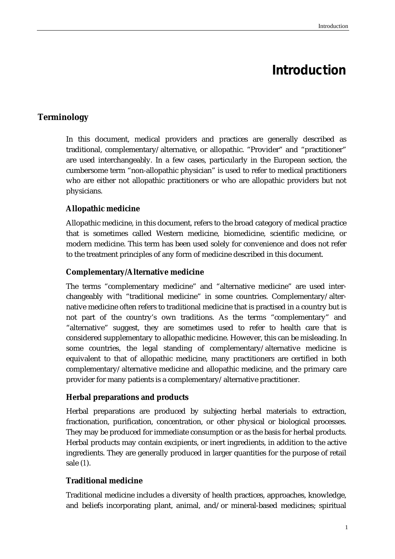# **Introduction**

# **Terminology**

In this document, medical providers and practices are generally described as traditional, complementary/alternative, or allopathic. "Provider" and "practitioner" are used interchangeably. In a few cases, particularly in the European section, the cumbersome term "non-allopathic physician" is used to refer to medical practitioners who are either not allopathic practitioners or who are allopathic providers but not physicians.

## **Allopathic medicine**

Allopathic medicine, in this document, refers to the broad category of medical practice that is sometimes called Western medicine, biomedicine, scientific medicine, or modern medicine. This term has been used solely for convenience and does not refer to the treatment principles of any form of medicine described in this document.

#### **Complementary/Alternative medicine**

The terms "complementary medicine" and "alternative medicine" are used interchangeably with "traditional medicine" in some countries. Complementary/alternative medicine often refers to traditional medicine that is practised in a country but is not part of the country's own traditions. As the terms "complementary" and "alternative" suggest, they are sometimes used to refer to health care that is considered supplementary to allopathic medicine. However, this can be misleading. In some countries, the legal standing of complementary/alternative medicine is equivalent to that of allopathic medicine, many practitioners are certified in both complementary/alternative medicine and allopathic medicine, and the primary care provider for many patients is a complementary/alternative practitioner.

#### **Herbal preparations and products**

Herbal preparations are produced by subjecting herbal materials to extraction, fractionation, purification, concentration, or other physical or biological processes. They may be produced for immediate consumption or as the basis for herbal products. Herbal products may contain excipients, or inert ingredients, in addition to the active ingredients. They are generally produced in larger quantities for the purpose of retail sale (*1*).

#### **Traditional medicine**

Traditional medicine includes a diversity of health practices, approaches, knowledge, and beliefs incorporating plant, animal, and/or mineral-based medicines; spiritual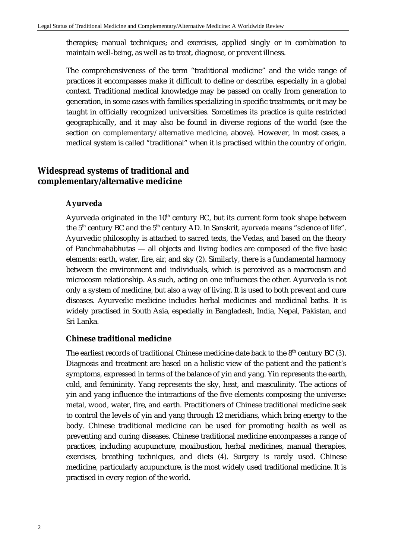therapies; manual techniques; and exercises, applied singly or in combination to maintain well-being, as well as to treat, diagnose, or prevent illness.

The comprehensiveness of the term "traditional medicine" and the wide range of practices it encompasses make it difficult to define or describe, especially in a global context. Traditional medical knowledge may be passed on orally from generation to generation, in some cases with families specializing in specific treatments, or it may be taught in officially recognized universities. Sometimes its practice is quite restricted geographically, and it may also be found in diverse regions of the world (see the section on complementary/alternative medicine, above). However, in most cases, a medical system is called "traditional" when it is practised within the country of origin.

# **Widespread systems of traditional and complementary/alternative medicine**

#### **Ayurveda**

Ayurveda originated in the  $10<sup>th</sup>$  century BC, but its current form took shape between the 5<sup>th</sup> century BC and the 5<sup>th</sup> century AD. In Sanskrit, *ayurveda* means "science of life". Ayurvedic philosophy is attached to sacred texts, the Vedas, and based on the theory of Panchmahabhutas — all objects and living bodies are composed of the five basic elements: earth, water, fire, air, and sky (*2*). Similarly, there is a fundamental harmony between the environment and individuals, which is perceived as a macrocosm and microcosm relationship. As such, acting on one influences the other. Ayurveda is not only a system of medicine, but also a way of living. It is used to both prevent and cure diseases. Ayurvedic medicine includes herbal medicines and medicinal baths. It is widely practised in South Asia, especially in Bangladesh, India, Nepal, Pakistan, and Sri Lanka.

#### **Chinese traditional medicine**

The earliest records of traditional Chinese medicine date back to the 8<sup>th</sup> century BC (3). Diagnosis and treatment are based on a holistic view of the patient and the patient's symptoms, expressed in terms of the balance of yin and yang. Yin represents the earth, cold, and femininity. Yang represents the sky, heat, and masculinity. The actions of yin and yang influence the interactions of the five elements composing the universe: metal, wood, water, fire, and earth. Practitioners of Chinese traditional medicine seek to control the levels of yin and yang through 12 meridians, which bring energy to the body. Chinese traditional medicine can be used for promoting health as well as preventing and curing diseases. Chinese traditional medicine encompasses a range of practices, including acupuncture, moxibustion, herbal medicines, manual therapies, exercises, breathing techniques, and diets (*4*). Surgery is rarely used. Chinese medicine, particularly acupuncture, is the most widely used traditional medicine. It is practised in every region of the world.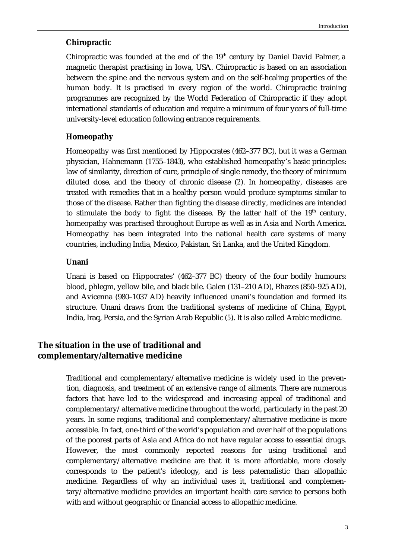#### **Chiropractic**

Chiropractic was founded at the end of the  $19<sup>th</sup>$  century by Daniel David Palmer, a magnetic therapist practising in Iowa, USA. Chiropractic is based on an association between the spine and the nervous system and on the self-healing properties of the human body. It is practised in every region of the world. Chiropractic training programmes are recognized by the World Federation of Chiropractic if they adopt international standards of education and require a minimum of four years of full-time university-level education following entrance requirements.

#### **Homeopathy**

Homeopathy was first mentioned by Hippocrates (462–377 BC), but it was a German physician, Hahnemann (1755–1843), who established homeopathy's basic principles: law of similarity, direction of cure, principle of single remedy, the theory of minimum diluted dose, and the theory of chronic disease (*2*). In homeopathy, diseases are treated with remedies that in a healthy person would produce symptoms similar to those of the disease. Rather than fighting the disease directly, medicines are intended to stimulate the body to fight the disease. By the latter half of the  $19<sup>th</sup>$  century, homeopathy was practised throughout Europe as well as in Asia and North America. Homeopathy has been integrated into the national health care systems of many countries, including India, Mexico, Pakistan, Sri Lanka, and the United Kingdom.

#### **Unani**

Unani is based on Hippocrates' (462–377 BC) theory of the four bodily humours: blood, phlegm, yellow bile, and black bile. Galen (131–210 AD), Rhazes (850–925 AD), and Avicenna (980–1037 AD) heavily influenced unani's foundation and formed its structure. Unani draws from the traditional systems of medicine of China, Egypt, India, Iraq, Persia, and the Syrian Arab Republic (*5*). It is also called Arabic medicine.

## **The situation in the use of traditional and complementary/alternative medicine**

Traditional and complementary/alternative medicine is widely used in the prevention, diagnosis, and treatment of an extensive range of ailments. There are numerous factors that have led to the widespread and increasing appeal of traditional and complementary/alternative medicine throughout the world, particularly in the past 20 years. In some regions, traditional and complementary/alternative medicine is more accessible. In fact, one-third of the world's population and over half of the populations of the poorest parts of Asia and Africa do not have regular access to essential drugs. However, the most commonly reported reasons for using traditional and complementary/alternative medicine are that it is more affordable, more closely corresponds to the patient's ideology, and is less paternalistic than allopathic medicine. Regardless of why an individual uses it, traditional and complementary/alternative medicine provides an important health care service to persons both with and without geographic or financial access to allopathic medicine.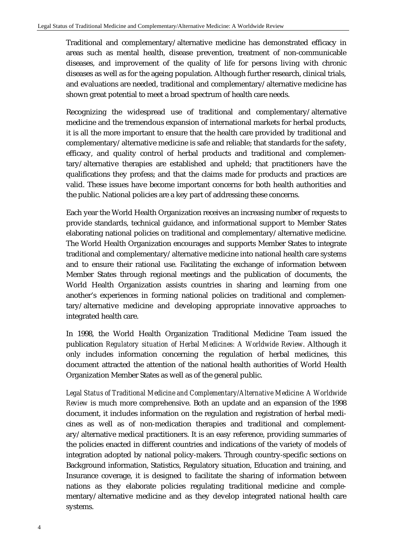Traditional and complementary/alternative medicine has demonstrated efficacy in areas such as mental health, disease prevention, treatment of non-communicable diseases, and improvement of the quality of life for persons living with chronic diseases as well as for the ageing population. Although further research, clinical trials, and evaluations are needed, traditional and complementary/alternative medicine has shown great potential to meet a broad spectrum of health care needs.

Recognizing the widespread use of traditional and complementary/alternative medicine and the tremendous expansion of international markets for herbal products, it is all the more important to ensure that the health care provided by traditional and complementary/alternative medicine is safe and reliable; that standards for the safety, efficacy, and quality control of herbal products and traditional and complementary/alternative therapies are established and upheld; that practitioners have the qualifications they profess; and that the claims made for products and practices are valid. These issues have become important concerns for both health authorities and the public. National policies are a key part of addressing these concerns.

Each year the World Health Organization receives an increasing number of requests to provide standards, technical guidance, and informational support to Member States elaborating national policies on traditional and complementary/alternative medicine. The World Health Organization encourages and supports Member States to integrate traditional and complementary/alternative medicine into national health care systems and to ensure their rational use. Facilitating the exchange of information between Member States through regional meetings and the publication of documents, the World Health Organization assists countries in sharing and learning from one another's experiences in forming national policies on traditional and complementary/alternative medicine and developing appropriate innovative approaches to integrated health care.

In 1998, the World Health Organization Traditional Medicine Team issued the publication *Regulatory situation of Herbal Medicines: A Worldwide Review*. Although it only includes information concerning the regulation of herbal medicines, this document attracted the attention of the national health authorities of World Health Organization Member States as well as of the general public.

*Legal Status of Traditional Medicine and Complementary/Alternative Medicine: A Worldwide Review* is much more comprehensive. Both an update and an expansion of the 1998 document, it includes information on the regulation and registration of herbal medicines as well as of non-medication therapies and traditional and complementary/alternative medical practitioners. It is an easy reference, providing summaries of the policies enacted in different countries and indications of the variety of models of integration adopted by national policy-makers. Through country-specific sections on Background information, Statistics, Regulatory situation, Education and training, and Insurance coverage, it is designed to facilitate the sharing of information between nations as they elaborate policies regulating traditional medicine and complementary/alternative medicine and as they develop integrated national health care systems.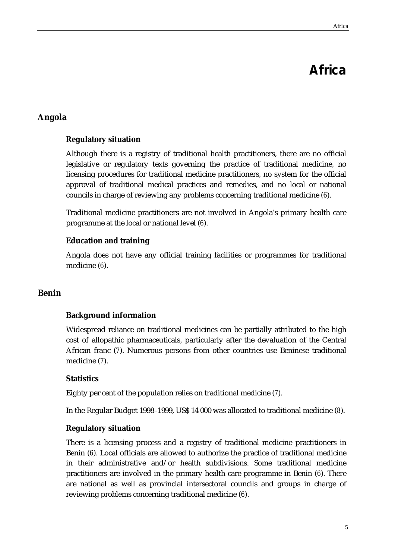# **Africa**

# **Angola**

#### **Regulatory situation**

Although there is a registry of traditional health practitioners, there are no official legislative or regulatory texts governing the practice of traditional medicine, no licensing procedures for traditional medicine practitioners, no system for the official approval of traditional medical practices and remedies, and no local or national councils in charge of reviewing any problems concerning traditional medicine (*6*).

Traditional medicine practitioners are not involved in Angola's primary health care programme at the local or national level (*6*).

#### **Education and training**

Angola does not have any official training facilities or programmes for traditional medicine (*6*).

#### **Benin**

#### **Background information**

Widespread reliance on traditional medicines can be partially attributed to the high cost of allopathic pharmaceuticals, particularly after the devaluation of the Central African franc (*7*). Numerous persons from other countries use Beninese traditional medicine (*7*).

#### **Statistics**

Eighty per cent of the population relies on traditional medicine (*7*).

In the Regular Budget 1998–1999, US\$ 14 000 was allocated to traditional medicine (*8*).

#### **Regulatory situation**

There is a licensing process and a registry of traditional medicine practitioners in Benin (*6*). Local officials are allowed to authorize the practice of traditional medicine in their administrative and/or health subdivisions. Some traditional medicine practitioners are involved in the primary health care programme in Benin (*6*). There are national as well as provincial intersectoral councils and groups in charge of reviewing problems concerning traditional medicine (*6*).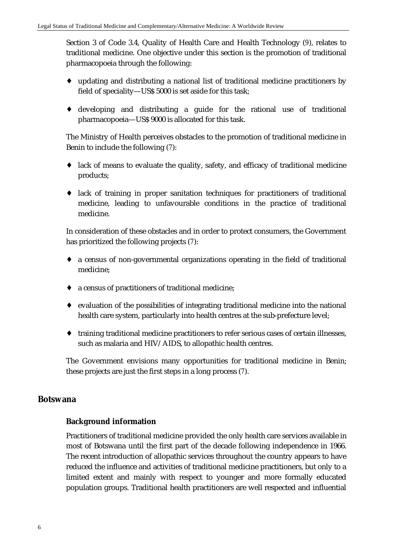Section 3 of Code 3.4, Quality of Health Care and Health Technology (*9*), relates to traditional medicine. One objective under this section is the promotion of traditional pharmacopoeia through the following:

- ♦ updating and distributing a national list of traditional medicine practitioners by field of speciality—US\$ 5000 is set aside for this task;
- ♦ developing and distributing a guide for the rational use of traditional pharmacopoeia—US\$ 9000 is allocated for this task.

The Ministry of Health perceives obstacles to the promotion of traditional medicine in Benin to include the following (*7*):

- ♦ lack of means to evaluate the quality, safety, and efficacy of traditional medicine products;
- ♦ lack of training in proper sanitation techniques for practitioners of traditional medicine, leading to unfavourable conditions in the practice of traditional medicine.

In consideration of these obstacles and in order to protect consumers, the Government has prioritized the following projects (*7*):

- ♦ a census of non-governmental organizations operating in the field of traditional medicine;
- ♦ a census of practitioners of traditional medicine;
- ♦ evaluation of the possibilities of integrating traditional medicine into the national health care system, particularly into health centres at the sub-prefecture level;
- ♦ training traditional medicine practitioners to refer serious cases of certain illnesses, such as malaria and HIV/AIDS, to allopathic health centres.

The Government envisions many opportunities for traditional medicine in Benin; these projects are just the first steps in a long process (*7*).

#### **Botswana**

#### **Background information**

Practitioners of traditional medicine provided the only health care services available in most of Botswana until the first part of the decade following independence in 1966. The recent introduction of allopathic services throughout the country appears to have reduced the influence and activities of traditional medicine practitioners, but only to a limited extent and mainly with respect to younger and more formally educated population groups. Traditional health practitioners are well respected and influential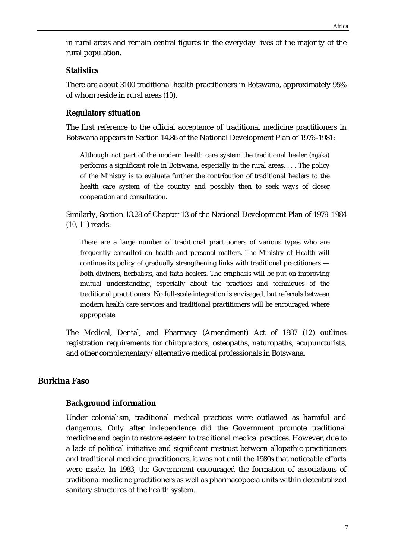in rural areas and remain central figures in the everyday lives of the majority of the rural population.

#### **Statistics**

There are about 3100 traditional health practitioners in Botswana, approximately 95% of whom reside in rural areas (*10*).

#### **Regulatory situation**

The first reference to the official acceptance of traditional medicine practitioners in Botswana appears in Section 14.86 of the National Development Plan of 1976–1981:

Although not part of the modern health care system the traditional healer (*ngaka*) performs a significant role in Botswana, especially in the rural areas. . . . The policy of the Ministry is to evaluate further the contribution of traditional healers to the health care system of the country and possibly then to seek ways of closer cooperation and consultation.

Similarly, Section 13.28 of Chapter 13 of the National Development Plan of 1979–1984 (*10, 11*) reads:

There are a large number of traditional practitioners of various types who are frequently consulted on health and personal matters. The Ministry of Health will continue its policy of gradually strengthening links with traditional practitioners both diviners, herbalists, and faith healers. The emphasis will be put on improving mutual understanding, especially about the practices and techniques of the traditional practitioners. No full-scale integration is envisaged, but referrals between modern health care services and traditional practitioners will be encouraged where appropriate.

The Medical, Dental, and Pharmacy (Amendment) Act of 1987 (*12*) outlines registration requirements for chiropractors, osteopaths, naturopaths, acupuncturists, and other complementary/alternative medical professionals in Botswana.

#### **Burkina Faso**

#### **Background information**

Under colonialism, traditional medical practices were outlawed as harmful and dangerous. Only after independence did the Government promote traditional medicine and begin to restore esteem to traditional medical practices. However, due to a lack of political initiative and significant mistrust between allopathic practitioners and traditional medicine practitioners, it was not until the 1980s that noticeable efforts were made. In 1983, the Government encouraged the formation of associations of traditional medicine practitioners as well as pharmacopoeia units within decentralized sanitary structures of the health system.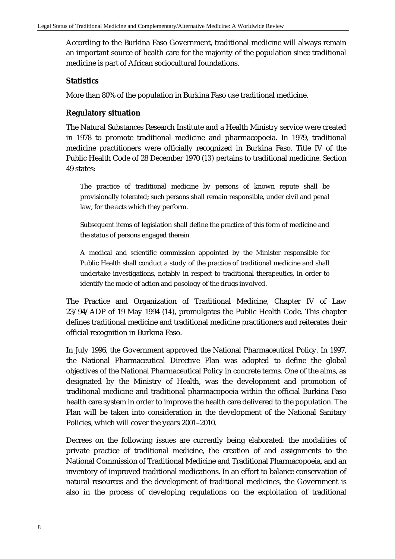According to the Burkina Faso Government, traditional medicine will always remain an important source of health care for the majority of the population since traditional medicine is part of African sociocultural foundations.

#### **Statistics**

More than 80% of the population in Burkina Faso use traditional medicine.

#### **Regulatory situation**

The Natural Substances Research Institute and a Health Ministry service were created in 1978 to promote traditional medicine and pharmacopoeia. In 1979, traditional medicine practitioners were officially recognized in Burkina Faso. Title IV of the Public Health Code of 28 December 1970 (*13*) pertains to traditional medicine. Section 49 states:

The practice of traditional medicine by persons of known repute shall be provisionally tolerated; such persons shall remain responsible, under civil and penal law, for the acts which they perform.

Subsequent items of legislation shall define the practice of this form of medicine and the status of persons engaged therein.

A medical and scientific commission appointed by the Minister responsible for Public Health shall conduct a study of the practice of traditional medicine and shall undertake investigations, notably in respect to traditional therapeutics, in order to identify the mode of action and posology of the drugs involved.

The Practice and Organization of Traditional Medicine, Chapter IV of Law 23/94/ADP of 19 May 1994 (*14*), promulgates the Public Health Code. This chapter defines traditional medicine and traditional medicine practitioners and reiterates their official recognition in Burkina Faso.

In July 1996, the Government approved the National Pharmaceutical Policy. In 1997, the National Pharmaceutical Directive Plan was adopted to define the global objectives of the National Pharmaceutical Policy in concrete terms. One of the aims, as designated by the Ministry of Health, was the development and promotion of traditional medicine and traditional pharmacopoeia within the official Burkina Faso health care system in order to improve the health care delivered to the population. The Plan will be taken into consideration in the development of the National Sanitary Policies, which will cover the years 2001–2010.

Decrees on the following issues are currently being elaborated: the modalities of private practice of traditional medicine, the creation of and assignments to the National Commission of Traditional Medicine and Traditional Pharmacopoeia, and an inventory of improved traditional medications. In an effort to balance conservation of natural resources and the development of traditional medicines, the Government is also in the process of developing regulations on the exploitation of traditional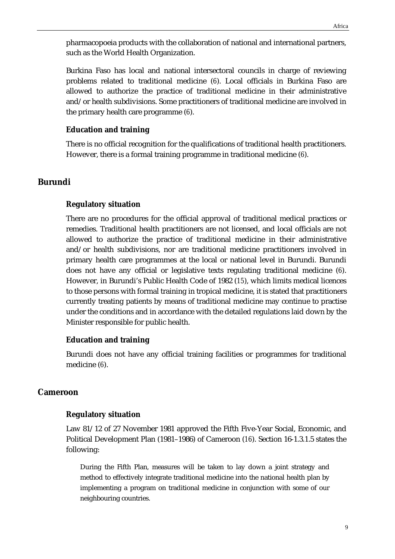pharmacopoeia products with the collaboration of national and international partners, such as the World Health Organization.

Burkina Faso has local and national intersectoral councils in charge of reviewing problems related to traditional medicine (*6*). Local officials in Burkina Faso are allowed to authorize the practice of traditional medicine in their administrative and/or health subdivisions. Some practitioners of traditional medicine are involved in the primary health care programme (*6*).

#### **Education and training**

There is no official recognition for the qualifications of traditional health practitioners. However, there is a formal training programme in traditional medicine (*6*).

### **Burundi**

#### **Regulatory situation**

There are no procedures for the official approval of traditional medical practices or remedies. Traditional health practitioners are not licensed, and local officials are not allowed to authorize the practice of traditional medicine in their administrative and/or health subdivisions, nor are traditional medicine practitioners involved in primary health care programmes at the local or national level in Burundi. Burundi does not have any official or legislative texts regulating traditional medicine (*6*). However, in Burundi's Public Health Code of 1982 (*15*), which limits medical licences to those persons with formal training in tropical medicine, it is stated that practitioners currently treating patients by means of traditional medicine may continue to practise under the conditions and in accordance with the detailed regulations laid down by the Minister responsible for public health.

#### **Education and training**

Burundi does not have any official training facilities or programmes for traditional medicine (*6*).

#### **Cameroon**

#### **Regulatory situation**

Law 81/12 of 27 November 1981 approved the Fifth Five-Year Social, Economic, and Political Development Plan (1981–1986) of Cameroon (*16*). Section 16-1.3.1.5 states the following:

During the Fifth Plan, measures will be taken to lay down a joint strategy and method to effectively integrate traditional medicine into the national health plan by implementing a program on traditional medicine in conjunction with some of our neighbouring countries.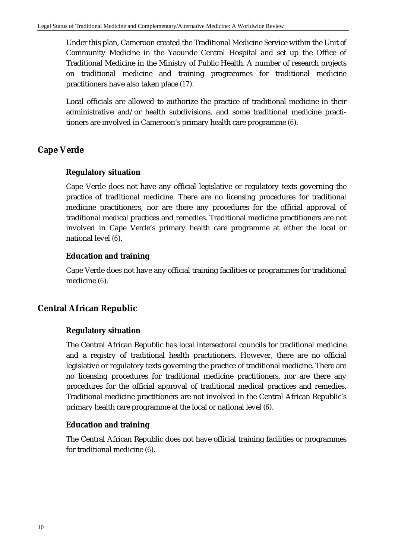Under this plan, Cameroon created the Traditional Medicine Service within the Unit of Community Medicine in the Yaounde Central Hospital and set up the Office of Traditional Medicine in the Ministry of Public Health. A number of research projects on traditional medicine and training programmes for traditional medicine practitioners have also taken place (*17*).

Local officials are allowed to authorize the practice of traditional medicine in their administrative and/or health subdivisions, and some traditional medicine practitioners are involved in Cameroon's primary health care programme (*6*).

# **Cape Verde**

#### **Regulatory situation**

Cape Verde does not have any official legislative or regulatory texts governing the practice of traditional medicine. There are no licensing procedures for traditional medicine practitioners, nor are there any procedures for the official approval of traditional medical practices and remedies. Traditional medicine practitioners are not involved in Cape Verde's primary health care programme at either the local or national level (*6*).

#### **Education and training**

Cape Verde does not have any official training facilities or programmes for traditional medicine (*6*).

## **Central African Republic**

#### **Regulatory situation**

The Central African Republic has local intersectoral councils for traditional medicine and a registry of traditional health practitioners. However, there are no official legislative or regulatory texts governing the practice of traditional medicine. There are no licensing procedures for traditional medicine practitioners, nor are there any procedures for the official approval of traditional medical practices and remedies. Traditional medicine practitioners are not involved in the Central African Republic's primary health care programme at the local or national level (*6*).

#### **Education and training**

The Central African Republic does not have official training facilities or programmes for traditional medicine (*6*).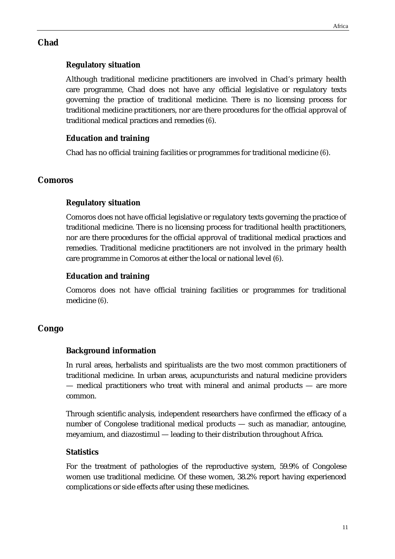# **Chad**

# **Regulatory situation**

Although traditional medicine practitioners are involved in Chad's primary health care programme, Chad does not have any official legislative or regulatory texts governing the practice of traditional medicine. There is no licensing process for traditional medicine practitioners, nor are there procedures for the official approval of traditional medical practices and remedies (*6*).

# **Education and training**

Chad has no official training facilities or programmes for traditional medicine (*6*).

# **Comoros**

## **Regulatory situation**

Comoros does not have official legislative or regulatory texts governing the practice of traditional medicine. There is no licensing process for traditional health practitioners, nor are there procedures for the official approval of traditional medical practices and remedies. Traditional medicine practitioners are not involved in the primary health care programme in Comoros at either the local or national level (*6*).

# **Education and training**

Comoros does not have official training facilities or programmes for traditional medicine (*6*).

# **Congo**

# **Background information**

In rural areas, herbalists and spiritualists are the two most common practitioners of traditional medicine. In urban areas, acupuncturists and natural medicine providers — medical practitioners who treat with mineral and animal products — are more common.

Through scientific analysis, independent researchers have confirmed the efficacy of a number of Congolese traditional medical products — such as manadiar, antougine, meyamium, and diazostimul — leading to their distribution throughout Africa.

## **Statistics**

For the treatment of pathologies of the reproductive system, 59.9% of Congolese women use traditional medicine. Of these women, 38.2% report having experienced complications or side effects after using these medicines.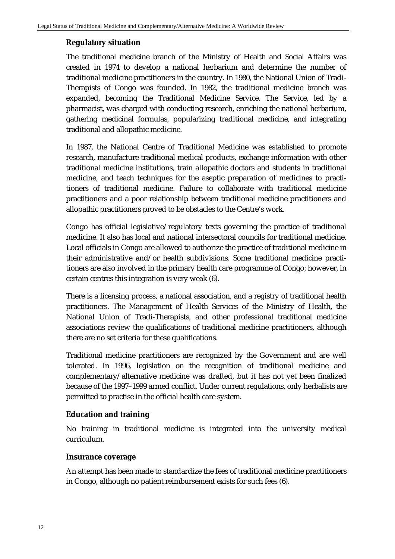#### **Regulatory situation**

The traditional medicine branch of the Ministry of Health and Social Affairs was created in 1974 to develop a national herbarium and determine the number of traditional medicine practitioners in the country. In 1980, the National Union of Tradi-Therapists of Congo was founded. In 1982, the traditional medicine branch was expanded, becoming the Traditional Medicine Service. The Service, led by a pharmacist, was charged with conducting research, enriching the national herbarium, gathering medicinal formulas, popularizing traditional medicine, and integrating traditional and allopathic medicine.

In 1987, the National Centre of Traditional Medicine was established to promote research, manufacture traditional medical products, exchange information with other traditional medicine institutions, train allopathic doctors and students in traditional medicine, and teach techniques for the aseptic preparation of medicines to practitioners of traditional medicine. Failure to collaborate with traditional medicine practitioners and a poor relationship between traditional medicine practitioners and allopathic practitioners proved to be obstacles to the Centre's work.

Congo has official legislative/regulatory texts governing the practice of traditional medicine. It also has local and national intersectoral councils for traditional medicine. Local officials in Congo are allowed to authorize the practice of traditional medicine in their administrative and/or health subdivisions. Some traditional medicine practitioners are also involved in the primary health care programme of Congo; however, in certain centres this integration is very weak (6).

There is a licensing process, a national association, and a registry of traditional health practitioners. The Management of Health Services of the Ministry of Health, the National Union of Tradi-Therapists, and other professional traditional medicine associations review the qualifications of traditional medicine practitioners, although there are no set criteria for these qualifications.

Traditional medicine practitioners are recognized by the Government and are well tolerated. In 1996, legislation on the recognition of traditional medicine and complementary/alternative medicine was drafted, but it has not yet been finalized because of the 1997–1999 armed conflict. Under current regulations, only herbalists are permitted to practise in the official health care system.

#### **Education and training**

No training in traditional medicine is integrated into the university medical curriculum.

#### **Insurance coverage**

An attempt has been made to standardize the fees of traditional medicine practitioners in Congo, although no patient reimbursement exists for such fees (6).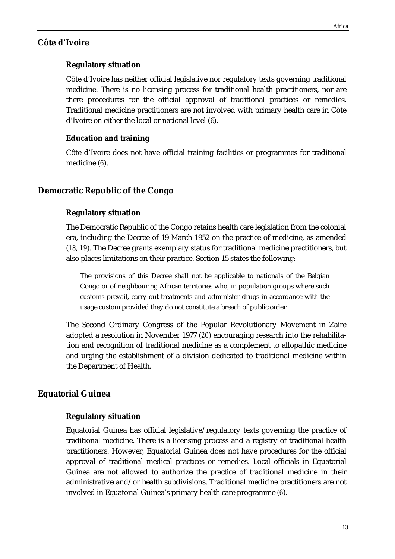#### **Côte d'Ivoire**

#### **Regulatory situation**

Côte d'Ivoire has neither official legislative nor regulatory texts governing traditional medicine. There is no licensing process for traditional health practitioners, nor are there procedures for the official approval of traditional practices or remedies. Traditional medicine practitioners are not involved with primary health care in Côte d'Ivoire on either the local or national level (6).

#### **Education and training**

Côte d'Ivoire does not have official training facilities or programmes for traditional medicine (*6*).

#### **Democratic Republic of the Congo**

#### **Regulatory situation**

The Democratic Republic of the Congo retains health care legislation from the colonial era, including the Decree of 19 March 1952 on the practice of medicine, as amended (*18, 19*). The Decree grants exemplary status for traditional medicine practitioners, but also places limitations on their practice. Section 15 states the following:

The provisions of this Decree shall not be applicable to nationals of the Belgian Congo or of neighbouring African territories who, in population groups where such customs prevail, carry out treatments and administer drugs in accordance with the usage custom provided they do not constitute a breach of public order.

The Second Ordinary Congress of the Popular Revolutionary Movement in Zaire adopted a resolution in November 1977 (*20*) encouraging research into the rehabilitation and recognition of traditional medicine as a complement to allopathic medicine and urging the establishment of a division dedicated to traditional medicine within the Department of Health.

#### **Equatorial Guinea**

#### **Regulatory situation**

Equatorial Guinea has official legislative/regulatory texts governing the practice of traditional medicine. There is a licensing process and a registry of traditional health practitioners. However, Equatorial Guinea does not have procedures for the official approval of traditional medical practices or remedies. Local officials in Equatorial Guinea are not allowed to authorize the practice of traditional medicine in their administrative and/or health subdivisions. Traditional medicine practitioners are not involved in Equatorial Guinea's primary health care programme (*6*).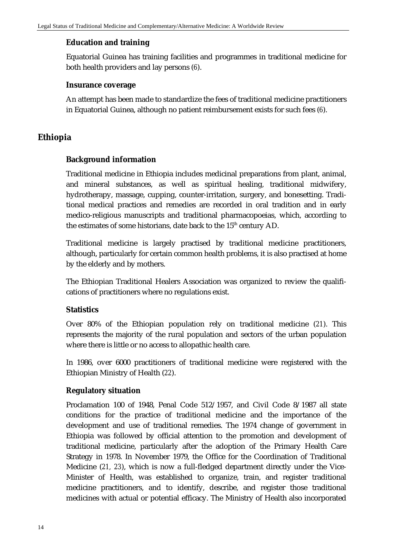#### **Education and training**

Equatorial Guinea has training facilities and programmes in traditional medicine for both health providers and lay persons (*6*).

#### **Insurance coverage**

An attempt has been made to standardize the fees of traditional medicine practitioners in Equatorial Guinea, although no patient reimbursement exists for such fees (*6*).

## **Ethiopia**

#### **Background information**

Traditional medicine in Ethiopia includes medicinal preparations from plant, animal, and mineral substances, as well as spiritual healing, traditional midwifery, hydrotherapy, massage, cupping, counter-irritation, surgery, and bonesetting. Traditional medical practices and remedies are recorded in oral tradition and in early medico-religious manuscripts and traditional pharmacopoeias, which, according to the estimates of some historians, date back to the  $15<sup>th</sup>$  century AD.

Traditional medicine is largely practised by traditional medicine practitioners, although, particularly for certain common health problems, it is also practised at home by the elderly and by mothers.

The Ethiopian Traditional Healers Association was organized to review the qualifications of practitioners where no regulations exist.

#### **Statistics**

Over 80% of the Ethiopian population rely on traditional medicine (*21*). This represents the majority of the rural population and sectors of the urban population where there is little or no access to allopathic health care.

In 1986, over 6000 practitioners of traditional medicine were registered with the Ethiopian Ministry of Health (*22*).

#### **Regulatory situation**

Proclamation 100 of 1948, Penal Code 512/1957, and Civil Code 8/1987 all state conditions for the practice of traditional medicine and the importance of the development and use of traditional remedies. The 1974 change of government in Ethiopia was followed by official attention to the promotion and development of traditional medicine, particularly after the adoption of the Primary Health Care Strategy in 1978. In November 1979, the Office for the Coordination of Traditional Medicine (*21, 23*), which is now a full-fledged department directly under the Vice-Minister of Health, was established to organize, train, and register traditional medicine practitioners, and to identify, describe, and register those traditional medicines with actual or potential efficacy. The Ministry of Health also incorporated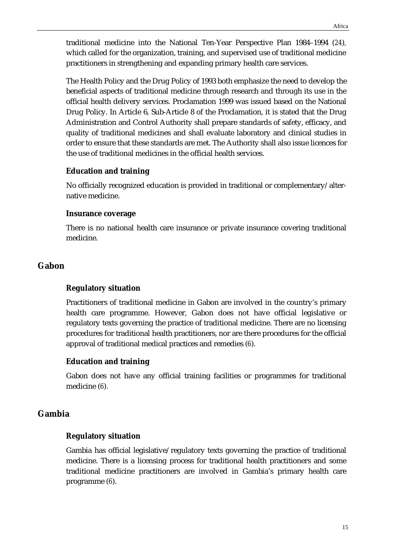traditional medicine into the National Ten-Year Perspective Plan 1984–1994 (*24*)*,* which called for the organization, training, and supervised use of traditional medicine practitioners in strengthening and expanding primary health care services.

The Health Policy and the Drug Policy of 1993 both emphasize the need to develop the beneficial aspects of traditional medicine through research and through its use in the official health delivery services. Proclamation 1999 was issued based on the National Drug Policy. In Article 6, Sub-Article 8 of the Proclamation, it is stated that the Drug Administration and Control Authority shall prepare standards of safety, efficacy, and quality of traditional medicines and shall evaluate laboratory and clinical studies in order to ensure that these standards are met. The Authority shall also issue licences for the use of traditional medicines in the official health services.

#### **Education and training**

No officially recognized education is provided in traditional or complementary/alternative medicine.

#### **Insurance coverage**

There is no national health care insurance or private insurance covering traditional medicine.

## **Gabon**

#### **Regulatory situation**

Practitioners of traditional medicine in Gabon are involved in the country's primary health care programme. However, Gabon does not have official legislative or regulatory texts governing the practice of traditional medicine. There are no licensing procedures for traditional health practitioners, nor are there procedures for the official approval of traditional medical practices and remedies (*6*).

#### **Education and training**

Gabon does not have any official training facilities or programmes for traditional medicine (*6*).

#### **Gambia**

#### **Regulatory situation**

Gambia has official legislative/regulatory texts governing the practice of traditional medicine. There is a licensing process for traditional health practitioners and some traditional medicine practitioners are involved in Gambia's primary health care programme (*6*).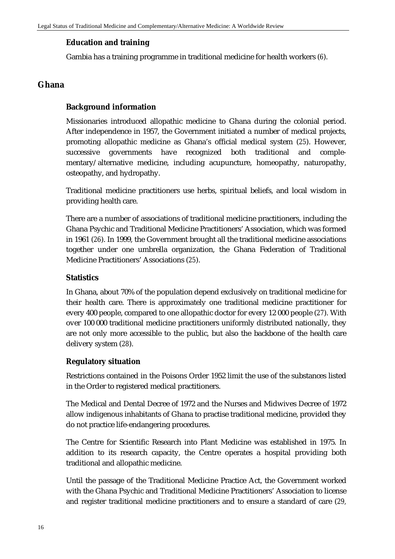#### **Education and training**

Gambia has a training programme in traditional medicine for health workers (*6*).

### **Ghana**

#### **Background information**

Missionaries introduced allopathic medicine to Ghana during the colonial period. After independence in 1957, the Government initiated a number of medical projects, promoting allopathic medicine as Ghana's official medical system (*25*). However, successive governments have recognized both traditional and complementary/alternative medicine, including acupuncture, homeopathy, naturopathy, osteopathy, and hydropathy.

Traditional medicine practitioners use herbs, spiritual beliefs, and local wisdom in providing health care.

There are a number of associations of traditional medicine practitioners, including the Ghana Psychic and Traditional Medicine Practitioners' Association, which was formed in 1961 (*26*). In 1999, the Government brought all the traditional medicine associations together under one umbrella organization, the Ghana Federation of Traditional Medicine Practitioners' Associations (*25*).

#### **Statistics**

In Ghana, about 70% of the population depend exclusively on traditional medicine for their health care. There is approximately one traditional medicine practitioner for every 400 people, compared to one allopathic doctor for every 12 000 people (*27*). With over 100 000 traditional medicine practitioners uniformly distributed nationally, they are not only more accessible to the public, but also the backbone of the health care delivery system (*28*).

#### **Regulatory situation**

Restrictions contained in the Poisons Order 1952 limit the use of the substances listed in the Order to registered medical practitioners.

The Medical and Dental Decree of 1972 and the Nurses and Midwives Decree of 1972 allow indigenous inhabitants of Ghana to practise traditional medicine, provided they do not practice life-endangering procedures.

The Centre for Scientific Research into Plant Medicine was established in 1975. In addition to its research capacity, the Centre operates a hospital providing both traditional and allopathic medicine.

Until the passage of the Traditional Medicine Practice Act, the Government worked with the Ghana Psychic and Traditional Medicine Practitioners' Association to license and register traditional medicine practitioners and to ensure a standard of care (*29,*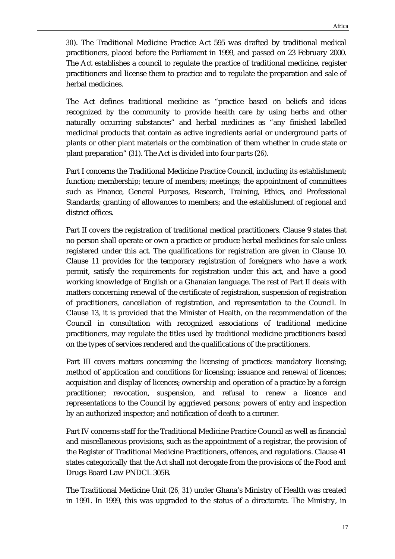*30*). The Traditional Medicine Practice Act 595 was drafted by traditional medical practitioners, placed before the Parliament in 1999, and passed on 23 February 2000. The Act establishes a council to regulate the practice of traditional medicine, register practitioners and license them to practice and to regulate the preparation and sale of herbal medicines.

The Act defines traditional medicine as "practice based on beliefs and ideas recognized by the community to provide health care by using herbs and other naturally occurring substances" and herbal medicines as "any finished labelled medicinal products that contain as active ingredients aerial or underground parts of plants or other plant materials or the combination of them whether in crude state or plant preparation" (*31*). The Act is divided into four parts (*26*).

Part I concerns the Traditional Medicine Practice Council, including its establishment; function; membership; tenure of members; meetings; the appointment of committees such as Finance, General Purposes, Research, Training, Ethics, and Professional Standards; granting of allowances to members; and the establishment of regional and district offices.

Part II covers the registration of traditional medical practitioners. Clause 9 states that no person shall operate or own a practice or produce herbal medicines for sale unless registered under this act. The qualifications for registration are given in Clause 10. Clause 11 provides for the temporary registration of foreigners who have a work permit, satisfy the requirements for registration under this act, and have a good working knowledge of English or a Ghanaian language. The rest of Part II deals with matters concerning renewal of the certificate of registration, suspension of registration of practitioners, cancellation of registration, and representation to the Council. In Clause 13, it is provided that the Minister of Health, on the recommendation of the Council in consultation with recognized associations of traditional medicine practitioners, may regulate the titles used by traditional medicine practitioners based on the types of services rendered and the qualifications of the practitioners.

Part III covers matters concerning the licensing of practices: mandatory licensing; method of application and conditions for licensing; issuance and renewal of licences; acquisition and display of licences; ownership and operation of a practice by a foreign practitioner; revocation, suspension, and refusal to renew a licence and representations to the Council by aggrieved persons; powers of entry and inspection by an authorized inspector; and notification of death to a coroner.

Part IV concerns staff for the Traditional Medicine Practice Council as well as financial and miscellaneous provisions, such as the appointment of a registrar, the provision of the Register of Traditional Medicine Practitioners, offences, and regulations. Clause 41 states categorically that the Act shall not derogate from the provisions of the Food and Drugs Board Law PNDCL 305B.

The Traditional Medicine Unit (*26, 31*) under Ghana's Ministry of Health was created in 1991. In 1999, this was upgraded to the status of a directorate. The Ministry, in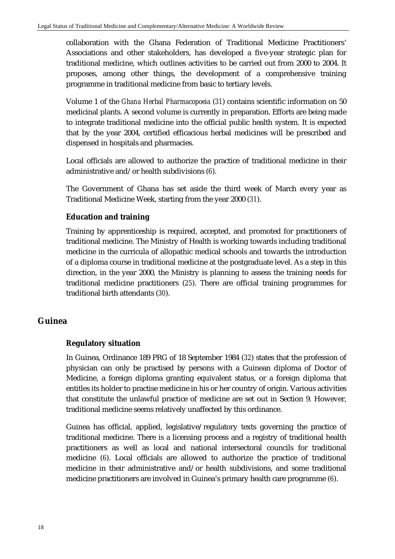collaboration with the Ghana Federation of Traditional Medicine Practitioners' Associations and other stakeholders, has developed a five-year strategic plan for traditional medicine, which outlines activities to be carried out from 2000 to 2004. It proposes, among other things, the development of a comprehensive training programme in traditional medicine from basic to tertiary levels.

Volume 1 of the *Ghana Herbal Pharmacopoeia* (*31*) contains scientific information on 50 medicinal plants. A second volume is currently in preparation. Efforts are being made to integrate traditional medicine into the official public health system. It is expected that by the year 2004, certified efficacious herbal medicines will be prescribed and dispensed in hospitals and pharmacies.

Local officials are allowed to authorize the practice of traditional medicine in their administrative and/or health subdivisions (*6*).

The Government of Ghana has set aside the third week of March every year as Traditional Medicine Week, starting from the year 2000 (*31*).

## **Education and training**

Training by apprenticeship is required, accepted, and promoted for practitioners of traditional medicine. The Ministry of Health is working towards including traditional medicine in the curricula of allopathic medical schools and towards the introduction of a diploma course in traditional medicine at the postgraduate level. As a step in this direction, in the year 2000, the Ministry is planning to assess the training needs for traditional medicine practitioners (*25*). There are official training programmes for traditional birth attendants (*30*).

## **Guinea**

#### **Regulatory situation**

In Guinea, Ordinance 189 PRG of 18 September 1984 (*32*) states that the profession of physician can only be practised by persons with a Guinean diploma of Doctor of Medicine, a foreign diploma granting equivalent status, or a foreign diploma that entitles its holder to practise medicine in his or her country of origin. Various activities that constitute the unlawful practice of medicine are set out in Section 9. However, traditional medicine seems relatively unaffected by this ordinance.

Guinea has official, applied, legislative/regulatory texts governing the practice of traditional medicine. There is a licensing process and a registry of traditional health practitioners as well as local and national intersectoral councils for traditional medicine (*6*). Local officials are allowed to authorize the practice of traditional medicine in their administrative and/or health subdivisions, and some traditional medicine practitioners are involved in Guinea's primary health care programme (*6*).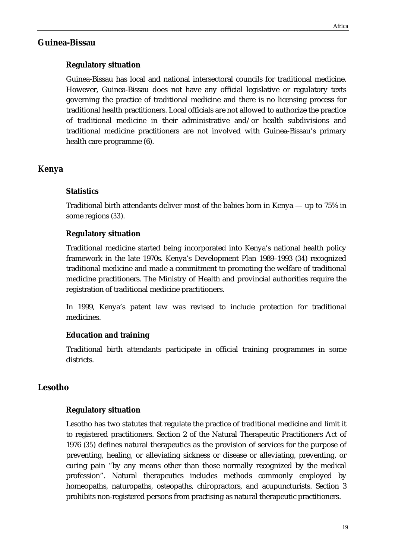#### **Guinea-Bissau**

#### **Regulatory situation**

Guinea-Bissau has local and national intersectoral councils for traditional medicine. However, Guinea-Bissau does not have any official legislative or regulatory texts governing the practice of traditional medicine and there is no licensing process for traditional health practitioners. Local officials are not allowed to authorize the practice of traditional medicine in their administrative and/or health subdivisions and traditional medicine practitioners are not involved with Guinea-Bissau's primary health care programme (6).

#### **Kenya**

#### **Statistics**

Traditional birth attendants deliver most of the babies born in Kenya — up to 75% in some regions (*33*).

#### **Regulatory situation**

Traditional medicine started being incorporated into Kenya's national health policy framework in the late 1970s. Kenya's Development Plan 1989–1993 (*34*) recognized traditional medicine and made a commitment to promoting the welfare of traditional medicine practitioners. The Ministry of Health and provincial authorities require the registration of traditional medicine practitioners.

In 1999, Kenya's patent law was revised to include protection for traditional medicines.

#### **Education and training**

Traditional birth attendants participate in official training programmes in some districts.

#### **Lesotho**

#### **Regulatory situation**

Lesotho has two statutes that regulate the practice of traditional medicine and limit it to registered practitioners. Section 2 of the Natural Therapeutic Practitioners Act of 1976 (*35*) defines natural therapeutics as the provision of services for the purpose of preventing, healing, or alleviating sickness or disease or alleviating, preventing, or curing pain "by any means other than those normally recognized by the medical profession". Natural therapeutics includes methods commonly employed by homeopaths, naturopaths, osteopaths, chiropractors, and acupuncturists. Section 3 prohibits non-registered persons from practising as natural therapeutic practitioners.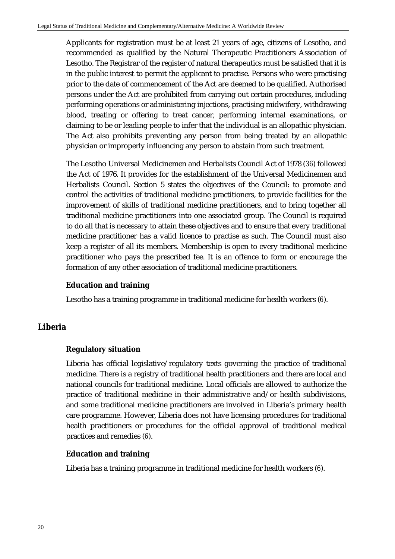Applicants for registration must be at least 21 years of age, citizens of Lesotho, and recommended as qualified by the Natural Therapeutic Practitioners Association of Lesotho. The Registrar of the register of natural therapeutics must be satisfied that it is in the public interest to permit the applicant to practise. Persons who were practising prior to the date of commencement of the Act are deemed to be qualified. Authorised persons under the Act are prohibited from carrying out certain procedures, including performing operations or administering injections, practising midwifery, withdrawing blood, treating or offering to treat cancer, performing internal examinations, or claiming to be or leading people to infer that the individual is an allopathic physician. The Act also prohibits preventing any person from being treated by an allopathic physician or improperly influencing any person to abstain from such treatment.

The Lesotho Universal Medicinemen and Herbalists Council Act of 1978 (*36*) followed the Act of 1976. It provides for the establishment of the Universal Medicinemen and Herbalists Council. Section 5 states the objectives of the Council: to promote and control the activities of traditional medicine practitioners, to provide facilities for the improvement of skills of traditional medicine practitioners, and to bring together all traditional medicine practitioners into one associated group. The Council is required to do all that is necessary to attain these objectives and to ensure that every traditional medicine practitioner has a valid licence to practise as such. The Council must also keep a register of all its members. Membership is open to every traditional medicine practitioner who pays the prescribed fee. It is an offence to form or encourage the formation of any other association of traditional medicine practitioners.

#### **Education and training**

Lesotho has a training programme in traditional medicine for health workers (*6*).

#### **Liberia**

#### **Regulatory situation**

Liberia has official legislative/regulatory texts governing the practice of traditional medicine. There is a registry of traditional health practitioners and there are local and national councils for traditional medicine. Local officials are allowed to authorize the practice of traditional medicine in their administrative and/or health subdivisions, and some traditional medicine practitioners are involved in Liberia's primary health care programme. However, Liberia does not have licensing procedures for traditional health practitioners or procedures for the official approval of traditional medical practices and remedies (*6*).

#### **Education and training**

Liberia has a training programme in traditional medicine for health workers (*6*).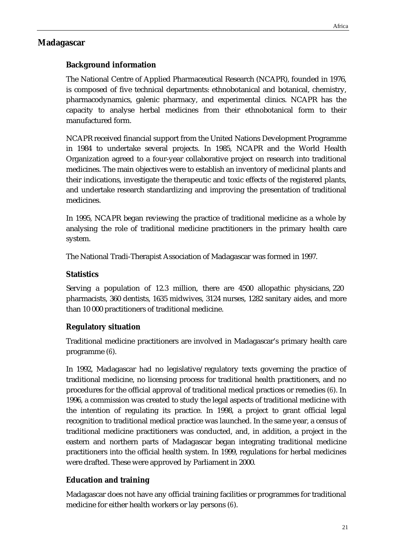## **Madagascar**

# **Background information**

The National Centre of Applied Pharmaceutical Research (NCAPR), founded in 1976, is composed of five technical departments: ethnobotanical and botanical, chemistry, pharmacodynamics, galenic pharmacy, and experimental clinics. NCAPR has the capacity to analyse herbal medicines from their ethnobotanical form to their manufactured form.

NCAPR received financial support from the United Nations Development Programme in 1984 to undertake several projects. In 1985, NCAPR and the World Health Organization agreed to a four-year collaborative project on research into traditional medicines. The main objectives were to establish an inventory of medicinal plants and their indications, investigate the therapeutic and toxic effects of the registered plants, and undertake research standardizing and improving the presentation of traditional medicines.

In 1995, NCAPR began reviewing the practice of traditional medicine as a whole by analysing the role of traditional medicine practitioners in the primary health care system.

The National Tradi-Therapist Association of Madagascar was formed in 1997.

## **Statistics**

Serving a population of 12.3 million, there are 4500 allopathic physicians, 220 pharmacists, 360 dentists, 1635 midwives, 3124 nurses, 1282 sanitary aides, and more than 10 000 practitioners of traditional medicine.

## **Regulatory situation**

Traditional medicine practitioners are involved in Madagascar's primary health care programme (*6*).

In 1992, Madagascar had no legislative/regulatory texts governing the practice of traditional medicine, no licensing process for traditional health practitioners, and no procedures for the official approval of traditional medical practices or remedies (*6*). In 1996, a commission was created to study the legal aspects of traditional medicine with the intention of regulating its practice. In 1998, a project to grant official legal recognition to traditional medical practice was launched. In the same year, a census of traditional medicine practitioners was conducted, and, in addition, a project in the eastern and northern parts of Madagascar began integrating traditional medicine practitioners into the official health system. In 1999, regulations for herbal medicines were drafted. These were approved by Parliament in 2000.

## **Education and training**

Madagascar does not have any official training facilities or programmes for traditional medicine for either health workers or lay persons (*6*).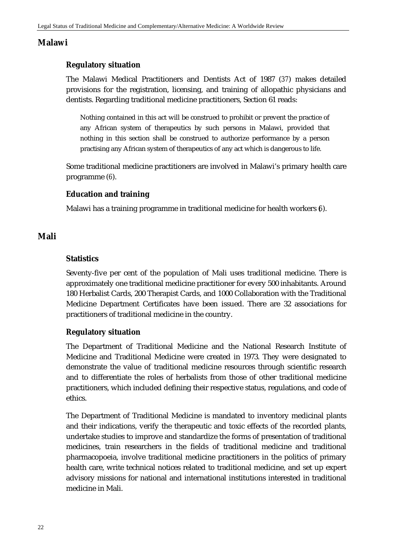## **Malawi**

## **Regulatory situation**

The Malawi Medical Practitioners and Dentists Act of 1987 (*37*) makes detailed provisions for the registration, licensing, and training of allopathic physicians and dentists. Regarding traditional medicine practitioners, Section 61 reads:

Nothing contained in this act will be construed to prohibit or prevent the practice of any African system of therapeutics by such persons in Malawi, provided that nothing in this section shall be construed to authorize performance by a person practising any African system of therapeutics of any act which is dangerous to life.

Some traditional medicine practitioners are involved in Malawi's primary health care programme (*6*).

#### **Education and training**

Malawi has a training programme in traditional medicine for health workers (*6*).

#### **Mali**

#### **Statistics**

Seventy-five per cent of the population of Mali uses traditional medicine. There is approximately one traditional medicine practitioner for every 500 inhabitants. Around 180 Herbalist Cards, 200 Therapist Cards, and 1000 Collaboration with the Traditional Medicine Department Certificates have been issued. There are 32 associations for practitioners of traditional medicine in the country.

#### **Regulatory situation**

The Department of Traditional Medicine and the National Research Institute of Medicine and Traditional Medicine were created in 1973. They were designated to demonstrate the value of traditional medicine resources through scientific research and to differentiate the roles of herbalists from those of other traditional medicine practitioners, which included defining their respective status, regulations, and code of ethics.

The Department of Traditional Medicine is mandated to inventory medicinal plants and their indications, verify the therapeutic and toxic effects of the recorded plants, undertake studies to improve and standardize the forms of presentation of traditional medicines, train researchers in the fields of traditional medicine and traditional pharmacopoeia, involve traditional medicine practitioners in the politics of primary health care, write technical notices related to traditional medicine, and set up expert advisory missions for national and international institutions interested in traditional medicine in Mali.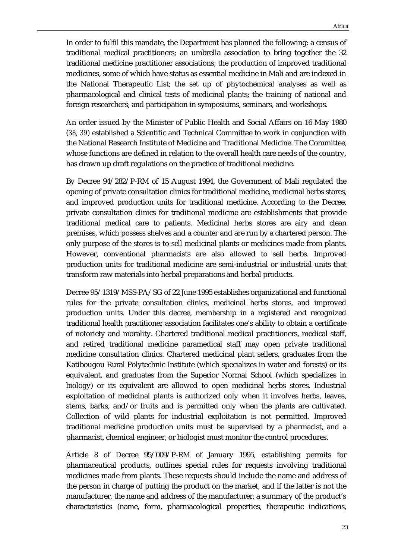In order to fulfil this mandate, the Department has planned the following: a census of traditional medical practitioners; an umbrella association to bring together the 32 traditional medicine practitioner associations; the production of improved traditional medicines, some of which have status as essential medicine in Mali and are indexed in the National Therapeutic List; the set up of phytochemical analyses as well as pharmacological and clinical tests of medicinal plants; the training of national and foreign researchers; and participation in symposiums, seminars, and workshops.

An order issued by the Minister of Public Health and Social Affairs on 16 May 1980 (*38, 39*) established a Scientific and Technical Committee to work in conjunction with the National Research Institute of Medicine and Traditional Medicine. The Committee, whose functions are defined in relation to the overall health care needs of the country, has drawn up draft regulations on the practice of traditional medicine.

By Decree 94/282/P-RM of 15 August 1994, the Government of Mali regulated the opening of private consultation clinics for traditional medicine, medicinal herbs stores, and improved production units for traditional medicine. According to the Decree, private consultation clinics for traditional medicine are establishments that provide traditional medical care to patients. Medicinal herbs stores are airy and clean premises, which possess shelves and a counter and are run by a chartered person. The only purpose of the stores is to sell medicinal plants or medicines made from plants. However, conventional pharmacists are also allowed to sell herbs. Improved production units for traditional medicine are semi-industrial or industrial units that transform raw materials into herbal preparations and herbal products.

Decree 95/1319/MSS-PA/SG of 22 June 1995 establishes organizational and functional rules for the private consultation clinics, medicinal herbs stores, and improved production units. Under this decree, membership in a registered and recognized traditional health practitioner association facilitates one's ability to obtain a certificate of notoriety and morality. Chartered traditional medical practitioners, medical staff, and retired traditional medicine paramedical staff may open private traditional medicine consultation clinics. Chartered medicinal plant sellers, graduates from the Katibougou Rural Polytechnic Institute (which specializes in water and forests) or its equivalent, and graduates from the Superior Normal School (which specializes in biology) or its equivalent are allowed to open medicinal herbs stores. Industrial exploitation of medicinal plants is authorized only when it involves herbs, leaves, stems, barks, and/or fruits and is permitted only when the plants are cultivated. Collection of wild plants for industrial exploitation is not permitted. Improved traditional medicine production units must be supervised by a pharmacist, and a pharmacist, chemical engineer, or biologist must monitor the control procedures.

Article 8 of Decree 95/009/P-RM of January 1995, establishing permits for pharmaceutical products, outlines special rules for requests involving traditional medicines made from plants. These requests should include the name and address of the person in charge of putting the product on the market, and if the latter is not the manufacturer, the name and address of the manufacturer; a summary of the product's characteristics (name, form, pharmacological properties, therapeutic indications,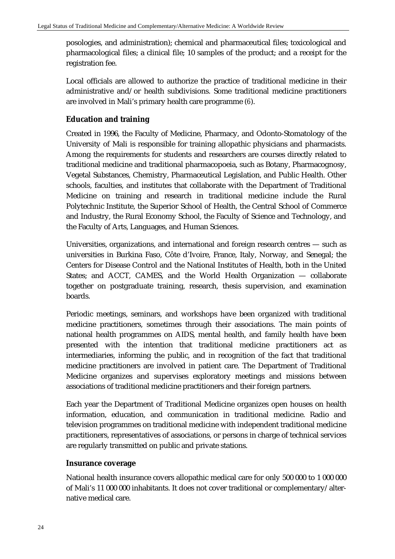posologies, and administration); chemical and pharmaceutical files; toxicological and pharmacological files; a clinical file; 10 samples of the product; and a receipt for the registration fee.

Local officials are allowed to authorize the practice of traditional medicine in their administrative and/or health subdivisions. Some traditional medicine practitioners are involved in Mali's primary health care programme (*6*).

### **Education and training**

Created in 1996, the Faculty of Medicine, Pharmacy, and Odonto-Stomatology of the University of Mali is responsible for training allopathic physicians and pharmacists. Among the requirements for students and researchers are courses directly related to traditional medicine and traditional pharmacopoeia, such as Botany, Pharmacognosy, Vegetal Substances, Chemistry, Pharmaceutical Legislation, and Public Health. Other schools, faculties, and institutes that collaborate with the Department of Traditional Medicine on training and research in traditional medicine include the Rural Polytechnic Institute, the Superior School of Health, the Central School of Commerce and Industry, the Rural Economy School, the Faculty of Science and Technology, and the Faculty of Arts, Languages, and Human Sciences.

Universities, organizations, and international and foreign research centres — such as universities in Burkina Faso, Côte d'Ivoire, France, Italy, Norway, and Senegal; the Centers for Disease Control and the National Institutes of Health, both in the United States; and ACCT, CAMES, and the World Health Organization — collaborate together on postgraduate training, research, thesis supervision, and examination boards.

Periodic meetings, seminars, and workshops have been organized with traditional medicine practitioners, sometimes through their associations. The main points of national health programmes on AIDS, mental health, and family health have been presented with the intention that traditional medicine practitioners act as intermediaries, informing the public, and in recognition of the fact that traditional medicine practitioners are involved in patient care. The Department of Traditional Medicine organizes and supervises exploratory meetings and missions between associations of traditional medicine practitioners and their foreign partners.

Each year the Department of Traditional Medicine organizes open houses on health information, education, and communication in traditional medicine. Radio and television programmes on traditional medicine with independent traditional medicine practitioners, representatives of associations, or persons in charge of technical services are regularly transmitted on public and private stations.

#### **Insurance coverage**

National health insurance covers allopathic medical care for only 500 000 to 1 000 000 of Mali's 11 000 000 inhabitants. It does not cover traditional or complementary/alternative medical care.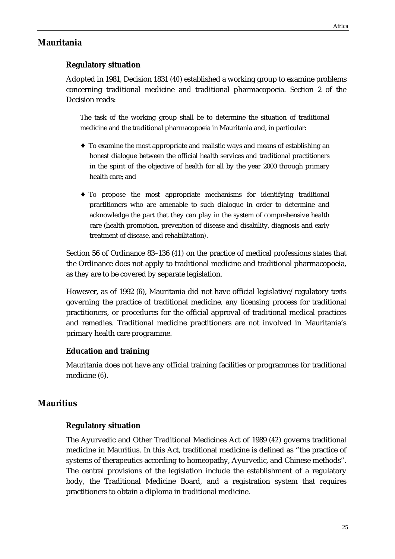## **Mauritania**

# **Regulatory situation**

Adopted in 1981, Decision 1831 (*40*) established a working group to examine problems concerning traditional medicine and traditional pharmacopoeia. Section 2 of the Decision reads:

The task of the working group shall be to determine the situation of traditional medicine and the traditional pharmacopoeia in Mauritania and, in particular:

- ♦ To examine the most appropriate and realistic ways and means of establishing an honest dialogue between the official health services and traditional practitioners in the spirit of the objective of health for all by the year 2000 through primary health care; and
- ♦ To propose the most appropriate mechanisms for identifying traditional practitioners who are amenable to such dialogue in order to determine and acknowledge the part that they can play in the system of comprehensive health care (health promotion, prevention of disease and disability, diagnosis and early treatment of disease, and rehabilitation*)*.

Section 56 of Ordinance 83–136 (*41*) on the practice of medical professions states that the Ordinance does not apply to traditional medicine and traditional pharmacopoeia, as they are to be covered by separate legislation.

However, as of 1992 (*6*), Mauritania did not have official legislative/regulatory texts governing the practice of traditional medicine, any licensing process for traditional practitioners, or procedures for the official approval of traditional medical practices and remedies. Traditional medicine practitioners are not involved in Mauritania's primary health care programme.

#### **Education and training**

Mauritania does not have any official training facilities or programmes for traditional medicine (*6*).

# **Mauritius**

## **Regulatory situation**

The Ayurvedic and Other Traditional Medicines Act of 1989 (*42*) governs traditional medicine in Mauritius. In this Act, traditional medicine is defined as "the practice of systems of therapeutics according to homeopathy, Ayurvedic, and Chinese methods". The central provisions of the legislation include the establishment of a regulatory body, the Traditional Medicine Board, and a registration system that requires practitioners to obtain a diploma in traditional medicine.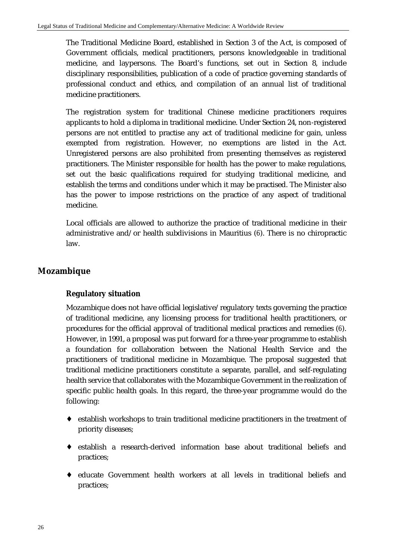The Traditional Medicine Board, established in Section 3 of the Act, is composed of Government officials, medical practitioners, persons knowledgeable in traditional medicine, and laypersons. The Board's functions, set out in Section 8, include disciplinary responsibilities, publication of a code of practice governing standards of professional conduct and ethics, and compilation of an annual list of traditional medicine practitioners.

The registration system for traditional Chinese medicine practitioners requires applicants to hold a diploma in traditional medicine. Under Section 24, non-registered persons are not entitled to practise any act of traditional medicine for gain, unless exempted from registration. However, no exemptions are listed in the Act. Unregistered persons are also prohibited from presenting themselves as registered practitioners. The Minister responsible for health has the power to make regulations, set out the basic qualifications required for studying traditional medicine, and establish the terms and conditions under which it may be practised. The Minister also has the power to impose restrictions on the practice of any aspect of traditional medicine.

Local officials are allowed to authorize the practice of traditional medicine in their administrative and/or health subdivisions in Mauritius (*6*). There is no chiropractic law.

# **Mozambique**

## **Regulatory situation**

Mozambique does not have official legislative/regulatory texts governing the practice of traditional medicine, any licensing process for traditional health practitioners, or procedures for the official approval of traditional medical practices and remedies (*6*). However, in 1991, a proposal was put forward for a three-year programme to establish a foundation for collaboration between the National Health Service and the practitioners of traditional medicine in Mozambique. The proposal suggested that traditional medicine practitioners constitute a separate, parallel, and self-regulating health service that collaborates with the Mozambique Government in the realization of specific public health goals. In this regard, the three-year programme would do the following:

- ♦ establish workshops to train traditional medicine practitioners in the treatment of priority diseases;
- ♦ establish a research-derived information base about traditional beliefs and practices;
- ♦ educate Government health workers at all levels in traditional beliefs and practices;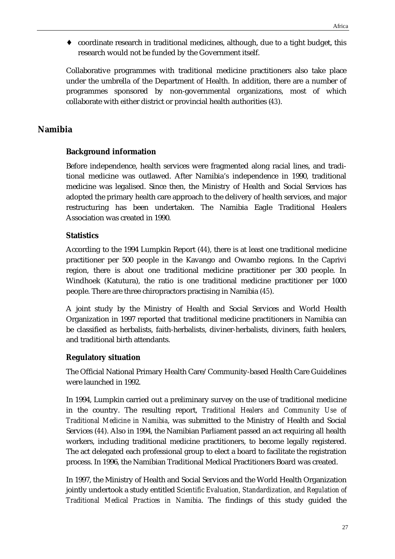coordinate research in traditional medicines, although, due to a tight budget, this research would not be funded by the Government itself.

Collaborative programmes with traditional medicine practitioners also take place under the umbrella of the Department of Health. In addition, there are a number of programmes sponsored by non-governmental organizations, most of which collaborate with either district or provincial health authorities (*43*).

# **Namibia**

# **Background information**

Before independence, health services were fragmented along racial lines, and traditional medicine was outlawed. After Namibia's independence in 1990, traditional medicine was legalised. Since then, the Ministry of Health and Social Services has adopted the primary health care approach to the delivery of health services, and major restructuring has been undertaken. The Namibia Eagle Traditional Healers Association was created in 1990.

# **Statistics**

According to the 1994 Lumpkin Report (*44*), there is at least one traditional medicine practitioner per 500 people in the Kavango and Owambo regions. In the Caprivi region, there is about one traditional medicine practitioner per 300 people. In Windhoek (Katutura), the ratio is one traditional medicine practitioner per 1000 people. There are three chiropractors practising in Namibia (*45*).

A joint study by the Ministry of Health and Social Services and World Health Organization in 1997 reported that traditional medicine practitioners in Namibia can be classified as herbalists, faith-herbalists, diviner-herbalists, diviners, faith healers, and traditional birth attendants.

# **Regulatory situation**

The Official National Primary Health Care/Community-based Health Care Guidelines were launched in 1992.

In 1994, Lumpkin carried out a preliminary survey on the use of traditional medicine in the country. The resulting report, *Traditional Healers and Community Use of Traditional Medicine in Namibia*, was submitted to the Ministry of Health and Social Services (*44*). Also in 1994, the Namibian Parliament passed an act requiring all health workers, including traditional medicine practitioners, to become legally registered. The act delegated each professional group to elect a board to facilitate the registration process. In 1996, the Namibian Traditional Medical Practitioners Board was created.

In 1997, the Ministry of Health and Social Services and the World Health Organization jointly undertook a study entitled *Scientific Evaluation, Standardization, and Regulation of Traditional Medical Practices in Namibia*. The findings of this study guided the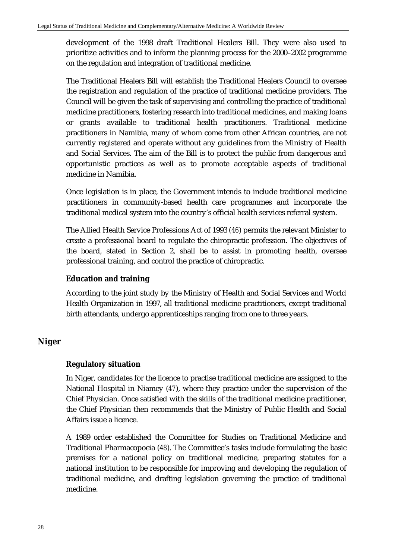development of the 1998 draft Traditional Healers Bill. They were also used to prioritize activities and to inform the planning process for the 2000–2002 programme on the regulation and integration of traditional medicine.

The Traditional Healers Bill will establish the Traditional Healers Council to oversee the registration and regulation of the practice of traditional medicine providers. The Council will be given the task of supervising and controlling the practice of traditional medicine practitioners, fostering research into traditional medicines, and making loans or grants available to traditional health practitioners. Traditional medicine practitioners in Namibia, many of whom come from other African countries, are not currently registered and operate without any guidelines from the Ministry of Health and Social Services. The aim of the Bill is to protect the public from dangerous and opportunistic practices as well as to promote acceptable aspects of traditional medicine in Namibia.

Once legislation is in place, the Government intends to include traditional medicine practitioners in community-based health care programmes and incorporate the traditional medical system into the country's official health services referral system.

The Allied Health Service Professions Act of 1993 (*46*) permits the relevant Minister to create a professional board to regulate the chiropractic profession. The objectives of the board, stated in Section 2, shall be to assist in promoting health, oversee professional training, and control the practice of chiropractic.

### **Education and training**

According to the joint study by the Ministry of Health and Social Services and World Health Organization in 1997, all traditional medicine practitioners, except traditional birth attendants, undergo apprenticeships ranging from one to three years.

# **Niger**

### **Regulatory situation**

In Niger, candidates for the licence to practise traditional medicine are assigned to the National Hospital in Niamey (*47*), where they practice under the supervision of the Chief Physician. Once satisfied with the skills of the traditional medicine practitioner, the Chief Physician then recommends that the Ministry of Public Health and Social Affairs issue a licence.

A 1989 order established the Committee for Studies on Traditional Medicine and Traditional Pharmacopoeia (*48*). The Committee's tasks include formulating the basic premises for a national policy on traditional medicine, preparing statutes for a national institution to be responsible for improving and developing the regulation of traditional medicine, and drafting legislation governing the practice of traditional medicine.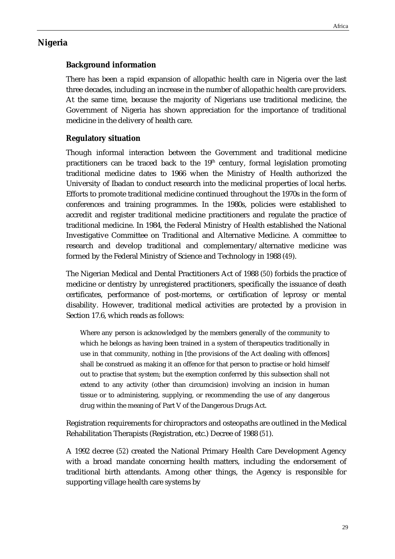# **Nigeria**

# **Background information**

There has been a rapid expansion of allopathic health care in Nigeria over the last three decades, including an increase in the number of allopathic health care providers. At the same time, because the majority of Nigerians use traditional medicine, the Government of Nigeria has shown appreciation for the importance of traditional medicine in the delivery of health care.

# **Regulatory situation**

Though informal interaction between the Government and traditional medicine practitioners can be traced back to the  $19<sup>th</sup>$  century, formal legislation promoting traditional medicine dates to 1966 when the Ministry of Health authorized the University of Ibadan to conduct research into the medicinal properties of local herbs. Efforts to promote traditional medicine continued throughout the 1970s in the form of conferences and training programmes. In the 1980s, policies were established to accredit and register traditional medicine practitioners and regulate the practice of traditional medicine. In 1984, the Federal Ministry of Health established the National Investigative Committee on Traditional and Alternative Medicine. A committee to research and develop traditional and complementary/alternative medicine was formed by the Federal Ministry of Science and Technology in 1988 (*49*).

The Nigerian Medical and Dental Practitioners Act of 1988 (*50*) forbids the practice of medicine or dentistry by unregistered practitioners, specifically the issuance of death certificates, performance of post-mortems, or certification of leprosy or mental disability. However, traditional medical activities are protected by a provision in Section 17.6, which reads as follows:

Where any person is acknowledged by the members generally of the community to which he belongs as having been trained in a system of therapeutics traditionally in use in that community, nothing in [the provisions of the Act dealing with offences] shall be construed as making it an offence for that person to practise or hold himself out to practise that system; but the exemption conferred by this subsection shall not extend to any activity (other than circumcision) involving an incision in human tissue or to administering, supplying, or recommending the use of any dangerous drug within the meaning of Part V of the Dangerous Drugs Act.

Registration requirements for chiropractors and osteopaths are outlined in the Medical Rehabilitation Therapists (Registration, etc.) Decree of 1988 (*51*).

A 1992 decree (*52*) created the National Primary Health Care Development Agency with a broad mandate concerning health matters, including the endorsement of traditional birth attendants. Among other things, the Agency is responsible for supporting village health care systems by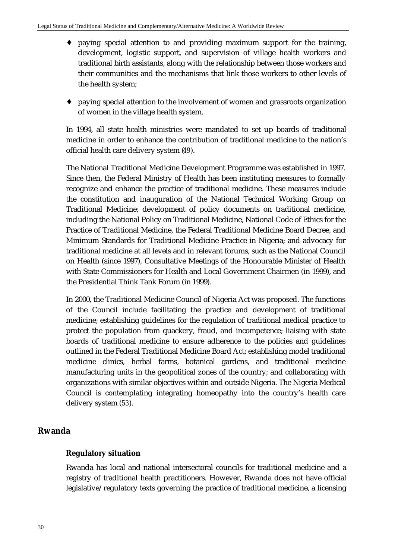- ♦ paying special attention to and providing maximum support for the training, development, logistic support, and supervision of village health workers and traditional birth assistants, along with the relationship between those workers and their communities and the mechanisms that link those workers to other levels of the health system;
- ♦ paying special attention to the involvement of women and grassroots organization of women in the village health system.

In 1994, all state health ministries were mandated to set up boards of traditional medicine in order to enhance the contribution of traditional medicine to the nation's official health care delivery system (*49*).

The National Traditional Medicine Development Programme was established in 1997. Since then, the Federal Ministry of Health has been instituting measures to formally recognize and enhance the practice of traditional medicine. These measures include the constitution and inauguration of the National Technical Working Group on Traditional Medicine; development of policy documents on traditional medicine, including the National Policy on Traditional Medicine, National Code of Ethics for the Practice of Traditional Medicine, the Federal Traditional Medicine Board Decree, and Minimum Standards for Traditional Medicine Practice in Nigeria; and advocacy for traditional medicine at all levels and in relevant forums, such as the National Council on Health (since 1997), Consultative Meetings of the Honourable Minister of Health with State Commissioners for Health and Local Government Chairmen (in 1999), and the Presidential Think Tank Forum (in 1999).

In 2000, the Traditional Medicine Council of Nigeria Act was proposed. The functions of the Council include facilitating the practice and development of traditional medicine; establishing guidelines for the regulation of traditional medical practice to protect the population from quackery, fraud, and incompetence; liaising with state boards of traditional medicine to ensure adherence to the policies and guidelines outlined in the Federal Traditional Medicine Board Act; establishing model traditional medicine clinics, herbal farms, botanical gardens, and traditional medicine manufacturing units in the geopolitical zones of the country; and collaborating with organizations with similar objectives within and outside Nigeria. The Nigeria Medical Council is contemplating integrating homeopathy into the country's health care delivery system (*53*).

# **Rwanda**

# **Regulatory situation**

Rwanda has local and national intersectoral councils for traditional medicine and a registry of traditional health practitioners. However, Rwanda does not have official legislative/regulatory texts governing the practice of traditional medicine, a licensing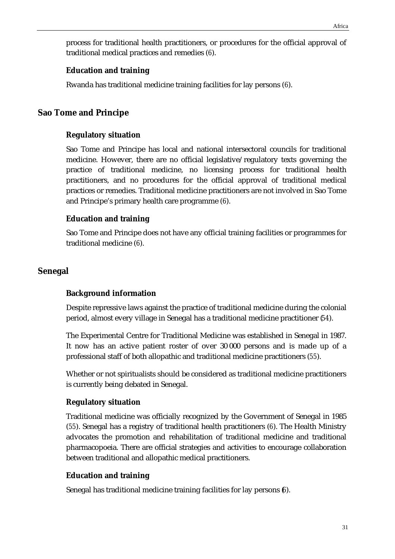process for traditional health practitioners, or procedures for the official approval of traditional medical practices and remedies (*6*).

### **Education and training**

Rwanda has traditional medicine training facilities for lay persons (*6*).

# **Sao Tome and Principe**

### **Regulatory situation**

Sao Tome and Principe has local and national intersectoral councils for traditional medicine. However, there are no official legislative/regulatory texts governing the practice of traditional medicine, no licensing process for traditional health practitioners, and no procedures for the official approval of traditional medical practices or remedies. Traditional medicine practitioners are not involved in Sao Tome and Principe's primary health care programme (*6*).

### **Education and training**

Sao Tome and Principe does not have any official training facilities or programmes for traditional medicine (*6*).

### **Senegal**

### **Background information**

Despite repressive laws against the practice of traditional medicine during the colonial period, almost every village in Senegal has a traditional medicine practitioner (*54*).

The Experimental Centre for Traditional Medicine was established in Senegal in 1987. It now has an active patient roster of over 30 000 persons and is made up of a professional staff of both allopathic and traditional medicine practitioners (*55*).

Whether or not spiritualists should be considered as traditional medicine practitioners is currently being debated in Senegal.

### **Regulatory situation**

Traditional medicine was officially recognized by the Government of Senegal in 1985 (*55*). Senegal has a registry of traditional health practitioners (*6*). The Health Ministry advocates the promotion and rehabilitation of traditional medicine and traditional pharmacopoeia. There are official strategies and activities to encourage collaboration between traditional and allopathic medical practitioners.

### **Education and training**

Senegal has traditional medicine training facilities for lay persons (*6*).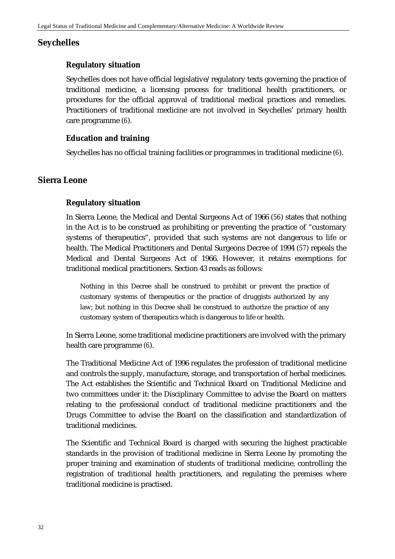# **Seychelles**

# **Regulatory situation**

Seychelles does not have official legislative/regulatory texts governing the practice of traditional medicine, a licensing process for traditional health practitioners, or procedures for the official approval of traditional medical practices and remedies. Practitioners of traditional medicine are not involved in Seychelles' primary health care programme (*6*).

# **Education and training**

Seychelles has no official training facilities or programmes in traditional medicine (*6*).

# **Sierra Leone**

# **Regulatory situation**

In Sierra Leone, the Medical and Dental Surgeons Act of 1966 (*56*) states that nothing in the Act is to be construed as prohibiting or preventing the practice of "customary systems of therapeutics", provided that such systems are not dangerous to life or health. The Medical Practitioners and Dental Surgeons Decree of 1994 (*57*) repeals the Medical and Dental Surgeons Act of 1966. However, it retains exemptions for traditional medical practitioners. Section 43 reads as follows:

Nothing in this Decree shall be construed to prohibit or prevent the practice of customary systems of therapeutics or the practice of druggists authorized by any law; but nothing in this Decree shall be construed to authorize the practice of any customary system of therapeutics which is dangerous to life or health.

In Sierra Leone, some traditional medicine practitioners are involved with the primary health care programme (*6*).

The Traditional Medicine Act of 1996 regulates the profession of traditional medicine and controls the supply, manufacture, storage, and transportation of herbal medicines. The Act establishes the Scientific and Technical Board on Traditional Medicine and two committees under it: the Disciplinary Committee to advise the Board on matters relating to the professional conduct of traditional medicine practitioners and the Drugs Committee to advise the Board on the classification and standardization of traditional medicines.

The Scientific and Technical Board is charged with securing the highest practicable standards in the provision of traditional medicine in Sierra Leone by promoting the proper training and examination of students of traditional medicine, controlling the registration of traditional health practitioners, and regulating the premises where traditional medicine is practised.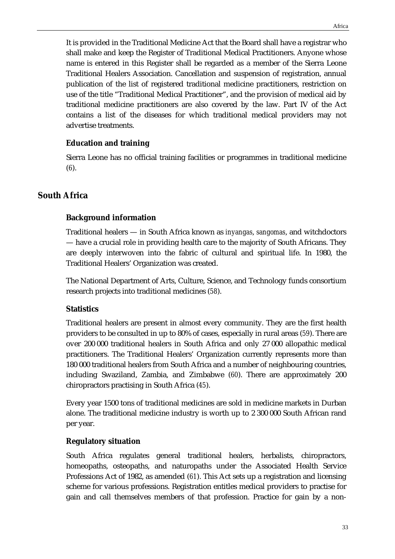It is provided in the Traditional Medicine Act that the Board shall have a registrar who shall make and keep the Register of Traditional Medical Practitioners. Anyone whose name is entered in this Register shall be regarded as a member of the Sierra Leone Traditional Healers Association. Cancellation and suspension of registration, annual publication of the list of registered traditional medicine practitioners, restriction on use of the title "Traditional Medical Practitioner", and the provision of medical aid by traditional medicine practitioners are also covered by the law. Part IV of the Act contains a list of the diseases for which traditional medical providers may not advertise treatments.

# **Education and training**

Sierra Leone has no official training facilities or programmes in traditional medicine (*6*).

# **South Africa**

# **Background information**

Traditional healers — in South Africa known as *inyangas*, *sangomas*, and witchdoctors — have a crucial role in providing health care to the majority of South Africans. They are deeply interwoven into the fabric of cultural and spiritual life. In 1980, the Traditional Healers' Organization was created.

The National Department of Arts, Culture, Science, and Technology funds consortium research projects into traditional medicines (*58*).

# **Statistics**

Traditional healers are present in almost every community. They are the first health providers to be consulted in up to 80% of cases, especially in rural areas (*59*). There are over 200 000 traditional healers in South Africa and only 27 000 allopathic medical practitioners. The Traditional Healers' Organization currently represents more than 180 000 traditional healers from South Africa and a number of neighbouring countries, including Swaziland, Zambia, and Zimbabwe (*60*). There are approximately 200 chiropractors practising in South Africa (*45*).

Every year 1500 tons of traditional medicines are sold in medicine markets in Durban alone. The traditional medicine industry is worth up to 2 300 000 South African rand per year.

# **Regulatory situation**

South Africa regulates general traditional healers, herbalists, chiropractors, homeopaths, osteopaths, and naturopaths under the Associated Health Service Professions Act of 1982, as amended (*61*). This Act sets up a registration and licensing scheme for various professions. Registration entitles medical providers to practise for gain and call themselves members of that profession. Practice for gain by a non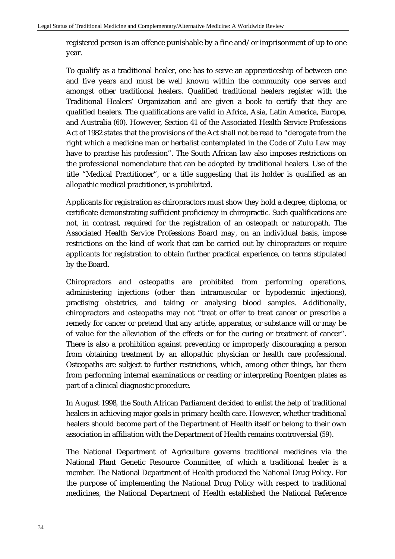registered person is an offence punishable by a fine and/or imprisonment of up to one year.

To qualify as a traditional healer, one has to serve an apprenticeship of between one and five years and must be well known within the community one serves and amongst other traditional healers. Qualified traditional healers register with the Traditional Healers' Organization and are given a book to certify that they are qualified healers. The qualifications are valid in Africa, Asia, Latin America, Europe, and Australia (*60*). However, Section 41 of the Associated Health Service Professions Act of 1982 states that the provisions of the Act shall not be read to "derogate from the right which a medicine man or herbalist contemplated in the Code of Zulu Law may have to practise his profession". The South African law also imposes restrictions on the professional nomenclature that can be adopted by traditional healers. Use of the title "Medical Practitioner", or a title suggesting that its holder is qualified as an allopathic medical practitioner, is prohibited.

Applicants for registration as chiropractors must show they hold a degree, diploma, or certificate demonstrating sufficient proficiency in chiropractic. Such qualifications are not, in contrast, required for the registration of an osteopath or naturopath. The Associated Health Service Professions Board may, on an individual basis, impose restrictions on the kind of work that can be carried out by chiropractors or require applicants for registration to obtain further practical experience, on terms stipulated by the Board.

Chiropractors and osteopaths are prohibited from performing operations, administering injections (other than intramuscular or hypodermic injections), practising obstetrics, and taking or analysing blood samples. Additionally, chiropractors and osteopaths may not "treat or offer to treat cancer or prescribe a remedy for cancer or pretend that any article, apparatus, or substance will or may be of value for the alleviation of the effects or for the curing or treatment of cancer". There is also a prohibition against preventing or improperly discouraging a person from obtaining treatment by an allopathic physician or health care professional. Osteopaths are subject to further restrictions, which, among other things, bar them from performing internal examinations or reading or interpreting Roentgen plates as part of a clinical diagnostic procedure.

In August 1998, the South African Parliament decided to enlist the help of traditional healers in achieving major goals in primary health care. However, whether traditional healers should become part of the Department of Health itself or belong to their own association in affiliation with the Department of Health remains controversial (*59*).

The National Department of Agriculture governs traditional medicines via the National Plant Genetic Resource Committee, of which a traditional healer is a member. The National Department of Health produced the National Drug Policy. For the purpose of implementing the National Drug Policy with respect to traditional medicines, the National Department of Health established the National Reference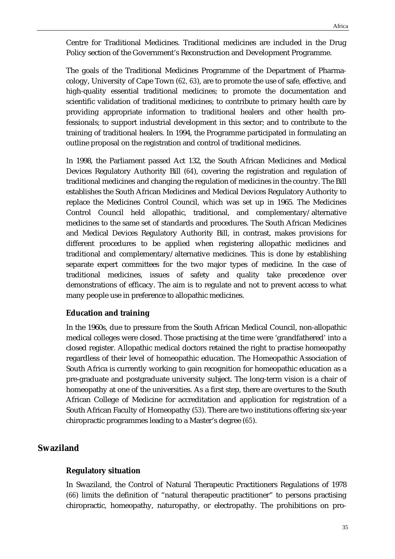Centre for Traditional Medicines. Traditional medicines are included in the Drug Policy section of the Government's Reconstruction and Development Programme.

The goals of the Traditional Medicines Programme of the Department of Pharmacology, University of Cape Town (*62, 63*), are to promote the use of safe, effective, and high-quality essential traditional medicines; to promote the documentation and scientific validation of traditional medicines; to contribute to primary health care by providing appropriate information to traditional healers and other health professionals; to support industrial development in this sector; and to contribute to the training of traditional healers. In 1994, the Programme participated in formulating an outline proposal on the registration and control of traditional medicines.

In 1998, the Parliament passed Act 132, the South African Medicines and Medical Devices Regulatory Authority Bill (*64*), covering the registration and regulation of traditional medicines and changing the regulation of medicines in the country. The Bill establishes the South African Medicines and Medical Devices Regulatory Authority to replace the Medicines Control Council, which was set up in 1965. The Medicines Control Council held allopathic, traditional, and complementary/alternative medicines to the same set of standards and procedures. The South African Medicines and Medical Devices Regulatory Authority Bill, in contrast, makes provisions for different procedures to be applied when registering allopathic medicines and traditional and complementary/alternative medicines. This is done by establishing separate expert committees for the two major types of medicine. In the case of traditional medicines, issues of safety and quality take precedence over demonstrations of efficacy. The aim is to regulate and not to prevent access to what many people use in preference to allopathic medicines.

### **Education and training**

In the 1960s, due to pressure from the South African Medical Council, non-allopathic medical colleges were closed. Those practising at the time were 'grandfathered' into a closed register. Allopathic medical doctors retained the right to practise homeopathy regardless of their level of homeopathic education. The Homeopathic Association of South Africa is currently working to gain recognition for homeopathic education as a pre-graduate and postgraduate university subject. The long-term vision is a chair of homeopathy at one of the universities. As a first step, there are overtures to the South African College of Medicine for accreditation and application for registration of a South African Faculty of Homeopathy (*53*). There are two institutions offering six-year chiropractic programmes leading to a Master's degree (*65*).

# **Swaziland**

### **Regulatory situation**

In Swaziland, the Control of Natural Therapeutic Practitioners Regulations of 1978 (*66*) limits the definition of "natural therapeutic practitioner" to persons practising chiropractic, homeopathy, naturopathy, or electropathy. The prohibitions on pro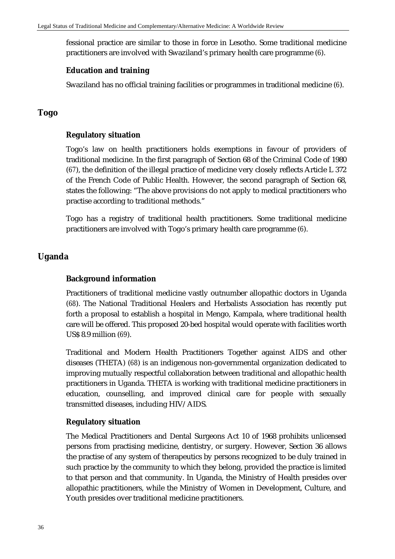fessional practice are similar to those in force in Lesotho. Some traditional medicine practitioners are involved with Swaziland's primary health care programme (*6*).

### **Education and training**

Swaziland has no official training facilities or programmes in traditional medicine (*6*).

# **Togo**

# **Regulatory situation**

Togo's law on health practitioners holds exemptions in favour of providers of traditional medicine. In the first paragraph of Section 68 of the Criminal Code of 1980 (*67*), the definition of the illegal practice of medicine very closely reflects Article L 372 of the French Code of Public Health. However, the second paragraph of Section 68, states the following: "The above provisions do not apply to medical practitioners who practise according to traditional methods."

Togo has a registry of traditional health practitioners. Some traditional medicine practitioners are involved with Togo's primary health care programme (*6*).

# **Uganda**

### **Background information**

Practitioners of traditional medicine vastly outnumber allopathic doctors in Uganda (*68*). The National Traditional Healers and Herbalists Association has recently put forth a proposal to establish a hospital in Mengo, Kampala, where traditional health care will be offered. This proposed 20-bed hospital would operate with facilities worth US\$ 8.9 million (*69*).

Traditional and Modern Health Practitioners Together against AIDS and other diseases (THETA) (*68*) is an indigenous non-governmental organization dedicated to improving mutually respectful collaboration between traditional and allopathic health practitioners in Uganda. THETA is working with traditional medicine practitioners in education, counselling, and improved clinical care for people with sexually transmitted diseases, including HIV/AIDS.

### **Regulatory situation**

The Medical Practitioners and Dental Surgeons Act 10 of 1968 prohibits unlicensed persons from practising medicine, dentistry, or surgery. However, Section 36 allows the practise of any system of therapeutics by persons recognized to be duly trained in such practice by the community to which they belong, provided the practice is limited to that person and that community. In Uganda, the Ministry of Health presides over allopathic practitioners, while the Ministry of Women in Development, Culture, and Youth presides over traditional medicine practitioners.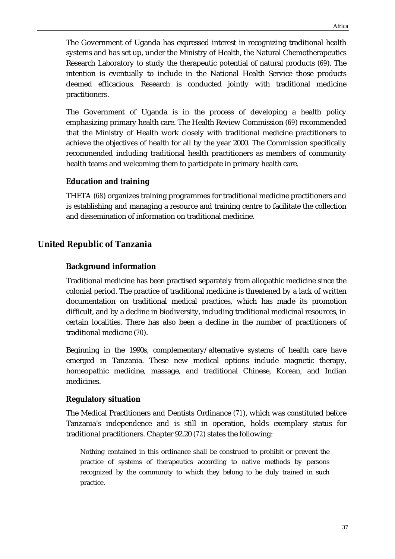The Government of Uganda has expressed interest in recognizing traditional health systems and has set up, under the Ministry of Health, the Natural Chemotherapeutics Research Laboratory to study the therapeutic potential of natural products (*69*). The intention is eventually to include in the National Health Service those products deemed efficacious. Research is conducted jointly with traditional medicine practitioners.

The Government of Uganda is in the process of developing a health policy emphasizing primary health care. The Health Review Commission (*69*) recommended that the Ministry of Health work closely with traditional medicine practitioners to achieve the objectives of health for all by the year 2000. The Commission specifically recommended including traditional health practitioners as members of community health teams and welcoming them to participate in primary health care.

# **Education and training**

THETA (*68*) organizes training programmes for traditional medicine practitioners and is establishing and managing a resource and training centre to facilitate the collection and dissemination of information on traditional medicine.

# **United Republic of Tanzania**

# **Background information**

Traditional medicine has been practised separately from allopathic medicine since the colonial period. The practice of traditional medicine is threatened by a lack of written documentation on traditional medical practices, which has made its promotion difficult, and by a decline in biodiversity, including traditional medicinal resources, in certain localities. There has also been a decline in the number of practitioners of traditional medicine (*70*).

Beginning in the 1990s, complementary/alternative systems of health care have emerged in Tanzania. These new medical options include magnetic therapy, homeopathic medicine, massage, and traditional Chinese, Korean, and Indian medicines.

# **Regulatory situation**

The Medical Practitioners and Dentists Ordinance (*71*), which was constituted before Tanzania's independence and is still in operation, holds exemplary status for traditional practitioners. Chapter 92.20 (*72*) states the following:

Nothing contained in this ordinance shall be construed to prohibit or prevent the practice of systems of therapeutics according to native methods by persons recognized by the community to which they belong to be duly trained in such practice.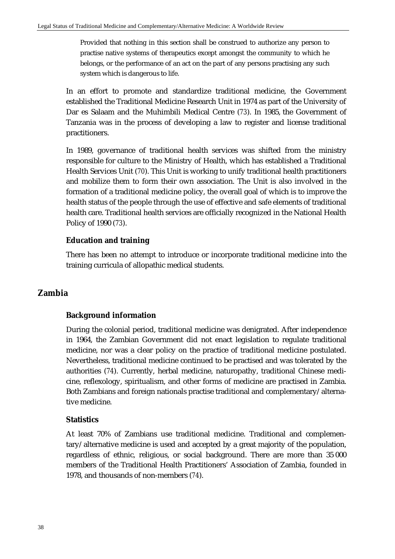Provided that nothing in this section shall be construed to authorize any person to practise native systems of therapeutics except amongst the community to which he belongs, or the performance of an act on the part of any persons practising any such system which is dangerous to life.

In an effort to promote and standardize traditional medicine, the Government established the Traditional Medicine Research Unit in 1974 as part of the University of Dar es Salaam and the Muhimbili Medical Centre (*73*). In 1985, the Government of Tanzania was in the process of developing a law to register and license traditional practitioners.

In 1989, governance of traditional health services was shifted from the ministry responsible for culture to the Ministry of Health, which has established a Traditional Health Services Unit (*70*). This Unit is working to unify traditional health practitioners and mobilize them to form their own association. The Unit is also involved in the formation of a traditional medicine policy, the overall goal of which is to improve the health status of the people through the use of effective and safe elements of traditional health care. Traditional health services are officially recognized in the National Health Policy of 1990 (*73*).

# **Education and training**

There has been no attempt to introduce or incorporate traditional medicine into the training curricula of allopathic medical students.

# **Zambia**

# **Background information**

During the colonial period, traditional medicine was denigrated. After independence in 1964, the Zambian Government did not enact legislation to regulate traditional medicine, nor was a clear policy on the practice of traditional medicine postulated. Nevertheless, traditional medicine continued to be practised and was tolerated by the authorities (*74*). Currently, herbal medicine, naturopathy, traditional Chinese medicine, reflexology, spiritualism, and other forms of medicine are practised in Zambia. Both Zambians and foreign nationals practise traditional and complementary/alternative medicine.

# **Statistics**

At least 70% of Zambians use traditional medicine. Traditional and complementary/alternative medicine is used and accepted by a great majority of the population, regardless of ethnic, religious, or social background. There are more than 35 000 members of the Traditional Health Practitioners' Association of Zambia, founded in 1978, and thousands of non-members (*74*).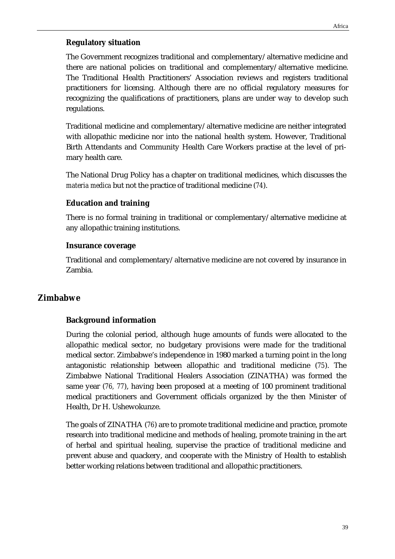#### **Regulatory situation**

The Government recognizes traditional and complementary/alternative medicine and there are national policies on traditional and complementary/alternative medicine. The Traditional Health Practitioners' Association reviews and registers traditional practitioners for licensing. Although there are no official regulatory measures for recognizing the qualifications of practitioners, plans are under way to develop such regulations.

Traditional medicine and complementary/alternative medicine are neither integrated with allopathic medicine nor into the national health system. However, Traditional Birth Attendants and Community Health Care Workers practise at the level of primary health care.

The National Drug Policy has a chapter on traditional medicines, which discusses the *materia medica* but not the practice of traditional medicine (*74*).

#### **Education and training**

There is no formal training in traditional or complementary/alternative medicine at any allopathic training institutions.

#### **Insurance coverage**

Traditional and complementary/alternative medicine are not covered by insurance in Zambia.

# **Zimbabwe**

### **Background information**

During the colonial period, although huge amounts of funds were allocated to the allopathic medical sector, no budgetary provisions were made for the traditional medical sector. Zimbabwe's independence in 1980 marked a turning point in the long antagonistic relationship between allopathic and traditional medicine (*75*). The Zimbabwe National Traditional Healers Association (ZINATHA) was formed the same year (*76, 77*), having been proposed at a meeting of 100 prominent traditional medical practitioners and Government officials organized by the then Minister of Health, Dr H. Ushewokunze.

The goals of ZINATHA (*76*) are to promote traditional medicine and practice, promote research into traditional medicine and methods of healing, promote training in the art of herbal and spiritual healing, supervise the practice of traditional medicine and prevent abuse and quackery, and cooperate with the Ministry of Health to establish better working relations between traditional and allopathic practitioners.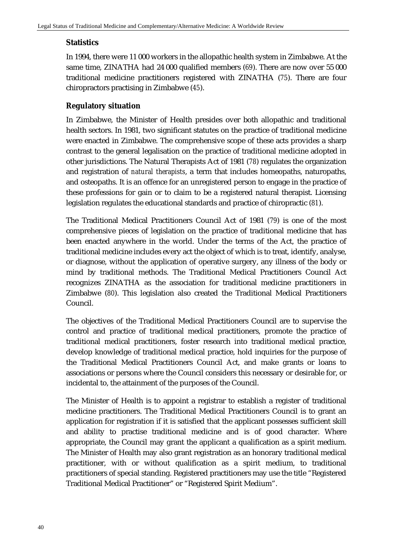### **Statistics**

In 1994, there were 11 000 workers in the allopathic health system in Zimbabwe. At the same time, ZINATHA had 24 000 qualified members (*69*). There are now over 55 000 traditional medicine practitioners registered with ZINATHA (*75*). There are four chiropractors practising in Zimbabwe (*45*).

### **Regulatory situation**

In Zimbabwe, the Minister of Health presides over both allopathic and traditional health sectors. In 1981, two significant statutes on the practice of traditional medicine were enacted in Zimbabwe. The comprehensive scope of these acts provides a sharp contrast to the general legalisation on the practice of traditional medicine adopted in other jurisdictions. The Natural Therapists Act of 1981 (*78*) regulates the organization and registration of *natural therapists*, a term that includes homeopaths, naturopaths, and osteopaths. It is an offence for an unregistered person to engage in the practice of these professions for gain or to claim to be a registered natural therapist. Licensing legislation regulates the educational standards and practice of chiropractic (*81*).

The Traditional Medical Practitioners Council Act of 1981 (*79*) is one of the most comprehensive pieces of legislation on the practice of traditional medicine that has been enacted anywhere in the world. Under the terms of the Act, the practice of traditional medicine includes every act the object of which is to treat, identify, analyse, or diagnose, without the application of operative surgery, any illness of the body or mind by traditional methods. The Traditional Medical Practitioners Council Act recognizes ZINATHA as the association for traditional medicine practitioners in Zimbabwe (*80*). This legislation also created the Traditional Medical Practitioners Council.

The objectives of the Traditional Medical Practitioners Council are to supervise the control and practice of traditional medical practitioners, promote the practice of traditional medical practitioners, foster research into traditional medical practice, develop knowledge of traditional medical practice, hold inquiries for the purpose of the Traditional Medical Practitioners Council Act, and make grants or loans to associations or persons where the Council considers this necessary or desirable for, or incidental to, the attainment of the purposes of the Council.

The Minister of Health is to appoint a registrar to establish a register of traditional medicine practitioners. The Traditional Medical Practitioners Council is to grant an application for registration if it is satisfied that the applicant possesses sufficient skill and ability to practise traditional medicine and is of good character. Where appropriate, the Council may grant the applicant a qualification as a spirit medium. The Minister of Health may also grant registration as an honorary traditional medical practitioner, with or without qualification as a spirit medium, to traditional practitioners of special standing. Registered practitioners may use the title "Registered Traditional Medical Practitioner" or "Registered Spirit Medium".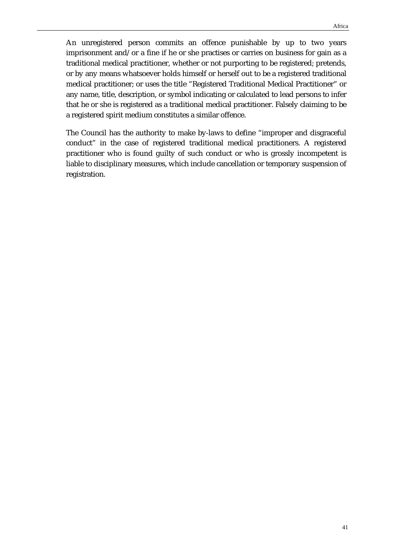An unregistered person commits an offence punishable by up to two years imprisonment and/or a fine if he or she practises or carries on business for gain as a traditional medical practitioner, whether or not purporting to be registered; pretends, or by any means whatsoever holds himself or herself out to be a registered traditional medical practitioner; or uses the title "Registered Traditional Medical Practitioner" or any name, title, description, or symbol indicating or calculated to lead persons to infer that he or she is registered as a traditional medical practitioner. Falsely claiming to be a registered spirit medium constitutes a similar offence.

The Council has the authority to make by-laws to define "improper and disgraceful conduct" in the case of registered traditional medical practitioners. A registered practitioner who is found guilty of such conduct or who is grossly incompetent is liable to disciplinary measures, which include cancellation or temporary suspension of registration.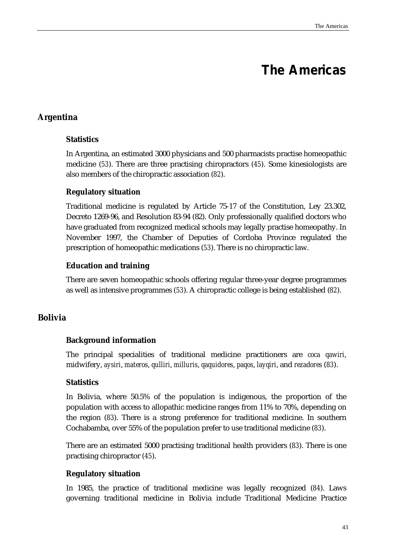# **The Americas**

# **Argentina**

# **Statistics**

In Argentina, an estimated 3000 physicians and 500 pharmacists practise homeopathic medicine (*53*). There are three practising chiropractors (*45*). Some kinesiologists are also members of the chiropractic association (*82*).

# **Regulatory situation**

Traditional medicine is regulated by Article 75-17 of the Constitution, Ley 23.302, Decreto 1269-96, and Resolution 83-94 (82). Only professionally qualified doctors who have graduated from recognized medical schools may legally practise homeopathy. In November 1997, the Chamber of Deputies of Cordoba Province regulated the prescription of homeopathic medications (*53*). There is no chiropractic law.

# **Education and training**

There are seven homeopathic schools offering regular three-year degree programmes as well as intensive programmes (*53*). A chiropractic college is being established (*82*).

# **Bolivia**

# **Background information**

The principal specialities of traditional medicine practitioners are *coca qawiri*, midwifery, *aysiri*, *materos*, *qulliri*, *milluris*, *qaquidores*, *paqos*, *layqiri*, and *rezadores* (*83*).

# **Statistics**

In Bolivia, where 50.5% of the population is indigenous, the proportion of the population with access to allopathic medicine ranges from 11% to 70%, depending on the region (*83*). There is a strong preference for traditional medicine. In southern Cochabamba, over 55% of the population prefer to use traditional medicine (*83*).

There are an estimated 5000 practising traditional health providers (*83*). There is one practising chiropractor (*45*).

# **Regulatory situation**

In 1985, the practice of traditional medicine was legally recognized (*84*). Laws governing traditional medicine in Bolivia include Traditional Medicine Practice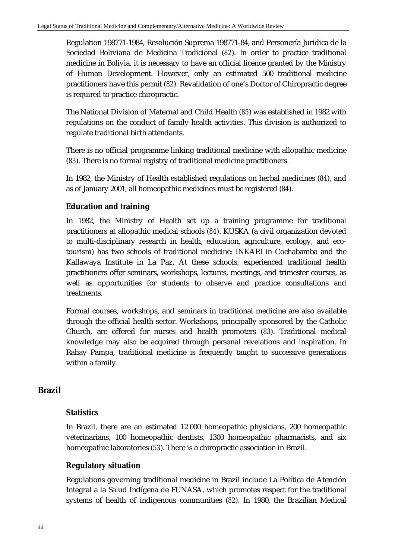Regulation 198771-1984, Resolución Suprema 198771-84, and Personería Juridica de la Sociedad Boliviana de Medicina Tradicional (*82*). In order to practice traditional medicine in Bolivia, it is necessary to have an official licence granted by the Ministry of Human Development. However, only an estimated 500 traditional medicine practitioners have this permit (*82*). Revalidation of one's Doctor of Chiropractic degree is required to practice chiropractic.

The National Division of Maternal and Child Health (*85*) was established in 1982 with regulations on the conduct of family health activities. This division is authorized to regulate traditional birth attendants.

There is no official programme linking traditional medicine with allopathic medicine (*83*). There is no formal registry of traditional medicine practitioners.

In 1982, the Ministry of Health established regulations on herbal medicines (*84*), and as of January 2001, all homeopathic medicines must be registered (*84*).

# **Education and training**

In 1982, the Ministry of Health set up a training programme for traditional practitioners at allopathic medical schools (*84*). KUSKA (a civil organization devoted to multi-disciplinary research in health, education, agriculture, ecology, and ecotourism) has two schools of traditional medicine: INKARI in Cochabamba and the Kallawaya Institute in La Paz. At these schools, experienced traditional health practitioners offer seminars, workshops, lectures, meetings, and trimester courses, as well as opportunities for students to observe and practice consultations and treatments.

Formal courses, workshops, and seminars in traditional medicine are also available through the official health sector. Workshops, principally sponsored by the Catholic Church, are offered for nurses and health promoters (*83*). Traditional medical knowledge may also be acquired through personal revelations and inspiration. In Rahay Pampa, traditional medicine is frequently taught to successive generations within a family.

# **Brazil**

# **Statistics**

In Brazil, there are an estimated 12 000 homeopathic physicians, 200 homeopathic veterinarians, 100 homeopathic dentists, 1300 homeopathic pharmacists, and six homeopathic laboratories (*53*). There is a chiropractic association in Brazil.

# **Regulatory situation**

Regulations governing traditional medicine in Brazil include La Política de Atención Integral a la Salud Indígena de FUNASA, which promotes respect for the traditional systems of health of indigenous communities (*82*). In 1980, the Brazilian Medical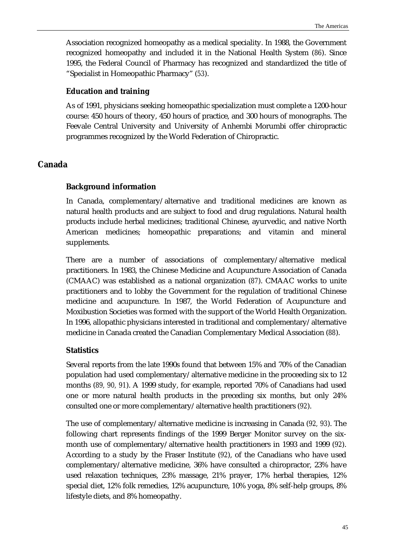Association recognized homeopathy as a medical speciality. In 1988, the Government recognized homeopathy and included it in the National Health System (*86*). Since 1995, the Federal Council of Pharmacy has recognized and standardized the title of "Specialist in Homeopathic Pharmacy" (*53*).

### **Education and training**

As of 1991, physicians seeking homeopathic specialization must complete a 1200-hour course: 450 hours of theory, 450 hours of practice, and 300 hours of monographs. The Feevale Central University and University of Anhembi Morumbi offer chiropractic programmes recognized by the World Federation of Chiropractic.

# **Canada**

# **Background information**

In Canada, complementary/alternative and traditional medicines are known as natural health products and are subject to food and drug regulations. Natural health products include herbal medicines; traditional Chinese, ayurvedic, and native North American medicines; homeopathic preparations; and vitamin and mineral supplements.

There are a number of associations of complementary/alternative medical practitioners. In 1983, the Chinese Medicine and Acupuncture Association of Canada (CMAAC) was established as a national organization (*87*). CMAAC works to unite practitioners and to lobby the Government for the regulation of traditional Chinese medicine and acupuncture. In 1987, the World Federation of Acupuncture and Moxibustion Societies was formed with the support of the World Health Organization. In 1996, allopathic physicians interested in traditional and complementary/alternative medicine in Canada created the Canadian Complementary Medical Association (*88*).

# **Statistics**

Several reports from the late 1990s found that between 15% and 70% of the Canadian population had used complementary/alternative medicine in the proceeding six to 12 months (*89, 90, 91*). A 1999 study, for example, reported 70% of Canadians had used one or more natural health products in the preceding six months, but only 24% consulted one or more complementary/alternative health practitioners (*92*).

The use of complementary/alternative medicine is increasing in Canada (*92, 93*). The following chart represents findings of the 1999 Berger Monitor survey on the sixmonth use of complementary/alternative health practitioners in 1993 and 1999 (*92*). According to a study by the Fraser Institute (*92*), of the Canadians who have used complementary/alternative medicine, 36% have consulted a chiropractor, 23% have used relaxation techniques, 23% massage, 21% prayer, 17% herbal therapies, 12% special diet, 12% folk remedies, 12% acupuncture, 10% yoga, 8% self-help groups, 8% lifestyle diets, and 8% homeopathy.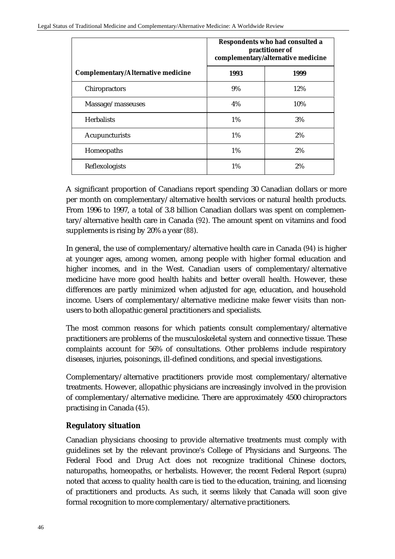|                                           | Respondents who had consulted a<br>practitioner of<br>complementary/alternative medicine |      |
|-------------------------------------------|------------------------------------------------------------------------------------------|------|
| <b>Complementary/Alternative medicine</b> | 1993                                                                                     | 1999 |
| Chiropractors                             | 9%                                                                                       | 12%  |
| Massage/masseuses                         | 4%                                                                                       | 10%  |
| <b>Herbalists</b>                         | $1\%$                                                                                    | 3%   |
| Acupuncturists                            | $1\%$                                                                                    | 2%   |
| Homeopaths                                | $1\%$                                                                                    | 2%   |
| Reflexologists                            | $1\%$                                                                                    | 2%   |

A significant proportion of Canadians report spending 30 Canadian dollars or more per month on complementary/alternative health services or natural health products. From 1996 to 1997, a total of 3.8 billion Canadian dollars was spent on complementary/alternative health care in Canada (*92*). The amount spent on vitamins and food supplements is rising by 20% a year (*88*).

In general, the use of complementary/alternative health care in Canada (*94*) is higher at younger ages, among women, among people with higher formal education and higher incomes, and in the West. Canadian users of complementary/alternative medicine have more good health habits and better overall health. However, these differences are partly minimized when adjusted for age, education, and household income. Users of complementary/alternative medicine make fewer visits than nonusers to both allopathic general practitioners and specialists.

The most common reasons for which patients consult complementary/alternative practitioners are problems of the musculoskeletal system and connective tissue. These complaints account for 56% of consultations. Other problems include respiratory diseases, injuries, poisonings, ill-defined conditions, and special investigations.

Complementary/alternative practitioners provide most complementary/alternative treatments. However, allopathic physicians are increasingly involved in the provision of complementary/alternative medicine. There are approximately 4500 chiropractors practising in Canada (*45*).

# **Regulatory situation**

Canadian physicians choosing to provide alternative treatments must comply with guidelines set by the relevant province's College of Physicians and Surgeons. The Federal Food and Drug Act does not recognize traditional Chinese doctors, naturopaths, homeopaths, or herbalists. However, the recent Federal Report (supra) noted that access to quality health care is tied to the education, training, and licensing of practitioners and products. As such, it seems likely that Canada will soon give formal recognition to more complementary/alternative practitioners.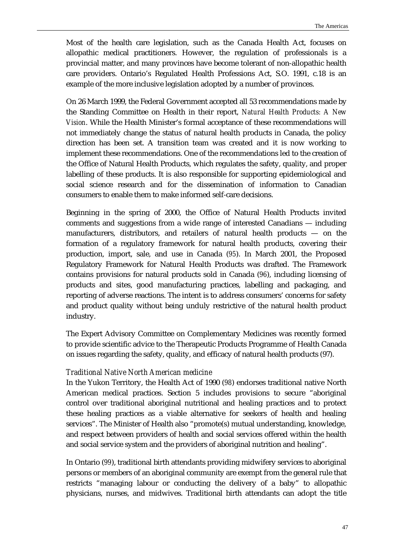Most of the health care legislation, such as the Canada Health Act, focuses on allopathic medical practitioners. However, the regulation of professionals is a provincial matter, and many provinces have become tolerant of non-allopathic health care providers. Ontario's Regulated Health Professions Act, S.O. 1991, c.18 is an example of the more inclusive legislation adopted by a number of provinces.

On 26 March 1999, the Federal Government accepted all 53 recommendations made by the Standing Committee on Health in their report, *Natural Health Products: A New Vision*. While the Health Minister's formal acceptance of these recommendations will not immediately change the status of natural health products in Canada, the policy direction has been set. A transition team was created and it is now working to implement these recommendations. One of the recommendations led to the creation of the Office of Natural Health Products, which regulates the safety, quality, and proper labelling of these products. It is also responsible for supporting epidemiological and social science research and for the dissemination of information to Canadian consumers to enable them to make informed self-care decisions.

Beginning in the spring of 2000, the Office of Natural Health Products invited comments and suggestions from a wide range of interested Canadians — including manufacturers, distributors, and retailers of natural health products — on the formation of a regulatory framework for natural health products, covering their production, import, sale, and use in Canada (*95*). In March 2001, the Proposed Regulatory Framework for Natural Health Products was drafted. The Framework contains provisions for natural products sold in Canada (*96*), including licensing of products and sites, good manufacturing practices, labelling and packaging, and reporting of adverse reactions. The intent is to address consumers' concerns for safety and product quality without being unduly restrictive of the natural health product industry.

The Expert Advisory Committee on Complementary Medicines was recently formed to provide scientific advice to the Therapeutic Products Programme of Health Canada on issues regarding the safety, quality, and efficacy of natural health products (97).

#### *Traditional Native North American medicine*

In the Yukon Territory, the Health Act of 1990 (*98*) endorses traditional native North American medical practices. Section 5 includes provisions to secure "aboriginal control over traditional aboriginal nutritional and healing practices and to protect these healing practices as a viable alternative for seekers of health and healing services". The Minister of Health also "promote(s) mutual understanding, knowledge, and respect between providers of health and social services offered within the health and social service system and the providers of aboriginal nutrition and healing".

In Ontario (*99*), traditional birth attendants providing midwifery services to aboriginal persons or members of an aboriginal community are exempt from the general rule that restricts "managing labour or conducting the delivery of a baby" to allopathic physicians, nurses, and midwives. Traditional birth attendants can adopt the title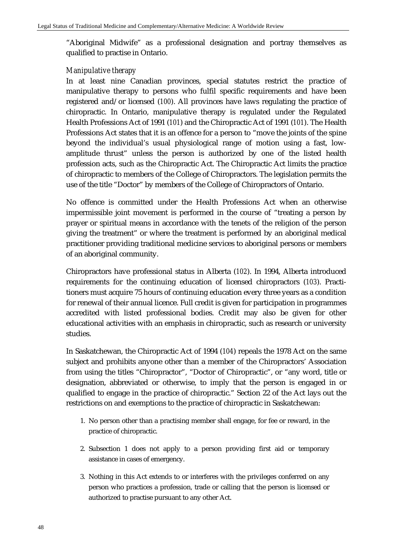"Aboriginal Midwife" as a professional designation and portray themselves as qualified to practise in Ontario.

### *Manipulative therapy*

In at least nine Canadian provinces, special statutes restrict the practice of manipulative therapy to persons who fulfil specific requirements and have been registered and/or licensed (*100*). All provinces have laws regulating the practice of chiropractic. In Ontario, manipulative therapy is regulated under the Regulated Health Professions Act of 1991 (*101*) and the Chiropractic Act of 1991 (*101*). The Health Professions Act states that it is an offence for a person to "move the joints of the spine beyond the individual's usual physiological range of motion using a fast, lowamplitude thrust" unless the person is authorized by one of the listed health profession acts, such as the Chiropractic Act. The Chiropractic Act limits the practice of chiropractic to members of the College of Chiropractors. The legislation permits the use of the title "Doctor" by members of the College of Chiropractors of Ontario.

No offence is committed under the Health Professions Act when an otherwise impermissible joint movement is performed in the course of "treating a person by prayer or spiritual means in accordance with the tenets of the religion of the person giving the treatment" or where the treatment is performed by an aboriginal medical practitioner providing traditional medicine services to aboriginal persons or members of an aboriginal community.

Chiropractors have professional status in Alberta (*102*). In 1994, Alberta introduced requirements for the continuing education of licensed chiropractors (*103*). Practitioners must acquire 75 hours of continuing education every three years as a condition for renewal of their annual licence. Full credit is given for participation in programmes accredited with listed professional bodies. Credit may also be given for other educational activities with an emphasis in chiropractic, such as research or university studies.

In Saskatchewan, the Chiropractic Act of 1994 (*104*) repeals the 1978 Act on the same subject and prohibits anyone other than a member of the Chiropractors' Association from using the titles "Chiropractor", "Doctor of Chiropractic", or "any word, title or designation, abbreviated or otherwise, to imply that the person is engaged in or qualified to engage in the practice of chiropractic." Section 22 of the Act lays out the restrictions on and exemptions to the practice of chiropractic in Saskatchewan:

- 1. No person other than a practising member shall engage, for fee or reward, in the practice of chiropractic.
- 2. Subsection 1 does not apply to a person providing first aid or temporary assistance in cases of emergency.
- 3. Nothing in this Act extends to or interferes with the privileges conferred on any person who practices a profession, trade or calling that the person is licensed or authorized to practise pursuant to any other Act.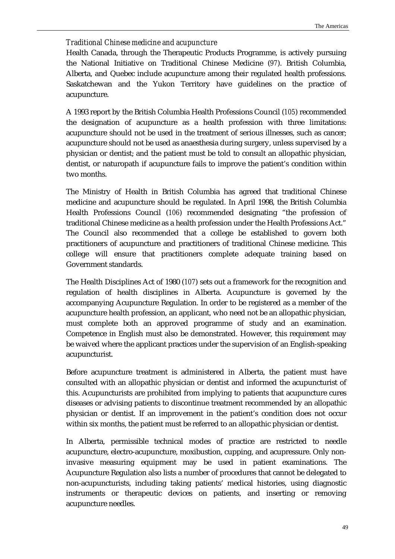### *Traditional Chinese medicine and acupuncture*

Health Canada, through the Therapeutic Products Programme, is actively pursuing the National Initiative on Traditional Chinese Medicine (*97*). British Columbia, Alberta, and Quebec include acupuncture among their regulated health professions. Saskatchewan and the Yukon Territory have guidelines on the practice of acupuncture.

A 1993 report by the British Columbia Health Professions Council (*105*) recommended the designation of acupuncture as a health profession with three limitations: acupuncture should not be used in the treatment of serious illnesses, such as cancer; acupuncture should not be used as anaesthesia during surgery, unless supervised by a physician or dentist; and the patient must be told to consult an allopathic physician, dentist, or naturopath if acupuncture fails to improve the patient's condition within two months.

The Ministry of Health in British Columbia has agreed that traditional Chinese medicine and acupuncture should be regulated. In April 1998, the British Columbia Health Professions Council (*106*) recommended designating "the profession of traditional Chinese medicine as a health profession under the Health Professions Act." The Council also recommended that a college be established to govern both practitioners of acupuncture and practitioners of traditional Chinese medicine. This college will ensure that practitioners complete adequate training based on Government standards.

The Health Disciplines Act of 1980 (*107*) sets out a framework for the recognition and regulation of health disciplines in Alberta. Acupuncture is governed by the accompanying Acupuncture Regulation. In order to be registered as a member of the acupuncture health profession, an applicant, who need not be an allopathic physician, must complete both an approved programme of study and an examination. Competence in English must also be demonstrated. However, this requirement may be waived where the applicant practices under the supervision of an English-speaking acupuncturist.

Before acupuncture treatment is administered in Alberta, the patient must have consulted with an allopathic physician or dentist and informed the acupuncturist of this. Acupuncturists are prohibited from implying to patients that acupuncture cures diseases or advising patients to discontinue treatment recommended by an allopathic physician or dentist. If an improvement in the patient's condition does not occur within six months, the patient must be referred to an allopathic physician or dentist.

In Alberta, permissible technical modes of practice are restricted to needle acupuncture, electro-acupuncture, moxibustion, cupping, and acupressure. Only noninvasive measuring equipment may be used in patient examinations. The Acupuncture Regulation also lists a number of procedures that cannot be delegated to non-acupuncturists, including taking patients' medical histories, using diagnostic instruments or therapeutic devices on patients, and inserting or removing acupuncture needles.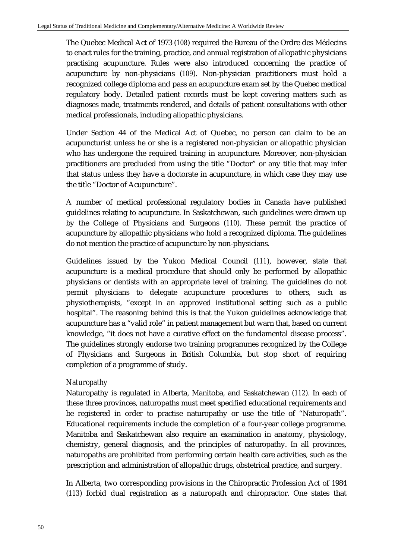The Quebec Medical Act of 1973 (*108*) required the Bureau of the Ordre des Médecins to enact rules for the training, practice, and annual registration of allopathic physicians practising acupuncture. Rules were also introduced concerning the practice of acupuncture by non-physicians (*109*). Non-physician practitioners must hold a recognized college diploma and pass an acupuncture exam set by the Quebec medical regulatory body. Detailed patient records must be kept covering matters such as diagnoses made, treatments rendered, and details of patient consultations with other medical professionals, including allopathic physicians.

Under Section 44 of the Medical Act of Quebec, no person can claim to be an acupuncturist unless he or she is a registered non-physician or allopathic physician who has undergone the required training in acupuncture. Moreover, non-physician practitioners are precluded from using the title "Doctor" or any title that may infer that status unless they have a doctorate in acupuncture, in which case they may use the title "Doctor of Acupuncture".

A number of medical professional regulatory bodies in Canada have published guidelines relating to acupuncture. In Saskatchewan, such guidelines were drawn up by the College of Physicians and Surgeons (*110*). These permit the practice of acupuncture by allopathic physicians who hold a recognized diploma. The guidelines do not mention the practice of acupuncture by non-physicians.

Guidelines issued by the Yukon Medical Council (*111*), however, state that acupuncture is a medical procedure that should only be performed by allopathic physicians or dentists with an appropriate level of training. The guidelines do not permit physicians to delegate acupuncture procedures to others, such as physiotherapists, "except in an approved institutional setting such as a public hospital". The reasoning behind this is that the Yukon guidelines acknowledge that acupuncture has a "valid role" in patient management but warn that, based on current knowledge, "it does not have a curative effect on the fundamental disease process". The guidelines strongly endorse two training programmes recognized by the College of Physicians and Surgeons in British Columbia, but stop short of requiring completion of a programme of study.

# *Naturopathy*

Naturopathy is regulated in Alberta, Manitoba, and Saskatchewan (*112*). In each of these three provinces, naturopaths must meet specified educational requirements and be registered in order to practise naturopathy or use the title of "Naturopath". Educational requirements include the completion of a four-year college programme. Manitoba and Saskatchewan also require an examination in anatomy, physiology, chemistry, general diagnosis, and the principles of naturopathy. In all provinces, naturopaths are prohibited from performing certain health care activities, such as the prescription and administration of allopathic drugs, obstetrical practice, and surgery.

In Alberta, two corresponding provisions in the Chiropractic Profession Act of 1984 (*113*) forbid dual registration as a naturopath and chiropractor. One states that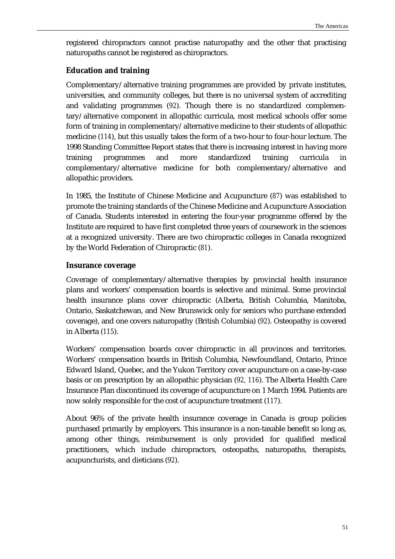registered chiropractors cannot practise naturopathy and the other that practising naturopaths cannot be registered as chiropractors.

### **Education and training**

Complementary/alternative training programmes are provided by private institutes, universities, and community colleges, but there is no universal system of accrediting and validating programmes (*92*). Though there is no standardized complementary/alternative component in allopathic curricula, most medical schools offer some form of training in complementary/alternative medicine to their students of allopathic medicine (*114*), but this usually takes the form of a two-hour to four-hour lecture. The 1998 Standing Committee Report states that there is increasing interest in having more training programmes and more standardized training curricula in complementary/alternative medicine for both complementary/alternative and allopathic providers.

In 1985, the Institute of Chinese Medicine and Acupuncture (*87*) was established to promote the training standards of the Chinese Medicine and Acupuncture Association of Canada. Students interested in entering the four-year programme offered by the Institute are required to have first completed three years of coursework in the sciences at a recognized university. There are two chiropractic colleges in Canada recognized by the World Federation of Chiropractic (*81*).

### **Insurance coverage**

Coverage of complementary/alternative therapies by provincial health insurance plans and workers' compensation boards is selective and minimal. Some provincial health insurance plans cover chiropractic (Alberta, British Columbia, Manitoba, Ontario, Saskatchewan, and New Brunswick only for seniors who purchase extended coverage), and one covers naturopathy (British Columbia) (*92*). Osteopathy is covered in Alberta (*115*).

Workers' compensation boards cover chiropractic in all provinces and territories. Workers' compensation boards in British Columbia, Newfoundland, Ontario, Prince Edward Island, Quebec, and the Yukon Territory cover acupuncture on a case-by-case basis or on prescription by an allopathic physician (*92, 116*). The Alberta Health Care Insurance Plan discontinued its coverage of acupuncture on 1 March 1994. Patients are now solely responsible for the cost of acupuncture treatment (*117*).

About 96% of the private health insurance coverage in Canada is group policies purchased primarily by employers. This insurance is a non-taxable benefit so long as, among other things, reimbursement is only provided for qualified medical practitioners, which include chiropractors, osteopaths, naturopaths, therapists, acupuncturists, and dieticians (*92*).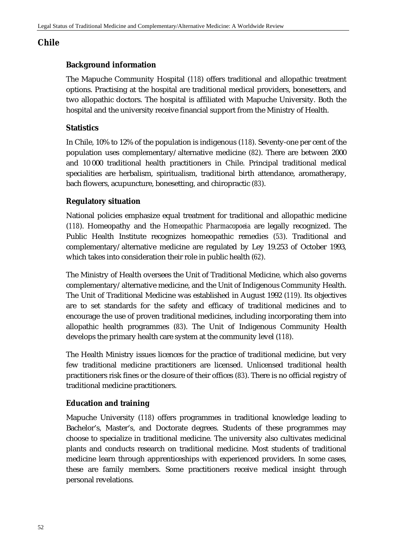# **Chile**

# **Background information**

The Mapuche Community Hospital (*118*) offers traditional and allopathic treatment options. Practising at the hospital are traditional medical providers, bonesetters, and two allopathic doctors. The hospital is affiliated with Mapuche University. Both the hospital and the university receive financial support from the Ministry of Health.

# **Statistics**

In Chile, 10% to 12% of the population is indigenous (*118*). Seventy-one per cent of the population uses complementary/alternative medicine (*82*). There are between 2000 and 10 000 traditional health practitioners in Chile. Principal traditional medical specialities are herbalism, spiritualism, traditional birth attendance, aromatherapy, bach flowers, acupuncture, bonesetting, and chiropractic (*83*).

# **Regulatory situation**

National policies emphasize equal treatment for traditional and allopathic medicine (*118*). Homeopathy and the *Homeopathic Pharmacopoeia* are legally recognized. The Public Health Institute recognizes homeopathic remedies (*53*). Traditional and complementary/alternative medicine are regulated by Ley 19.253 of October 1993, which takes into consideration their role in public health (*62*).

The Ministry of Health oversees the Unit of Traditional Medicine, which also governs complementary/alternative medicine, and the Unit of Indigenous Community Health. The Unit of Traditional Medicine was established in August 1992 (*119*). Its objectives are to set standards for the safety and efficacy of traditional medicines and to encourage the use of proven traditional medicines, including incorporating them into allopathic health programmes (*83*). The Unit of Indigenous Community Health develops the primary health care system at the community level (*118*).

The Health Ministry issues licences for the practice of traditional medicine, but very few traditional medicine practitioners are licensed. Unlicensed traditional health practitioners risk fines or the closure of their offices (*83*). There is no official registry of traditional medicine practitioners.

# **Education and training**

Mapuche University (*118*) offers programmes in traditional knowledge leading to Bachelor's, Master's, and Doctorate degrees. Students of these programmes may choose to specialize in traditional medicine. The university also cultivates medicinal plants and conducts research on traditional medicine. Most students of traditional medicine learn through apprenticeships with experienced providers. In some cases, these are family members. Some practitioners receive medical insight through personal revelations.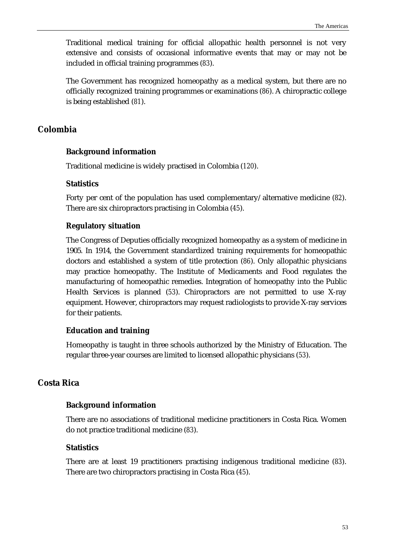Traditional medical training for official allopathic health personnel is not very extensive and consists of occasional informative events that may or may not be included in official training programmes (*83*).

The Government has recognized homeopathy as a medical system, but there are no officially recognized training programmes or examinations (*86*). A chiropractic college is being established (*81*).

# **Colombia**

#### **Background information**

Traditional medicine is widely practised in Colombia (*120*).

#### **Statistics**

Forty per cent of the population has used complementary/alternative medicine (*82*). There are six chiropractors practising in Colombia (*45*).

#### **Regulatory situation**

The Congress of Deputies officially recognized homeopathy as a system of medicine in 1905. In 1914, the Government standardized training requirements for homeopathic doctors and established a system of title protection (*86*). Only allopathic physicians may practice homeopathy. The Institute of Medicaments and Food regulates the manufacturing of homeopathic remedies. Integration of homeopathy into the Public Health Services is planned (*53*). Chiropractors are not permitted to use X-ray equipment. However, chiropractors may request radiologists to provide X-ray services for their patients.

#### **Education and training**

Homeopathy is taught in three schools authorized by the Ministry of Education. The regular three-year courses are limited to licensed allopathic physicians (*53*).

# **Costa Rica**

### **Background information**

There are no associations of traditional medicine practitioners in Costa Rica. Women do not practice traditional medicine (*83*).

#### **Statistics**

There are at least 19 practitioners practising indigenous traditional medicine (*83*). There are two chiropractors practising in Costa Rica (*45*).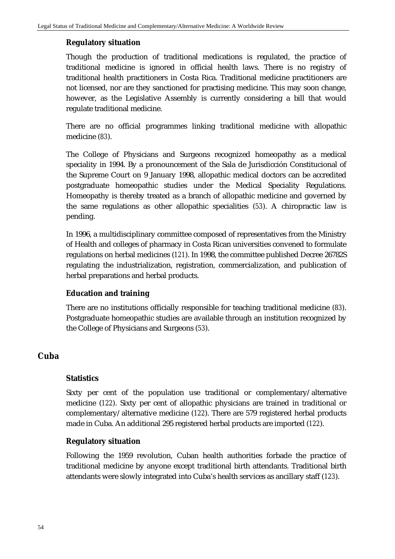### **Regulatory situation**

Though the production of traditional medications is regulated, the practice of traditional medicine is ignored in official health laws. There is no registry of traditional health practitioners in Costa Rica. Traditional medicine practitioners are not licensed, nor are they sanctioned for practising medicine. This may soon change, however, as the Legislative Assembly is currently considering a bill that would regulate traditional medicine.

There are no official programmes linking traditional medicine with allopathic medicine (*83*).

The College of Physicians and Surgeons recognized homeopathy as a medical speciality in 1994. By a pronouncement of the Sala de Jurisdicción Constitucional of the Supreme Court on 9 January 1998, allopathic medical doctors can be accredited postgraduate homeopathic studies under the Medical Speciality Regulations. Homeopathy is thereby treated as a branch of allopathic medicine and governed by the same regulations as other allopathic specialities (*53*). A chiropractic law is pending.

In 1996, a multidisciplinary committee composed of representatives from the Ministry of Health and colleges of pharmacy in Costa Rican universities convened to formulate regulations on herbal medicines (*121*). In 1998, the committee published Decree 26782S regulating the industrialization, registration, commercialization, and publication of herbal preparations and herbal products.

# **Education and training**

There are no institutions officially responsible for teaching traditional medicine (*83*). Postgraduate homeopathic studies are available through an institution recognized by the College of Physicians and Surgeons (*53*).

# **Cuba**

### **Statistics**

Sixty per cent of the population use traditional or complementary/alternative medicine (*122*). Sixty per cent of allopathic physicians are trained in traditional or complementary/alternative medicine (*122*). There are 579 registered herbal products made in Cuba. An additional 295 registered herbal products are imported (*122*).

### **Regulatory situation**

Following the 1959 revolution, Cuban health authorities forbade the practice of traditional medicine by anyone except traditional birth attendants. Traditional birth attendants were slowly integrated into Cuba's health services as ancillary staff (*123*).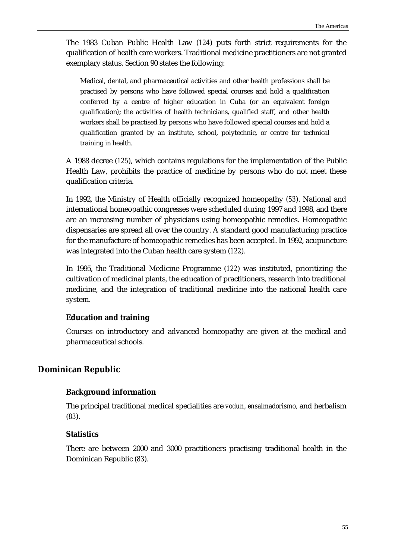The 1983 Cuban Public Health Law (*124*) puts forth strict requirements for the qualification of health care workers. Traditional medicine practitioners are not granted exemplary status. Section 90 states the following:

Medical, dental, and pharmaceutical activities and other health professions shall be practised by persons who have followed special courses and hold a qualification conferred by a centre of higher education in Cuba (or an equivalent foreign qualification*)*; the activities of health technicians, qualified staff, and other health workers shall be practised by persons who have followed special courses and hold a qualification granted by an institute, school, polytechnic, or centre for technical training in health.

A 1988 decree (*125*), which contains regulations for the implementation of the Public Health Law, prohibits the practice of medicine by persons who do not meet these qualification criteria.

In 1992, the Ministry of Health officially recognized homeopathy (*53*). National and international homeopathic congresses were scheduled during 1997 and 1998, and there are an increasing number of physicians using homeopathic remedies. Homeopathic dispensaries are spread all over the country. A standard good manufacturing practice for the manufacture of homeopathic remedies has been accepted. In 1992, acupuncture was integrated into the Cuban health care system (*122*).

In 1995, the Traditional Medicine Programme (*122*) was instituted, prioritizing the cultivation of medicinal plants, the education of practitioners, research into traditional medicine, and the integration of traditional medicine into the national health care system.

# **Education and training**

Courses on introductory and advanced homeopathy are given at the medical and pharmaceutical schools.

### **Dominican Republic**

### **Background information**

The principal traditional medical specialities are *vodun*, *ensalmadorismo*, and herbalism (*83*).

#### **Statistics**

There are between 2000 and 3000 practitioners practising traditional health in the Dominican Republic (*83*).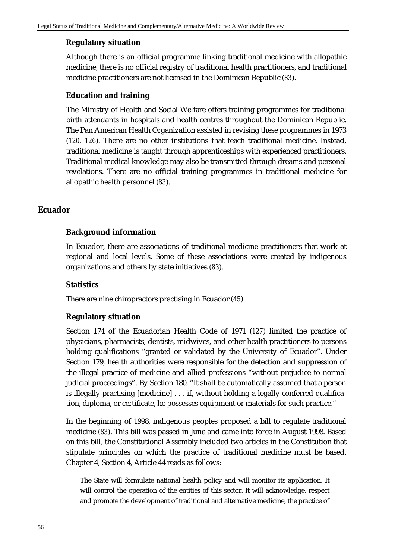### **Regulatory situation**

Although there is an official programme linking traditional medicine with allopathic medicine, there is no official registry of traditional health practitioners, and traditional medicine practitioners are not licensed in the Dominican Republic (*83*).

### **Education and training**

The Ministry of Health and Social Welfare offers training programmes for traditional birth attendants in hospitals and health centres throughout the Dominican Republic. The Pan American Health Organization assisted in revising these programmes in 1973 (*120, 126*). There are no other institutions that teach traditional medicine. Instead, traditional medicine is taught through apprenticeships with experienced practitioners. Traditional medical knowledge may also be transmitted through dreams and personal revelations. There are no official training programmes in traditional medicine for allopathic health personnel (*83*).

# **Ecuador**

### **Background information**

In Ecuador, there are associations of traditional medicine practitioners that work at regional and local levels. Some of these associations were created by indigenous organizations and others by state initiatives (*83*).

### **Statistics**

There are nine chiropractors practising in Ecuador (*45*).

### **Regulatory situation**

Section 174 of the Ecuadorian Health Code of 1971 (*127*) limited the practice of physicians, pharmacists, dentists, midwives, and other health practitioners to persons holding qualifications "granted or validated by the University of Ecuador". Under Section 179, health authorities were responsible for the detection and suppression of the illegal practice of medicine and allied professions "without prejudice to normal judicial proceedings". By Section 180, "It shall be automatically assumed that a person is illegally practising [medicine] . . . if, without holding a legally conferred qualification, diploma, or certificate, he possesses equipment or materials for such practice."

In the beginning of 1998, indigenous peoples proposed a bill to regulate traditional medicine (*83*). This bill was passed in June and came into force in August 1998. Based on this bill, the Constitutional Assembly included two articles in the Constitution that stipulate principles on which the practice of traditional medicine must be based. Chapter 4, Section 4, Article 44 reads as follows:

The State will formulate national health policy and will monitor its application. It will control the operation of the entities of this sector. It will acknowledge, respect and promote the development of traditional and alternative medicine, the practice of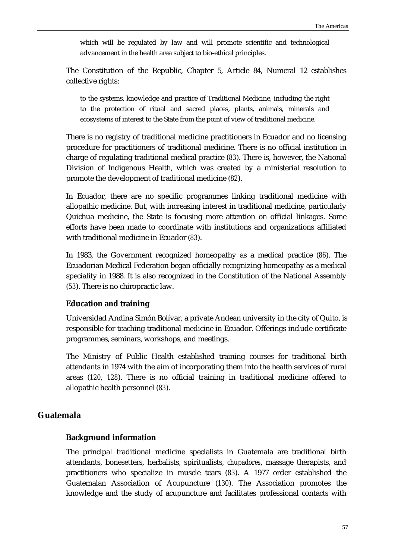which will be regulated by law and will promote scientific and technological advancement in the health area subject to bio-ethical principles.

The Constitution of the Republic, Chapter 5, Article 84, Numeral 12 establishes collective rights:

to the systems, knowledge and practice of Traditional Medicine, including the right to the protection of ritual and sacred places, plants, animals, minerals and ecosystems of interest to the State from the point of view of traditional medicine.

There is no registry of traditional medicine practitioners in Ecuador and no licensing procedure for practitioners of traditional medicine. There is no official institution in charge of regulating traditional medical practice (*83*). There is, however, the National Division of Indigenous Health, which was created by a ministerial resolution to promote the development of traditional medicine (*82*).

In Ecuador, there are no specific programmes linking traditional medicine with allopathic medicine. But, with increasing interest in traditional medicine, particularly Quichua medicine, the State is focusing more attention on official linkages. Some efforts have been made to coordinate with institutions and organizations affiliated with traditional medicine in Ecuador (*83*).

In 1983, the Government recognized homeopathy as a medical practice (*86*). The Ecuadorian Medical Federation began officially recognizing homeopathy as a medical speciality in 1988. It is also recognized in the Constitution of the National Assembly (*53*). There is no chiropractic law.

#### **Education and training**

Universidad Andina Simón Bolívar, a private Andean university in the city of Quito, is responsible for teaching traditional medicine in Ecuador. Offerings include certificate programmes, seminars, workshops, and meetings.

The Ministry of Public Health established training courses for traditional birth attendants in 1974 with the aim of incorporating them into the health services of rural areas (*120, 128*). There is no official training in traditional medicine offered to allopathic health personnel (*83*).

# **Guatemala**

### **Background information**

The principal traditional medicine specialists in Guatemala are traditional birth attendants, bonesetters, herbalists, spiritualists, *chupadores*, massage therapists, and practitioners who specialize in muscle tears (*83*). A 1977 order established the Guatemalan Association of Acupuncture (*130*). The Association promotes the knowledge and the study of acupuncture and facilitates professional contacts with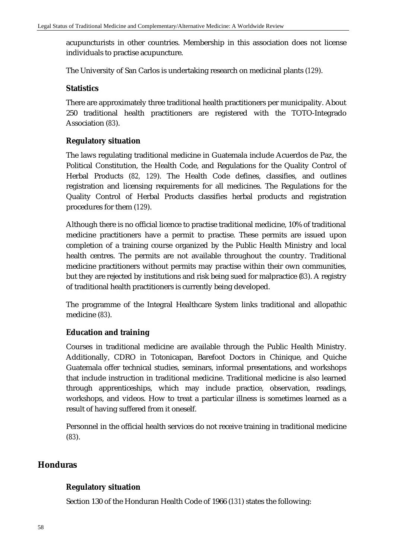acupuncturists in other countries. Membership in this association does not license individuals to practise acupuncture.

The University of San Carlos is undertaking research on medicinal plants (*129*).

### **Statistics**

There are approximately three traditional health practitioners per municipality. About 250 traditional health practitioners are registered with the TOTO-Integrado Association (*83*).

# **Regulatory situation**

The laws regulating traditional medicine in Guatemala include Acuerdos de Paz, the Political Constitution, the Health Code, and Regulations for the Quality Control of Herbal Products (*82, 129*). The Health Code defines, classifies, and outlines registration and licensing requirements for all medicines. The Regulations for the Quality Control of Herbal Products classifies herbal products and registration procedures for them (*129*).

Although there is no official licence to practise traditional medicine, 10% of traditional medicine practitioners have a permit to practise. These permits are issued upon completion of a training course organized by the Public Health Ministry and local health centres. The permits are not available throughout the country. Traditional medicine practitioners without permits may practise within their own communities, but they are rejected by institutions and risk being sued for malpractice (*83*). A registry of traditional health practitioners is currently being developed.

The programme of the Integral Healthcare System links traditional and allopathic medicine (*83*).

# **Education and training**

Courses in traditional medicine are available through the Public Health Ministry. Additionally, CDRO in Totonicapan, Barefoot Doctors in Chinique, and Quiche Guatemala offer technical studies, seminars, informal presentations, and workshops that include instruction in traditional medicine. Traditional medicine is also learned through apprenticeships, which may include practice, observation, readings, workshops, and videos. How to treat a particular illness is sometimes learned as a result of having suffered from it oneself.

Personnel in the official health services do not receive training in traditional medicine (*83*).

# **Honduras**

# **Regulatory situation**

Section 130 of the Honduran Health Code of 1966 (*131*) states the following: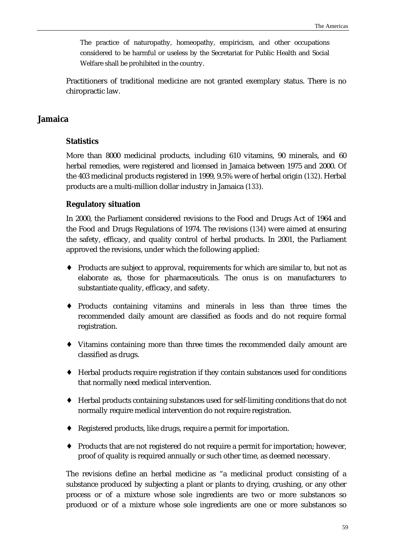The practice of naturopathy, homeopathy, empiricism, and other occupations considered to be harmful or useless by the Secretariat for Public Health and Social Welfare shall be prohibited in the country.

Practitioners of traditional medicine are not granted exemplary status. There is no chiropractic law.

### **Jamaica**

#### **Statistics**

More than 8000 medicinal products, including 610 vitamins, 90 minerals, and 60 herbal remedies, were registered and licensed in Jamaica between 1975 and 2000. Of the 403 medicinal products registered in 1999, 9.5% were of herbal origin (*132*). Herbal products are a multi-million dollar industry in Jamaica (*133*).

#### **Regulatory situation**

In 2000, the Parliament considered revisions to the Food and Drugs Act of 1964 and the Food and Drugs Regulations of 1974. The revisions (*134*) were aimed at ensuring the safety, efficacy, and quality control of herbal products. In 2001, the Parliament approved the revisions, under which the following applied:

- ♦ Products are subject to approval, requirements for which are similar to, but not as elaborate as, those for pharmaceuticals. The onus is on manufacturers to substantiate quality, efficacy, and safety.
- ♦ Products containing vitamins and minerals in less than three times the recommended daily amount are classified as foods and do not require formal registration.
- ♦ Vitamins containing more than three times the recommended daily amount are classified as drugs.
- ♦ Herbal products require registration if they contain substances used for conditions that normally need medical intervention.
- ♦ Herbal products containing substances used for self-limiting conditions that do not normally require medical intervention do not require registration.
- ♦ Registered products, like drugs, require a permit for importation.
- ♦ Products that are not registered do not require a permit for importation; however, proof of quality is required annually or such other time, as deemed necessary.

The revisions define an herbal medicine as "a medicinal product consisting of a substance produced by subjecting a plant or plants to drying, crushing, or any other process or of a mixture whose sole ingredients are two or more substances so produced or of a mixture whose sole ingredients are one or more substances so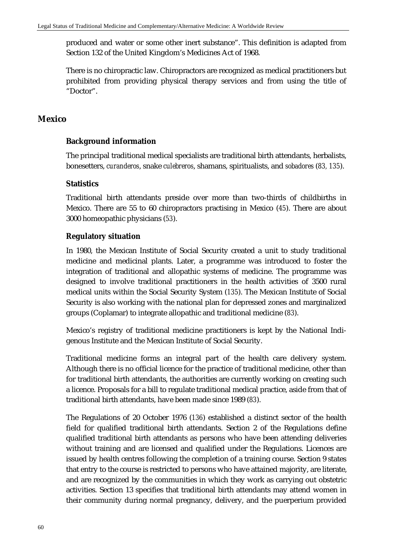produced and water or some other inert substance". This definition is adapted from Section 132 of the United Kingdom's Medicines Act of 1968.

There is no chiropractic law. Chiropractors are recognized as medical practitioners but prohibited from providing physical therapy services and from using the title of "Doctor".

# **Mexico**

# **Background information**

The principal traditional medical specialists are traditional birth attendants, herbalists, bonesetters, *curanderos*, snake *culebreros*, shamans, spiritualists, and *sobadores* (*83, 135*).

# **Statistics**

Traditional birth attendants preside over more than two-thirds of childbirths in Mexico. There are 55 to 60 chiropractors practising in Mexico (*45*). There are about 3000 homeopathic physicians (*53*).

### **Regulatory situation**

In 1980, the Mexican Institute of Social Security created a unit to study traditional medicine and medicinal plants. Later, a programme was introduced to foster the integration of traditional and allopathic systems of medicine. The programme was designed to involve traditional practitioners in the health activities of 3500 rural medical units within the Social Security System (*135*). The Mexican Institute of Social Security is also working with the national plan for depressed zones and marginalized groups (Coplamar) to integrate allopathic and traditional medicine (*83*).

Mexico's registry of traditional medicine practitioners is kept by the National Indigenous Institute and the Mexican Institute of Social Security.

Traditional medicine forms an integral part of the health care delivery system. Although there is no official licence for the practice of traditional medicine, other than for traditional birth attendants, the authorities are currently working on creating such a licence. Proposals for a bill to regulate traditional medical practice, aside from that of traditional birth attendants, have been made since 1989 (*83*).

The Regulations of 20 October 1976 (*136*) established a distinct sector of the health field for qualified traditional birth attendants. Section 2 of the Regulations define qualified traditional birth attendants as persons who have been attending deliveries without training and are licensed and qualified under the Regulations. Licences are issued by health centres following the completion of a training course. Section 9 states that entry to the course is restricted to persons who have attained majority, are literate, and are recognized by the communities in which they work as carrying out obstetric activities. Section 13 specifies that traditional birth attendants may attend women in their community during normal pregnancy, delivery, and the puerperium provided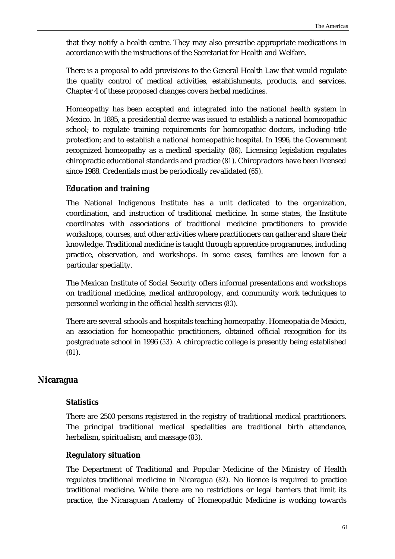that they notify a health centre. They may also prescribe appropriate medications in accordance with the instructions of the Secretariat for Health and Welfare.

There is a proposal to add provisions to the General Health Law that would regulate the quality control of medical activities, establishments, products, and services. Chapter 4 of these proposed changes covers herbal medicines.

Homeopathy has been accepted and integrated into the national health system in Mexico. In 1895, a presidential decree was issued to establish a national homeopathic school; to regulate training requirements for homeopathic doctors, including title protection; and to establish a national homeopathic hospital. In 1996, the Government recognized homeopathy as a medical speciality (*86*). Licensing legislation regulates chiropractic educational standards and practice (*81*). Chiropractors have been licensed since 1988. Credentials must be periodically revalidated (*65*).

# **Education and training**

The National Indigenous Institute has a unit dedicated to the organization, coordination, and instruction of traditional medicine. In some states, the Institute coordinates with associations of traditional medicine practitioners to provide workshops, courses, and other activities where practitioners can gather and share their knowledge. Traditional medicine is taught through apprentice programmes, including practice, observation, and workshops. In some cases, families are known for a particular speciality.

The Mexican Institute of Social Security offers informal presentations and workshops on traditional medicine, medical anthropology, and community work techniques to personnel working in the official health services (*83*).

There are several schools and hospitals teaching homeopathy. Homeopatia de Mexico, an association for homeopathic practitioners, obtained official recognition for its postgraduate school in 1996 (*53*). A chiropractic college is presently being established (*81*).

# **Nicaragua**

### **Statistics**

There are 2500 persons registered in the registry of traditional medical practitioners. The principal traditional medical specialities are traditional birth attendance, herbalism, spiritualism, and massage (*83*).

### **Regulatory situation**

The Department of Traditional and Popular Medicine of the Ministry of Health regulates traditional medicine in Nicaragua (*82*). No licence is required to practice traditional medicine. While there are no restrictions or legal barriers that limit its practice, the Nicaraguan Academy of Homeopathic Medicine is working towards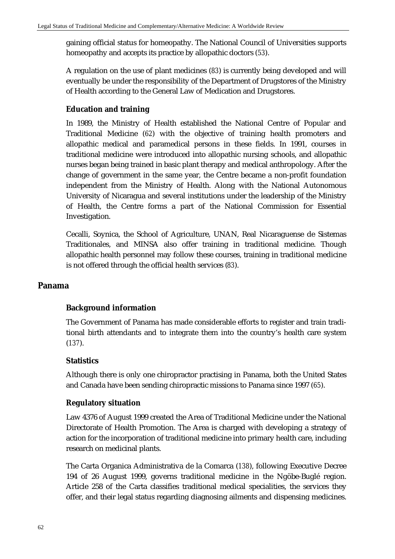gaining official status for homeopathy. The National Council of Universities supports homeopathy and accepts its practice by allopathic doctors (*53*).

A regulation on the use of plant medicines (*83*) is currently being developed and will eventually be under the responsibility of the Department of Drugstores of the Ministry of Health according to the General Law of Medication and Drugstores.

# **Education and training**

In 1989, the Ministry of Health established the National Centre of Popular and Traditional Medicine (*62*) with the objective of training health promoters and allopathic medical and paramedical persons in these fields. In 1991, courses in traditional medicine were introduced into allopathic nursing schools, and allopathic nurses began being trained in basic plant therapy and medical anthropology. After the change of government in the same year, the Centre became a non-profit foundation independent from the Ministry of Health. Along with the National Autonomous University of Nicaragua and several institutions under the leadership of the Ministry of Health, the Centre forms a part of the National Commission for Essential Investigation.

Cecalli, Soynica, the School of Agriculture, UNAN, Real Nicaraguense de Sistemas Traditionales, and MINSA also offer training in traditional medicine. Though allopathic health personnel may follow these courses, training in traditional medicine is not offered through the official health services (*83*).

# **Panama**

# **Background information**

The Government of Panama has made considerable efforts to register and train traditional birth attendants and to integrate them into the country's health care system (*137*).

### **Statistics**

Although there is only one chiropractor practising in Panama, both the United States and Canada have been sending chiropractic missions to Panama since 1997 (*65*).

# **Regulatory situation**

Law 4376 of August 1999 created the Area of Traditional Medicine under the National Directorate of Health Promotion. The Area is charged with developing a strategy of action for the incorporation of traditional medicine into primary health care, including research on medicinal plants.

The Carta Organica Administrativa de la Comarca (*138*), following Executive Decree 194 of 26 August 1999, governs traditional medicine in the Ngöbe-Buglé region. Article 258 of the Carta classifies traditional medical specialities, the services they offer, and their legal status regarding diagnosing ailments and dispensing medicines.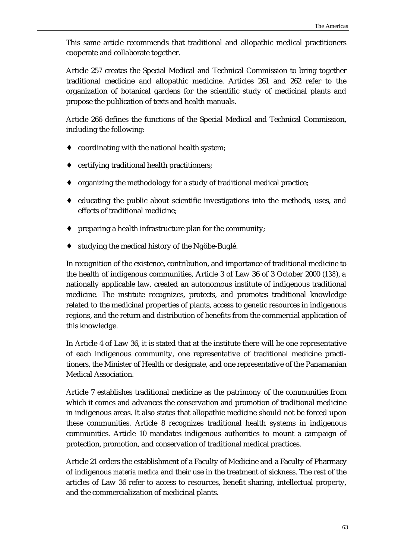This same article recommends that traditional and allopathic medical practitioners cooperate and collaborate together.

Article 257 creates the Special Medical and Technical Commission to bring together traditional medicine and allopathic medicine. Articles 261 and 262 refer to the organization of botanical gardens for the scientific study of medicinal plants and propose the publication of texts and health manuals.

Article 266 defines the functions of the Special Medical and Technical Commission, including the following:

- coordinating with the national health system;
- certifying traditional health practitioners;
- organizing the methodology for a study of traditional medical practice;
- $\bullet$  educating the public about scientific investigations into the methods, uses, and effects of traditional medicine;
- ♦ preparing a health infrastructure plan for the community;
- studying the medical history of the Ngöbe-Buglé.

In recognition of the existence, contribution, and importance of traditional medicine to the health of indigenous communities, Article 3 of Law 36 of 3 October 2000 (*138*), a nationally applicable law, created an autonomous institute of indigenous traditional medicine. The institute recognizes, protects, and promotes traditional knowledge related to the medicinal properties of plants, access to genetic resources in indigenous regions, and the return and distribution of benefits from the commercial application of this knowledge.

In Article 4 of Law 36, it is stated that at the institute there will be one representative of each indigenous community, one representative of traditional medicine practitioners, the Minister of Health or designate, and one representative of the Panamanian Medical Association.

Article 7 establishes traditional medicine as the patrimony of the communities from which it comes and advances the conservation and promotion of traditional medicine in indigenous areas. It also states that allopathic medicine should not be forced upon these communities. Article 8 recognizes traditional health systems in indigenous communities. Article 10 mandates indigenous authorities to mount a campaign of protection, promotion, and conservation of traditional medical practices.

Article 21 orders the establishment of a Faculty of Medicine and a Faculty of Pharmacy of indigenous *materia medica* and their use in the treatment of sickness. The rest of the articles of Law 36 refer to access to resources, benefit sharing, intellectual property, and the commercialization of medicinal plants.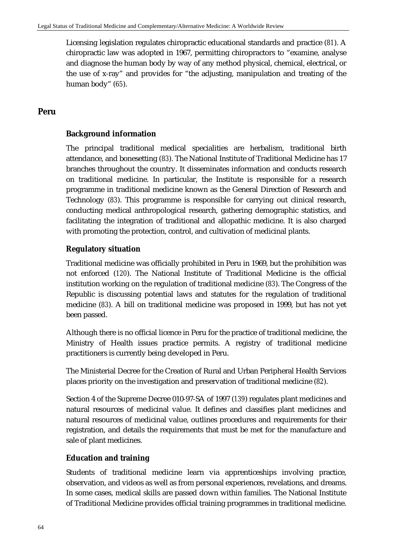Licensing legislation regulates chiropractic educational standards and practice (*81*). A chiropractic law was adopted in 1967, permitting chiropractors to "examine, analyse and diagnose the human body by way of any method physical, chemical, electrical, or the use of x-ray" and provides for "the adjusting, manipulation and treating of the human body" (*65*).

# **Peru**

# **Background information**

The principal traditional medical specialities are herbalism, traditional birth attendance, and bonesetting (*83*). The National Institute of Traditional Medicine has 17 branches throughout the country. It disseminates information and conducts research on traditional medicine. In particular, the Institute is responsible for a research programme in traditional medicine known as the General Direction of Research and Technology (*83*). This programme is responsible for carrying out clinical research, conducting medical anthropological research, gathering demographic statistics, and facilitating the integration of traditional and allopathic medicine. It is also charged with promoting the protection, control, and cultivation of medicinal plants.

# **Regulatory situation**

Traditional medicine was officially prohibited in Peru in 1969, but the prohibition was not enforced (*120*). The National Institute of Traditional Medicine is the official institution working on the regulation of traditional medicine (*83*). The Congress of the Republic is discussing potential laws and statutes for the regulation of traditional medicine (*83*). A bill on traditional medicine was proposed in 1999, but has not yet been passed.

Although there is no official licence in Peru for the practice of traditional medicine, the Ministry of Health issues practice permits. A registry of traditional medicine practitioners is currently being developed in Peru.

The Ministerial Decree for the Creation of Rural and Urban Peripheral Health Services places priority on the investigation and preservation of traditional medicine (*82*).

Section 4 of the Supreme Decree 010-97-SA of 1997 (*139*) regulates plant medicines and natural resources of medicinal value. It defines and classifies plant medicines and natural resources of medicinal value, outlines procedures and requirements for their registration, and details the requirements that must be met for the manufacture and sale of plant medicines.

# **Education and training**

Students of traditional medicine learn via apprenticeships involving practice, observation, and videos as well as from personal experiences, revelations, and dreams. In some cases, medical skills are passed down within families. The National Institute of Traditional Medicine provides official training programmes in traditional medicine.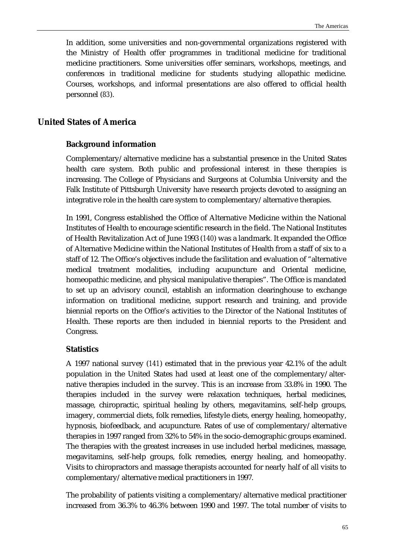In addition, some universities and non-governmental organizations registered with the Ministry of Health offer programmes in traditional medicine for traditional medicine practitioners. Some universities offer seminars, workshops, meetings, and conferences in traditional medicine for students studying allopathic medicine. Courses, workshops, and informal presentations are also offered to official health personnel (*83*).

# **United States of America**

# **Background information**

Complementary/alternative medicine has a substantial presence in the United States health care system. Both public and professional interest in these therapies is increasing. The College of Physicians and Surgeons at Columbia University and the Falk Institute of Pittsburgh University have research projects devoted to assigning an integrative role in the health care system to complementary/alternative therapies.

In 1991, Congress established the Office of Alternative Medicine within the National Institutes of Health to encourage scientific research in the field. The National Institutes of Health Revitalization Act of June 1993 (*140*) was a landmark. It expanded the Office of Alternative Medicine within the National Institutes of Health from a staff of six to a staff of 12. The Office's objectives include the facilitation and evaluation of "alternative medical treatment modalities, including acupuncture and Oriental medicine, homeopathic medicine, and physical manipulative therapies". The Office is mandated to set up an advisory council, establish an information clearinghouse to exchange information on traditional medicine, support research and training, and provide biennial reports on the Office's activities to the Director of the National Institutes of Health. These reports are then included in biennial reports to the President and Congress.

## **Statistics**

A 1997 national survey (*141*) estimated that in the previous year 42.1% of the adult population in the United States had used at least one of the complementary/alternative therapies included in the survey. This is an increase from 33.8% in 1990. The therapies included in the survey were relaxation techniques, herbal medicines, massage, chiropractic, spiritual healing by others, megavitamins, self-help groups, imagery, commercial diets, folk remedies, lifestyle diets, energy healing, homeopathy, hypnosis, biofeedback, and acupuncture. Rates of use of complementary/alternative therapies in 1997 ranged from 32% to 54% in the socio-demographic groups examined. The therapies with the greatest increases in use included herbal medicines, massage, megavitamins, self-help groups, folk remedies, energy healing, and homeopathy. Visits to chiropractors and massage therapists accounted for nearly half of all visits to complementary/alternative medical practitioners in 1997.

The probability of patients visiting a complementary/alternative medical practitioner increased from 36.3% to 46.3% between 1990 and 1997. The total number of visits to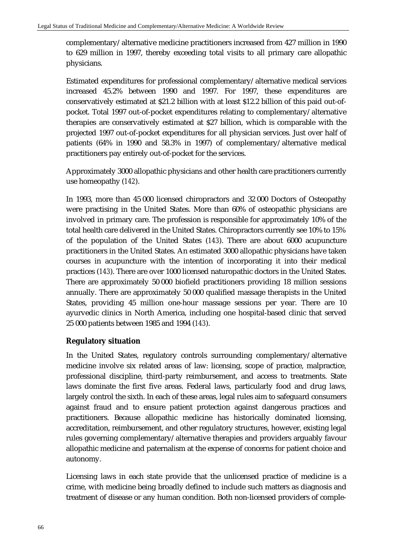complementary/alternative medicine practitioners increased from 427 million in 1990 to 629 million in 1997, thereby exceeding total visits to all primary care allopathic physicians.

Estimated expenditures for professional complementary/alternative medical services increased 45.2% between 1990 and 1997. For 1997, these expenditures are conservatively estimated at \$21.2 billion with at least \$12.2 billion of this paid out-ofpocket. Total 1997 out-of-pocket expenditures relating to complementary/alternative therapies are conservatively estimated at \$27 billion, which is comparable with the projected 1997 out-of-pocket expenditures for all physician services. Just over half of patients (64% in 1990 and 58.3% in 1997) of complementary/alternative medical practitioners pay entirely out-of-pocket for the services.

Approximately 3000 allopathic physicians and other health care practitioners currently use homeopathy (*142*).

In 1993, more than 45 000 licensed chiropractors and 32 000 Doctors of Osteopathy were practising in the United States. More than 60% of osteopathic physicians are involved in primary care. The profession is responsible for approximately 10% of the total health care delivered in the United States. Chiropractors currently see 10% to 15% of the population of the United States (*143*). There are about 6000 acupuncture practitioners in the United States. An estimated 3000 allopathic physicians have taken courses in acupuncture with the intention of incorporating it into their medical practices (*143*). There are over 1000 licensed naturopathic doctors in the United States. There are approximately 50 000 biofield practitioners providing 18 million sessions annually. There are approximately 50 000 qualified massage therapists in the United States, providing 45 million one-hour massage sessions per year. There are 10 ayurvedic clinics in North America, including one hospital-based clinic that served 25 000 patients between 1985 and 1994 (*143*).

# **Regulatory situation**

In the United States, regulatory controls surrounding complementary/alternative medicine involve six related areas of law: licensing, scope of practice, malpractice, professional discipline, third-party reimbursement, and access to treatments. State laws dominate the first five areas. Federal laws, particularly food and drug laws, largely control the sixth. In each of these areas, legal rules aim to safeguard consumers against fraud and to ensure patient protection against dangerous practices and practitioners. Because allopathic medicine has historically dominated licensing, accreditation, reimbursement, and other regulatory structures, however, existing legal rules governing complementary/alternative therapies and providers arguably favour allopathic medicine and paternalism at the expense of concerns for patient choice and autonomy.

Licensing laws in each state provide that the unlicensed practice of medicine is a crime, with medicine being broadly defined to include such matters as diagnosis and treatment of disease or any human condition. Both non-licensed providers of comple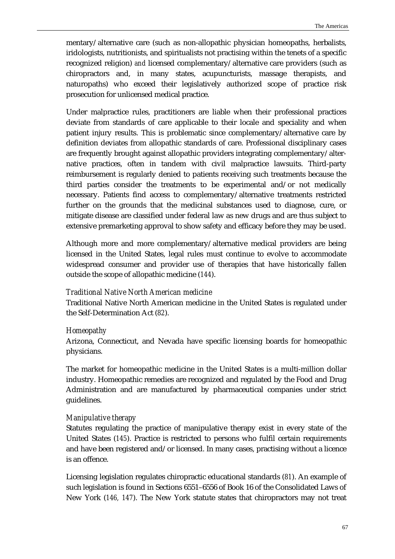mentary/alternative care (such as non-allopathic physician homeopaths, herbalists, iridologists, nutritionists, and spiritualists not practising within the tenets of a specific recognized religion) *and* licensed complementary/alternative care providers (such as chiropractors and, in many states, acupuncturists, massage therapists, and naturopaths) who exceed their legislatively authorized scope of practice risk prosecution for unlicensed medical practice.

Under malpractice rules, practitioners are liable when their professional practices deviate from standards of care applicable to their locale and speciality and when patient injury results. This is problematic since complementary/alternative care by definition deviates from allopathic standards of care. Professional disciplinary cases are frequently brought against allopathic providers integrating complementary/alternative practices, often in tandem with civil malpractice lawsuits. Third-party reimbursement is regularly denied to patients receiving such treatments because the third parties consider the treatments to be experimental and/or not medically necessary. Patients find access to complementary/alternative treatments restricted further on the grounds that the medicinal substances used to diagnose, cure, or mitigate disease are classified under federal law as new drugs and are thus subject to extensive premarketing approval to show safety and efficacy before they may be used.

Although more and more complementary/alternative medical providers are being licensed in the United States, legal rules must continue to evolve to accommodate widespread consumer and provider use of therapies that have historically fallen outside the scope of allopathic medicine (*144*).

## *Traditional Native North American medicine*

Traditional Native North American medicine in the United States is regulated under the Self-Determination Act (*82*).

## *Homeopathy*

Arizona, Connecticut, and Nevada have specific licensing boards for homeopathic physicians.

The market for homeopathic medicine in the United States is a multi-million dollar industry. Homeopathic remedies are recognized and regulated by the Food and Drug Administration and are manufactured by pharmaceutical companies under strict guidelines.

# *Manipulative therapy*

Statutes regulating the practice of manipulative therapy exist in every state of the United States (*145*). Practice is restricted to persons who fulfil certain requirements and have been registered and/or licensed. In many cases, practising without a licence is an offence.

Licensing legislation regulates chiropractic educational standards (*81*). An example of such legislation is found in Sections 6551–6556 of Book 16 of the Consolidated Laws of New York (*146, 147*). The New York statute states that chiropractors may not treat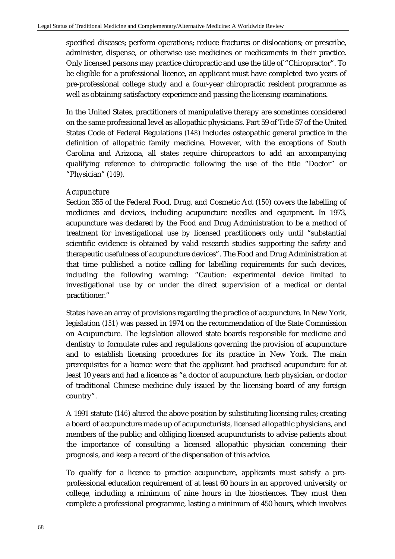specified diseases; perform operations; reduce fractures or dislocations; or prescribe, administer, dispense, or otherwise use medicines or medicaments in their practice. Only licensed persons may practice chiropractic and use the title of "Chiropractor". To be eligible for a professional licence, an applicant must have completed two years of pre-professional college study and a four-year chiropractic resident programme as well as obtaining satisfactory experience and passing the licensing examinations.

In the United States, practitioners of manipulative therapy are sometimes considered on the same professional level as allopathic physicians. Part 59 of Title 57 of the United States Code of Federal Regulations (*148*) includes osteopathic general practice in the definition of allopathic family medicine. However, with the exceptions of South Carolina and Arizona, all states require chiropractors to add an accompanying qualifying reference to chiropractic following the use of the title "Doctor" or "Physician" (*149*).

#### *Acupuncture*

Section 355 of the Federal Food, Drug, and Cosmetic Act (*150*) covers the labelling of medicines and devices, including acupuncture needles and equipment. In 1973, acupuncture was declared by the Food and Drug Administration to be a method of treatment for investigational use by licensed practitioners only until "substantial scientific evidence is obtained by valid research studies supporting the safety and therapeutic usefulness of acupuncture devices". The Food and Drug Administration at that time published a notice calling for labelling requirements for such devices, including the following warning: "Caution: experimental device limited to investigational use by or under the direct supervision of a medical or dental practitioner."

States have an array of provisions regarding the practice of acupuncture. In New York, legislation (*151*) was passed in 1974 on the recommendation of the State Commission on Acupuncture. The legislation allowed state boards responsible for medicine and dentistry to formulate rules and regulations governing the provision of acupuncture and to establish licensing procedures for its practice in New York. The main prerequisites for a licence were that the applicant had practised acupuncture for at least 10 years and had a licence as "a doctor of acupuncture, herb physician, or doctor of traditional Chinese medicine duly issued by the licensing board of any foreign country".

A 1991 statute (*146*) altered the above position by substituting licensing rules; creating a board of acupuncture made up of acupuncturists, licensed allopathic physicians, and members of the public; and obliging licensed acupuncturists to advise patients about the importance of consulting a licensed allopathic physician concerning their prognosis, and keep a record of the dispensation of this advice.

To qualify for a licence to practice acupuncture, applicants must satisfy a preprofessional education requirement of at least 60 hours in an approved university or college, including a minimum of nine hours in the biosciences. They must then complete a professional programme, lasting a minimum of 450 hours, which involves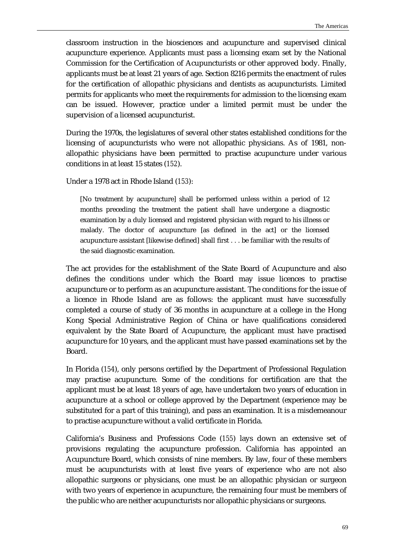classroom instruction in the biosciences and acupuncture and supervised clinical acupuncture experience. Applicants must pass a licensing exam set by the National Commission for the Certification of Acupuncturists or other approved body. Finally, applicants must be at least 21 years of age. Section 8216 permits the enactment of rules for the certification of allopathic physicians and dentists as acupuncturists. Limited permits for applicants who meet the requirements for admission to the licensing exam can be issued. However, practice under a limited permit must be under the supervision of a licensed acupuncturist.

During the 1970s, the legislatures of several other states established conditions for the licensing of acupuncturists who were not allopathic physicians. As of 1981, nonallopathic physicians have been permitted to practise acupuncture under various conditions in at least 15 states (*152*).

Under a 1978 act in Rhode Island (*153*):

[No treatment by acupuncture] shall be performed unless within a period of 12 months preceding the treatment the patient shall have undergone a diagnostic examination by a duly licensed and registered physician with regard to his illness or malady. The doctor of acupuncture [as defined in the act] or the licensed acupuncture assistant [likewise defined] shall first . . . be familiar with the results of the said diagnostic examination.

The act provides for the establishment of the State Board of Acupuncture and also defines the conditions under which the Board may issue licences to practise acupuncture or to perform as an acupuncture assistant. The conditions for the issue of a licence in Rhode Island are as follows: the applicant must have successfully completed a course of study of 36 months in acupuncture at a college in the Hong Kong Special Administrative Region of China or have qualifications considered equivalent by the State Board of Acupuncture, the applicant must have practised acupuncture for 10 years, and the applicant must have passed examinations set by the Board.

In Florida (*154*), only persons certified by the Department of Professional Regulation may practise acupuncture. Some of the conditions for certification are that the applicant must be at least 18 years of age, have undertaken two years of education in acupuncture at a school or college approved by the Department (experience may be substituted for a part of this training), and pass an examination. It is a misdemeanour to practise acupuncture without a valid certificate in Florida.

California's Business and Professions Code (*155*) lays down an extensive set of provisions regulating the acupuncture profession. California has appointed an Acupuncture Board, which consists of nine members. By law, four of these members must be acupuncturists with at least five years of experience who are not also allopathic surgeons or physicians, one must be an allopathic physician or surgeon with two years of experience in acupuncture, the remaining four must be members of the public who are neither acupuncturists nor allopathic physicians or surgeons.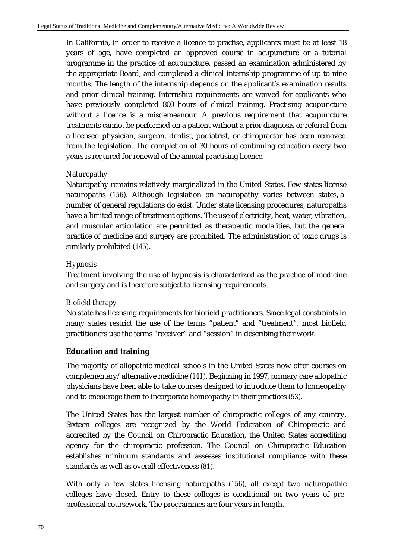In California, in order to receive a licence to practise, applicants must be at least 18 years of age, have completed an approved course in acupuncture or a tutorial programme in the practice of acupuncture, passed an examination administered by the appropriate Board, and completed a clinical internship programme of up to nine months. The length of the internship depends on the applicant's examination results and prior clinical training. Internship requirements are waived for applicants who have previously completed 800 hours of clinical training. Practising acupuncture without a licence is a misdemeanour. A previous requirement that acupuncture treatments cannot be performed on a patient without a prior diagnosis or referral from a licensed physician, surgeon, dentist, podiatrist, or chiropractor has been removed from the legislation. The completion of 30 hours of continuing education every two years is required for renewal of the annual practising licence.

# *Naturopathy*

Naturopathy remains relatively marginalized in the United States. Few states license naturopaths (*156*). Although legislation on naturopathy varies between states, a number of general regulations do exist. Under state licensing procedures, naturopaths have a limited range of treatment options. The use of electricity, heat, water, vibration, and muscular articulation are permitted as therapeutic modalities, but the general practice of medicine and surgery are prohibited. The administration of toxic drugs is similarly prohibited (*145*).

# *Hypnosis*

Treatment involving the use of hypnosis is characterized as the practice of medicine and surgery and is therefore subject to licensing requirements.

## *Biofield therapy*

No state has licensing requirements for biofield practitioners. Since legal constraints in many states restrict the use of the terms "patient" and "treatment", most biofield practitioners use the terms "receiver" and "session" in describing their work.

## **Education and training**

The majority of allopathic medical schools in the United States now offer courses on complementary/alternative medicine (*141*). Beginning in 1997, primary care allopathic physicians have been able to take courses designed to introduce them to homeopathy and to encourage them to incorporate homeopathy in their practices (*53*).

The United States has the largest number of chiropractic colleges of any country. Sixteen colleges are recognized by the World Federation of Chiropractic and accredited by the Council on Chiropractic Education, the United States accrediting agency for the chiropractic profession. The Council on Chiropractic Education establishes minimum standards and assesses institutional compliance with these standards as well as overall effectiveness (*81*).

With only a few states licensing naturopaths (*156*), all except two naturopathic colleges have closed. Entry to these colleges is conditional on two years of preprofessional coursework. The programmes are four years in length.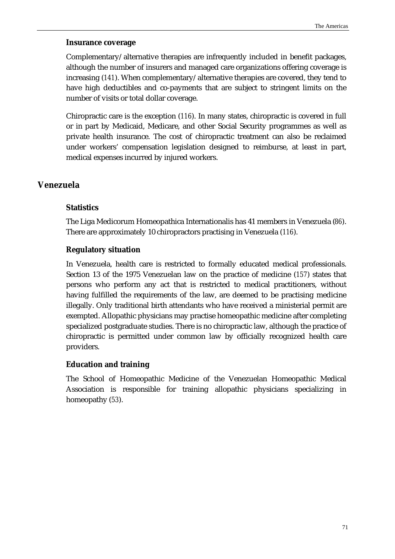#### **Insurance coverage**

Complementary/alternative therapies are infrequently included in benefit packages, although the number of insurers and managed care organizations offering coverage is increasing (*141*). When complementary/alternative therapies are covered, they tend to have high deductibles and co-payments that are subject to stringent limits on the number of visits or total dollar coverage.

Chiropractic care is the exception (*116*). In many states, chiropractic is covered in full or in part by Medicaid, Medicare, and other Social Security programmes as well as private health insurance. The cost of chiropractic treatment can also be reclaimed under workers' compensation legislation designed to reimburse, at least in part, medical expenses incurred by injured workers.

# **Venezuela**

#### **Statistics**

The Liga Medicorum Homeopathica Internationalis has 41 members in Venezuela (*86*). There are approximately 10 chiropractors practising in Venezuela (*116*).

#### **Regulatory situation**

In Venezuela, health care is restricted to formally educated medical professionals. Section 13 of the 1975 Venezuelan law on the practice of medicine (*157*) states that persons who perform any act that is restricted to medical practitioners, without having fulfilled the requirements of the law, are deemed to be practising medicine illegally. Only traditional birth attendants who have received a ministerial permit are exempted. Allopathic physicians may practise homeopathic medicine after completing specialized postgraduate studies. There is no chiropractic law, although the practice of chiropractic is permitted under common law by officially recognized health care providers.

#### **Education and training**

The School of Homeopathic Medicine of the Venezuelan Homeopathic Medical Association is responsible for training allopathic physicians specializing in homeopathy (*53*).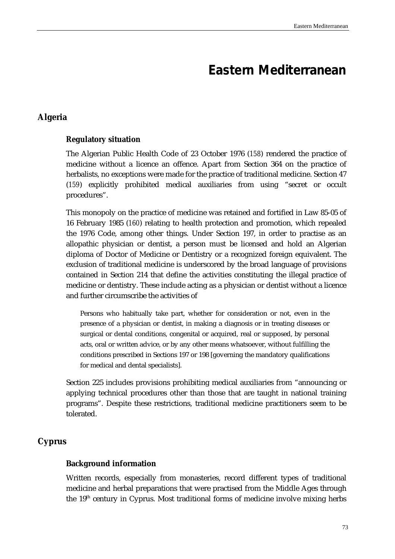# **Eastern Mediterranean**

# **Algeria**

# **Regulatory situation**

The Algerian Public Health Code of 23 October 1976 (*158*) rendered the practice of medicine without a licence an offence. Apart from Section 364 on the practice of herbalists, no exceptions were made for the practice of traditional medicine. Section 47 (*159*) explicitly prohibited medical auxiliaries from using "secret or occult procedures".

This monopoly on the practice of medicine was retained and fortified in Law 85-05 of 16 February 1985 (*160*) relating to health protection and promotion, which repealed the 1976 Code, among other things. Under Section 197, in order to practise as an allopathic physician or dentist, a person must be licensed and hold an Algerian diploma of Doctor of Medicine or Dentistry or a recognized foreign equivalent. The exclusion of traditional medicine is underscored by the broad language of provisions contained in Section 214 that define the activities constituting the illegal practice of medicine or dentistry. These include acting as a physician or dentist without a licence and further circumscribe the activities of

Persons who habitually take part, whether for consideration or not, even in the presence of a physician or dentist, in making a diagnosis or in treating diseases or surgical or dental conditions, congenital or acquired, real or supposed, by personal acts, oral or written advice, or by any other means whatsoever, without fulfilling the conditions prescribed in Sections 197 or 198 [governing the mandatory qualifications for medical and dental specialists].

Section 225 includes provisions prohibiting medical auxiliaries from "announcing or applying technical procedures other than those that are taught in national training programs". Despite these restrictions, traditional medicine practitioners seem to be tolerated.

# **Cyprus**

# **Background information**

Written records, especially from monasteries, record different types of traditional medicine and herbal preparations that were practised from the Middle Ages through the  $19<sup>th</sup>$  century in Cyprus. Most traditional forms of medicine involve mixing herbs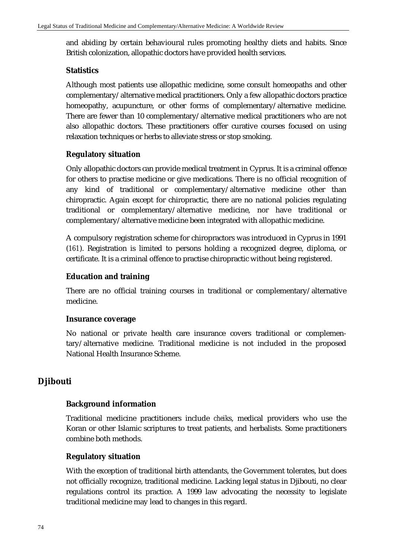and abiding by certain behavioural rules promoting healthy diets and habits. Since British colonization, allopathic doctors have provided health services.

## **Statistics**

Although most patients use allopathic medicine, some consult homeopaths and other complementary/alternative medical practitioners. Only a few allopathic doctors practice homeopathy, acupuncture, or other forms of complementary/alternative medicine. There are fewer than 10 complementary/alternative medical practitioners who are not also allopathic doctors. These practitioners offer curative courses focused on using relaxation techniques or herbs to alleviate stress or stop smoking.

# **Regulatory situation**

Only allopathic doctors can provide medical treatment in Cyprus. It is a criminal offence for others to practise medicine or give medications. There is no official recognition of any kind of traditional or complementary/alternative medicine other than chiropractic. Again except for chiropractic, there are no national policies regulating traditional or complementary/alternative medicine, nor have traditional or complementary/alternative medicine been integrated with allopathic medicine.

A compulsory registration scheme for chiropractors was introduced in Cyprus in 1991 (*161*). Registration is limited to persons holding a recognized degree, diploma, or certificate. It is a criminal offence to practise chiropractic without being registered.

# **Education and training**

There are no official training courses in traditional or complementary/alternative medicine.

## **Insurance coverage**

No national or private health care insurance covers traditional or complementary/alternative medicine. Traditional medicine is not included in the proposed National Health Insurance Scheme.

# **Djibouti**

## **Background information**

Traditional medicine practitioners include *cheik*s, medical providers who use the Koran or other Islamic scriptures to treat patients, and herbalists. Some practitioners combine both methods.

## **Regulatory situation**

With the exception of traditional birth attendants, the Government tolerates, but does not officially recognize, traditional medicine. Lacking legal status in Djibouti, no clear regulations control its practice. A 1999 law advocating the necessity to legislate traditional medicine may lead to changes in this regard.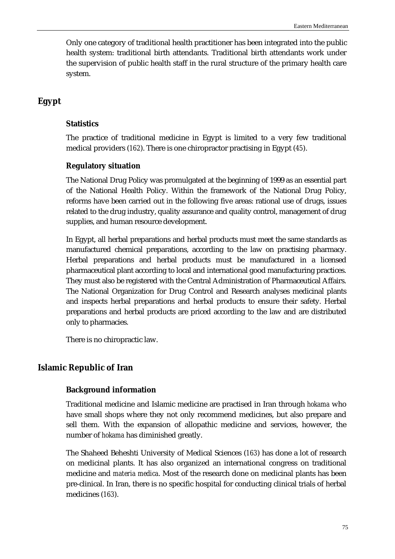Only one category of traditional health practitioner has been integrated into the public health system: traditional birth attendants. Traditional birth attendants work under the supervision of public health staff in the rural structure of the primary health care system.

# **Egypt**

# **Statistics**

The practice of traditional medicine in Egypt is limited to a very few traditional medical providers (*162*). There is one chiropractor practising in Egypt (*45*).

# **Regulatory situation**

The National Drug Policy was promulgated at the beginning of 1999 as an essential part of the National Health Policy. Within the framework of the National Drug Policy, reforms have been carried out in the following five areas: rational use of drugs, issues related to the drug industry, quality assurance and quality control, management of drug supplies, and human resource development.

In Egypt, all herbal preparations and herbal products must meet the same standards as manufactured chemical preparations, according to the law on practising pharmacy. Herbal preparations and herbal products must be manufactured in a licensed pharmaceutical plant according to local and international good manufacturing practices. They must also be registered with the Central Administration of Pharmaceutical Affairs. The National Organization for Drug Control and Research analyses medicinal plants and inspects herbal preparations and herbal products to ensure their safety. Herbal preparations and herbal products are priced according to the law and are distributed only to pharmacies.

There is no chiropractic law.

# **Islamic Republic of Iran**

## **Background information**

Traditional medicine and Islamic medicine are practised in Iran through *hokama* who have small shops where they not only recommend medicines, but also prepare and sell them. With the expansion of allopathic medicine and services, however, the number of *hokama* has diminished greatly.

The Shaheed Beheshti University of Medical Sciences (*163*) has done a lot of research on medicinal plants. It has also organized an international congress on traditional medicine and *materia medica*. Most of the research done on medicinal plants has been pre-clinical. In Iran, there is no specific hospital for conducting clinical trials of herbal medicines (*163*).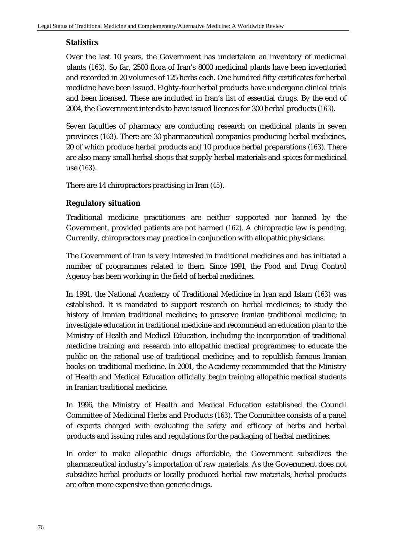# **Statistics**

Over the last 10 years, the Government has undertaken an inventory of medicinal plants (*163*). So far, 2500 flora of Iran's 8000 medicinal plants have been inventoried and recorded in 20 volumes of 125 herbs each. One hundred fifty certificates for herbal medicine have been issued. Eighty-four herbal products have undergone clinical trials and been licensed. These are included in Iran's list of essential drugs. By the end of 2004, the Government intends to have issued licences for 300 herbal products (*163*).

Seven faculties of pharmacy are conducting research on medicinal plants in seven provinces (*163*). There are 30 pharmaceutical companies producing herbal medicines, 20 of which produce herbal products and 10 produce herbal preparations (*163*). There are also many small herbal shops that supply herbal materials and spices for medicinal use (*163*).

There are 14 chiropractors practising in Iran (*45*).

# **Regulatory situation**

Traditional medicine practitioners are neither supported nor banned by the Government, provided patients are not harmed (*162*). A chiropractic law is pending. Currently, chiropractors may practice in conjunction with allopathic physicians.

The Government of Iran is very interested in traditional medicines and has initiated a number of programmes related to them. Since 1991, the Food and Drug Control Agency has been working in the field of herbal medicines.

In 1991, the National Academy of Traditional Medicine in Iran and Islam (*163*) was established. It is mandated to support research on herbal medicines; to study the history of Iranian traditional medicine; to preserve Iranian traditional medicine; to investigate education in traditional medicine and recommend an education plan to the Ministry of Health and Medical Education, including the incorporation of traditional medicine training and research into allopathic medical programmes; to educate the public on the rational use of traditional medicine; and to republish famous Iranian books on traditional medicine. In 2001, the Academy recommended that the Ministry of Health and Medical Education officially begin training allopathic medical students in Iranian traditional medicine.

In 1996, the Ministry of Health and Medical Education established the Council Committee of Medicinal Herbs and Products (*163*). The Committee consists of a panel of experts charged with evaluating the safety and efficacy of herbs and herbal products and issuing rules and regulations for the packaging of herbal medicines.

In order to make allopathic drugs affordable, the Government subsidizes the pharmaceutical industry's importation of raw materials. As the Government does not subsidize herbal products or locally produced herbal raw materials, herbal products are often more expensive than generic drugs.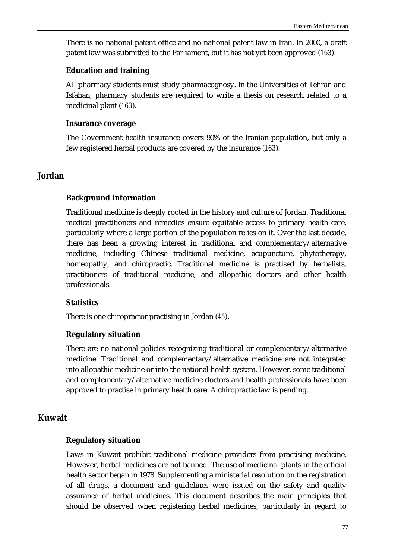There is no national patent office and no national patent law in Iran. In 2000, a draft patent law was submitted to the Parliament, but it has not yet been approved (*163*).

#### **Education and training**

All pharmacy students must study pharmacognosy. In the Universities of Tehran and Isfahan, pharmacy students are required to write a thesis on research related to a medicinal plant (*163*).

#### **Insurance coverage**

The Government health insurance covers 90% of the Iranian population, but only a few registered herbal products are covered by the insurance (*163*).

# **Jordan**

## **Background information**

Traditional medicine is deeply rooted in the history and culture of Jordan. Traditional medical practitioners and remedies ensure equitable access to primary health care, particularly where a large portion of the population relies on it. Over the last decade, there has been a growing interest in traditional and complementary/alternative medicine, including Chinese traditional medicine, acupuncture, phytotherapy, homeopathy, and chiropractic. Traditional medicine is practised by herbalists, practitioners of traditional medicine, and allopathic doctors and other health professionals.

## **Statistics**

There is one chiropractor practising in Jordan (*45*).

## **Regulatory situation**

There are no national policies recognizing traditional or complementary/alternative medicine. Traditional and complementary/alternative medicine are not integrated into allopathic medicine or into the national health system. However, some traditional and complementary/alternative medicine doctors and health professionals have been approved to practise in primary health care. A chiropractic law is pending.

# **Kuwait**

## **Regulatory situation**

Laws in Kuwait prohibit traditional medicine providers from practising medicine. However, herbal medicines are not banned. The use of medicinal plants in the official health sector began in 1978. Supplementing a ministerial resolution on the registration of all drugs, a document and guidelines were issued on the safety and quality assurance of herbal medicines. This document describes the main principles that should be observed when registering herbal medicines, particularly in regard to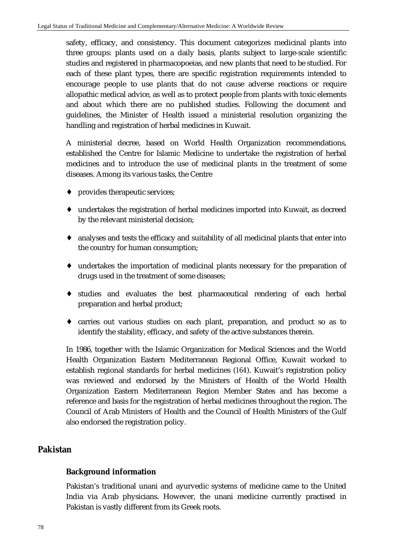safety, efficacy, and consistency. This document categorizes medicinal plants into three groups: plants used on a daily basis, plants subject to large-scale scientific studies and registered in pharmacopoeias, and new plants that need to be studied. For each of these plant types, there are specific registration requirements intended to encourage people to use plants that do not cause adverse reactions or require allopathic medical advice, as well as to protect people from plants with toxic elements and about which there are no published studies. Following the document and guidelines, the Minister of Health issued a ministerial resolution organizing the handling and registration of herbal medicines in Kuwait.

A ministerial decree, based on World Health Organization recommendations, established the Centre for Islamic Medicine to undertake the registration of herbal medicines and to introduce the use of medicinal plants in the treatment of some diseases. Among its various tasks, the Centre

- ♦ provides therapeutic services;
- ♦ undertakes the registration of herbal medicines imported into Kuwait, as decreed by the relevant ministerial decision;
- ♦ analyses and tests the efficacy and suitability of all medicinal plants that enter into the country for human consumption;
- ♦ undertakes the importation of medicinal plants necessary for the preparation of drugs used in the treatment of some diseases;
- ♦ studies and evaluates the best pharmaceutical rendering of each herbal preparation and herbal product;
- ♦ carries out various studies on each plant, preparation, and product so as to identify the stability, efficacy, and safety of the active substances therein.

In 1986, together with the Islamic Organization for Medical Sciences and the World Health Organization Eastern Mediterranean Regional Office, Kuwait worked to establish regional standards for herbal medicines (*164*). Kuwait's registration policy was reviewed and endorsed by the Ministers of Health of the World Health Organization Eastern Mediterranean Region Member States and has become a reference and basis for the registration of herbal medicines throughout the region. The Council of Arab Ministers of Health and the Council of Health Ministers of the Gulf also endorsed the registration policy.

# **Pakistan**

## **Background information**

Pakistan's traditional unani and ayurvedic systems of medicine came to the United India via Arab physicians. However, the unani medicine currently practised in Pakistan is vastly different from its Greek roots.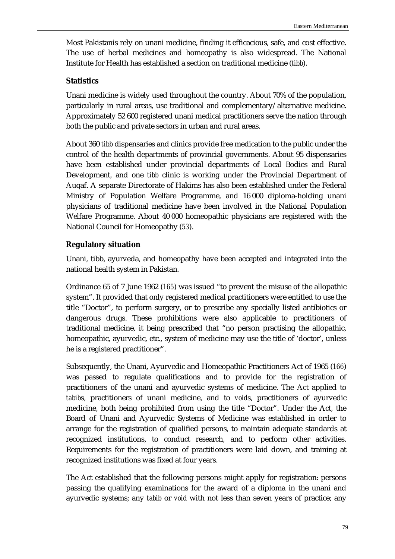Most Pakistanis rely on unani medicine, finding it efficacious, safe, and cost effective. The use of herbal medicines and homeopathy is also widespread. The National Institute for Health has established a section on traditional medicine (*tibb*).

# **Statistics**

Unani medicine is widely used throughout the country. About 70% of the population, particularly in rural areas, use traditional and complementary/alternative medicine. Approximately 52 600 registered unani medical practitioners serve the nation through both the public and private sectors in urban and rural areas.

About 360 *tibb* dispensaries and clinics provide free medication to the public under the control of the health departments of provincial governments. About 95 dispensaries have been established under provincial departments of Local Bodies and Rural Development, and one *tibb* clinic is working under the Provincial Department of Auqaf. A separate Directorate of Hakims has also been established under the Federal Ministry of Population Welfare Programme, and 16 000 diploma-holding unani physicians of traditional medicine have been involved in the National Population Welfare Programme. About 40 000 homeopathic physicians are registered with the National Council for Homeopathy (*53*).

# **Regulatory situation**

Unani, tibb, ayurveda, and homeopathy have been accepted and integrated into the national health system in Pakistan.

Ordinance 65 of 7 June 1962 (*165*) was issued "to prevent the misuse of the allopathic system". It provided that only registered medical practitioners were entitled to use the title "Doctor", to perform surgery, or to prescribe any specially listed antibiotics or dangerous drugs. These prohibitions were also applicable to practitioners of traditional medicine, it being prescribed that "no person practising the allopathic, homeopathic, ayurvedic, etc., system of medicine may use the title of 'doctor', unless he is a registered practitioner".

Subsequently, the Unani, Ayurvedic and Homeopathic Practitioners Act of 1965 (*166*) was passed to regulate qualifications and to provide for the registration of practitioners of the unani and ayurvedic systems of medicine. The Act applied to *tabib*s, practitioners of unani medicine, and to *void*s, practitioners of ayurvedic medicine, both being prohibited from using the title "Doctor". Under the Act, the Board of Unani and Ayurvedic Systems of Medicine was established in order to arrange for the registration of qualified persons, to maintain adequate standards at recognized institutions, to conduct research, and to perform other activities. Requirements for the registration of practitioners were laid down, and training at recognized institutions was fixed at four years.

The Act established that the following persons might apply for registration: persons passing the qualifying examinations for the award of a diploma in the unani and ayurvedic systems; any *tabib* or *void* with not less than seven years of practice; any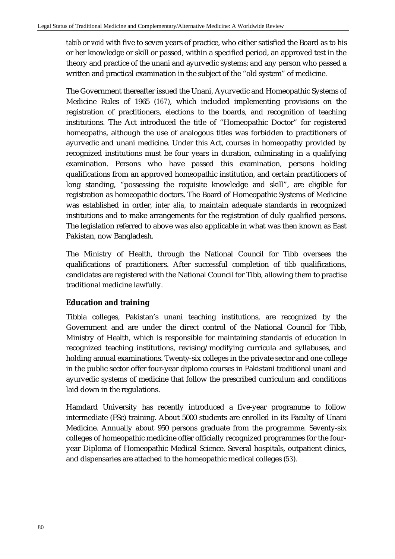*tabib* or *void* with five to seven years of practice, who either satisfied the Board as to his or her knowledge or skill or passed, within a specified period, an approved test in the theory and practice of the unani and ayurvedic systems; and any person who passed a written and practical examination in the subject of the "old system" of medicine.

The Government thereafter issued the Unani, Ayurvedic and Homeopathic Systems of Medicine Rules of 1965 (*167*), which included implementing provisions on the registration of practitioners, elections to the boards, and recognition of teaching institutions. The Act introduced the title of "Homeopathic Doctor" for registered homeopaths, although the use of analogous titles was forbidden to practitioners of ayurvedic and unani medicine. Under this Act, courses in homeopathy provided by recognized institutions must be four years in duration, culminating in a qualifying examination. Persons who have passed this examination, persons holding qualifications from an approved homeopathic institution, and certain practitioners of long standing, "possessing the requisite knowledge and skill", are eligible for registration as homeopathic doctors. The Board of Homeopathic Systems of Medicine was established in order, *inter alia*, to maintain adequate standards in recognized institutions and to make arrangements for the registration of duly qualified persons. The legislation referred to above was also applicable in what was then known as East Pakistan, now Bangladesh.

The Ministry of Health, through the National Council for Tibb oversees the qualifications of practitioners. After successful completion of *tibb* qualifications, candidates are registered with the National Council for Tibb, allowing them to practise traditional medicine lawfully.

# **Education and training**

Tibbia colleges, Pakistan's unani teaching institutions, are recognized by the Government and are under the direct control of the National Council for Tibb, Ministry of Health, which is responsible for maintaining standards of education in recognized teaching institutions, revising/modifying curricula and syllabuses, and holding annual examinations. Twenty-six colleges in the private sector and one college in the public sector offer four-year diploma courses in Pakistani traditional unani and ayurvedic systems of medicine that follow the prescribed curriculum and conditions laid down in the regulations.

Hamdard University has recently introduced a five-year programme to follow intermediate (FSc) training. About 5000 students are enrolled in its Faculty of Unani Medicine. Annually about 950 persons graduate from the programme. Seventy-six colleges of homeopathic medicine offer officially recognized programmes for the fouryear Diploma of Homeopathic Medical Science. Several hospitals, outpatient clinics, and dispensaries are attached to the homeopathic medical colleges (*53*).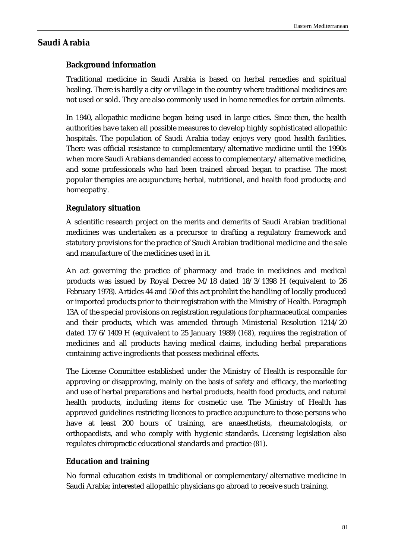# **Saudi Arabia**

# **Background information**

Traditional medicine in Saudi Arabia is based on herbal remedies and spiritual healing. There is hardly a city or village in the country where traditional medicines are not used or sold. They are also commonly used in home remedies for certain ailments.

In 1940, allopathic medicine began being used in large cities. Since then, the health authorities have taken all possible measures to develop highly sophisticated allopathic hospitals. The population of Saudi Arabia today enjoys very good health facilities. There was official resistance to complementary/alternative medicine until the 1990s when more Saudi Arabians demanded access to complementary/alternative medicine, and some professionals who had been trained abroad began to practise. The most popular therapies are acupuncture; herbal, nutritional, and health food products; and homeopathy.

# **Regulatory situation**

A scientific research project on the merits and demerits of Saudi Arabian traditional medicines was undertaken as a precursor to drafting a regulatory framework and statutory provisions for the practice of Saudi Arabian traditional medicine and the sale and manufacture of the medicines used in it.

An act governing the practice of pharmacy and trade in medicines and medical products was issued by Royal Decree M/18 dated 18/3/1398 H (equivalent to 26 February 1978). Articles 44 and 50 of this act prohibit the handling of locally produced or imported products prior to their registration with the Ministry of Health. Paragraph 13A of the special provisions on registration regulations for pharmaceutical companies and their products, which was amended through Ministerial Resolution 1214/20 dated 17/6/1409 H (equivalent to 25 January 1989) (*168*), requires the registration of medicines and all products having medical claims, including herbal preparations containing active ingredients that possess medicinal effects.

The License Committee established under the Ministry of Health is responsible for approving or disapproving, mainly on the basis of safety and efficacy, the marketing and use of herbal preparations and herbal products, health food products, and natural health products, including items for cosmetic use. The Ministry of Health has approved guidelines restricting licences to practice acupuncture to those persons who have at least 200 hours of training, are anaesthetists, rheumatologists, or orthopaedists, and who comply with hygienic standards. Licensing legislation also regulates chiropractic educational standards and practice (*81*).

# **Education and training**

No formal education exists in traditional or complementary/alternative medicine in Saudi Arabia; interested allopathic physicians go abroad to receive such training.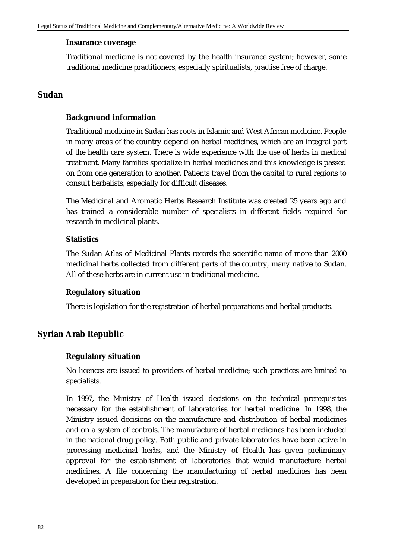#### **Insurance coverage**

Traditional medicine is not covered by the health insurance system; however, some traditional medicine practitioners, especially spiritualists, practise free of charge.

# **Sudan**

# **Background information**

Traditional medicine in Sudan has roots in Islamic and West African medicine. People in many areas of the country depend on herbal medicines, which are an integral part of the health care system. There is wide experience with the use of herbs in medical treatment. Many families specialize in herbal medicines and this knowledge is passed on from one generation to another. Patients travel from the capital to rural regions to consult herbalists, especially for difficult diseases.

The Medicinal and Aromatic Herbs Research Institute was created 25 years ago and has trained a considerable number of specialists in different fields required for research in medicinal plants.

# **Statistics**

The Sudan Atlas of Medicinal Plants records the scientific name of more than 2000 medicinal herbs collected from different parts of the country, many native to Sudan. All of these herbs are in current use in traditional medicine.

## **Regulatory situation**

There is legislation for the registration of herbal preparations and herbal products.

# **Syrian Arab Republic**

## **Regulatory situation**

No licences are issued to providers of herbal medicine; such practices are limited to specialists.

In 1997, the Ministry of Health issued decisions on the technical prerequisites necessary for the establishment of laboratories for herbal medicine. In 1998, the Ministry issued decisions on the manufacture and distribution of herbal medicines and on a system of controls. The manufacture of herbal medicines has been included in the national drug policy. Both public and private laboratories have been active in processing medicinal herbs, and the Ministry of Health has given preliminary approval for the establishment of laboratories that would manufacture herbal medicines. A file concerning the manufacturing of herbal medicines has been developed in preparation for their registration.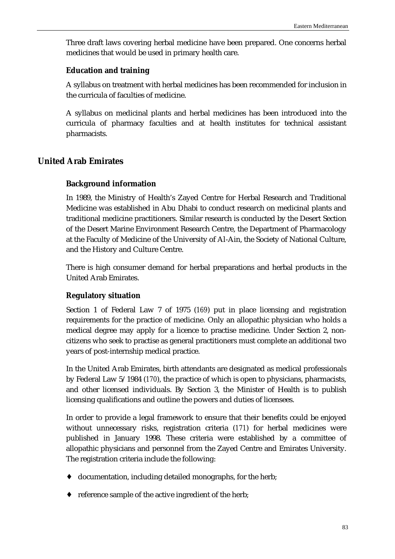Three draft laws covering herbal medicine have been prepared. One concerns herbal medicines that would be used in primary health care.

#### **Education and training**

A syllabus on treatment with herbal medicines has been recommended for inclusion in the curricula of faculties of medicine.

A syllabus on medicinal plants and herbal medicines has been introduced into the curricula of pharmacy faculties and at health institutes for technical assistant pharmacists.

# **United Arab Emirates**

#### **Background information**

In 1989, the Ministry of Health's Zayed Centre for Herbal Research and Traditional Medicine was established in Abu Dhabi to conduct research on medicinal plants and traditional medicine practitioners. Similar research is conducted by the Desert Section of the Desert Marine Environment Research Centre, the Department of Pharmacology at the Faculty of Medicine of the University of Al-Ain, the Society of National Culture, and the History and Culture Centre.

There is high consumer demand for herbal preparations and herbal products in the United Arab Emirates.

# **Regulatory situation**

Section 1 of Federal Law 7 of 1975 (*169*) put in place licensing and registration requirements for the practice of medicine. Only an allopathic physician who holds a medical degree may apply for a licence to practise medicine. Under Section 2, noncitizens who seek to practise as general practitioners must complete an additional two years of post-internship medical practice.

In the United Arab Emirates, birth attendants are designated as medical professionals by Federal Law 5/1984 (*170*), the practice of which is open to physicians, pharmacists, and other licensed individuals. By Section 3, the Minister of Health is to publish licensing qualifications and outline the powers and duties of licensees.

In order to provide a legal framework to ensure that their benefits could be enjoyed without unnecessary risks, registration criteria (*171*) for herbal medicines were published in January 1998. These criteria were established by a committee of allopathic physicians and personnel from the Zayed Centre and Emirates University. The registration criteria include the following:

- ♦ documentation, including detailed monographs, for the herb;
- ♦ reference sample of the active ingredient of the herb;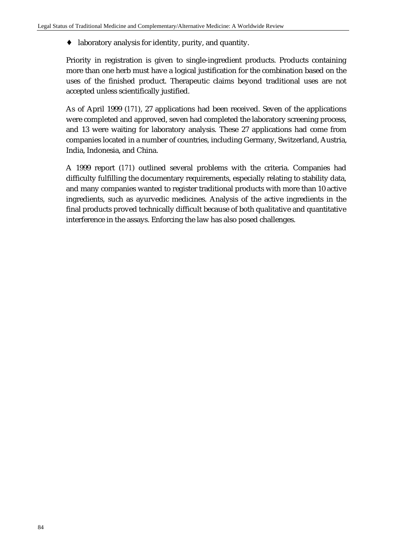♦ laboratory analysis for identity, purity, and quantity.

Priority in registration is given to single-ingredient products. Products containing more than one herb must have a logical justification for the combination based on the uses of the finished product. Therapeutic claims beyond traditional uses are not accepted unless scientifically justified.

As of April 1999 (*171*), 27 applications had been received. Seven of the applications were completed and approved, seven had completed the laboratory screening process, and 13 were waiting for laboratory analysis. These 27 applications had come from companies located in a number of countries, including Germany, Switzerland, Austria, India, Indonesia, and China.

A 1999 report (*171*) outlined several problems with the criteria. Companies had difficulty fulfilling the documentary requirements, especially relating to stability data, and many companies wanted to register traditional products with more than 10 active ingredients, such as ayurvedic medicines. Analysis of the active ingredients in the final products proved technically difficult because of both qualitative and quantitative interference in the assays. Enforcing the law has also posed challenges.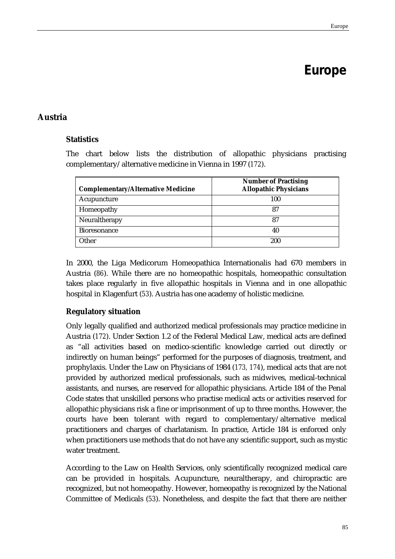# **Europe**

# **Austria**

# **Statistics**

The chart below lists the distribution of allopathic physicians practising complementary/alternative medicine in Vienna in 1997 (*172*).

| <b>Complementary/Alternative Medicine</b> | <b>Number of Practising</b><br><b>Allopathic Physicians</b> |
|-------------------------------------------|-------------------------------------------------------------|
| Acupuncture                               | 100                                                         |
| Homeopathy                                | 87                                                          |
| Neuraltherapy                             | 87                                                          |
| <b>Bioresonance</b>                       | 40                                                          |
| Other                                     | 200                                                         |

In 2000, the Liga Medicorum Homeopathica Internationalis had 670 members in Austria (*86*). While there are no homeopathic hospitals, homeopathic consultation takes place regularly in five allopathic hospitals in Vienna and in one allopathic hospital in Klagenfurt (*53*). Austria has one academy of holistic medicine.

# **Regulatory situation**

Only legally qualified and authorized medical professionals may practice medicine in Austria (*172*). Under Section 1.2 of the Federal Medical Law, medical acts are defined as "all activities based on medico-scientific knowledge carried out directly or indirectly on human beings" performed for the purposes of diagnosis, treatment, and prophylaxis. Under the Law on Physicians of 1984 (*173, 174*), medical acts that are not provided by authorized medical professionals, such as midwives, medical-technical assistants, and nurses, are reserved for allopathic physicians. Article 184 of the Penal Code states that unskilled persons who practise medical acts or activities reserved for allopathic physicians risk a fine or imprisonment of up to three months. However, the courts have been tolerant with regard to complementary/alternative medical practitioners and charges of charlatanism. In practice, Article 184 is enforced only when practitioners use methods that do not have any scientific support, such as mystic water treatment.

According to the Law on Health Services, only scientifically recognized medical care can be provided in hospitals. Acupuncture, neuraltherapy, and chiropractic are recognized, but not homeopathy. However, homeopathy is recognized by the National Committee of Medicals (*53*). Nonetheless, and despite the fact that there are neither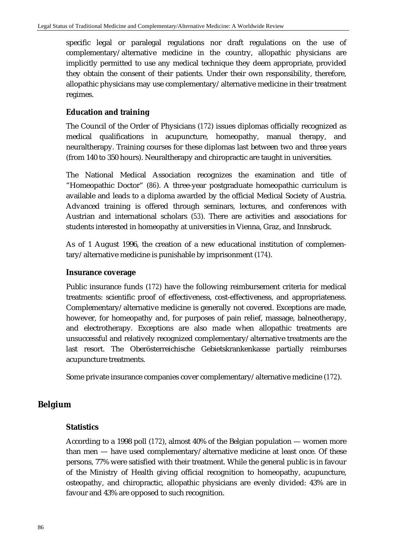specific legal or paralegal regulations nor draft regulations on the use of complementary/alternative medicine in the country, allopathic physicians are implicitly permitted to use any medical technique they deem appropriate, provided they obtain the consent of their patients. Under their own responsibility, therefore, allopathic physicians may use complementary/alternative medicine in their treatment regimes.

## **Education and training**

The Council of the Order of Physicians (*172*) issues diplomas officially recognized as medical qualifications in acupuncture, homeopathy, manual therapy, and neuraltherapy. Training courses for these diplomas last between two and three years (from 140 to 350 hours). Neuraltherapy and chiropractic are taught in universities.

The National Medical Association recognizes the examination and title of "Homeopathic Doctor" (*86*). A three-year postgraduate homeopathic curriculum is available and leads to a diploma awarded by the official Medical Society of Austria. Advanced training is offered through seminars, lectures, and conferences with Austrian and international scholars (*53*). There are activities and associations for students interested in homeopathy at universities in Vienna, Graz, and Innsbruck.

As of 1 August 1996, the creation of a new educational institution of complementary/alternative medicine is punishable by imprisonment (*174*).

#### **Insurance coverage**

Public insurance funds (*172*) have the following reimbursement criteria for medical treatments: scientific proof of effectiveness, cost-effectiveness, and appropriateness. Complementary/alternative medicine is generally not covered. Exceptions are made, however, for homeopathy and, for purposes of pain relief, massage, balneotherapy, and electrotherapy. Exceptions are also made when allopathic treatments are unsuccessful and relatively recognized complementary/alternative treatments are the last resort. The Oberösterreichische Gebietskrankenkasse partially reimburses acupuncture treatments.

Some private insurance companies cover complementary/alternative medicine (*172*).

# **Belgium**

## **Statistics**

According to a 1998 poll (*172*), almost 40% of the Belgian population — women more than men — have used complementary/alternative medicine at least once. Of these persons, 77% were satisfied with their treatment. While the general public is in favour of the Ministry of Health giving official recognition to homeopathy, acupuncture, osteopathy, and chiropractic, allopathic physicians are evenly divided: 43% are in favour and 43% are opposed to such recognition.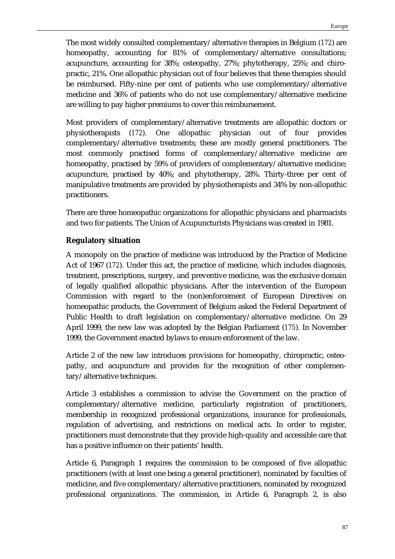The most widely consulted complementary/alternative therapies in Belgium (*172*) are homeopathy, accounting for 81% of complementary/alternative consultations; acupuncture, accounting for 38%; osteopathy, 27%; phytotherapy, 25%; and chiropractic, 21%. One allopathic physician out of four believes that these therapies should be reimbursed. Fifty-nine per cent of patients who use complementary/alternative medicine and 36% of patients who do not use complementary/alternative medicine are willing to pay higher premiums to cover this reimbursement.

Most providers of complementary/alternative treatments are allopathic doctors or physiotherapists (*172*). One allopathic physician out of four provides complementary/alternative treatments; these are mostly general practitioners. The most commonly practised forms of complementary/alternative medicine are homeopathy, practised by 59% of providers of complementary/alternative medicine; acupuncture, practised by 40%; and phytotherapy, 28%. Thirty-three per cent of manipulative treatments are provided by physiotherapists and 34% by non-allopathic practitioners.

There are three homeopathic organizations for allopathic physicians and pharmacists and two for patients. The Union of Acupuncturists Physicians was created in 1981.

# **Regulatory situation**

A monopoly on the practice of medicine was introduced by the Practice of Medicine Act of 1967 (*172*). Under this act, the practice of medicine, which includes diagnosis, treatment, prescriptions, surgery, and preventive medicine, was the exclusive domain of legally qualified allopathic physicians. After the intervention of the European Commission with regard to the (non)enforcement of European Directives on homeopathic products, the Government of Belgium asked the Federal Department of Public Health to draft legislation on complementary/alternative medicine. On 29 April 1999, the new law was adopted by the Belgian Parliament (*175*). In November 1999, the Government enacted bylaws to ensure enforcement of the law.

Article 2 of the new law introduces provisions for homeopathy, chiropractic, osteopathy, and acupuncture and provides for the recognition of other complementary/alternative techniques.

Article 3 establishes a commission to advise the Government on the practice of complementary/alternative medicine, particularly registration of practitioners, membership in recognized professional organizations, insurance for professionals, regulation of advertising, and restrictions on medical acts. In order to register, practitioners must demonstrate that they provide high-quality and accessible care that has a positive influence on their patients' health.

Article 6, Paragraph 1 requires the commission to be composed of five allopathic practitioners (with at least one being a general practitioner), nominated by faculties of medicine, and five complementary/alternative practitioners, nominated by recognized professional organizations. The commission, in Article 6, Paragraph 2, is also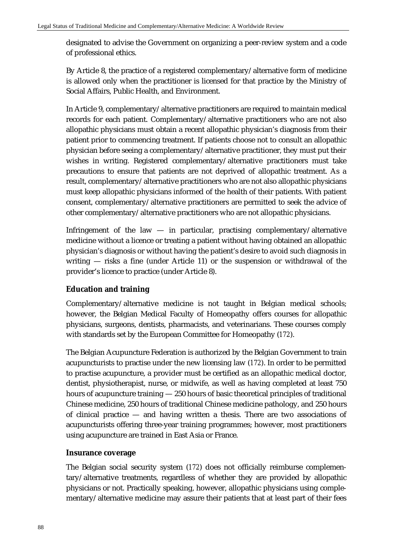designated to advise the Government on organizing a peer-review system and a code of professional ethics.

By Article 8, the practice of a registered complementary/alternative form of medicine is allowed only when the practitioner is licensed for that practice by the Ministry of Social Affairs, Public Health, and Environment.

In Article 9, complementary/alternative practitioners are required to maintain medical records for each patient. Complementary/alternative practitioners who are not also allopathic physicians must obtain a recent allopathic physician's diagnosis from their patient prior to commencing treatment. If patients choose not to consult an allopathic physician before seeing a complementary/alternative practitioner, they must put their wishes in writing. Registered complementary/alternative practitioners must take precautions to ensure that patients are not deprived of allopathic treatment. As a result, complementary/alternative practitioners who are not also allopathic physicians must keep allopathic physicians informed of the health of their patients. With patient consent, complementary/alternative practitioners are permitted to seek the advice of other complementary/alternative practitioners who are not allopathic physicians.

Infringement of the law  $-$  in particular, practising complementary/alternative medicine without a licence or treating a patient without having obtained an allopathic physician's diagnosis or without having the patient's desire to avoid such diagnosis in writing — risks a fine (under Article 11) or the suspension or withdrawal of the provider's licence to practice (under Article 8).

# **Education and training**

Complementary/alternative medicine is not taught in Belgian medical schools; however, the Belgian Medical Faculty of Homeopathy offers courses for allopathic physicians, surgeons, dentists, pharmacists, and veterinarians. These courses comply with standards set by the European Committee for Homeopathy (*172*).

The Belgian Acupuncture Federation is authorized by the Belgian Government to train acupuncturists to practise under the new licensing law (*172*). In order to be permitted to practise acupuncture, a provider must be certified as an allopathic medical doctor, dentist, physiotherapist, nurse, or midwife, as well as having completed at least 750 hours of acupuncture training — 250 hours of basic theoretical principles of traditional Chinese medicine, 250 hours of traditional Chinese medicine pathology, and 250 hours of clinical practice — and having written a thesis. There are two associations of acupuncturists offering three-year training programmes; however, most practitioners using acupuncture are trained in East Asia or France.

# **Insurance coverage**

The Belgian social security system (*172*) does not officially reimburse complementary/alternative treatments, regardless of whether they are provided by allopathic physicians or not. Practically speaking, however, allopathic physicians using complementary/alternative medicine may assure their patients that at least part of their fees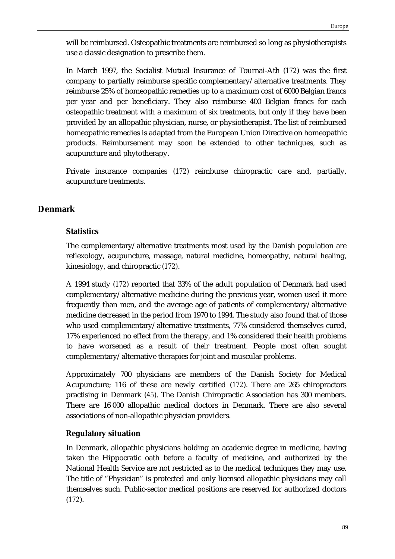will be reimbursed. Osteopathic treatments are reimbursed so long as physiotherapists use a classic designation to prescribe them.

In March 1997, the Socialist Mutual Insurance of Tournai-Ath (*172*) was the first company to partially reimburse specific complementary/alternative treatments. They reimburse 25% of homeopathic remedies up to a maximum cost of 6000 Belgian francs per year and per beneficiary. They also reimburse 400 Belgian francs for each osteopathic treatment with a maximum of six treatments, but only if they have been provided by an allopathic physician, nurse, or physiotherapist. The list of reimbursed homeopathic remedies is adapted from the European Union Directive on homeopathic products. Reimbursement may soon be extended to other techniques, such as acupuncture and phytotherapy.

Private insurance companies (*172*) reimburse chiropractic care and, partially, acupuncture treatments.

# **Denmark**

# **Statistics**

The complementary/alternative treatments most used by the Danish population are reflexology, acupuncture, massage, natural medicine, homeopathy, natural healing, kinesiology, and chiropractic (*172*).

A 1994 study (*172*) reported that 33% of the adult population of Denmark had used complementary/alternative medicine during the previous year, women used it more frequently than men, and the average age of patients of complementary/alternative medicine decreased in the period from 1970 to 1994. The study also found that of those who used complementary/alternative treatments, 77% considered themselves cured, 17% experienced no effect from the therapy, and 1% considered their health problems to have worsened as a result of their treatment. People most often sought complementary/alternative therapies for joint and muscular problems.

Approximately 700 physicians are members of the Danish Society for Medical Acupuncture; 116 of these are newly certified (*172*). There are 265 chiropractors practising in Denmark (*45*). The Danish Chiropractic Association has 300 members. There are 16 000 allopathic medical doctors in Denmark. There are also several associations of non-allopathic physician providers.

# **Regulatory situation**

In Denmark, allopathic physicians holding an academic degree in medicine, having taken the Hippocratic oath before a faculty of medicine, and authorized by the National Health Service are not restricted as to the medical techniques they may use. The title of "Physician" is protected and only licensed allopathic physicians may call themselves such. Public-sector medical positions are reserved for authorized doctors (*172*).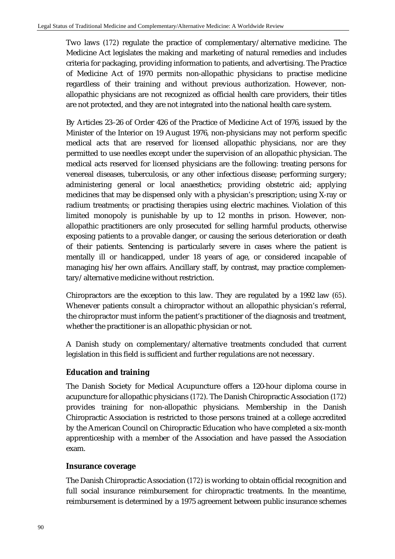Two laws (*172*) regulate the practice of complementary/alternative medicine. The Medicine Act legislates the making and marketing of natural remedies and includes criteria for packaging, providing information to patients, and advertising. The Practice of Medicine Act of 1970 permits non-allopathic physicians to practise medicine regardless of their training and without previous authorization. However, nonallopathic physicians are not recognized as official health care providers, their titles are not protected, and they are not integrated into the national health care system.

By Articles 23–26 of Order 426 of the Practice of Medicine Act of 1976, issued by the Minister of the Interior on 19 August 1976, non-physicians may not perform specific medical acts that are reserved for licensed allopathic physicians, nor are they permitted to use needles except under the supervision of an allopathic physician. The medical acts reserved for licensed physicians are the following: treating persons for venereal diseases, tuberculosis, or any other infectious disease; performing surgery; administering general or local anaesthetics; providing obstetric aid; applying medicines that may be dispensed only with a physician's prescription; using X-ray or radium treatments; or practising therapies using electric machines. Violation of this limited monopoly is punishable by up to 12 months in prison. However, nonallopathic practitioners are only prosecuted for selling harmful products, otherwise exposing patients to a provable danger, or causing the serious deterioration or death of their patients. Sentencing is particularly severe in cases where the patient is mentally ill or handicapped, under 18 years of age, or considered incapable of managing his/her own affairs. Ancillary staff, by contrast, may practice complementary/alternative medicine without restriction.

Chiropractors are the exception to this law. They are regulated by a 1992 law (*65*). Whenever patients consult a chiropractor without an allopathic physician's referral, the chiropractor must inform the patient's practitioner of the diagnosis and treatment, whether the practitioner is an allopathic physician or not.

A Danish study on complementary/alternative treatments concluded that current legislation in this field is sufficient and further regulations are not necessary.

# **Education and training**

The Danish Society for Medical Acupuncture offers a 120-hour diploma course in acupuncture for allopathic physicians (*172*). The Danish Chiropractic Association (*172*) provides training for non-allopathic physicians. Membership in the Danish Chiropractic Association is restricted to those persons trained at a college accredited by the American Council on Chiropractic Education who have completed a six-month apprenticeship with a member of the Association and have passed the Association exam.

# **Insurance coverage**

The Danish Chiropractic Association (*172*) is working to obtain official recognition and full social insurance reimbursement for chiropractic treatments. In the meantime, reimbursement is determined by a 1975 agreement between public insurance schemes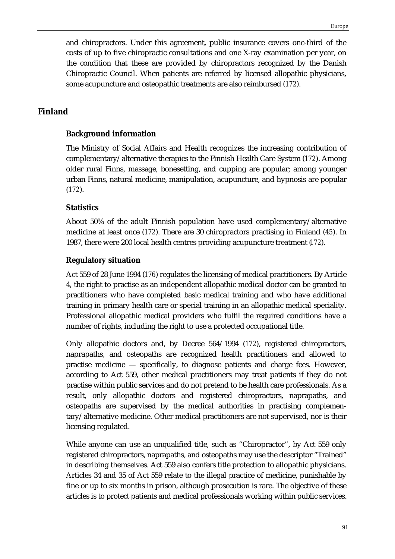and chiropractors. Under this agreement, public insurance covers one-third of the costs of up to five chiropractic consultations and one X-ray examination per year, on the condition that these are provided by chiropractors recognized by the Danish Chiropractic Council. When patients are referred by licensed allopathic physicians, some acupuncture and osteopathic treatments are also reimbursed (*172*).

# **Finland**

# **Background information**

The Ministry of Social Affairs and Health recognizes the increasing contribution of complementary/alternative therapies to the Finnish Health Care System (*172*). Among older rural Finns, massage, bonesetting, and cupping are popular; among younger urban Finns, natural medicine, manipulation, acupuncture, and hypnosis are popular (*172*).

# **Statistics**

About 50% of the adult Finnish population have used complementary/alternative medicine at least once (*172*). There are 30 chiropractors practising in Finland (*45*). In 1987, there were 200 local health centres providing acupuncture treatment (*172*).

# **Regulatory situation**

Act 559 of 28 June 1994 (*176*) regulates the licensing of medical practitioners. By Article 4, the right to practise as an independent allopathic medical doctor can be granted to practitioners who have completed basic medical training and who have additional training in primary health care or special training in an allopathic medical speciality. Professional allopathic medical providers who fulfil the required conditions have a number of rights, including the right to use a protected occupational title.

Only allopathic doctors and, by Decree 564/1994 (*172*), registered chiropractors, naprapaths, and osteopaths are recognized health practitioners and allowed to practise medicine — specifically, to diagnose patients and charge fees. However, according to Act 559, other medical practitioners may treat patients if they do not practise within public services and do not pretend to be health care professionals. As a result, only allopathic doctors and registered chiropractors, naprapaths, and osteopaths are supervised by the medical authorities in practising complementary/alternative medicine. Other medical practitioners are not supervised, nor is their licensing regulated.

While anyone can use an unqualified title, such as "Chiropractor", by Act 559 only registered chiropractors, naprapaths, and osteopaths may use the descriptor "Trained" in describing themselves. Act 559 also confers title protection to allopathic physicians. Articles 34 and 35 of Act 559 relate to the illegal practice of medicine, punishable by fine or up to six months in prison, although prosecution is rare. The objective of these articles is to protect patients and medical professionals working within public services.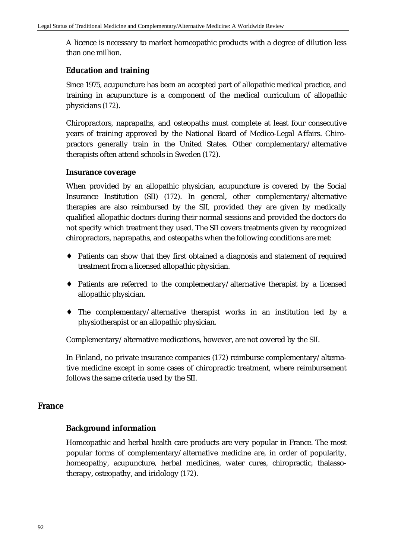A licence is necessary to market homeopathic products with a degree of dilution less than one million.

# **Education and training**

Since 1975, acupuncture has been an accepted part of allopathic medical practice, and training in acupuncture is a component of the medical curriculum of allopathic physicians (*172*).

Chiropractors, naprapaths, and osteopaths must complete at least four consecutive years of training approved by the National Board of Medico-Legal Affairs. Chiropractors generally train in the United States. Other complementary/alternative therapists often attend schools in Sweden (*172*).

## **Insurance coverage**

When provided by an allopathic physician, acupuncture is covered by the Social Insurance Institution (SII) (*172*). In general, other complementary/alternative therapies are also reimbursed by the SII, provided they are given by medically qualified allopathic doctors during their normal sessions and provided the doctors do not specify which treatment they used. The SII covers treatments given by recognized chiropractors, naprapaths, and osteopaths when the following conditions are met:

- ♦ Patients can show that they first obtained a diagnosis and statement of required treatment from a licensed allopathic physician.
- ♦ Patients are referred to the complementary/alternative therapist by a licensed allopathic physician.
- ♦ The complementary/alternative therapist works in an institution led by a physiotherapist or an allopathic physician.

Complementary/alternative medications, however, are not covered by the SII.

In Finland, no private insurance companies (*172*) reimburse complementary/alternative medicine except in some cases of chiropractic treatment, where reimbursement follows the same criteria used by the SII.

## **France**

## **Background information**

Homeopathic and herbal health care products are very popular in France. The most popular forms of complementary/alternative medicine are, in order of popularity, homeopathy, acupuncture, herbal medicines, water cures, chiropractic, thalassotherapy, osteopathy, and iridology (*172*).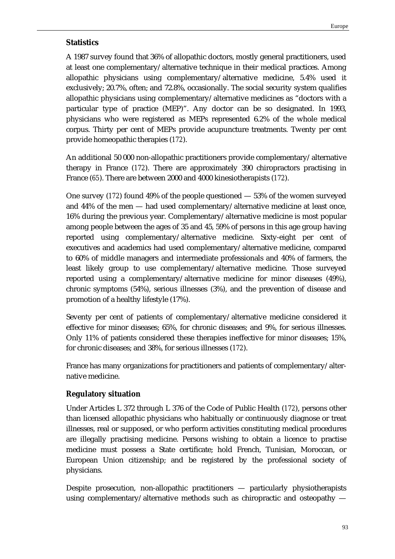# **Statistics**

A 1987 survey found that 36% of allopathic doctors, mostly general practitioners, used at least one complementary/alternative technique in their medical practices. Among allopathic physicians using complementary/alternative medicine, 5.4% used it exclusively; 20.7%, often; and 72.8%, occasionally. The social security system qualifies allopathic physicians using complementary/alternative medicines as "doctors with a particular type of practice (MEP)". Any doctor can be so designated. In 1993, physicians who were registered as MEPs represented 6.2% of the whole medical corpus. Thirty per cent of MEPs provide acupuncture treatments. Twenty per cent provide homeopathic therapies (*172*).

An additional 50 000 non-allopathic practitioners provide complementary/alternative therapy in France (*172*). There are approximately 390 chiropractors practising in France (*65*). There are between 2000 and 4000 kinesiotherapists (*172*).

One survey (*172*) found 49% of the people questioned — 53% of the women surveyed and 44% of the men — had used complementary/alternative medicine at least once, 16% during the previous year. Complementary/alternative medicine is most popular among people between the ages of 35 and 45, 59% of persons in this age group having reported using complementary/alternative medicine. Sixty-eight per cent of executives and academics had used complementary/alternative medicine, compared to 60% of middle managers and intermediate professionals and 40% of farmers, the least likely group to use complementary/alternative medicine. Those surveyed reported using a complementary/alternative medicine for minor diseases (49%), chronic symptoms (54%), serious illnesses (3%), and the prevention of disease and promotion of a healthy lifestyle (17%).

Seventy per cent of patients of complementary/alternative medicine considered it effective for minor diseases; 65%, for chronic diseases; and 9%, for serious illnesses. Only 11% of patients considered these therapies ineffective for minor diseases; 15%, for chronic diseases; and 38%, for serious illnesses (*172*).

France has many organizations for practitioners and patients of complementary/alternative medicine.

# **Regulatory situation**

Under Articles L 372 through L 376 of the Code of Public Health (*172*), persons other than licensed allopathic physicians who habitually or continuously diagnose or treat illnesses, real or supposed, or who perform activities constituting medical procedures are illegally practising medicine. Persons wishing to obtain a licence to practise medicine must possess a State certificate; hold French, Tunisian, Moroccan, or European Union citizenship; and be registered by the professional society of physicians.

Despite prosecution, non-allopathic practitioners — particularly physiotherapists using complementary/alternative methods such as chiropractic and osteopathy —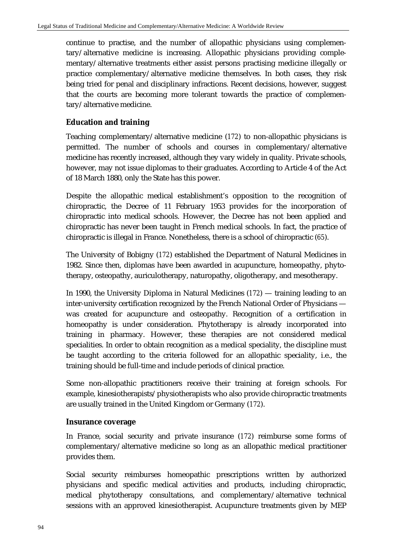continue to practise, and the number of allopathic physicians using complementary/alternative medicine is increasing. Allopathic physicians providing complementary/alternative treatments either assist persons practising medicine illegally or practice complementary/alternative medicine themselves. In both cases, they risk being tried for penal and disciplinary infractions. Recent decisions, however, suggest that the courts are becoming more tolerant towards the practice of complementary/alternative medicine.

# **Education and training**

Teaching complementary/alternative medicine (*172*) to non-allopathic physicians is permitted. The number of schools and courses in complementary/alternative medicine has recently increased, although they vary widely in quality. Private schools, however, may not issue diplomas to their graduates. According to Article 4 of the Act of 18 March 1880, only the State has this power.

Despite the allopathic medical establishment's opposition to the recognition of chiropractic, the Decree of 11 February 1953 provides for the incorporation of chiropractic into medical schools. However, the Decree has not been applied and chiropractic has never been taught in French medical schools. In fact, the practice of chiropractic is illegal in France. Nonetheless, there is a school of chiropractic (*65*).

The University of Bobigny (*172*) established the Department of Natural Medicines in 1982. Since then, diplomas have been awarded in acupuncture, homeopathy, phytotherapy, osteopathy, auriculotherapy, naturopathy, oligotherapy, and mesotherapy.

In 1990, the University Diploma in Natural Medicines (*172*) — training leading to an inter-university certification recognized by the French National Order of Physicians was created for acupuncture and osteopathy. Recognition of a certification in homeopathy is under consideration. Phytotherapy is already incorporated into training in pharmacy. However, these therapies are not considered medical specialities. In order to obtain recognition as a medical speciality, the discipline must be taught according to the criteria followed for an allopathic speciality, i.e., the training should be full-time and include periods of clinical practice.

Some non-allopathic practitioners receive their training at foreign schools. For example, kinesiotherapists/physiotherapists who also provide chiropractic treatments are usually trained in the United Kingdom or Germany (*172*).

# **Insurance coverage**

In France, social security and private insurance (*172*) reimburse some forms of complementary/alternative medicine so long as an allopathic medical practitioner provides them.

Social security reimburses homeopathic prescriptions written by authorized physicians and specific medical activities and products, including chiropractic, medical phytotherapy consultations, and complementary/alternative technical sessions with an approved kinesiotherapist. Acupuncture treatments given by MEP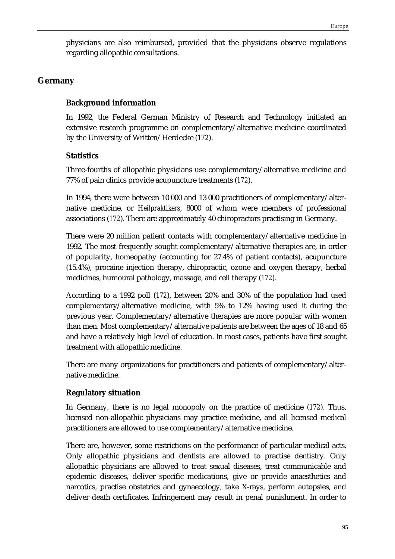physicians are also reimbursed, provided that the physicians observe regulations regarding allopathic consultations.

# **Germany**

# **Background information**

In 1992, the Federal German Ministry of Research and Technology initiated an extensive research programme on complementary/alternative medicine coordinated by the University of Written/Herdecke (*172*).

# **Statistics**

Three-fourths of allopathic physicians use complementary/alternative medicine and 77% of pain clinics provide acupuncture treatments (*172*).

In 1994, there were between 10 000 and 13 000 practitioners of complementary/alternative medicine, or *Heilpraktikers*, 8000 of whom were members of professional associations (*172*). There are approximately 40 chiropractors practising in Germany.

There were 20 million patient contacts with complementary/alternative medicine in 1992. The most frequently sought complementary/alternative therapies are, in order of popularity, homeopathy (accounting for 27.4% of patient contacts), acupuncture (15.4%), procaine injection therapy, chiropractic, ozone and oxygen therapy, herbal medicines, humoural pathology, massage, and cell therapy (*172*).

According to a 1992 poll (*172*), between 20% and 30% of the population had used complementary/alternative medicine, with 5% to 12% having used it during the previous year. Complementary/alternative therapies are more popular with women than men. Most complementary/alternative patients are between the ages of 18 and 65 and have a relatively high level of education. In most cases, patients have first sought treatment with allopathic medicine.

There are many organizations for practitioners and patients of complementary/alternative medicine.

# **Regulatory situation**

In Germany, there is no legal monopoly on the practice of medicine (*172*). Thus, licensed non-allopathic physicians may practice medicine, and all licensed medical practitioners are allowed to use complementary/alternative medicine.

There are, however, some restrictions on the performance of particular medical acts. Only allopathic physicians and dentists are allowed to practise dentistry. Only allopathic physicians are allowed to treat sexual diseases, treat communicable and epidemic diseases, deliver specific medications, give or provide anaesthetics and narcotics, practise obstetrics and gynaecology, take X-rays, perform autopsies, and deliver death certificates. Infringement may result in penal punishment. In order to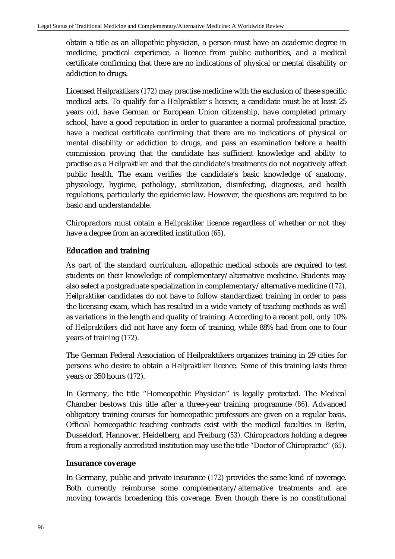obtain a title as an allopathic physician, a person must have an academic degree in medicine, practical experience, a licence from public authorities, and a medical certificate confirming that there are no indications of physical or mental disability or addiction to drugs.

Licensed *Heilpraktikers* (*172*) may practise medicine with the exclusion of these specific medical acts. To qualify for a *Heilpraktiker's* licence, a candidate must be at least 25 years old, have German or European Union citizenship, have completed primary school, have a good reputation in order to guarantee a normal professional practice, have a medical certificate confirming that there are no indications of physical or mental disability or addiction to drugs, and pass an examination before a health commission proving that the candidate has sufficient knowledge and ability to practise as a *Heilpraktiker* and that the candidate's treatments do not negatively affect public health. The exam verifies the candidate's basic knowledge of anatomy, physiology, hygiene, pathology, sterilization, disinfecting, diagnosis, and health regulations, particularly the epidemic law. However, the questions are required to be basic and understandable.

Chiropractors must obtain a *Heilpraktiker* licence regardless of whether or not they have a degree from an accredited institution (*65*).

# **Education and training**

As part of the standard curriculum, allopathic medical schools are required to test students on their knowledge of complementary/alternative medicine. Students may also select a postgraduate specialization in complementary/alternative medicine (*172*). *Heilpraktiker* candidates do not have to follow standardized training in order to pass the licensing exam, which has resulted in a wide variety of teaching methods as well as variations in the length and quality of training. According to a recent poll, only 10% of *Heilpraktikers* did not have any form of training, while 88% had from one to four years of training (*172*).

The German Federal Association of Heilpraktikers organizes training in 29 cities for persons who desire to obtain a *Heilpraktiker* licence. Some of this training lasts three years or 350 hours (*172*).

In Germany, the title "Homeopathic Physician" is legally protected. The Medical Chamber bestows this title after a three-year training programme (*86*). Advanced obligatory training courses for homeopathic professors are given on a regular basis. Official homeopathic teaching contracts exist with the medical faculties in Berlin, Dusseldorf, Hannover, Heidelberg, and Freiburg (*53*). Chiropractors holding a degree from a regionally accredited institution may use the title "Doctor of Chiropractic" (*65*).

## **Insurance coverage**

In Germany, public and private insurance (*172*) provides the same kind of coverage. Both currently reimburse some complementary/alternative treatments and are moving towards broadening this coverage. Even though there is no constitutional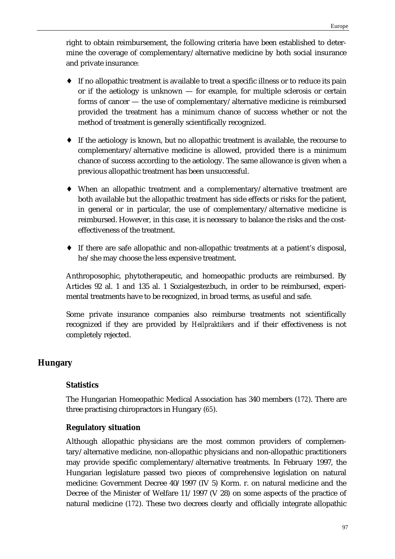right to obtain reimbursement, the following criteria have been established to determine the coverage of complementary/alternative medicine by both social insurance and private insurance:

- ♦ If no allopathic treatment is available to treat a specific illness or to reduce its pain or if the aetiology is unknown  $-$  for example, for multiple sclerosis or certain forms of cancer — the use of complementary/alternative medicine is reimbursed provided the treatment has a minimum chance of success whether or not the method of treatment is generally scientifically recognized.
- ♦ If the aetiology is known, but no allopathic treatment is available, the recourse to complementary/alternative medicine is allowed, provided there is a minimum chance of success according to the aetiology. The same allowance is given when a previous allopathic treatment has been unsuccessful.
- ♦ When an allopathic treatment and a complementary/alternative treatment are both available but the allopathic treatment has side effects or risks for the patient, in general or in particular, the use of complementary/alternative medicine is reimbursed. However, in this case, it is necessary to balance the risks and the costeffectiveness of the treatment.
- ♦ If there are safe allopathic and non-allopathic treatments at a patient's disposal, he/she may choose the less expensive treatment.

Anthroposophic, phytotherapeutic, and homeopathic products are reimbursed. By Articles 92 al. 1 and 135 al. 1 Sozialgestezbuch, in order to be reimbursed, experimental treatments have to be recognized, in broad terms, as useful and safe.

Some private insurance companies also reimburse treatments not scientifically recognized if they are provided by *Heilpraktikers* and if their effectiveness is not completely rejected.

# **Hungary**

# **Statistics**

The Hungarian Homeopathic Medical Association has 340 members (*172*). There are three practising chiropractors in Hungary (*65*).

# **Regulatory situation**

Although allopathic physicians are the most common providers of complementary/alternative medicine, non-allopathic physicians and non-allopathic practitioners may provide specific complementary/alternative treatments. In February 1997, the Hungarian legislature passed two pieces of comprehensive legislation on natural medicine: Government Decree 40/1997 (IV 5) Korm. r. on natural medicine and the Decree of the Minister of Welfare 11/1997 (V 28) on some aspects of the practice of natural medicine (*172*). These two decrees clearly and officially integrate allopathic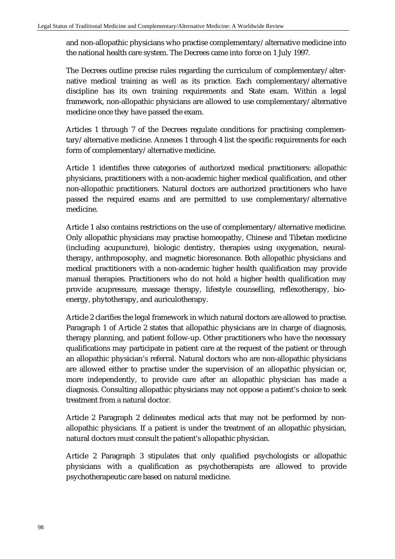and non-allopathic physicians who practise complementary/alternative medicine into the national health care system. The Decrees came into force on 1 July 1997.

The Decrees outline precise rules regarding the curriculum of complementary/alternative medical training as well as its practice. Each complementary/alternative discipline has its own training requirements and State exam. Within a legal framework, non-allopathic physicians are allowed to use complementary/alternative medicine once they have passed the exam.

Articles 1 through 7 of the Decrees regulate conditions for practising complementary/alternative medicine. Annexes 1 through 4 list the specific requirements for each form of complementary/alternative medicine.

Article 1 identifies three categories of authorized medical practitioners: allopathic physicians, practitioners with a non-academic higher medical qualification, and other non-allopathic practitioners. Natural doctors are authorized practitioners who have passed the required exams and are permitted to use complementary/alternative medicine.

Article 1 also contains restrictions on the use of complementary/alternative medicine. Only allopathic physicians may practise homeopathy, Chinese and Tibetan medicine (including acupuncture), biologic dentistry, therapies using oxygenation, neuraltherapy, anthroposophy, and magnetic bioresonance. Both allopathic physicians and medical practitioners with a non-academic higher health qualification may provide manual therapies. Practitioners who do not hold a higher health qualification may provide acupressure, massage therapy, lifestyle counselling, reflexotherapy, bioenergy, phytotherapy, and auriculotherapy.

Article 2 clarifies the legal framework in which natural doctors are allowed to practise. Paragraph 1 of Article 2 states that allopathic physicians are in charge of diagnosis, therapy planning, and patient follow-up. Other practitioners who have the necessary qualifications may participate in patient care at the request of the patient or through an allopathic physician's referral. Natural doctors who are non-allopathic physicians are allowed either to practise under the supervision of an allopathic physician or, more independently, to provide care after an allopathic physician has made a diagnosis. Consulting allopathic physicians may not oppose a patient's choice to seek treatment from a natural doctor.

Article 2 Paragraph 2 delineates medical acts that may not be performed by nonallopathic physicians. If a patient is under the treatment of an allopathic physician, natural doctors must consult the patient's allopathic physician.

Article 2 Paragraph 3 stipulates that only qualified psychologists or allopathic physicians with a qualification as psychotherapists are allowed to provide psychotherapeutic care based on natural medicine.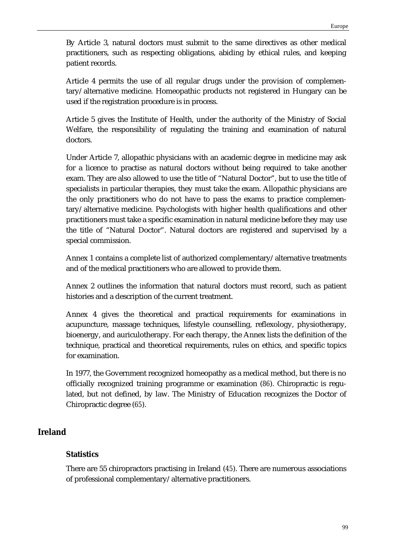By Article 3, natural doctors must submit to the same directives as other medical practitioners, such as respecting obligations, abiding by ethical rules, and keeping patient records.

Article 4 permits the use of all regular drugs under the provision of complementary/alternative medicine. Homeopathic products not registered in Hungary can be used if the registration procedure is in process.

Article 5 gives the Institute of Health, under the authority of the Ministry of Social Welfare, the responsibility of regulating the training and examination of natural doctors.

Under Article 7, allopathic physicians with an academic degree in medicine may ask for a licence to practise as natural doctors without being required to take another exam. They are also allowed to use the title of "Natural Doctor", but to use the title of specialists in particular therapies, they must take the exam. Allopathic physicians are the only practitioners who do not have to pass the exams to practice complementary/alternative medicine. Psychologists with higher health qualifications and other practitioners must take a specific examination in natural medicine before they may use the title of "Natural Doctor". Natural doctors are registered and supervised by a special commission.

Annex 1 contains a complete list of authorized complementary/alternative treatments and of the medical practitioners who are allowed to provide them.

Annex 2 outlines the information that natural doctors must record, such as patient histories and a description of the current treatment.

Annex 4 gives the theoretical and practical requirements for examinations in acupuncture, massage techniques, lifestyle counselling, reflexology, physiotherapy, bioenergy, and auriculotherapy. For each therapy, the Annex lists the definition of the technique, practical and theoretical requirements, rules on ethics, and specific topics for examination.

In 1977, the Government recognized homeopathy as a medical method, but there is no officially recognized training programme or examination (*86*). Chiropractic is regulated, but not defined, by law. The Ministry of Education recognizes the Doctor of Chiropractic degree (*65*).

# **Ireland**

## **Statistics**

There are 55 chiropractors practising in Ireland (*45*). There are numerous associations of professional complementary/alternative practitioners.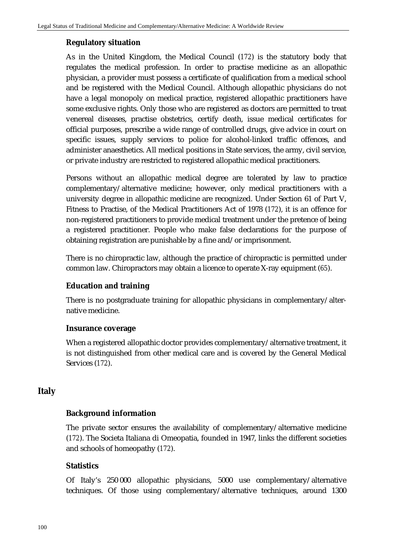#### **Regulatory situation**

As in the United Kingdom, the Medical Council (*172*) is the statutory body that regulates the medical profession. In order to practise medicine as an allopathic physician, a provider must possess a certificate of qualification from a medical school and be registered with the Medical Council. Although allopathic physicians do not have a legal monopoly on medical practice, registered allopathic practitioners have some exclusive rights. Only those who are registered as doctors are permitted to treat venereal diseases, practise obstetrics, certify death, issue medical certificates for official purposes, prescribe a wide range of controlled drugs, give advice in court on specific issues, supply services to police for alcohol-linked traffic offences, and administer anaesthetics. All medical positions in State services, the army, civil service, or private industry are restricted to registered allopathic medical practitioners.

Persons without an allopathic medical degree are tolerated by law to practice complementary/alternative medicine; however, only medical practitioners with a university degree in allopathic medicine are recognized. Under Section 61 of Part V, Fitness to Practise, of the Medical Practitioners Act of 1978 (*172*), it is an offence for non-registered practitioners to provide medical treatment under the pretence of being a registered practitioner. People who make false declarations for the purpose of obtaining registration are punishable by a fine and/or imprisonment.

There is no chiropractic law, although the practice of chiropractic is permitted under common law. Chiropractors may obtain a licence to operate X-ray equipment (*65*).

## **Education and training**

There is no postgraduate training for allopathic physicians in complementary/alternative medicine.

#### **Insurance coverage**

When a registered allopathic doctor provides complementary/alternative treatment, it is not distinguished from other medical care and is covered by the General Medical Services (*172*).

## **Italy**

#### **Background information**

The private sector ensures the availability of complementary/alternative medicine (*172*). The Societa Italiana di Omeopatia, founded in 1947, links the different societies and schools of homeopathy (*172*).

#### **Statistics**

Of Italy's 250 000 allopathic physicians, 5000 use complementary/alternative techniques. Of those using complementary/alternative techniques, around 1300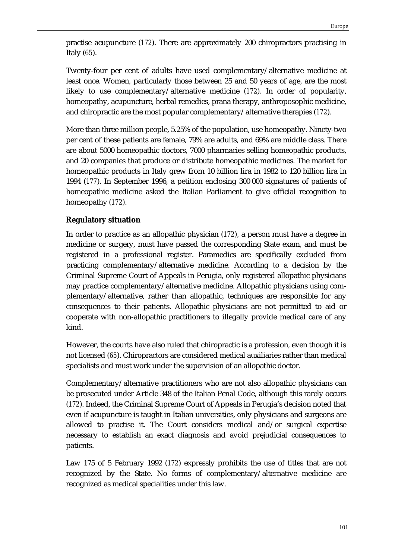practise acupuncture (*172*). There are approximately 200 chiropractors practising in Italy (*65*).

Twenty-four per cent of adults have used complementary/alternative medicine at least once. Women, particularly those between 25 and 50 years of age, are the most likely to use complementary/alternative medicine (*172*). In order of popularity, homeopathy, acupuncture, herbal remedies, prana therapy, anthroposophic medicine, and chiropractic are the most popular complementary/alternative therapies (*172*).

More than three million people, 5.25% of the population, use homeopathy. Ninety-two per cent of these patients are female, 79% are adults, and 69% are middle class. There are about 5000 homeopathic doctors, 7000 pharmacies selling homeopathic products, and 20 companies that produce or distribute homeopathic medicines. The market for homeopathic products in Italy grew from 10 billion lira in 1982 to 120 billion lira in 1994 (*177*). In September 1996, a petition enclosing 300 000 signatures of patients of homeopathic medicine asked the Italian Parliament to give official recognition to homeopathy (*172*).

## **Regulatory situation**

In order to practice as an allopathic physician (*172*), a person must have a degree in medicine or surgery, must have passed the corresponding State exam, and must be registered in a professional register. Paramedics are specifically excluded from practicing complementary/alternative medicine. According to a decision by the Criminal Supreme Court of Appeals in Perugia, only registered allopathic physicians may practice complementary/alternative medicine. Allopathic physicians using complementary/alternative, rather than allopathic, techniques are responsible for any consequences to their patients. Allopathic physicians are not permitted to aid or cooperate with non-allopathic practitioners to illegally provide medical care of any kind.

However, the courts have also ruled that chiropractic is a profession, even though it is not licensed (*65*). Chiropractors are considered medical auxiliaries rather than medical specialists and must work under the supervision of an allopathic doctor.

Complementary/alternative practitioners who are not also allopathic physicians can be prosecuted under Article 348 of the Italian Penal Code, although this rarely occurs (*172*). Indeed, the Criminal Supreme Court of Appeals in Perugia's decision noted that even if acupuncture is taught in Italian universities, only physicians and surgeons are allowed to practise it. The Court considers medical and/or surgical expertise necessary to establish an exact diagnosis and avoid prejudicial consequences to patients.

Law 175 of 5 February 1992 (*172*) expressly prohibits the use of titles that are not recognized by the State. No forms of complementary/alternative medicine are recognized as medical specialities under this law.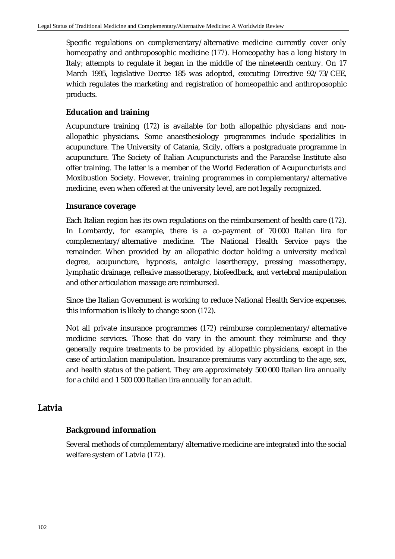Specific regulations on complementary/alternative medicine currently cover only homeopathy and anthroposophic medicine (*177*). Homeopathy has a long history in Italy; attempts to regulate it began in the middle of the nineteenth century. On 17 March 1995, legislative Decree 185 was adopted, executing Directive 92/73/CEE, which regulates the marketing and registration of homeopathic and anthroposophic products.

# **Education and training**

Acupuncture training (*172*) is available for both allopathic physicians and nonallopathic physicians. Some anaesthesiology programmes include specialities in acupuncture. The University of Catania, Sicily, offers a postgraduate programme in acupuncture. The Society of Italian Acupuncturists and the Paracelse Institute also offer training. The latter is a member of the World Federation of Acupuncturists and Moxibustion Society. However, training programmes in complementary/alternative medicine, even when offered at the university level, are not legally recognized.

## **Insurance coverage**

Each Italian region has its own regulations on the reimbursement of health care (*172*). In Lombardy, for example, there is a co-payment of 70 000 Italian lira for complementary/alternative medicine. The National Health Service pays the remainder. When provided by an allopathic doctor holding a university medical degree, acupuncture, hypnosis, antalgic lasertherapy, pressing massotherapy, lymphatic drainage, reflexive massotherapy, biofeedback, and vertebral manipulation and other articulation massage are reimbursed.

Since the Italian Government is working to reduce National Health Service expenses, this information is likely to change soon (*172*).

Not all private insurance programmes (*172*) reimburse complementary/alternative medicine services. Those that do vary in the amount they reimburse and they generally require treatments to be provided by allopathic physicians, except in the case of articulation manipulation. Insurance premiums vary according to the age, sex, and health status of the patient. They are approximately 500 000 Italian lira annually for a child and 1 500 000 Italian lira annually for an adult.

## **Latvia**

## **Background information**

Several methods of complementary/alternative medicine are integrated into the social welfare system of Latvia (*172*).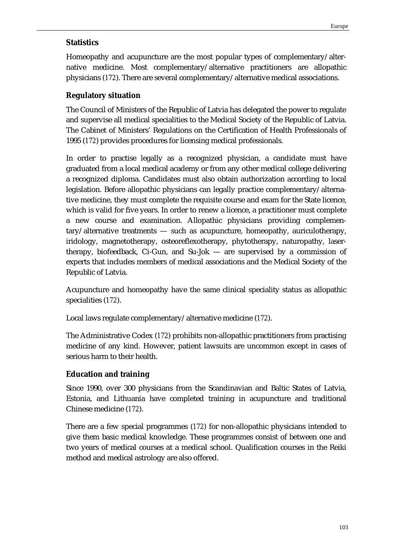#### **Statistics**

Homeopathy and acupuncture are the most popular types of complementary/alternative medicine. Most complementary/alternative practitioners are allopathic physicians (*172*). There are several complementary/alternative medical associations.

## **Regulatory situation**

The Council of Ministers of the Republic of Latvia has delegated the power to regulate and supervise all medical specialities to the Medical Society of the Republic of Latvia. The Cabinet of Ministers' Regulations on the Certification of Health Professionals of 1995 (*172*) provides procedures for licensing medical professionals.

In order to practise legally as a recognized physician, a candidate must have graduated from a local medical academy or from any other medical college delivering a recognized diploma. Candidates must also obtain authorization according to local legislation. Before allopathic physicians can legally practice complementary/alternative medicine, they must complete the requisite course and exam for the State licence, which is valid for five years. In order to renew a licence, a practitioner must complete a new course and examination. Allopathic physicians providing complementary/alternative treatments — such as acupuncture, homeopathy, auriculotherapy, iridology, magnetotherapy, osteoreflexotherapy, phytotherapy, naturopathy, lasertherapy, biofeedback, Ci-Gun, and Su-Jok — are supervised by a commission of experts that includes members of medical associations and the Medical Society of the Republic of Latvia.

Acupuncture and homeopathy have the same clinical speciality status as allopathic specialities (*172*).

Local laws regulate complementary/alternative medicine (*172*).

The Administrative Codex (*172*) prohibits non-allopathic practitioners from practising medicine of any kind. However, patient lawsuits are uncommon except in cases of serious harm to their health.

#### **Education and training**

Since 1990, over 300 physicians from the Scandinavian and Baltic States of Latvia, Estonia, and Lithuania have completed training in acupuncture and traditional Chinese medicine (*172*).

There are a few special programmes (*172*) for non-allopathic physicians intended to give them basic medical knowledge. These programmes consist of between one and two years of medical courses at a medical school. Qualification courses in the Reiki method and medical astrology are also offered.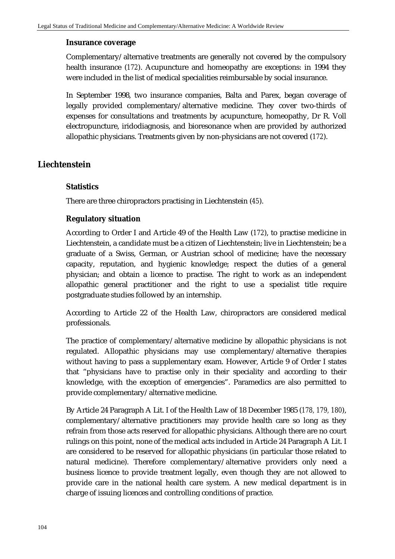#### **Insurance coverage**

Complementary/alternative treatments are generally not covered by the compulsory health insurance (*172*). Acupuncture and homeopathy are exceptions: in 1994 they were included in the list of medical specialities reimbursable by social insurance.

In September 1998, two insurance companies, Balta and Parex, began coverage of legally provided complementary/alternative medicine. They cover two-thirds of expenses for consultations and treatments by acupuncture, homeopathy, Dr R. Voll electropuncture, iridodiagnosis, and bioresonance when are provided by authorized allopathic physicians. Treatments given by non-physicians are not covered (*172*).

## **Liechtenstein**

## **Statistics**

There are three chiropractors practising in Liechtenstein (*45*).

## **Regulatory situation**

According to Order I and Article 49 of the Health Law (*172*), to practise medicine in Liechtenstein, a candidate must be a citizen of Liechtenstein; live in Liechtenstein; be a graduate of a Swiss, German, or Austrian school of medicine; have the necessary capacity, reputation, and hygienic knowledge; respect the duties of a general physician; and obtain a licence to practise. The right to work as an independent allopathic general practitioner and the right to use a specialist title require postgraduate studies followed by an internship.

According to Article 22 of the Health Law, chiropractors are considered medical professionals.

The practice of complementary/alternative medicine by allopathic physicians is not regulated. Allopathic physicians may use complementary/alternative therapies without having to pass a supplementary exam. However, Article 9 of Order I states that "physicians have to practise only in their speciality and according to their knowledge, with the exception of emergencies". Paramedics are also permitted to provide complementary/alternative medicine.

By Article 24 Paragraph A Lit. I of the Health Law of 18 December 1985 (*178, 179, 180*), complementary/alternative practitioners may provide health care so long as they refrain from those acts reserved for allopathic physicians. Although there are no court rulings on this point, none of the medical acts included in Article 24 Paragraph A Lit. I are considered to be reserved for allopathic physicians (in particular those related to natural medicine). Therefore complementary/alternative providers only need a business licence to provide treatment legally, even though they are not allowed to provide care in the national health care system. A new medical department is in charge of issuing licences and controlling conditions of practice.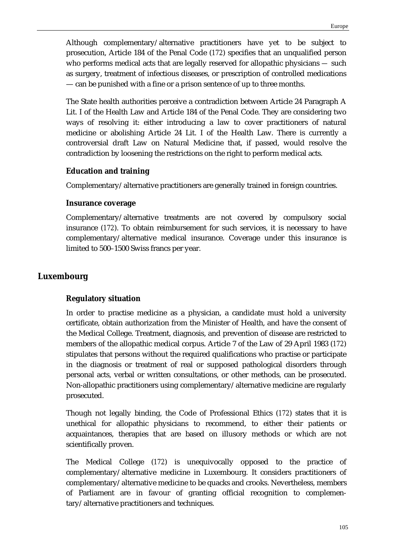Although complementary/alternative practitioners have yet to be subject to prosecution, Article 184 of the Penal Code (*172*) specifies that an unqualified person who performs medical acts that are legally reserved for allopathic physicians *—* such as surgery, treatment of infectious diseases, or prescription of controlled medications — can be punished with a fine or a prison sentence of up to three months.

The State health authorities perceive a contradiction between Article 24 Paragraph A Lit. I of the Health Law and Article 184 of the Penal Code. They are considering two ways of resolving it: either introducing a law to cover practitioners of natural medicine or abolishing Article 24 Lit. I of the Health Law. There is currently a controversial draft Law on Natural Medicine that, if passed, would resolve the contradiction by loosening the restrictions on the right to perform medical acts.

## **Education and training**

Complementary/alternative practitioners are generally trained in foreign countries.

## **Insurance coverage**

Complementary/alternative treatments are not covered by compulsory social insurance (*172*). To obtain reimbursement for such services, it is necessary to have complementary/alternative medical insurance. Coverage under this insurance is limited to 500–1500 Swiss francs per year.

# **Luxembourg**

## **Regulatory situation**

In order to practise medicine as a physician, a candidate must hold a university certificate, obtain authorization from the Minister of Health, and have the consent of the Medical College. Treatment, diagnosis, and prevention of disease are restricted to members of the allopathic medical corpus. Article 7 of the Law of 29 April 1983 (*172*) stipulates that persons without the required qualifications who practise or participate in the diagnosis or treatment of real or supposed pathological disorders through personal acts, verbal or written consultations, or other methods, can be prosecuted. Non-allopathic practitioners using complementary/alternative medicine are regularly prosecuted.

Though not legally binding, the Code of Professional Ethics (*172*) states that it is unethical for allopathic physicians to recommend, to either their patients or acquaintances, therapies that are based on illusory methods or which are not scientifically proven.

The Medical College (*172*) is unequivocally opposed to the practice of complementary/alternative medicine in Luxembourg. It considers practitioners of complementary/alternative medicine to be quacks and crooks. Nevertheless, members of Parliament are in favour of granting official recognition to complementary/alternative practitioners and techniques.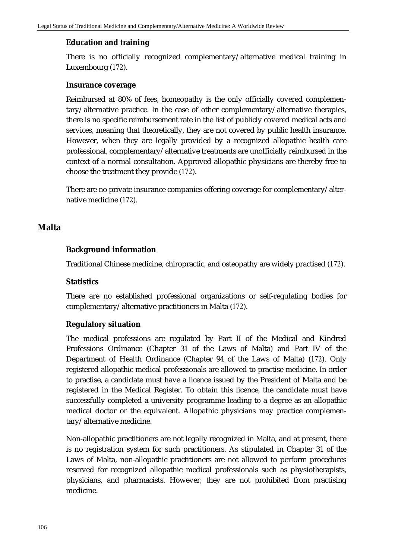## **Education and training**

There is no officially recognized complementary/alternative medical training in Luxembourg (*172*).

#### **Insurance coverage**

Reimbursed at 80% of fees, homeopathy is the only officially covered complementary/alternative practice. In the case of other complementary/alternative therapies, there is no specific reimbursement rate in the list of publicly covered medical acts and services, meaning that theoretically, they are not covered by public health insurance. However, when they are legally provided by a recognized allopathic health care professional, complementary/alternative treatments are unofficially reimbursed in the context of a normal consultation. Approved allopathic physicians are thereby free to choose the treatment they provide (*172*).

There are no private insurance companies offering coverage for complementary/alternative medicine (*172*).

## **Malta**

## **Background information**

Traditional Chinese medicine, chiropractic, and osteopathy are widely practised (*172*).

#### **Statistics**

There are no established professional organizations or self-regulating bodies for complementary/alternative practitioners in Malta (*172*).

#### **Regulatory situation**

The medical professions are regulated by Part II of the Medical and Kindred Professions Ordinance (Chapter 31 of the Laws of Malta) and Part IV of the Department of Health Ordinance (Chapter 94 of the Laws of Malta) (*172*). Only registered allopathic medical professionals are allowed to practise medicine. In order to practise, a candidate must have a licence issued by the President of Malta and be registered in the Medical Register. To obtain this licence, the candidate must have successfully completed a university programme leading to a degree as an allopathic medical doctor or the equivalent. Allopathic physicians may practice complementary/alternative medicine.

Non-allopathic practitioners are not legally recognized in Malta, and at present, there is no registration system for such practitioners. As stipulated in Chapter 31 of the Laws of Malta, non-allopathic practitioners are not allowed to perform procedures reserved for recognized allopathic medical professionals such as physiotherapists, physicians, and pharmacists. However, they are not prohibited from practising medicine.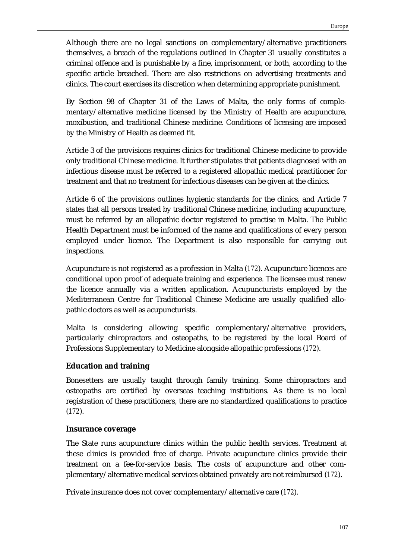Although there are no legal sanctions on complementary/alternative practitioners themselves, a breach of the regulations outlined in Chapter 31 usually constitutes a criminal offence and is punishable by a fine, imprisonment, or both, according to the specific article breached. There are also restrictions on advertising treatments and clinics. The court exercises its discretion when determining appropriate punishment.

By Section 98 of Chapter 31 of the Laws of Malta, the only forms of complementary/alternative medicine licensed by the Ministry of Health are acupuncture, moxibustion, and traditional Chinese medicine. Conditions of licensing are imposed by the Ministry of Health as deemed fit.

Article 3 of the provisions requires clinics for traditional Chinese medicine to provide only traditional Chinese medicine. It further stipulates that patients diagnosed with an infectious disease must be referred to a registered allopathic medical practitioner for treatment and that no treatment for infectious diseases can be given at the clinics.

Article 6 of the provisions outlines hygienic standards for the clinics, and Article 7 states that all persons treated by traditional Chinese medicine, including acupuncture, must be referred by an allopathic doctor registered to practise in Malta. The Public Health Department must be informed of the name and qualifications of every person employed under licence. The Department is also responsible for carrying out inspections.

Acupuncture is not registered as a profession in Malta (*172*). Acupuncture licences are conditional upon proof of adequate training and experience. The licensee must renew the licence annually via a written application. Acupuncturists employed by the Mediterranean Centre for Traditional Chinese Medicine are usually qualified allopathic doctors as well as acupuncturists.

Malta is considering allowing specific complementary/alternative providers, particularly chiropractors and osteopaths, to be registered by the local Board of Professions Supplementary to Medicine alongside allopathic professions (*172*).

## **Education and training**

Bonesetters are usually taught through family training. Some chiropractors and osteopaths are certified by overseas teaching institutions. As there is no local registration of these practitioners, there are no standardized qualifications to practice (*172*).

## **Insurance coverage**

The State runs acupuncture clinics within the public health services. Treatment at these clinics is provided free of charge. Private acupuncture clinics provide their treatment on a fee-for-service basis. The costs of acupuncture and other complementary/alternative medical services obtained privately are not reimbursed (*172*).

Private insurance does not cover complementary/alternative care (*172*).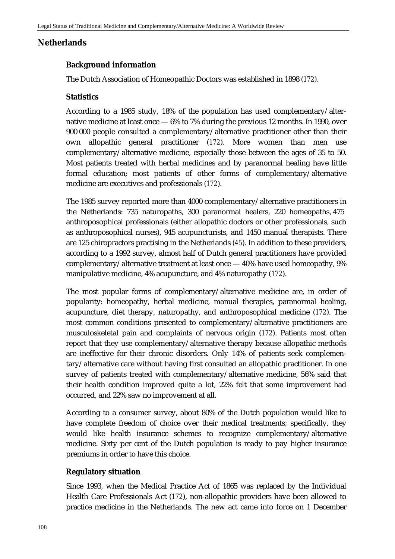# **Netherlands**

## **Background information**

The Dutch Association of Homeopathic Doctors was established in 1898 (*172*).

## **Statistics**

According to a 1985 study, 18% of the population has used complementary/alternative medicine at least once — 6% to 7% during the previous 12 months. In 1990, over 900 000 people consulted a complementary/alternative practitioner other than their own allopathic general practitioner (*172*). More women than men use complementary/alternative medicine, especially those between the ages of 35 to 50. Most patients treated with herbal medicines and by paranormal healing have little formal education; most patients of other forms of complementary/alternative medicine are executives and professionals (*172*).

The 1985 survey reported more than 4000 complementary/alternative practitioners in the Netherlands: 735 naturopaths, 300 paranormal healers, 220 homeopaths, 475 anthroposophical professionals (either allopathic doctors or other professionals, such as anthroposophical nurses), 945 acupuncturists, and 1450 manual therapists. There are 125 chiropractors practising in the Netherlands (*45*). In addition to these providers, according to a 1992 survey, almost half of Dutch general practitioners have provided complementary/alternative treatment at least once — 40% have used homeopathy, 9% manipulative medicine, 4% acupuncture, and 4% naturopathy (*172*).

The most popular forms of complementary/alternative medicine are, in order of popularity: homeopathy, herbal medicine, manual therapies, paranormal healing, acupuncture, diet therapy, naturopathy, and anthroposophical medicine (*172*). The most common conditions presented to complementary/alternative practitioners are musculoskeletal pain and complaints of nervous origin (*172*). Patients most often report that they use complementary/alternative therapy because allopathic methods are ineffective for their chronic disorders. Only 14% of patients seek complementary/alternative care without having first consulted an allopathic practitioner. In one survey of patients treated with complementary/alternative medicine, 56% said that their health condition improved quite a lot, 22% felt that some improvement had occurred, and 22% saw no improvement at all.

According to a consumer survey, about 80% of the Dutch population would like to have complete freedom of choice over their medical treatments; specifically, they would like health insurance schemes to recognize complementary/alternative medicine. Sixty per cent of the Dutch population is ready to pay higher insurance premiums in order to have this choice.

## **Regulatory situation**

Since 1993, when the Medical Practice Act of 1865 was replaced by the Individual Health Care Professionals Act (*172*), non-allopathic providers have been allowed to practice medicine in the Netherlands. The new act came into force on 1 December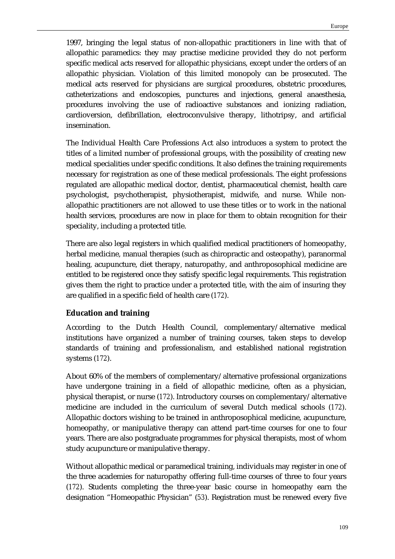1997, bringing the legal status of non-allopathic practitioners in line with that of allopathic paramedics: they may practise medicine provided they do not perform specific medical acts reserved for allopathic physicians, except under the orders of an allopathic physician. Violation of this limited monopoly can be prosecuted. The medical acts reserved for physicians are surgical procedures, obstetric procedures, catheterizations and endoscopies, punctures and injections, general anaesthesia, procedures involving the use of radioactive substances and ionizing radiation, cardioversion, defibrillation, electroconvulsive therapy, lithotripsy, and artificial insemination.

The Individual Health Care Professions Act also introduces a system to protect the titles of a limited number of professional groups, with the possibility of creating new medical specialities under specific conditions. It also defines the training requirements necessary for registration as one of these medical professionals. The eight professions regulated are allopathic medical doctor, dentist, pharmaceutical chemist, health care psychologist, psychotherapist, physiotherapist, midwife, and nurse. While nonallopathic practitioners are not allowed to use these titles or to work in the national health services, procedures are now in place for them to obtain recognition for their speciality, including a protected title.

There are also legal registers in which qualified medical practitioners of homeopathy, herbal medicine, manual therapies (such as chiropractic and osteopathy), paranormal healing, acupuncture, diet therapy, naturopathy, and anthroposophical medicine are entitled to be registered once they satisfy specific legal requirements. This registration gives them the right to practice under a protected title, with the aim of insuring they are qualified in a specific field of health care (*172*).

## **Education and training**

According to the Dutch Health Council, complementary/alternative medical institutions have organized a number of training courses, taken steps to develop standards of training and professionalism, and established national registration systems (*172*).

About 60% of the members of complementary/alternative professional organizations have undergone training in a field of allopathic medicine, often as a physician, physical therapist, or nurse (*172*). Introductory courses on complementary/alternative medicine are included in the curriculum of several Dutch medical schools (*172*). Allopathic doctors wishing to be trained in anthroposophical medicine, acupuncture, homeopathy, or manipulative therapy can attend part-time courses for one to four years. There are also postgraduate programmes for physical therapists, most of whom study acupuncture or manipulative therapy.

Without allopathic medical or paramedical training, individuals may register in one of the three academies for naturopathy offering full-time courses of three to four years (*172*). Students completing the three-year basic course in homeopathy earn the designation "Homeopathic Physician" (*53*). Registration must be renewed every five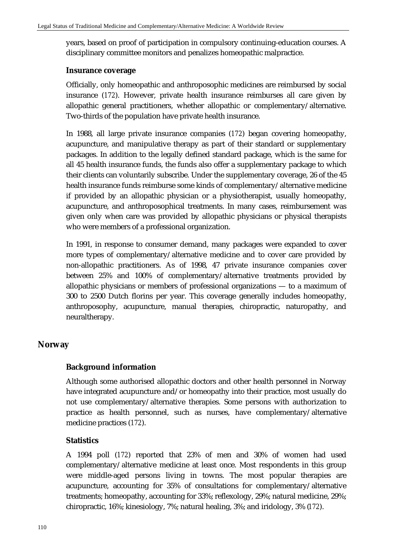years, based on proof of participation in compulsory continuing-education courses. A disciplinary committee monitors and penalizes homeopathic malpractice.

#### **Insurance coverage**

Officially, only homeopathic and anthroposophic medicines are reimbursed by social insurance (*172*). However, private health insurance reimburses all care given by allopathic general practitioners, whether allopathic or complementary/alternative. Two-thirds of the population have private health insurance.

In 1988, all large private insurance companies (*172*) began covering homeopathy, acupuncture, and manipulative therapy as part of their standard or supplementary packages. In addition to the legally defined standard package, which is the same for all 45 health insurance funds, the funds also offer a supplementary package to which their clients can voluntarily subscribe. Under the supplementary coverage, 26 of the 45 health insurance funds reimburse some kinds of complementary/alternative medicine if provided by an allopathic physician or a physiotherapist, usually homeopathy, acupuncture, and anthroposophical treatments. In many cases, reimbursement was given only when care was provided by allopathic physicians or physical therapists who were members of a professional organization.

In 1991, in response to consumer demand, many packages were expanded to cover more types of complementary/alternative medicine and to cover care provided by non-allopathic practitioners. As of 1998, 47 private insurance companies cover between 25% and 100% of complementary/alternative treatments provided by allopathic physicians or members of professional organizations — to a maximum of 300 to 2500 Dutch florins per year. This coverage generally includes homeopathy, anthroposophy, acupuncture, manual therapies, chiropractic, naturopathy, and neuraltherapy.

## **Norway**

## **Background information**

Although some authorised allopathic doctors and other health personnel in Norway have integrated acupuncture and/or homeopathy into their practice, most usually do not use complementary/alternative therapies. Some persons with authorization to practice as health personnel, such as nurses, have complementary/alternative medicine practices (*172*).

## **Statistics**

A 1994 poll (*172*) reported that 23% of men and 30% of women had used complementary/alternative medicine at least once. Most respondents in this group were middle-aged persons living in towns. The most popular therapies are acupuncture, accounting for 35% of consultations for complementary/alternative treatments; homeopathy, accounting for 33%; reflexology, 29%; natural medicine, 29%; chiropractic, 16%; kinesiology, 7%; natural healing, 3%; and iridology, 3% (*172*).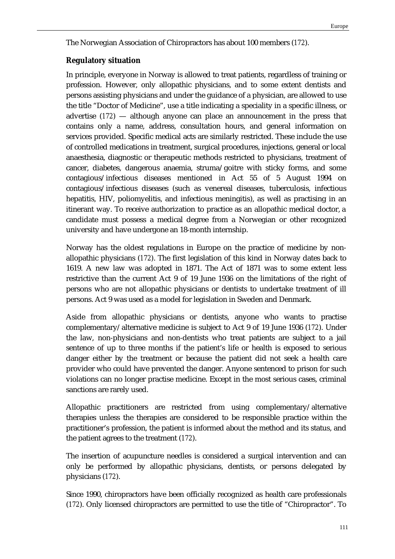The Norwegian Association of Chiropractors has about 100 members (*172*).

## **Regulatory situation**

In principle, everyone in Norway is allowed to treat patients, regardless of training or profession. However, only allopathic physicians, and to some extent dentists and persons assisting physicians and under the guidance of a physician, are allowed to use the title "Doctor of Medicine", use a title indicating a speciality in a specific illness, or advertise (*172*) — although anyone can place an announcement in the press that contains only a name, address, consultation hours, and general information on services provided. Specific medical acts are similarly restricted. These include the use of controlled medications in treatment, surgical procedures, injections, general or local anaesthesia, diagnostic or therapeutic methods restricted to physicians, treatment of cancer, diabetes, dangerous anaemia, struma/goitre with sticky forms, and some contagious/infectious diseases mentioned in Act 55 of 5 August 1994 on contagious/infectious diseases (such as venereal diseases, tuberculosis, infectious hepatitis, HIV, poliomyelitis, and infectious meningitis), as well as practising in an itinerant way. To receive authorization to practice as an allopathic medical doctor, a candidate must possess a medical degree from a Norwegian or other recognized university and have undergone an 18-month internship.

Norway has the oldest regulations in Europe on the practice of medicine by nonallopathic physicians (*172*). The first legislation of this kind in Norway dates back to 1619. A new law was adopted in 1871. The Act of 1871 was to some extent less restrictive than the current Act 9 of 19 June 1936 on the limitations of the right of persons who are not allopathic physicians or dentists to undertake treatment of ill persons. Act 9 was used as a model for legislation in Sweden and Denmark.

Aside from allopathic physicians or dentists, anyone who wants to practise complementary/alternative medicine is subject to Act 9 of 19 June 1936 (*172*). Under the law, non-physicians and non-dentists who treat patients are subject to a jail sentence of up to three months if the patient's life or health is exposed to serious danger either by the treatment or because the patient did not seek a health care provider who could have prevented the danger. Anyone sentenced to prison for such violations can no longer practise medicine. Except in the most serious cases, criminal sanctions are rarely used.

Allopathic practitioners are restricted from using complementary/alternative therapies unless the therapies are considered to be responsible practice within the practitioner's profession, the patient is informed about the method and its status, and the patient agrees to the treatment (*172*).

The insertion of acupuncture needles is considered a surgical intervention and can only be performed by allopathic physicians, dentists, or persons delegated by physicians (*172*).

Since 1990, chiropractors have been officially recognized as health care professionals (*172*). Only licensed chiropractors are permitted to use the title of "Chiropractor". To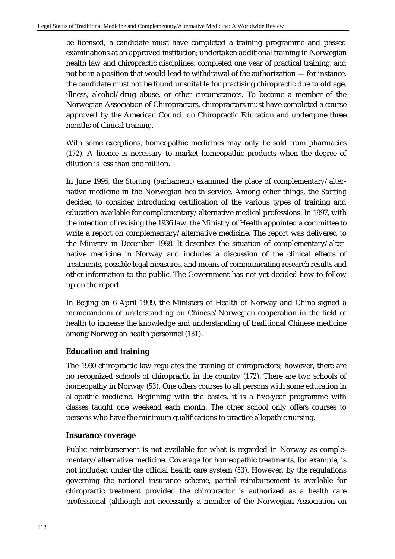be licensed, a candidate must have completed a training programme and passed examinations at an approved institution; undertaken additional training in Norwegian health law and chiropractic disciplines; completed one year of practical training; and not be in a position that would lead to withdrawal of the authorization — for instance, the candidate must not be found unsuitable for practising chiropractic due to old age, illness, alcohol/drug abuse, or other circumstances. To become a member of the Norwegian Association of Chiropractors, chiropractors must have completed a course approved by the American Council on Chiropractic Education and undergone three months of clinical training.

With some exceptions, homeopathic medicines may only be sold from pharmacies (*172*). A licence is necessary to market homeopathic products when the degree of dilution is less than one million.

In June 1995, the *Storting* (parliament) examined the place of complementary/alternative medicine in the Norwegian health service. Among other things, the *Storting* decided to consider introducing certification of the various types of training and education available for complementary/alternative medical professions. In 1997, with the intention of revising the 1936 law, the Ministry of Health appointed a committee to write a report on complementary/alternative medicine. The report was delivered to the Ministry in December 1998. It describes the situation of complementary/alternative medicine in Norway and includes a discussion of the clinical effects of treatments, possible legal measures, and means of communicating research results and other information to the public. The Government has not yet decided how to follow up on the report.

In Beijing on 6 April 1999, the Ministers of Health of Norway and China signed a memorandum of understanding on Chinese/Norwegian cooperation in the field of health to increase the knowledge and understanding of traditional Chinese medicine among Norwegian health personnel (*181*).

# **Education and training**

The 1990 chiropractic law regulates the training of chiropractors; however, there are no recognized schools of chiropractic in the country (*172*). There are two schools of homeopathy in Norway (*53*). One offers courses to all persons with some education in allopathic medicine. Beginning with the basics, it is a five-year programme with classes taught one weekend each month. The other school only offers courses to persons who have the minimum qualifications to practice allopathic nursing.

## **Insurance coverage**

Public reimbursement is not available for what is regarded in Norway as complementary/alternative medicine. Coverage for homeopathic treatments, for example, is not included under the official health care system (*53*). However, by the regulations governing the national insurance scheme, partial reimbursement is available for chiropractic treatment provided the chiropractor is authorized as a health care professional (although not necessarily a member of the Norwegian Association on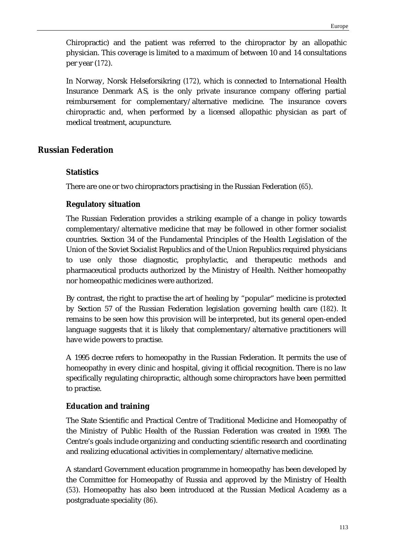Chiropractic) and the patient was referred to the chiropractor by an allopathic physician. This coverage is limited to a maximum of between 10 and 14 consultations per year (*172*).

In Norway, Norsk Helseforsikring (*172*), which is connected to International Health Insurance Denmark AS, is the only private insurance company offering partial reimbursement for complementary/alternative medicine. The insurance covers chiropractic and, when performed by a licensed allopathic physician as part of medical treatment, acupuncture.

## **Russian Federation**

## **Statistics**

There are one or two chiropractors practising in the Russian Federation (*65*).

## **Regulatory situation**

The Russian Federation provides a striking example of a change in policy towards complementary/alternative medicine that may be followed in other former socialist countries. Section 34 of the Fundamental Principles of the Health Legislation of the Union of the Soviet Socialist Republics and of the Union Republics required physicians to use only those diagnostic, prophylactic, and therapeutic methods and pharmaceutical products authorized by the Ministry of Health. Neither homeopathy nor homeopathic medicines were authorized.

By contrast, the right to practise the art of healing by "popular" medicine is protected by Section 57 of the Russian Federation legislation governing health care (*182*). It remains to be seen how this provision will be interpreted, but its general open-ended language suggests that it is likely that complementary/alternative practitioners will have wide powers to practise.

A 1995 decree refers to homeopathy in the Russian Federation. It permits the use of homeopathy in every clinic and hospital, giving it official recognition. There is no law specifically regulating chiropractic, although some chiropractors have been permitted to practise.

## **Education and training**

The State Scientific and Practical Centre of Traditional Medicine and Homeopathy of the Ministry of Public Health of the Russian Federation was created in 1999. The Centre's goals include organizing and conducting scientific research and coordinating and realizing educational activities in complementary/alternative medicine.

A standard Government education programme in homeopathy has been developed by the Committee for Homeopathy of Russia and approved by the Ministry of Health (*53*). Homeopathy has also been introduced at the Russian Medical Academy as a postgraduate speciality (*86*).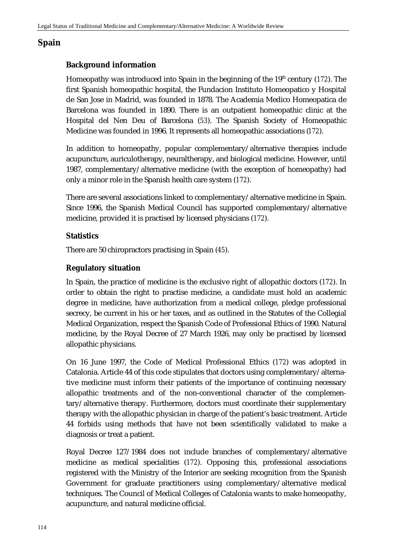# **Spain**

# **Background information**

Homeopathy was introduced into Spain in the beginning of the 19th century (*172*). The first Spanish homeopathic hospital, the Fundacion Instituto Homeopatico y Hospital de San Jose in Madrid, was founded in 1878. The Academia Medico Homeopatica de Barcelona was founded in 1890. There is an outpatient homeopathic clinic at the Hospital del Nen Deu of Barcelona (*53*). The Spanish Society of Homeopathic Medicine was founded in 1996. It represents all homeopathic associations (*172*).

In addition to homeopathy, popular complementary/alternative therapies include acupuncture, auriculotherapy, neuraltherapy, and biological medicine. However, until 1987, complementary/alternative medicine (with the exception of homeopathy) had only a minor role in the Spanish health care system (*172*).

There are several associations linked to complementary/alternative medicine in Spain. Since 1996, the Spanish Medical Council has supported complementary/alternative medicine, provided it is practised by licensed physicians (*172*).

## **Statistics**

There are 50 chiropractors practising in Spain (*45*).

## **Regulatory situation**

In Spain, the practice of medicine is the exclusive right of allopathic doctors (*172*). In order to obtain the right to practise medicine, a candidate must hold an academic degree in medicine, have authorization from a medical college, pledge professional secrecy, be current in his or her taxes, and as outlined in the Statutes of the Collegial Medical Organization, respect the Spanish Code of Professional Ethics of 1990. Natural medicine, by the Royal Decree of 27 March 1926, may only be practised by licensed allopathic physicians.

On 16 June 1997, the Code of Medical Professional Ethics (*172*) was adopted in Catalonia. Article 44 of this code stipulates that doctors using complementary/alternative medicine must inform their patients of the importance of continuing necessary allopathic treatments and of the non-conventional character of the complementary/alternative therapy. Furthermore, doctors must coordinate their supplementary therapy with the allopathic physician in charge of the patient's basic treatment. Article 44 forbids using methods that have not been scientifically validated to make a diagnosis or treat a patient.

Royal Decree 127/1984 does not include branches of complementary/alternative medicine as medical specialities (*172*). Opposing this, professional associations registered with the Ministry of the Interior are seeking recognition from the Spanish Government for graduate practitioners using complementary/alternative medical techniques. The Council of Medical Colleges of Catalonia wants to make homeopathy, acupuncture, and natural medicine official.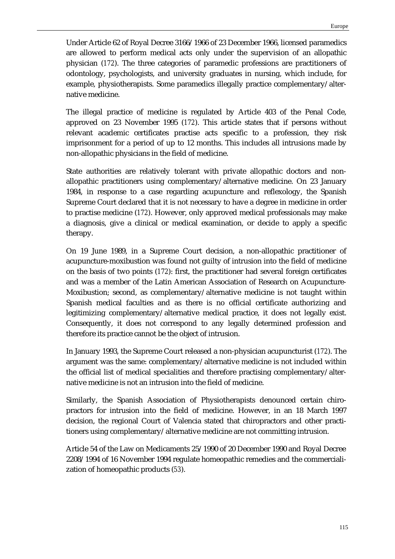Under Article 62 of Royal Decree 3166/1966 of 23 December 1966, licensed paramedics are allowed to perform medical acts only under the supervision of an allopathic physician (*172*). The three categories of paramedic professions are practitioners of odontology, psychologists, and university graduates in nursing, which include, for example, physiotherapists. Some paramedics illegally practice complementary/alternative medicine.

The illegal practice of medicine is regulated by Article 403 of the Penal Code, approved on 23 November 1995 (*172*). This article states that if persons without relevant academic certificates practise acts specific to a profession, they risk imprisonment for a period of up to 12 months. This includes all intrusions made by non-allopathic physicians in the field of medicine.

State authorities are relatively tolerant with private allopathic doctors and nonallopathic practitioners using complementary/alternative medicine. On 23 January 1984, in response to a case regarding acupuncture and reflexology, the Spanish Supreme Court declared that it is not necessary to have a degree in medicine in order to practise medicine (*172*). However, only approved medical professionals may make a diagnosis, give a clinical or medical examination, or decide to apply a specific therapy.

On 19 June 1989, in a Supreme Court decision, a non-allopathic practitioner of acupuncture-moxibustion was found not guilty of intrusion into the field of medicine on the basis of two points (*172*): first, the practitioner had several foreign certificates and was a member of the Latin American Association of Research on Acupuncture-Moxibustion; second, as complementary/alternative medicine is not taught within Spanish medical faculties and as there is no official certificate authorizing and legitimizing complementary/alternative medical practice, it does not legally exist. Consequently, it does not correspond to any legally determined profession and therefore its practice cannot be the object of intrusion.

In January 1993, the Supreme Court released a non-physician acupuncturist (*172*). The argument was the same: complementary/alternative medicine is not included within the official list of medical specialities and therefore practising complementary/alternative medicine is not an intrusion into the field of medicine.

Similarly, the Spanish Association of Physiotherapists denounced certain chiropractors for intrusion into the field of medicine. However, in an 18 March 1997 decision, the regional Court of Valencia stated that chiropractors and other practitioners using complementary/alternative medicine are not committing intrusion.

Article 54 of the Law on Medicaments 25/1990 of 20 December 1990 and Royal Decree 2208/1994 of 16 November 1994 regulate homeopathic remedies and the commercialization of homeopathic products (*53*).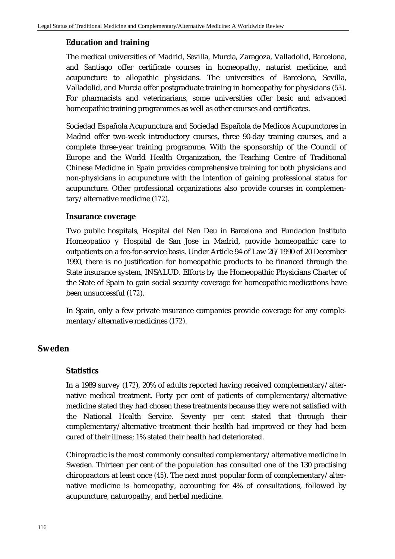## **Education and training**

The medical universities of Madrid, Sevilla, Murcia, Zaragoza, Valladolid, Barcelona, and Santiago offer certificate courses in homeopathy, naturist medicine, and acupuncture to allopathic physicians. The universities of Barcelona, Sevilla, Valladolid, and Murcia offer postgraduate training in homeopathy for physicians (*53*). For pharmacists and veterinarians, some universities offer basic and advanced homeopathic training programmes as well as other courses and certificates.

Sociedad Española Acupunctura and Sociedad Española de Medicos Acupunctores in Madrid offer two-week introductory courses, three 90-day training courses, and a complete three-year training programme. With the sponsorship of the Council of Europe and the World Health Organization, the Teaching Centre of Traditional Chinese Medicine in Spain provides comprehensive training for both physicians and non-physicians in acupuncture with the intention of gaining professional status for acupuncture. Other professional organizations also provide courses in complementary/alternative medicine (*172*).

#### **Insurance coverage**

Two public hospitals, Hospital del Nen Deu in Barcelona and Fundacion Instituto Homeopatico y Hospital de San Jose in Madrid, provide homeopathic care to outpatients on a fee-for-service basis. Under Article 94 of Law 26/1990 of 20 December 1990, there is no justification for homeopathic products to be financed through the State insurance system, INSALUD. Efforts by the Homeopathic Physicians Charter of the State of Spain to gain social security coverage for homeopathic medications have been unsuccessful (*172*).

In Spain, only a few private insurance companies provide coverage for any complementary/alternative medicines (*172*).

## **Sweden**

#### **Statistics**

In a 1989 survey (*172*), 20% of adults reported having received complementary/alternative medical treatment. Forty per cent of patients of complementary/alternative medicine stated they had chosen these treatments because they were not satisfied with the National Health Service. Seventy per cent stated that through their complementary/alternative treatment their health had improved or they had been cured of their illness; 1% stated their health had deteriorated.

Chiropractic is the most commonly consulted complementary/alternative medicine in Sweden. Thirteen per cent of the population has consulted one of the 130 practising chiropractors at least once (*45*). The next most popular form of complementary/alternative medicine is homeopathy, accounting for 4% of consultations, followed by acupuncture, naturopathy, and herbal medicine.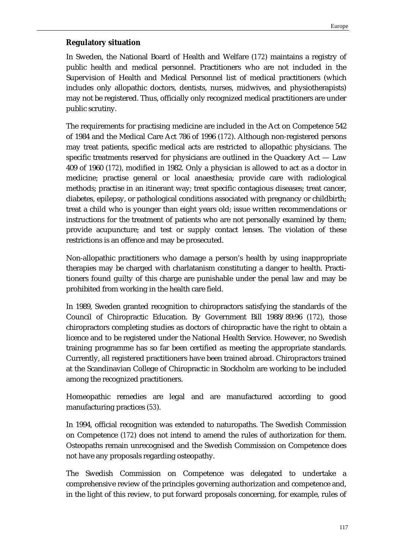## **Regulatory situation**

In Sweden, the National Board of Health and Welfare (*172*) maintains a registry of public health and medical personnel. Practitioners who are not included in the Supervision of Health and Medical Personnel list of medical practitioners (which includes only allopathic doctors, dentists, nurses, midwives, and physiotherapists) may not be registered. Thus, officially only recognized medical practitioners are under public scrutiny.

The requirements for practising medicine are included in the Act on Competence 542 of 1984 and the Medical Care Act 786 of 1996 (*172*). Although non-registered persons may treat patients, specific medical acts are restricted to allopathic physicians. The specific treatments reserved for physicians are outlined in the Quackery  $Act - Law$ 409 of 1960 (*172*), modified in 1982. Only a physician is allowed to act as a doctor in medicine; practise general or local anaesthesia; provide care with radiological methods; practise in an itinerant way; treat specific contagious diseases; treat cancer, diabetes, epilepsy, or pathological conditions associated with pregnancy or childbirth; treat a child who is younger than eight years old; issue written recommendations or instructions for the treatment of patients who are not personally examined by them; provide acupuncture; and test or supply contact lenses. The violation of these restrictions is an offence and may be prosecuted.

Non-allopathic practitioners who damage a person's health by using inappropriate therapies may be charged with charlatanism constituting a danger to health. Practitioners found guilty of this charge are punishable under the penal law and may be prohibited from working in the health care field.

In 1989, Sweden granted recognition to chiropractors satisfying the standards of the Council of Chiropractic Education. By Government Bill 1988/89:96 (*172*), those chiropractors completing studies as doctors of chiropractic have the right to obtain a licence and to be registered under the National Health Service. However, no Swedish training programme has so far been certified as meeting the appropriate standards. Currently, all registered practitioners have been trained abroad. Chiropractors trained at the Scandinavian College of Chiropractic in Stockholm are working to be included among the recognized practitioners.

Homeopathic remedies are legal and are manufactured according to good manufacturing practices (*53*).

In 1994, official recognition was extended to naturopaths. The Swedish Commission on Competence (*172*) does not intend to amend the rules of authorization for them. Osteopaths remain unrecognised and the Swedish Commission on Competence does not have any proposals regarding osteopathy.

The Swedish Commission on Competence was delegated to undertake a comprehensive review of the principles governing authorization and competence and, in the light of this review, to put forward proposals concerning, for example, rules of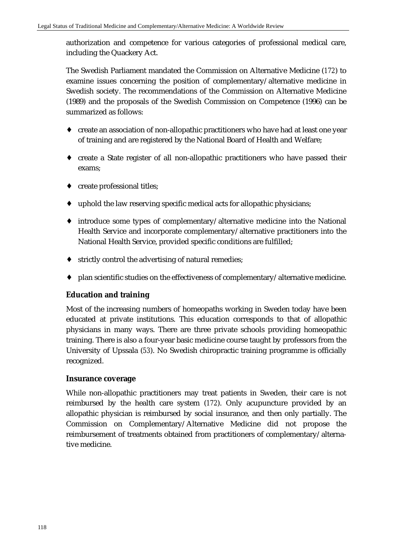authorization and competence for various categories of professional medical care, including the Quackery Act.

The Swedish Parliament mandated the Commission on Alternative Medicine (*172*) to examine issues concerning the position of complementary/alternative medicine in Swedish society. The recommendations of the Commission on Alternative Medicine (1989) and the proposals of the Swedish Commission on Competence (1996) can be summarized as follows:

- ♦ create an association of non-allopathic practitioners who have had at least one year of training and are registered by the National Board of Health and Welfare;
- ♦ create a State register of all non-allopathic practitioners who have passed their exams;
- ♦ create professional titles;
- ♦ uphold the law reserving specific medical acts for allopathic physicians;
- ♦ introduce some types of complementary/alternative medicine into the National Health Service and incorporate complementary/alternative practitioners into the National Health Service, provided specific conditions are fulfilled;
- ♦ strictly control the advertising of natural remedies;
- plan scientific studies on the effectiveness of complementary/alternative medicine.

# **Education and training**

Most of the increasing numbers of homeopaths working in Sweden today have been educated at private institutions. This education corresponds to that of allopathic physicians in many ways. There are three private schools providing homeopathic training. There is also a four-year basic medicine course taught by professors from the University of Upssala (*53*). No Swedish chiropractic training programme is officially recognized.

## **Insurance coverage**

While non-allopathic practitioners may treat patients in Sweden, their care is not reimbursed by the health care system (*172*). Only acupuncture provided by an allopathic physician is reimbursed by social insurance, and then only partially. The Commission on Complementary/Alternative Medicine did not propose the reimbursement of treatments obtained from practitioners of complementary/alternative medicine.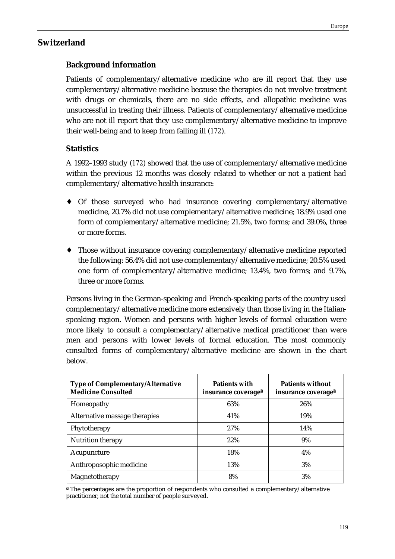# **Switzerland**

# **Background information**

Patients of complementary/alternative medicine who are ill report that they use complementary/alternative medicine because the therapies do not involve treatment with drugs or chemicals, there are no side effects, and allopathic medicine was unsuccessful in treating their illness. Patients of complementary/alternative medicine who are not ill report that they use complementary/alternative medicine to improve their well-being and to keep from falling ill (*172*).

# **Statistics**

A 1992–1993 study (*172*) showed that the use of complementary/alternative medicine within the previous 12 months was closely related to whether or not a patient had complementary/alternative health insurance:

- Of those surveyed who had insurance covering complementary/alternative medicine, 20.7% did not use complementary/alternative medicine; 18.9% used one form of complementary/alternative medicine; 21.5%, two forms; and 39.0%, three or more forms.
- ♦ Those without insurance covering complementary/alternative medicine reported the following: 56.4% did not use complementary/alternative medicine; 20.5% used one form of complementary/alternative medicine; 13.4%, two forms; and 9.7%, three or more forms.

Persons living in the German-speaking and French-speaking parts of the country used complementary/alternative medicine more extensively than those living in the Italianspeaking region. Women and persons with higher levels of formal education were more likely to consult a complementary/alternative medical practitioner than were men and persons with lower levels of formal education. The most commonly consulted forms of complementary/alternative medicine are shown in the chart below.

| <b>Type of Complementary/Alternative</b><br><b>Medicine Consulted</b> | <b>Patients with</b><br>insurance coverage <sup>a</sup> | <b>Patients without</b><br>insurance coverage <sup>a</sup> |
|-----------------------------------------------------------------------|---------------------------------------------------------|------------------------------------------------------------|
| Homeopathy                                                            | 63%                                                     | 26%                                                        |
| Alternative massage therapies                                         | 41\%                                                    | 19%                                                        |
| Phytotherapy                                                          | 27%                                                     | 14%                                                        |
| Nutrition therapy                                                     | 22%                                                     | 9%                                                         |
| Acupuncture                                                           | 18%                                                     | 4%                                                         |
| Anthroposophic medicine                                               | 13%                                                     | 3%                                                         |
| Magnetotherapy                                                        | 8%                                                      | 3%                                                         |

ª The percentages are the proportion of respondents who consulted a complementary/alternative practitioner, not the total number of people surveyed.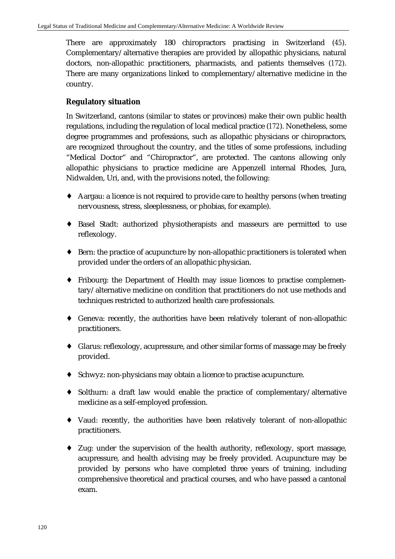There are approximately 180 chiropractors practising in Switzerland (*45*). Complementary/alternative therapies are provided by allopathic physicians, natural doctors, non-allopathic practitioners, pharmacists, and patients themselves (*172*). There are many organizations linked to complementary/alternative medicine in the country.

# **Regulatory situation**

In Switzerland, cantons (similar to states or provinces) make their own public health regulations, including the regulation of local medical practice (*172*). Nonetheless, some degree programmes and professions, such as allopathic physicians or chiropractors, are recognized throughout the country, and the titles of some professions, including "Medical Doctor" and "Chiropractor", are protected. The cantons allowing only allopathic physicians to practice medicine are Appenzell internal Rhodes, Jura, Nidwalden, Uri, and, with the provisions noted, the following:

- ♦ Aargau: a licence is not required to provide care to healthy persons (when treating nervousness, stress, sleeplessness, or phobias, for example).
- ♦ Basel Stadt: authorized physiotherapists and masseurs are permitted to use reflexology.
- ♦ Bern: the practice of acupuncture by non-allopathic practitioners is tolerated when provided under the orders of an allopathic physician.
- ♦ Fribourg: the Department of Health may issue licences to practise complementary/alternative medicine on condition that practitioners do not use methods and techniques restricted to authorized health care professionals.
- ♦ Geneva: recently, the authorities have been relatively tolerant of non-allopathic practitioners.
- ♦ Glarus: reflexology, acupressure, and other similar forms of massage may be freely provided.
- ♦ Schwyz: non-physicians may obtain a licence to practise acupuncture.
- ♦ Solthurn: a draft law would enable the practice of complementary/alternative medicine as a self-employed profession.
- ♦ Vaud: recently, the authorities have been relatively tolerant of non-allopathic practitioners.
- ♦ Zug: under the supervision of the health authority, reflexology, sport massage, acupressure, and health advising may be freely provided. Acupuncture may be provided by persons who have completed three years of training, including comprehensive theoretical and practical courses, and who have passed a cantonal exam.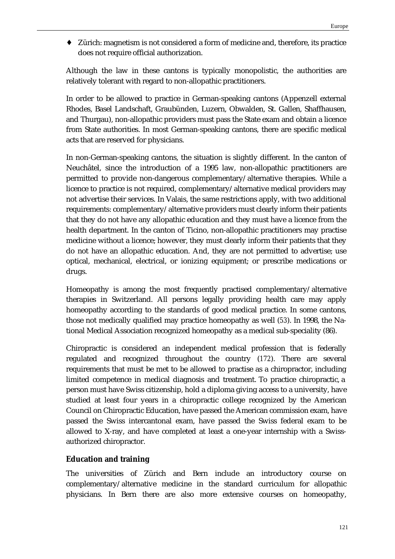♦ Zürich: magnetism is not considered a form of medicine and, therefore, its practice does not require official authorization.

Although the law in these cantons is typically monopolistic, the authorities are relatively tolerant with regard to non-allopathic practitioners.

In order to be allowed to practice in German-speaking cantons (Appenzell external Rhodes, Basel Landschaft, Graubünden, Luzern, Obwalden, St. Gallen, Shaffhausen, and Thurgau), non-allopathic providers must pass the State exam and obtain a licence from State authorities. In most German-speaking cantons, there are specific medical acts that are reserved for physicians.

In non-German-speaking cantons, the situation is slightly different. In the canton of Neuchâtel, since the introduction of a 1995 law, non-allopathic practitioners are permitted to provide non-dangerous complementary/alternative therapies. While a licence to practice is not required, complementary/alternative medical providers may not advertise their services. In Valais, the same restrictions apply, with two additional requirements: complementary/alternative providers must clearly inform their patients that they do not have any allopathic education and they must have a licence from the health department. In the canton of Ticino, non-allopathic practitioners may practise medicine without a licence; however, they must clearly inform their patients that they do not have an allopathic education. And, they are not permitted to advertise; use optical, mechanical, electrical, or ionizing equipment; or prescribe medications or drugs.

Homeopathy is among the most frequently practised complementary/alternative therapies in Switzerland. All persons legally providing health care may apply homeopathy according to the standards of good medical practice. In some cantons, those not medically qualified may practice homeopathy as well (*53*). In 1998, the National Medical Association recognized homeopathy as a medical sub-speciality (86).

Chiropractic is considered an independent medical profession that is federally regulated and recognized throughout the country (*172*). There are several requirements that must be met to be allowed to practise as a chiropractor, including limited competence in medical diagnosis and treatment. To practice chiropractic, a person must have Swiss citizenship, hold a diploma giving access to a university, have studied at least four years in a chiropractic college recognized by the American Council on Chiropractic Education, have passed the American commission exam, have passed the Swiss intercantonal exam, have passed the Swiss federal exam to be allowed to X-ray, and have completed at least a one-year internship with a Swissauthorized chiropractor.

## **Education and training**

The universities of Zürich and Bern include an introductory course on complementary/alternative medicine in the standard curriculum for allopathic physicians. In Bern there are also more extensive courses on homeopathy,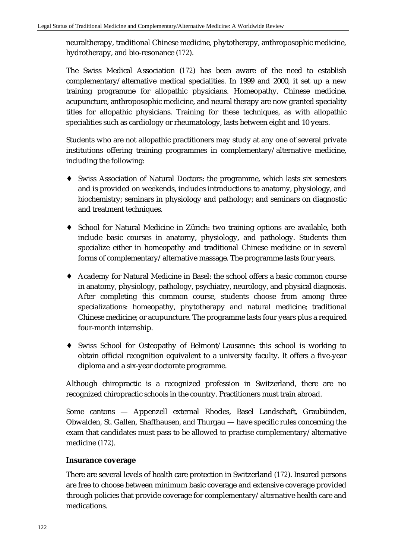neuraltherapy, traditional Chinese medicine, phytotherapy, anthroposophic medicine, hydrotherapy, and bio-resonance (*172*).

The Swiss Medical Association (*172*) has been aware of the need to establish complementary/alternative medical specialities. In 1999 and 2000, it set up a new training programme for allopathic physicians. Homeopathy, Chinese medicine, acupuncture, anthroposophic medicine, and neural therapy are now granted speciality titles for allopathic physicians. Training for these techniques, as with allopathic specialities such as cardiology or rheumatology, lasts between eight and 10 years.

Students who are not allopathic practitioners may study at any one of several private institutions offering training programmes in complementary/alternative medicine, including the following:

- ♦ Swiss Association of Natural Doctors: the programme, which lasts six semesters and is provided on weekends, includes introductions to anatomy, physiology, and biochemistry; seminars in physiology and pathology; and seminars on diagnostic and treatment techniques.
- ♦ School for Natural Medicine in Zürich: two training options are available, both include basic courses in anatomy, physiology, and pathology. Students then specialize either in homeopathy and traditional Chinese medicine or in several forms of complementary/alternative massage. The programme lasts four years.
- ♦ Academy for Natural Medicine in Basel: the school offers a basic common course in anatomy, physiology, pathology, psychiatry, neurology, and physical diagnosis. After completing this common course, students choose from among three specializations: homeopathy, phytotherapy and natural medicine; traditional Chinese medicine; or acupuncture. The programme lasts four years plus a required four-month internship.
- ♦ Swiss School for Osteopathy of Belmont/Lausanne: this school is working to obtain official recognition equivalent to a university faculty. It offers a five-year diploma and a six-year doctorate programme.

Although chiropractic is a recognized profession in Switzerland, there are no recognized chiropractic schools in the country. Practitioners must train abroad.

Some cantons — Appenzell external Rhodes, Basel Landschaft, Graubünden, Obwalden, St. Gallen, Shaffhausen, and Thurgau — have specific rules concerning the exam that candidates must pass to be allowed to practise complementary/alternative medicine (*172*).

#### **Insurance coverage**

There are several levels of health care protection in Switzerland (*172*). Insured persons are free to choose between minimum basic coverage and extensive coverage provided through policies that provide coverage for complementary/alternative health care and medications.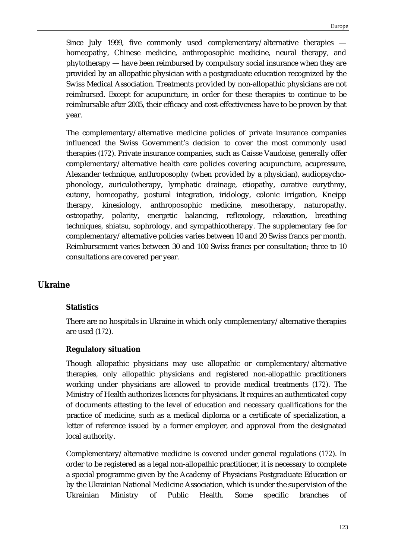Since July 1999, five commonly used complementary/alternative therapies homeopathy, Chinese medicine, anthroposophic medicine, neural therapy, and phytotherapy — have been reimbursed by compulsory social insurance when they are provided by an allopathic physician with a postgraduate education recognized by the Swiss Medical Association. Treatments provided by non-allopathic physicians are not reimbursed. Except for acupuncture, in order for these therapies to continue to be reimbursable after 2005, their efficacy and cost-effectiveness have to be proven by that year.

The complementary/alternative medicine policies of private insurance companies influenced the Swiss Government's decision to cover the most commonly used therapies (*172*). Private insurance companies, such as Caisse Vaudoise, generally offer complementary/alternative health care policies covering acupuncture, acupressure, Alexander technique, anthroposophy (when provided by a physician), audiopsychophonology, auriculotherapy, lymphatic drainage, etiopathy, curative eurythmy, eutony, homeopathy, postural integration, iridology, colonic irrigation, Kneipp therapy, kinesiology, anthroposophic medicine, mesotherapy, naturopathy, osteopathy, polarity, energetic balancing, reflexology, relaxation, breathing techniques, shiatsu, sophrology, and sympathicotherapy. The supplementary fee for complementary/alternative policies varies between 10 and 20 Swiss francs per month. Reimbursement varies between 30 and 100 Swiss francs per consultation; three to 10 consultations are covered per year.

## **Ukraine**

#### **Statistics**

There are no hospitals in Ukraine in which only complementary/alternative therapies are used (*172*).

#### **Regulatory situation**

Though allopathic physicians may use allopathic or complementary/alternative therapies, only allopathic physicians and registered non-allopathic practitioners working under physicians are allowed to provide medical treatments (*172*). The Ministry of Health authorizes licences for physicians. It requires an authenticated copy of documents attesting to the level of education and necessary qualifications for the practice of medicine, such as a medical diploma or a certificate of specialization, a letter of reference issued by a former employer, and approval from the designated local authority.

Complementary/alternative medicine is covered under general regulations (*172*). In order to be registered as a legal non-allopathic practitioner, it is necessary to complete a special programme given by the Academy of Physicians Postgraduate Education or by the Ukrainian National Medicine Association, which is under the supervision of the Ukrainian Ministry of Public Health. Some specific branches of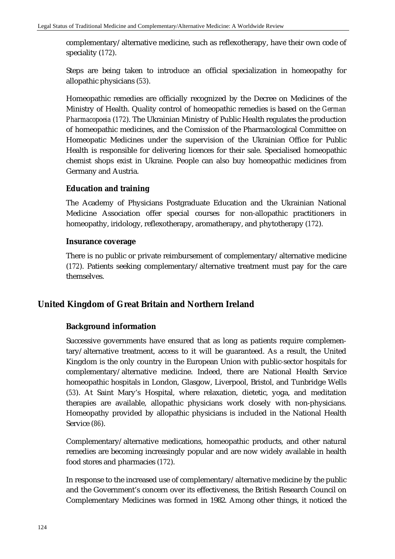complementary/alternative medicine, such as reflexotherapy, have their own code of speciality (*172*).

Steps are being taken to introduce an official specialization in homeopathy for allopathic physicians (*53*).

Homeopathic remedies are officially recognized by the Decree on Medicines of the Ministry of Health. Quality control of homeopathic remedies is based on the *German Pharmacopoeia* (*172*). The Ukrainian Ministry of Public Health regulates the production of homeopathic medicines, and the Comission of the Pharmacological Committee on Homeopatic Medicines under the supervision of the Ukrainian Office for Public Health is responsible for delivering licences for their sale. Specialised homeopathic chemist shops exist in Ukraine. People can also buy homeopathic medicines from Germany and Austria.

## **Education and training**

The Academy of Physicians Postgraduate Education and the Ukrainian National Medicine Association offer special courses for non-allopathic practitioners in homeopathy, iridology, reflexotherapy, aromatherapy, and phytotherapy (*172*).

## **Insurance coverage**

There is no public or private reimbursement of complementary/alternative medicine (*172*). Patients seeking complementary/alternative treatment must pay for the care themselves.

# **United Kingdom of Great Britain and Northern Ireland**

# **Background information**

Successive governments have ensured that as long as patients require complementary/alternative treatment, access to it will be guaranteed. As a result, the United Kingdom is the only country in the European Union with public-sector hospitals for complementary/alternative medicine. Indeed, there are National Health Service homeopathic hospitals in London, Glasgow, Liverpool, Bristol, and Tunbridge Wells (*53*). At Saint Mary's Hospital, where relaxation, dietetic, yoga, and meditation therapies are available, allopathic physicians work closely with non-physicians. Homeopathy provided by allopathic physicians is included in the National Health Service (*86*).

Complementary/alternative medications, homeopathic products, and other natural remedies are becoming increasingly popular and are now widely available in health food stores and pharmacies (*172*).

In response to the increased use of complementary/alternative medicine by the public and the Government's concern over its effectiveness, the British Research Council on Complementary Medicines was formed in 1982. Among other things, it noticed the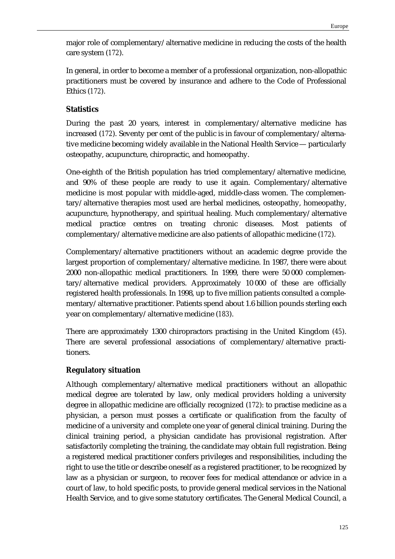major role of complementary/alternative medicine in reducing the costs of the health care system (*172*).

In general, in order to become a member of a professional organization, non-allopathic practitioners must be covered by insurance and adhere to the Code of Professional Ethics (*172*).

## **Statistics**

During the past 20 years, interest in complementary/alternative medicine has increased (*172*). Seventy per cent of the public is in favour of complementary/alternative medicine becoming widely available in the National Health Service — particularly osteopathy, acupuncture, chiropractic, and homeopathy.

One-eighth of the British population has tried complementary/alternative medicine, and 90% of these people are ready to use it again. Complementary/alternative medicine is most popular with middle-aged, middle-class women. The complementary/alternative therapies most used are herbal medicines, osteopathy, homeopathy, acupuncture, hypnotherapy, and spiritual healing. Much complementary/alternative medical practice centres on treating chronic diseases. Most patients of complementary/alternative medicine are also patients of allopathic medicine (*172*).

Complementary/alternative practitioners without an academic degree provide the largest proportion of complementary/alternative medicine. In 1987, there were about 2000 non-allopathic medical practitioners. In 1999, there were 50 000 complementary/alternative medical providers. Approximately 10 000 of these are officially registered health professionals. In 1998, up to five million patients consulted a complementary/alternative practitioner. Patients spend about 1.6 billion pounds sterling each year on complementary/alternative medicine (*183*).

There are approximately 1300 chiropractors practising in the United Kingdom (*45*). There are several professional associations of complementary/alternative practitioners.

## **Regulatory situation**

Although complementary/alternative medical practitioners without an allopathic medical degree are tolerated by law, only medical providers holding a university degree in allopathic medicine are officially recognized (*172*): to practise medicine as a physician, a person must posses a certificate or qualification from the faculty of medicine of a university and complete one year of general clinical training. During the clinical training period, a physician candidate has provisional registration. After satisfactorily completing the training, the candidate may obtain full registration. Being a registered medical practitioner confers privileges and responsibilities, including the right to use the title or describe oneself as a registered practitioner, to be recognized by law as a physician or surgeon, to recover fees for medical attendance or advice in a court of law, to hold specific posts, to provide general medical services in the National Health Service, and to give some statutory certificates. The General Medical Council, a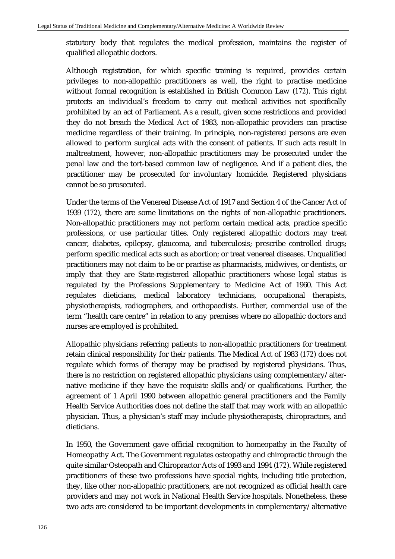statutory body that regulates the medical profession, maintains the register of qualified allopathic doctors.

Although registration, for which specific training is required, provides certain privileges to non-allopathic practitioners as well, the right to practise medicine without formal recognition is established in British Common Law (*172*). This right protects an individual's freedom to carry out medical activities not specifically prohibited by an act of Parliament. As a result, given some restrictions and provided they do not breach the Medical Act of 1983, non-allopathic providers can practise medicine regardless of their training. In principle, non-registered persons are even allowed to perform surgical acts with the consent of patients. If such acts result in maltreatment, however, non-allopathic practitioners may be prosecuted under the penal law and the tort-based common law of negligence. And if a patient dies, the practitioner may be prosecuted for involuntary homicide. Registered physicians cannot be so prosecuted.

Under the terms of the Venereal Disease Act of 1917 and Section 4 of the Cancer Act of 1939 (*172*), there are some limitations on the rights of non-allopathic practitioners. Non-allopathic practitioners may not perform certain medical acts, practice specific professions, or use particular titles. Only registered allopathic doctors may treat cancer, diabetes, epilepsy, glaucoma, and tuberculosis; prescribe controlled drugs; perform specific medical acts such as abortion; or treat venereal diseases. Unqualified practitioners may not claim to be or practise as pharmacists, midwives, or dentists, or imply that they are State-registered allopathic practitioners whose legal status is regulated by the Professions Supplementary to Medicine Act of 1960. This Act regulates dieticians, medical laboratory technicians, occupational therapists, physiotherapists, radiographers, and orthopaedists. Further, commercial use of the term "health care centre" in relation to any premises where no allopathic doctors and nurses are employed is prohibited.

Allopathic physicians referring patients to non-allopathic practitioners for treatment retain clinical responsibility for their patients. The Medical Act of 1983 (*172*) does not regulate which forms of therapy may be practised by registered physicians. Thus, there is no restriction on registered allopathic physicians using complementary/alternative medicine if they have the requisite skills and/or qualifications. Further, the agreement of 1 April 1990 between allopathic general practitioners and the Family Health Service Authorities does not define the staff that may work with an allopathic physician. Thus, a physician's staff may include physiotherapists, chiropractors, and dieticians.

In 1950, the Government gave official recognition to homeopathy in the Faculty of Homeopathy Act. The Government regulates osteopathy and chiropractic through the quite similar Osteopath and Chiropractor Acts of 1993 and 1994 (*172*). While registered practitioners of these two professions have special rights, including title protection, they, like other non-allopathic practitioners, are not recognized as official health care providers and may not work in National Health Service hospitals. Nonetheless, these two acts are considered to be important developments in complementary/alternative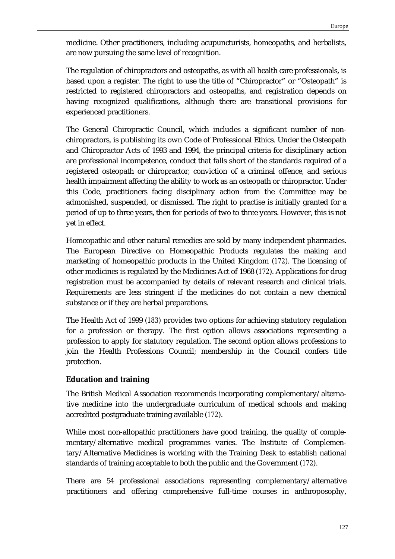medicine. Other practitioners, including acupuncturists, homeopaths, and herbalists, are now pursuing the same level of recognition.

The regulation of chiropractors and osteopaths, as with all health care professionals, is based upon a register. The right to use the title of "Chiropractor" or "Osteopath" is restricted to registered chiropractors and osteopaths, and registration depends on having recognized qualifications, although there are transitional provisions for experienced practitioners.

The General Chiropractic Council, which includes a significant number of nonchiropractors, is publishing its own Code of Professional Ethics. Under the Osteopath and Chiropractor Acts of 1993 and 1994, the principal criteria for disciplinary action are professional incompetence, conduct that falls short of the standards required of a registered osteopath or chiropractor, conviction of a criminal offence, and serious health impairment affecting the ability to work as an osteopath or chiropractor. Under this Code, practitioners facing disciplinary action from the Committee may be admonished, suspended, or dismissed. The right to practise is initially granted for a period of up to three years, then for periods of two to three years. However, this is not yet in effect.

Homeopathic and other natural remedies are sold by many independent pharmacies. The European Directive on Homeopathic Products regulates the making and marketing of homeopathic products in the United Kingdom (*172*). The licensing of other medicines is regulated by the Medicines Act of 1968 (*172*). Applications for drug registration must be accompanied by details of relevant research and clinical trials. Requirements are less stringent if the medicines do not contain a new chemical substance or if they are herbal preparations.

The Health Act of 1999 (*183*) provides two options for achieving statutory regulation for a profession or therapy. The first option allows associations representing a profession to apply for statutory regulation. The second option allows professions to join the Health Professions Council; membership in the Council confers title protection.

## **Education and training**

The British Medical Association recommends incorporating complementary/alternative medicine into the undergraduate curriculum of medical schools and making accredited postgraduate training available (*172*).

While most non-allopathic practitioners have good training, the quality of complementary/alternative medical programmes varies. The Institute of Complementary/Alternative Medicines is working with the Training Desk to establish national standards of training acceptable to both the public and the Government (*172*).

There are 54 professional associations representing complementary/alternative practitioners and offering comprehensive full-time courses in anthroposophy,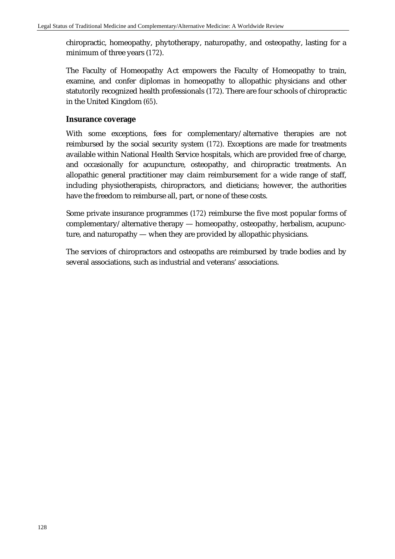chiropractic, homeopathy, phytotherapy, naturopathy, and osteopathy, lasting for a minimum of three years (*172*).

The Faculty of Homeopathy Act empowers the Faculty of Homeopathy to train, examine, and confer diplomas in homeopathy to allopathic physicians and other statutorily recognized health professionals (*172*). There are four schools of chiropractic in the United Kingdom (*65*).

## **Insurance coverage**

With some exceptions, fees for complementary/alternative therapies are not reimbursed by the social security system (*172*). Exceptions are made for treatments available within National Health Service hospitals, which are provided free of charge, and occasionally for acupuncture, osteopathy, and chiropractic treatments. An allopathic general practitioner may claim reimbursement for a wide range of staff, including physiotherapists, chiropractors, and dieticians; however, the authorities have the freedom to reimburse all, part, or none of these costs.

Some private insurance programmes (*172*) reimburse the five most popular forms of complementary/alternative therapy — homeopathy, osteopathy, herbalism, acupuncture, and naturopathy — when they are provided by allopathic physicians.

The services of chiropractors and osteopaths are reimbursed by trade bodies and by several associations, such as industrial and veterans' associations.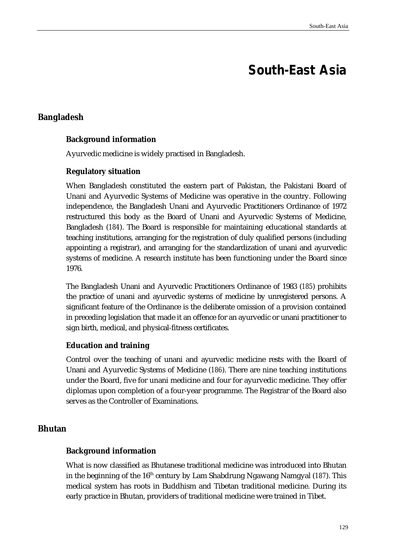# **South-East Asia**

# **Bangladesh**

## **Background information**

Ayurvedic medicine is widely practised in Bangladesh.

## **Regulatory situation**

When Bangladesh constituted the eastern part of Pakistan, the Pakistani Board of Unani and Ayurvedic Systems of Medicine was operative in the country. Following independence, the Bangladesh Unani and Ayurvedic Practitioners Ordinance of 1972 restructured this body as the Board of Unani and Ayurvedic Systems of Medicine, Bangladesh (*184*). The Board is responsible for maintaining educational standards at teaching institutions, arranging for the registration of duly qualified persons (including appointing a registrar), and arranging for the standardization of unani and ayurvedic systems of medicine. A research institute has been functioning under the Board since 1976.

The Bangladesh Unani and Ayurvedic Practitioners Ordinance of 1983 (*185*) prohibits the practice of unani and ayurvedic systems of medicine by unregistered persons. A significant feature of the Ordinance is the deliberate omission of a provision contained in preceding legislation that made it an offence for an ayurvedic or unani practitioner to sign birth, medical, and physical-fitness certificates.

## **Education and training**

Control over the teaching of unani and ayurvedic medicine rests with the Board of Unani and Ayurvedic Systems of Medicine (*186*). There are nine teaching institutions under the Board, five for unani medicine and four for ayurvedic medicine. They offer diplomas upon completion of a four-year programme. The Registrar of the Board also serves as the Controller of Examinations.

# **Bhutan**

## **Background information**

What is now classified as Bhutanese traditional medicine was introduced into Bhutan in the beginning of the 16<sup>th</sup> century by Lam Shabdrung Ngawang Namgyal (187). This medical system has roots in Buddhism and Tibetan traditional medicine. During its early practice in Bhutan, providers of traditional medicine were trained in Tibet.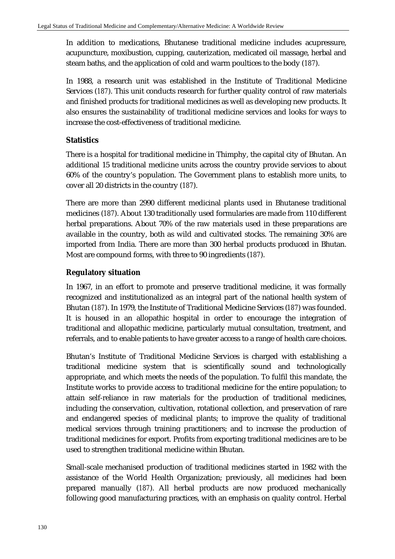In addition to medications, Bhutanese traditional medicine includes acupressure, acupuncture, moxibustion, cupping, cauterization, medicated oil massage, herbal and steam baths, and the application of cold and warm poultices to the body (*187*).

In 1988, a research unit was established in the Institute of Traditional Medicine Services (*187*). This unit conducts research for further quality control of raw materials and finished products for traditional medicines as well as developing new products. It also ensures the sustainability of traditional medicine services and looks for ways to increase the cost-effectiveness of traditional medicine.

## **Statistics**

There is a hospital for traditional medicine in Thimphy, the capital city of Bhutan. An additional 15 traditional medicine units across the country provide services to about 60% of the country's population. The Government plans to establish more units, to cover all 20 districts in the country (*187*).

There are more than 2990 different medicinal plants used in Bhutanese traditional medicines (*187*). About 130 traditionally used formularies are made from 110 different herbal preparations. About 70% of the raw materials used in these preparations are available in the country, both as wild and cultivated stocks. The remaining 30% are imported from India. There are more than 300 herbal products produced in Bhutan. Most are compound forms, with three to 90 ingredients (*187*).

## **Regulatory situation**

In 1967, in an effort to promote and preserve traditional medicine, it was formally recognized and institutionalized as an integral part of the national health system of Bhutan (*187*). In 1979, the Institute of Traditional Medicine Services (*187*) was founded. It is housed in an allopathic hospital in order to encourage the integration of traditional and allopathic medicine, particularly mutual consultation, treatment, and referrals, and to enable patients to have greater access to a range of health care choices.

Bhutan's Institute of Traditional Medicine Services is charged with establishing a traditional medicine system that is scientifically sound and technologically appropriate, and which meets the needs of the population. To fulfil this mandate, the Institute works to provide access to traditional medicine for the entire population; to attain self-reliance in raw materials for the production of traditional medicines, including the conservation, cultivation, rotational collection, and preservation of rare and endangered species of medicinal plants; to improve the quality of traditional medical services through training practitioners; and to increase the production of traditional medicines for export. Profits from exporting traditional medicines are to be used to strengthen traditional medicine within Bhutan.

Small-scale mechanised production of traditional medicines started in 1982 with the assistance of the World Health Organization; previously, all medicines had been prepared manually (*187*). All herbal products are now produced mechanically following good manufacturing practices, with an emphasis on quality control. Herbal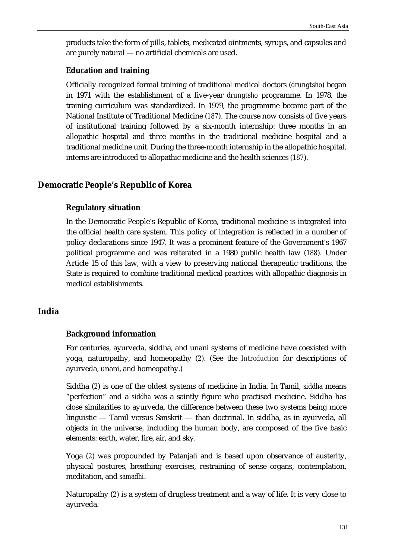products take the form of pills, tablets, medicated ointments, syrups, and capsules and are purely natural — no artificial chemicals are used.

#### **Education and training**

Officially recognized formal training of traditional medical doctors (*drungtsho*) began in 1971 with the establishment of a five-year *drungtsho* programme. In 1978, the training curriculum was standardized. In 1979, the programme became part of the National Institute of Traditional Medicine (*187*). The course now consists of five years of institutional training followed by a six-month internship: three months in an allopathic hospital and three months in the traditional medicine hospital and a traditional medicine unit. During the three-month internship in the allopathic hospital, interns are introduced to allopathic medicine and the health sciences (*187*).

## **Democratic People's Republic of Korea**

## **Regulatory situation**

In the Democratic People's Republic of Korea, traditional medicine is integrated into the official health care system. This policy of integration is reflected in a number of policy declarations since 1947. It was a prominent feature of the Government's 1967 political programme and was reiterated in a 1980 public health law (*188*). Under Article 15 of this law, with a view to preserving national therapeutic traditions, the State is required to combine traditional medical practices with allopathic diagnosis in medical establishments.

## **India**

#### **Background information**

For centuries, ayurveda, siddha, and unani systems of medicine have coexisted with yoga, naturopathy, and homeopathy (*2*). (See the *Introduction* for descriptions of ayurveda, unani, and homeopathy.)

Siddha (*2*) is one of the oldest systems of medicine in India. In Tamil, *siddha* means "perfection" and a *siddha* was a saintly figure who practised medicine. Siddha has close similarities to ayurveda, the difference between these two systems being more linguistic — Tamil versus Sanskrit — than doctrinal. In siddha, as in ayurveda, all objects in the universe, including the human body, are composed of the five basic elements: earth, water, fire, air, and sky.

Yoga (*2*) was propounded by Patanjali and is based upon observance of austerity, physical postures, breathing exercises, restraining of sense organs, contemplation, meditation, and *samadhi*.

Naturopathy (*2*) is a system of drugless treatment and a way of life. It is very close to ayurveda.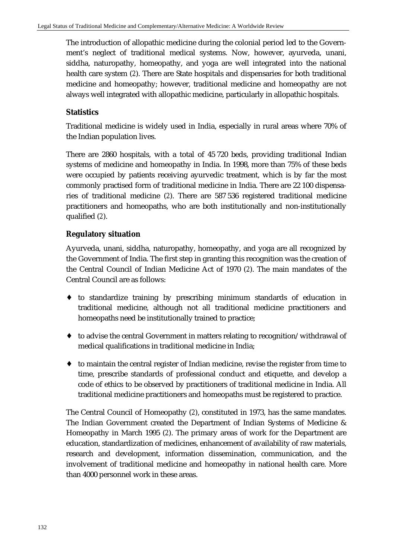The introduction of allopathic medicine during the colonial period led to the Government's neglect of traditional medical systems. Now, however, ayurveda, unani, siddha, naturopathy, homeopathy, and yoga are well integrated into the national health care system (*2*). There are State hospitals and dispensaries for both traditional medicine and homeopathy; however, traditional medicine and homeopathy are not always well integrated with allopathic medicine, particularly in allopathic hospitals.

# **Statistics**

Traditional medicine is widely used in India, especially in rural areas where 70% of the Indian population lives.

There are 2860 hospitals, with a total of 45 720 beds, providing traditional Indian systems of medicine and homeopathy in India. In 1998, more than 75% of these beds were occupied by patients receiving ayurvedic treatment, which is by far the most commonly practised form of traditional medicine in India. There are 22 100 dispensaries of traditional medicine (*2*). There are 587 536 registered traditional medicine practitioners and homeopaths, who are both institutionally and non-institutionally qualified (*2*).

# **Regulatory situation**

Ayurveda, unani, siddha, naturopathy, homeopathy, and yoga are all recognized by the Government of India. The first step in granting this recognition was the creation of the Central Council of Indian Medicine Act of 1970 (*2*). The main mandates of the Central Council are as follows:

- ♦ to standardize training by prescribing minimum standards of education in traditional medicine, although not all traditional medicine practitioners and homeopaths need be institutionally trained to practice;
- $\bullet$  to advise the central Government in matters relating to recognition/withdrawal of medical qualifications in traditional medicine in India;
- ♦ to maintain the central register of Indian medicine, revise the register from time to time, prescribe standards of professional conduct and etiquette, and develop a code of ethics to be observed by practitioners of traditional medicine in India. All traditional medicine practitioners and homeopaths must be registered to practice.

The Central Council of Homeopathy (*2*), constituted in 1973, has the same mandates. The Indian Government created the Department of Indian Systems of Medicine & Homeopathy in March 1995 (*2*). The primary areas of work for the Department are education, standardization of medicines, enhancement of availability of raw materials, research and development, information dissemination, communication, and the involvement of traditional medicine and homeopathy in national health care. More than 4000 personnel work in these areas.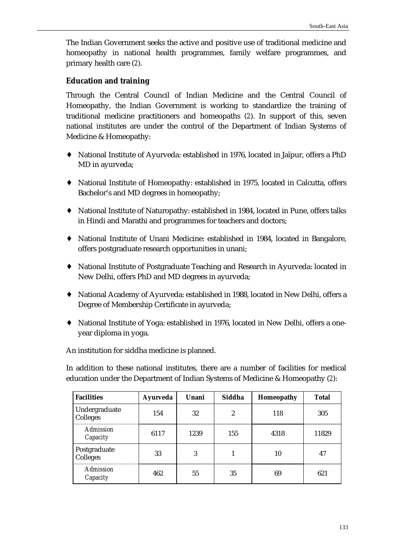The Indian Government seeks the active and positive use of traditional medicine and homeopathy in national health programmes, family welfare programmes, and primary health care (*2*).

## **Education and training**

Through the Central Council of Indian Medicine and the Central Council of Homeopathy, the Indian Government is working to standardize the training of traditional medicine practitioners and homeopaths (*2*). In support of this, seven national institutes are under the control of the Department of Indian Systems of Medicine & Homeopathy:

- ♦ National Institute of Ayurveda: established in 1976, located in Jaïpur, offers a PhD MD in ayurveda;
- ♦ National Institute of Homeopathy: established in 1975, located in Calcutta, offers Bachelor's and MD degrees in homeopathy;
- ♦ National Institute of Naturopathy: established in 1984, located in Pune, offers talks in Hindi and Marathi and programmes for teachers and doctors;
- ♦ National Institute of Unani Medicine: established in 1984, located in Bangalore, offers postgraduate research opportunities in unani;
- ♦ National Institute of Postgraduate Teaching and Research in Ayurveda: located in New Delhi, offers PhD and MD degrees in ayurveda;
- ♦ National Academy of Ayurveda: established in 1988, located in New Delhi, offers a Degree of Membership Certificate in ayurveda;
- ♦ National Institute of Yoga: established in 1976, located in New Delhi, offers a oneyear diploma in yoga.

An institution for siddha medicine is planned.

In addition to these national institutes, there are a number of facilities for medical education under the Department of Indian Systems of Medicine & Homeopathy (*2*):

| <b>Facilities</b>            | <b>Ayurveda</b> | Unani | Siddha | Homeopathy | <b>Total</b> |
|------------------------------|-----------------|-------|--------|------------|--------------|
| Undergraduate<br>Colleges    | 154             | 32    | 2      | 118        | 305          |
| <b>Admission</b><br>Capacity | 6117            | 1239  | 155    | 4318       | 11829        |
| Postgraduate<br>Colleges     | 33              | 3     |        | 10         | 47           |
| <b>Admission</b><br>Capacity | 462             | 55    | 35     | 69         | 621          |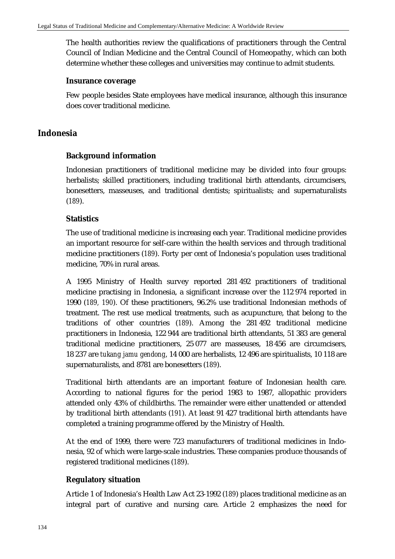The health authorities review the qualifications of practitioners through the Central Council of Indian Medicine and the Central Council of Homeopathy, which can both determine whether these colleges and universities may continue to admit students.

#### **Insurance coverage**

Few people besides State employees have medical insurance, although this insurance does cover traditional medicine.

## **Indonesia**

## **Background information**

Indonesian practitioners of traditional medicine may be divided into four groups: herbalists; skilled practitioners, including traditional birth attendants, circumcisers, bonesetters, masseuses, and traditional dentists; spiritualists; and supernaturalists (*189*).

#### **Statistics**

The use of traditional medicine is increasing each year. Traditional medicine provides an important resource for self-care within the health services and through traditional medicine practitioners (*189*). Forty per cent of Indonesia's population uses traditional medicine, 70% in rural areas.

A 1995 Ministry of Health survey reported 281 492 practitioners of traditional medicine practising in Indonesia, a significant increase over the 112 974 reported in 1990 (*189, 190*). Of these practitioners, 96.2% use traditional Indonesian methods of treatment. The rest use medical treatments, such as acupuncture, that belong to the traditions of other countries (*189*). Among the 281 492 traditional medicine practitioners in Indonesia, 122 944 are traditional birth attendants, 51 383 are general traditional medicine practitioners, 25 077 are masseuses, 18 456 are circumcisers, 18 237 are *tukang jamu gendong*, 14 000 are herbalists, 12 496 are spiritualists, 10 118 are supernaturalists, and 8781 are bonesetters (*189*).

Traditional birth attendants are an important feature of Indonesian health care. According to national figures for the period 1983 to 1987, allopathic providers attended only 43% of childbirths. The remainder were either unattended or attended by traditional birth attendants (*191*). At least 91 427 traditional birth attendants have completed a training programme offered by the Ministry of Health.

At the end of 1999, there were 723 manufacturers of traditional medicines in Indonesia, 92 of which were large-scale industries. These companies produce thousands of registered traditional medicines (*189*).

## **Regulatory situation**

Article 1 of Indonesia's Health Law Act 23-1992 (*189*) places traditional medicine as an integral part of curative and nursing care. Article 2 emphasizes the need for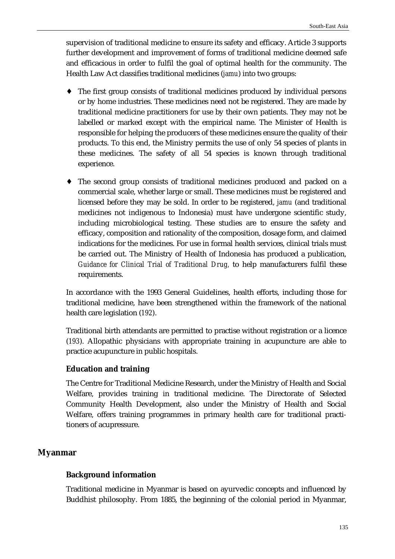supervision of traditional medicine to ensure its safety and efficacy. Article 3 supports further development and improvement of forms of traditional medicine deemed safe and efficacious in order to fulfil the goal of optimal health for the community. The Health Law Act classifies traditional medicines (*jamu*) into two groups:

- ♦ The first group consists of traditional medicines produced by individual persons or by home industries. These medicines need not be registered. They are made by traditional medicine practitioners for use by their own patients. They may not be labelled or marked except with the empirical name. The Minister of Health is responsible for helping the producers of these medicines ensure the quality of their products. To this end, the Ministry permits the use of only 54 species of plants in these medicines. The safety of all 54 species is known through traditional experience.
- ♦ The second group consists of traditional medicines produced and packed on a commercial scale, whether large or small. These medicines must be registered and licensed before they may be sold. In order to be registered, *jamu* (and traditional medicines not indigenous to Indonesia) must have undergone scientific study, including microbiological testing. These studies are to ensure the safety and efficacy, composition and rationality of the composition, dosage form, and claimed indications for the medicines. For use in formal health services, clinical trials must be carried out. The Ministry of Health of Indonesia has produced a publication, *Guidance for Clinical Trial of Traditional Drug,* to help manufacturers fulfil these requirements.

In accordance with the 1993 General Guidelines, health efforts, including those for traditional medicine, have been strengthened within the framework of the national health care legislation (*192*).

Traditional birth attendants are permitted to practise without registration or a licence (*193*). Allopathic physicians with appropriate training in acupuncture are able to practice acupuncture in public hospitals.

# **Education and training**

The Centre for Traditional Medicine Research, under the Ministry of Health and Social Welfare, provides training in traditional medicine. The Directorate of Selected Community Health Development, also under the Ministry of Health and Social Welfare, offers training programmes in primary health care for traditional practitioners of acupressure.

# **Myanmar**

### **Background information**

Traditional medicine in Myanmar is based on ayurvedic concepts and influenced by Buddhist philosophy. From 1885, the beginning of the colonial period in Myanmar,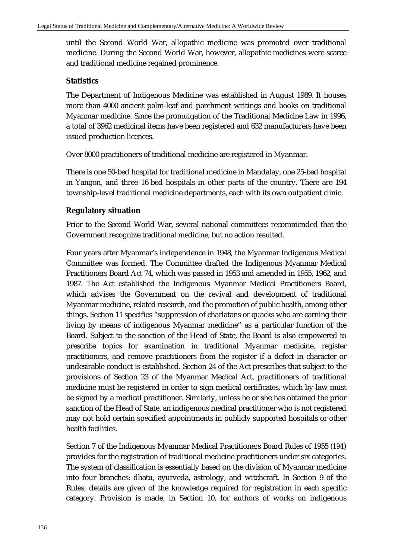until the Second World War, allopathic medicine was promoted over traditional medicine. During the Second World War, however, allopathic medicines were scarce and traditional medicine regained prominence.

### **Statistics**

The Department of Indigenous Medicine was established in August 1989. It houses more than 4000 ancient palm-leaf and parchment writings and books on traditional Myanmar medicine. Since the promulgation of the Traditional Medicine Law in 1996, a total of 3962 medicinal items have been registered and 632 manufacturers have been issued production licences.

Over 8000 practitioners of traditional medicine are registered in Myanmar.

There is one 50-bed hospital for traditional medicine in Mandalay, one 25-bed hospital in Yangon, and three 16-bed hospitals in other parts of the country. There are 194 township-level traditional medicine departments, each with its own outpatient clinic.

### **Regulatory situation**

Prior to the Second World War, several national committees recommended that the Government recognize traditional medicine, but no action resulted.

Four years after Myanmar's independence in 1948, the Myanmar Indigenous Medical Committee was formed. The Committee drafted the Indigenous Myanmar Medical Practitioners Board Act 74, which was passed in 1953 and amended in 1955, 1962, and 1987. The Act established the Indigenous Myanmar Medical Practitioners Board, which advises the Government on the revival and development of traditional Myanmar medicine, related research, and the promotion of public health, among other things. Section 11 specifies "suppression of charlatans or quacks who are earning their living by means of indigenous Myanmar medicine" as a particular function of the Board. Subject to the sanction of the Head of State, the Board is also empowered to prescribe topics for examination in traditional Myanmar medicine, register practitioners, and remove practitioners from the register if a defect in character or undesirable conduct is established. Section 24 of the Act prescribes that subject to the provisions of Section 23 of the Myanmar Medical Act, practitioners of traditional medicine must be registered in order to sign medical certificates, which by law must be signed by a medical practitioner. Similarly, unless he or she has obtained the prior sanction of the Head of State, an indigenous medical practitioner who is not registered may not hold certain specified appointments in publicly supported hospitals or other health facilities.

Section 7 of the Indigenous Myanmar Medical Practitioners Board Rules of 1955 (*194*) provides for the registration of traditional medicine practitioners under six categories. The system of classification is essentially based on the division of Myanmar medicine into four branches: dhatu, ayurveda, astrology, and witchcraft. In Section 9 of the Rules, details are given of the knowledge required for registration in each specific category. Provision is made, in Section 10, for authors of works on indigenous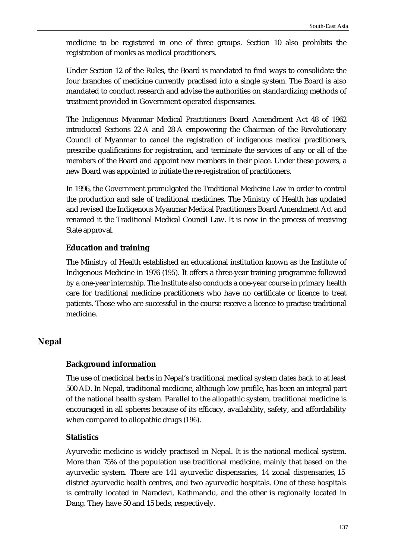medicine to be registered in one of three groups. Section 10 also prohibits the registration of monks as medical practitioners.

Under Section 12 of the Rules, the Board is mandated to find ways to consolidate the four branches of medicine currently practised into a single system. The Board is also mandated to conduct research and advise the authorities on standardizing methods of treatment provided in Government-operated dispensaries.

The Indigenous Myanmar Medical Practitioners Board Amendment Act 48 of 1962 introduced Sections 22-A and 28-A empowering the Chairman of the Revolutionary Council of Myanmar to cancel the registration of indigenous medical practitioners, prescribe qualifications for registration, and terminate the services of any or all of the members of the Board and appoint new members in their place. Under these powers, a new Board was appointed to initiate the re-registration of practitioners.

In 1996, the Government promulgated the Traditional Medicine Law in order to control the production and sale of traditional medicines. The Ministry of Health has updated and revised the Indigenous Myanmar Medical Practitioners Board Amendment Act and renamed it the Traditional Medical Council Law. It is now in the process of receiving State approval.

### **Education and training**

The Ministry of Health established an educational institution known as the Institute of Indigenous Medicine in 1976 (*195*). It offers a three-year training programme followed by a one-year internship. The Institute also conducts a one-year course in primary health care for traditional medicine practitioners who have no certificate or licence to treat patients. Those who are successful in the course receive a licence to practise traditional medicine.

### **Nepal**

#### **Background information**

The use of medicinal herbs in Nepal's traditional medical system dates back to at least 500 AD. In Nepal, traditional medicine, although low profile, has been an integral part of the national health system. Parallel to the allopathic system, traditional medicine is encouraged in all spheres because of its efficacy, availability, safety, and affordability when compared to allopathic drugs (*196*).

### **Statistics**

Ayurvedic medicine is widely practised in Nepal. It is the national medical system. More than 75% of the population use traditional medicine, mainly that based on the ayurvedic system. There are 141 ayurvedic dispensaries, 14 zonal dispensaries, 15 district ayurvedic health centres, and two ayurvedic hospitals. One of these hospitals is centrally located in Naradevi, Kathmandu, and the other is regionally located in Dang. They have 50 and 15 beds, respectively.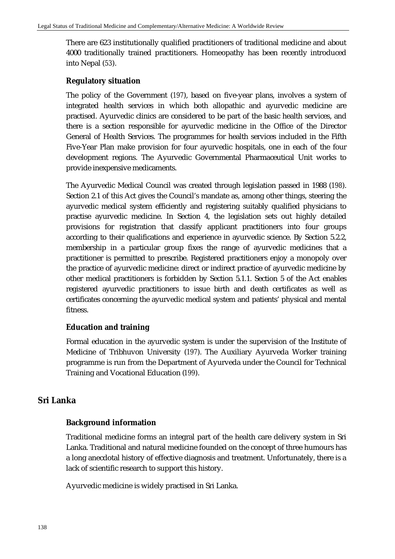There are 623 institutionally qualified practitioners of traditional medicine and about 4000 traditionally trained practitioners. Homeopathy has been recently introduced into Nepal (*53*).

### **Regulatory situation**

The policy of the Government (*197*), based on five-year plans, involves a system of integrated health services in which both allopathic and ayurvedic medicine are practised. Ayurvedic clinics are considered to be part of the basic health services, and there is a section responsible for ayurvedic medicine in the Office of the Director General of Health Services. The programmes for health services included in the Fifth Five-Year Plan make provision for four ayurvedic hospitals, one in each of the four development regions. The Ayurvedic Governmental Pharmaceutical Unit works to provide inexpensive medicaments.

The Ayurvedic Medical Council was created through legislation passed in 1988 (*198*). Section 2.1 of this Act gives the Council's mandate as, among other things, steering the ayurvedic medical system efficiently and registering suitably qualified physicians to practise ayurvedic medicine. In Section 4, the legislation sets out highly detailed provisions for registration that classify applicant practitioners into four groups according to their qualifications and experience in ayurvedic science. By Section 5.2.2, membership in a particular group fixes the range of ayurvedic medicines that a practitioner is permitted to prescribe. Registered practitioners enjoy a monopoly over the practice of ayurvedic medicine: direct or indirect practice of ayurvedic medicine by other medical practitioners is forbidden by Section 5.1.1. Section 5 of the Act enables registered ayurvedic practitioners to issue birth and death certificates as well as certificates concerning the ayurvedic medical system and patients' physical and mental fitness.

# **Education and training**

Formal education in the ayurvedic system is under the supervision of the Institute of Medicine of Tribhuvon University (*197*). The Auxiliary Ayurveda Worker training programme is run from the Department of Ayurveda under the Council for Technical Training and Vocational Education (*199*).

# **Sri Lanka**

# **Background information**

Traditional medicine forms an integral part of the health care delivery system in Sri Lanka. Traditional and natural medicine founded on the concept of three humours has a long anecdotal history of effective diagnosis and treatment. Unfortunately, there is a lack of scientific research to support this history.

Ayurvedic medicine is widely practised in Sri Lanka.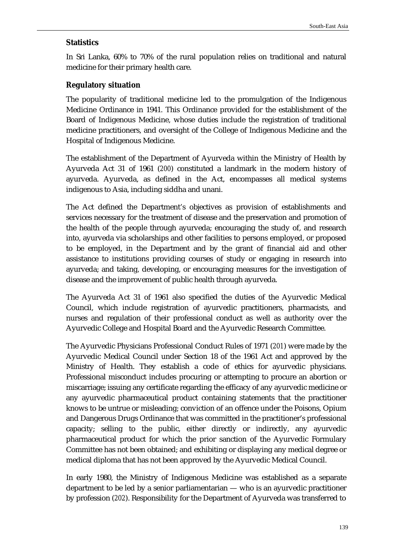### **Statistics**

In Sri Lanka, 60% to 70% of the rural population relies on traditional and natural medicine for their primary health care.

#### **Regulatory situation**

The popularity of traditional medicine led to the promulgation of the Indigenous Medicine Ordinance in 1941. This Ordinance provided for the establishment of the Board of Indigenous Medicine, whose duties include the registration of traditional medicine practitioners, and oversight of the College of Indigenous Medicine and the Hospital of Indigenous Medicine.

The establishment of the Department of Ayurveda within the Ministry of Health by Ayurveda Act 31 of 1961 (*200*) constituted a landmark in the modern history of ayurveda. Ayurveda, as defined in the Act, encompasses all medical systems indigenous to Asia, including siddha and unani.

The Act defined the Department's objectives as provision of establishments and services necessary for the treatment of disease and the preservation and promotion of the health of the people through ayurveda; encouraging the study of, and research into, ayurveda via scholarships and other facilities to persons employed, or proposed to be employed, in the Department and by the grant of financial aid and other assistance to institutions providing courses of study or engaging in research into ayurveda; and taking, developing, or encouraging measures for the investigation of disease and the improvement of public health through ayurveda.

The Ayurveda Act 31 of 1961 also specified the duties of the Ayurvedic Medical Council, which include registration of ayurvedic practitioners, pharmacists, and nurses and regulation of their professional conduct as well as authority over the Ayurvedic College and Hospital Board and the Ayurvedic Research Committee.

The Ayurvedic Physicians Professional Conduct Rules of 1971 (*201*) were made by the Ayurvedic Medical Council under Section 18 of the 1961 Act and approved by the Ministry of Health. They establish a code of ethics for ayurvedic physicians. Professional misconduct includes procuring or attempting to procure an abortion or miscarriage; issuing any certificate regarding the efficacy of any ayurvedic medicine or any ayurvedic pharmaceutical product containing statements that the practitioner knows to be untrue or misleading; conviction of an offence under the Poisons, Opium and Dangerous Drugs Ordinance that was committed in the practitioner's professional capacity; selling to the public, either directly or indirectly, any ayurvedic pharmaceutical product for which the prior sanction of the Ayurvedic Formulary Committee has not been obtained; and exhibiting or displaying any medical degree or medical diploma that has not been approved by the Ayurvedic Medical Council.

In early 1980, the Ministry of Indigenous Medicine was established as a separate department to be led by a senior parliamentarian — who is an ayurvedic practitioner by profession (*202*). Responsibility for the Department of Ayurveda was transferred to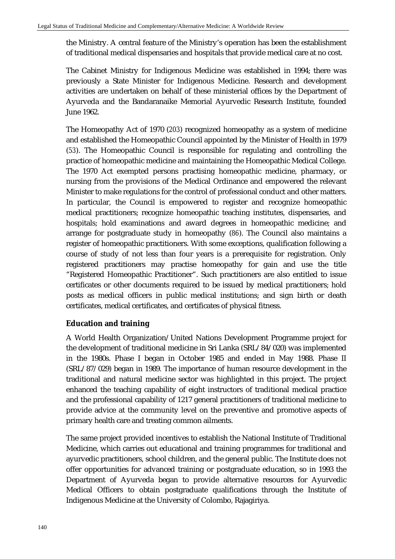the Ministry. A central feature of the Ministry's operation has been the establishment of traditional medical dispensaries and hospitals that provide medical care at no cost.

The Cabinet Ministry for Indigenous Medicine was established in 1994; there was previously a State Minister for Indigenous Medicine. Research and development activities are undertaken on behalf of these ministerial offices by the Department of Ayurveda and the Bandaranaike Memorial Ayurvedic Research Institute, founded June 1962.

The Homeopathy Act of 1970 (*203*) recognized homeopathy as a system of medicine and established the Homeopathic Council appointed by the Minister of Health in 1979 (*53*). The Homeopathic Council is responsible for regulating and controlling the practice of homeopathic medicine and maintaining the Homeopathic Medical College. The 1970 Act exempted persons practising homeopathic medicine, pharmacy, or nursing from the provisions of the Medical Ordinance and empowered the relevant Minister to make regulations for the control of professional conduct and other matters. In particular, the Council is empowered to register and recognize homeopathic medical practitioners; recognize homeopathic teaching institutes, dispensaries, and hospitals; hold examinations and award degrees in homeopathic medicine; and arrange for postgraduate study in homeopathy (*86*). The Council also maintains a register of homeopathic practitioners. With some exceptions, qualification following a course of study of not less than four years is a prerequisite for registration. Only registered practitioners may practise homeopathy for gain and use the title "Registered Homeopathic Practitioner". Such practitioners are also entitled to issue certificates or other documents required to be issued by medical practitioners; hold posts as medical officers in public medical institutions; and sign birth or death certificates, medical certificates, and certificates of physical fitness.

# **Education and training**

A World Health Organization/United Nations Development Programme project for the development of traditional medicine in Sri Lanka (SRL/84/020) was implemented in the 1980s. Phase I began in October 1985 and ended in May 1988. Phase II (SRL/87/029) began in 1989. The importance of human resource development in the traditional and natural medicine sector was highlighted in this project. The project enhanced the teaching capability of eight instructors of traditional medical practice and the professional capability of 1217 general practitioners of traditional medicine to provide advice at the community level on the preventive and promotive aspects of primary health care and treating common ailments.

The same project provided incentives to establish the National Institute of Traditional Medicine, which carries out educational and training programmes for traditional and ayurvedic practitioners, school children, and the general public. The Institute does not offer opportunities for advanced training or postgraduate education, so in 1993 the Department of Ayurveda began to provide alternative resources for Ayurvedic Medical Officers to obtain postgraduate qualifications through the Institute of Indigenous Medicine at the University of Colombo, Rajagiriya.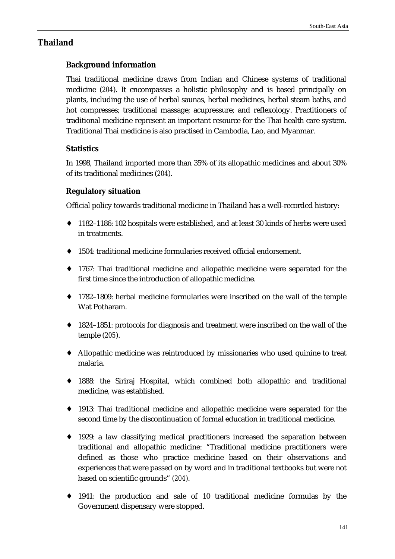# **Thailand**

# **Background information**

Thai traditional medicine draws from Indian and Chinese systems of traditional medicine (*204*). It encompasses a holistic philosophy and is based principally on plants, including the use of herbal saunas, herbal medicines, herbal steam baths, and hot compresses; traditional massage; acupressure; and reflexology. Practitioners of traditional medicine represent an important resource for the Thai health care system. Traditional Thai medicine is also practised in Cambodia, Lao, and Myanmar.

# **Statistics**

In 1998, Thailand imported more than 35% of its allopathic medicines and about 30% of its traditional medicines (*204*).

# **Regulatory situation**

Official policy towards traditional medicine in Thailand has a well-recorded history:

- ♦ 1182–1186: 102 hospitals were established, and at least 30 kinds of herbs were used in treatments.
- 1504: traditional medicine formularies received official endorsement.
- ♦ 1767: Thai traditional medicine and allopathic medicine were separated for the first time since the introduction of allopathic medicine.
- ♦ 1782–1809: herbal medicine formularies were inscribed on the wall of the temple Wat Potharam.
- ♦ 1824–1851: protocols for diagnosis and treatment were inscribed on the wall of the temple (*205*).
- ♦ Allopathic medicine was reintroduced by missionaries who used quinine to treat malaria.
- ♦ 1888: the Siriraj Hospital, which combined both allopathic and traditional medicine, was established.
- ♦ 1913: Thai traditional medicine and allopathic medicine were separated for the second time by the discontinuation of formal education in traditional medicine.
- ♦ 1929: a law classifying medical practitioners increased the separation between traditional and allopathic medicine: "Traditional medicine practitioners were defined as those who practice medicine based on their observations and experiences that were passed on by word and in traditional textbooks but were not based on scientific grounds" (*204*).
- ♦ 1941: the production and sale of 10 traditional medicine formulas by the Government dispensary were stopped.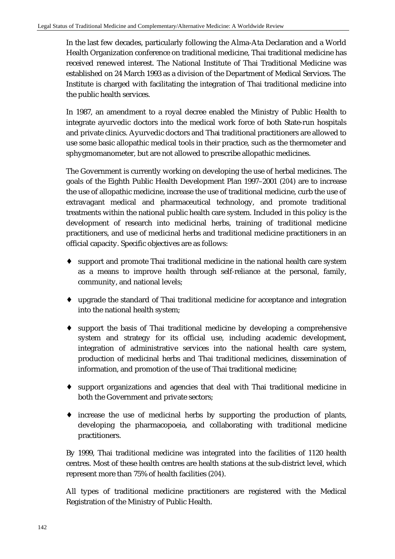In the last few decades, particularly following the Alma-Ata Declaration and a World Health Organization conference on traditional medicine, Thai traditional medicine has received renewed interest. The National Institute of Thai Traditional Medicine was established on 24 March 1993 as a division of the Department of Medical Services. The Institute is charged with facilitating the integration of Thai traditional medicine into the public health services.

In 1987, an amendment to a royal decree enabled the Ministry of Public Health to integrate ayurvedic doctors into the medical work force of both State-run hospitals and private clinics. Ayurvedic doctors and Thai traditional practitioners are allowed to use some basic allopathic medical tools in their practice, such as the thermometer and sphygmomanometer, but are not allowed to prescribe allopathic medicines.

The Government is currently working on developing the use of herbal medicines. The goals of the Eighth Public Health Development Plan 1997–2001 (*204*) are to increase the use of allopathic medicine, increase the use of traditional medicine, curb the use of extravagant medical and pharmaceutical technology, and promote traditional treatments within the national public health care system. Included in this policy is the development of research into medicinal herbs, training of traditional medicine practitioners, and use of medicinal herbs and traditional medicine practitioners in an official capacity. Specific objectives are as follows:

- ♦ support and promote Thai traditional medicine in the national health care system as a means to improve health through self-reliance at the personal, family, community, and national levels;
- ♦ upgrade the standard of Thai traditional medicine for acceptance and integration into the national health system;
- ♦ support the basis of Thai traditional medicine by developing a comprehensive system and strategy for its official use, including academic development, integration of administrative services into the national health care system, production of medicinal herbs and Thai traditional medicines, dissemination of information, and promotion of the use of Thai traditional medicine;
- ♦ support organizations and agencies that deal with Thai traditional medicine in both the Government and private sectors;
- ♦ increase the use of medicinal herbs by supporting the production of plants, developing the pharmacopoeia, and collaborating with traditional medicine practitioners.

By 1999, Thai traditional medicine was integrated into the facilities of 1120 health centres. Most of these health centres are health stations at the sub-district level, which represent more than 75% of health facilities (*204*).

All types of traditional medicine practitioners are registered with the Medical Registration of the Ministry of Public Health.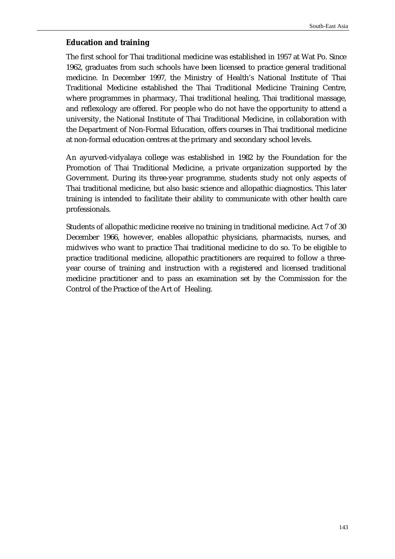### **Education and training**

The first school for Thai traditional medicine was established in 1957 at Wat Po. Since 1962, graduates from such schools have been licensed to practice general traditional medicine. In December 1997, the Ministry of Health's National Institute of Thai Traditional Medicine established the Thai Traditional Medicine Training Centre, where programmes in pharmacy, Thai traditional healing, Thai traditional massage, and reflexology are offered. For people who do not have the opportunity to attend a university, the National Institute of Thai Traditional Medicine, in collaboration with the Department of Non-Formal Education, offers courses in Thai traditional medicine at non-formal education centres at the primary and secondary school levels.

An ayurved-vidyalaya college was established in 1982 by the Foundation for the Promotion of Thai Traditional Medicine, a private organization supported by the Government. During its three-year programme, students study not only aspects of Thai traditional medicine, but also basic science and allopathic diagnostics. This later training is intended to facilitate their ability to communicate with other health care professionals.

Students of allopathic medicine receive no training in traditional medicine. Act 7 of 30 December 1966, however, enables allopathic physicians, pharmacists, nurses, and midwives who want to practice Thai traditional medicine to do so. To be eligible to practice traditional medicine, allopathic practitioners are required to follow a threeyear course of training and instruction with a registered and licensed traditional medicine practitioner and to pass an examination set by the Commission for the Control of the Practice of the Art of Healing.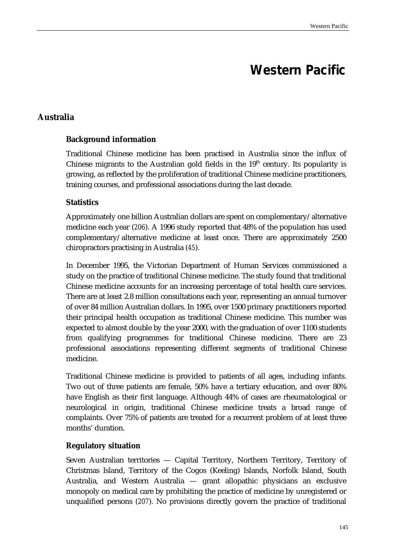# **Western Pacific**

# **Australia**

### **Background information**

Traditional Chinese medicine has been practised in Australia since the influx of Chinese migrants to the Australian gold fields in the  $19<sup>th</sup>$  century. Its popularity is growing, as reflected by the proliferation of traditional Chinese medicine practitioners, training courses, and professional associations during the last decade.

### **Statistics**

Approximately one billion Australian dollars are spent on complementary/alternative medicine each year (*206*). A 1996 study reported that 48% of the population has used complementary/alternative medicine at least once. There are approximately 2500 chiropractors practising in Australia (*45*).

In December 1995, the Victorian Department of Human Services commissioned a study on the practice of traditional Chinese medicine. The study found that traditional Chinese medicine accounts for an increasing percentage of total health care services. There are at least 2.8 million consultations each year, representing an annual turnover of over 84 million Australian dollars. In 1995, over 1500 primary practitioners reported their principal health occupation as traditional Chinese medicine. This number was expected to almost double by the year 2000, with the graduation of over 1100 students from qualifying programmes for traditional Chinese medicine. There are 23 professional associations representing different segments of traditional Chinese medicine.

Traditional Chinese medicine is provided to patients of all ages, including infants. Two out of three patients are female, 50% have a tertiary education, and over 80% have English as their first language. Although 44% of cases are rheumatological or neurological in origin, traditional Chinese medicine treats a broad range of complaints. Over 75% of patients are treated for a recurrent problem of at least three months' duration.

#### **Regulatory situation**

Seven Australian territories — Capital Territory, Northern Territory, Territory of Christmas Island, Territory of the Cogos (Keeling) Islands, Norfolk Island, South Australia, and Western Australia — grant allopathic physicians an exclusive monopoly on medical care by prohibiting the practice of medicine by unregistered or unqualified persons (*207*). No provisions directly govern the practice of traditional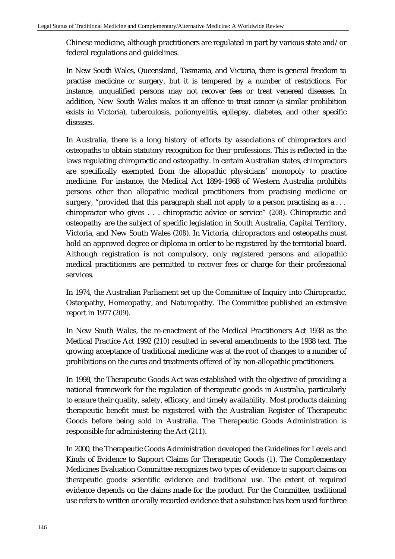Chinese medicine, although practitioners are regulated in part by various state and/or federal regulations and guidelines.

In New South Wales, Queensland, Tasmania, and Victoria, there is general freedom to practise medicine or surgery, but it is tempered by a number of restrictions. For instance, unqualified persons may not recover fees or treat venereal diseases. In addition, New South Wales makes it an offence to treat cancer (a similar prohibition exists in Victoria), tuberculosis, poliomyelitis, epilepsy, diabetes, and other specific diseases.

In Australia, there is a long history of efforts by associations of chiropractors and osteopaths to obtain statutory recognition for their professions. This is reflected in the laws regulating chiropractic and osteopathy. In certain Australian states, chiropractors are specifically exempted from the allopathic physicians' monopoly to practice medicine. For instance, the Medical Act 1894–1968 of Western Australia prohibits persons other than allopathic medical practitioners from practising medicine or surgery, "provided that this paragraph shall not apply to a person practising as a... chiropractor who gives . . . chiropractic advice or service" (*208*). Chiropractic and osteopathy are the subject of specific legislation in South Australia, Capital Territory, Victoria, and New South Wales (*208*). In Victoria, chiropractors and osteopaths must hold an approved degree or diploma in order to be registered by the territorial board. Although registration is not compulsory, only registered persons and allopathic medical practitioners are permitted to recover fees or charge for their professional services.

In 1974, the Australian Parliament set up the Committee of Inquiry into Chiropractic, Osteopathy, Homeopathy, and Naturopathy. The Committee published an extensive report in 1977 (*209*).

In New South Wales, the re-enactment of the Medical Practitioners Act 1938 as the Medical Practice Act 1992 (*210*) resulted in several amendments to the 1938 text. The growing acceptance of traditional medicine was at the root of changes to a number of prohibitions on the cures and treatments offered of by non-allopathic practitioners.

In 1998, the Therapeutic Goods Act was established with the objective of providing a national framework for the regulation of therapeutic goods in Australia, particularly to ensure their quality, safety, efficacy, and timely availability. Most products claiming therapeutic benefit must be registered with the Australian Register of Therapeutic Goods before being sold in Australia. The Therapeutic Goods Administration is responsible for administering the Act (*211*).

In 2000, the Therapeutic Goods Administration developed the Guidelines for Levels and Kinds of Evidence to Support Claims for Therapeutic Goods (*1*). The Complementary Medicines Evaluation Committee recognizes two types of evidence to support claims on therapeutic goods: scientific evidence and traditional use. The extent of required evidence depends on the claims made for the product. For the Committee, traditional use refers to written or orally recorded evidence that a substance has been used for three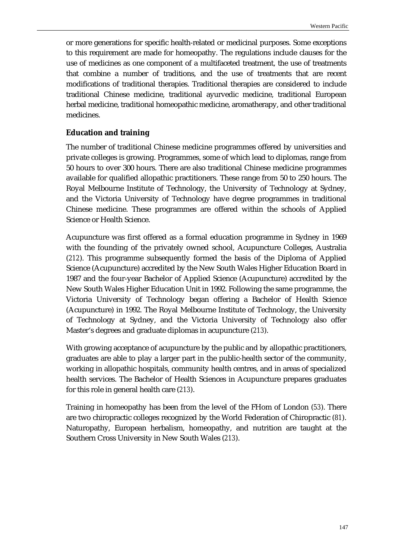or more generations for specific health-related or medicinal purposes. Some exceptions to this requirement are made for homeopathy. The regulations include clauses for the use of medicines as one component of a multifaceted treatment, the use of treatments that combine a number of traditions, and the use of treatments that are recent modifications of traditional therapies. Traditional therapies are considered to include traditional Chinese medicine, traditional ayurvedic medicine, traditional European herbal medicine, traditional homeopathic medicine, aromatherapy, and other traditional medicines.

### **Education and training**

The number of traditional Chinese medicine programmes offered by universities and private colleges is growing. Programmes, some of which lead to diplomas, range from 50 hours to over 300 hours. There are also traditional Chinese medicine programmes available for qualified allopathic practitioners. These range from 50 to 250 hours. The Royal Melbourne Institute of Technology, the University of Technology at Sydney, and the Victoria University of Technology have degree programmes in traditional Chinese medicine. These programmes are offered within the schools of Applied Science or Health Science.

Acupuncture was first offered as a formal education programme in Sydney in 1969 with the founding of the privately owned school, Acupuncture Colleges, Australia (*212*). This programme subsequently formed the basis of the Diploma of Applied Science (Acupuncture) accredited by the New South Wales Higher Education Board in 1987 and the four-year Bachelor of Applied Science (Acupuncture) accredited by the New South Wales Higher Education Unit in 1992. Following the same programme, the Victoria University of Technology began offering a Bachelor of Health Science (Acupuncture) in 1992. The Royal Melbourne Institute of Technology, the University of Technology at Sydney, and the Victoria University of Technology also offer Master's degrees and graduate diplomas in acupuncture (*213*).

With growing acceptance of acupuncture by the public and by allopathic practitioners, graduates are able to play a larger part in the public-health sector of the community, working in allopathic hospitals, community health centres, and in areas of specialized health services. The Bachelor of Health Sciences in Acupuncture prepares graduates for this role in general health care (*213*).

Training in homeopathy has been from the level of the FHom of London (*53*). There are two chiropractic colleges recognized by the World Federation of Chiropractic (*81*). Naturopathy, European herbalism, homeopathy, and nutrition are taught at the Southern Cross University in New South Wales (*213*).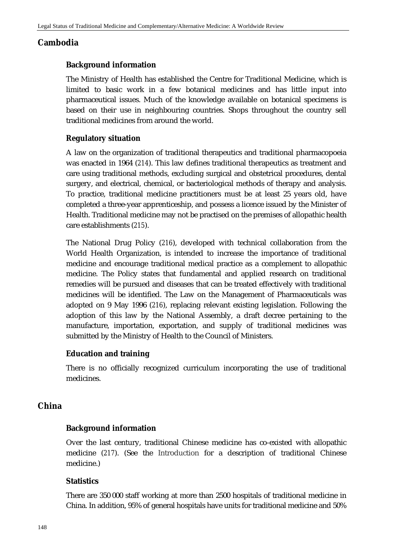# **Cambodia**

# **Background information**

The Ministry of Health has established the Centre for Traditional Medicine, which is limited to basic work in a few botanical medicines and has little input into pharmaceutical issues. Much of the knowledge available on botanical specimens is based on their use in neighbouring countries. Shops throughout the country sell traditional medicines from around the world.

# **Regulatory situation**

A law on the organization of traditional therapeutics and traditional pharmacopoeia was enacted in 1964 (*214*). This law defines traditional therapeutics as treatment and care using traditional methods, excluding surgical and obstetrical procedures, dental surgery, and electrical, chemical, or bacteriological methods of therapy and analysis. To practice, traditional medicine practitioners must be at least 25 years old, have completed a three-year apprenticeship, and possess a licence issued by the Minister of Health. Traditional medicine may not be practised on the premises of allopathic health care establishments (*215*).

The National Drug Policy (*216*), developed with technical collaboration from the World Health Organization, is intended to increase the importance of traditional medicine and encourage traditional medical practice as a complement to allopathic medicine. The Policy states that fundamental and applied research on traditional remedies will be pursued and diseases that can be treated effectively with traditional medicines will be identified. The Law on the Management of Pharmaceuticals was adopted on 9 May 1996 (*216*), replacing relevant existing legislation. Following the adoption of this law by the National Assembly, a draft decree pertaining to the manufacture, importation, exportation, and supply of traditional medicines was submitted by the Ministry of Health to the Council of Ministers.

# **Education and training**

There is no officially recognized curriculum incorporating the use of traditional medicines.

# **China**

# **Background information**

Over the last century, traditional Chinese medicine has co-existed with allopathic medicine (*217*). (See the Introduction for a description of traditional Chinese medicine.)

### **Statistics**

There are 350 000 staff working at more than 2500 hospitals of traditional medicine in China. In addition, 95% of general hospitals have units for traditional medicine and 50%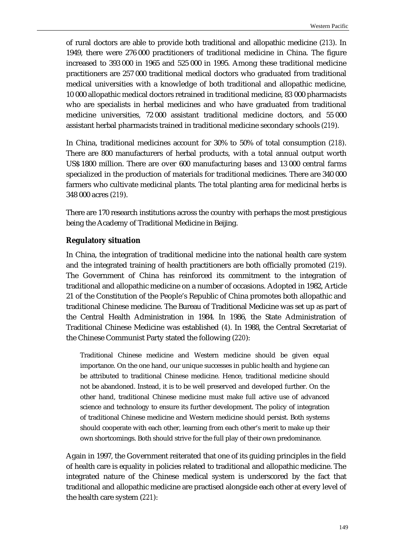of rural doctors are able to provide both traditional and allopathic medicine (*213*). In 1949, there were 276 000 practitioners of traditional medicine in China. The figure increased to 393 000 in 1965 and 525 000 in 1995. Among these traditional medicine practitioners are 257 000 traditional medical doctors who graduated from traditional medical universities with a knowledge of both traditional and allopathic medicine, 10 000 allopathic medical doctors retrained in traditional medicine, 83 000 pharmacists who are specialists in herbal medicines and who have graduated from traditional medicine universities, 72 000 assistant traditional medicine doctors, and 55 000 assistant herbal pharmacists trained in traditional medicine secondary schools (*219*).

In China, traditional medicines account for 30% to 50% of total consumption (*218*). There are 800 manufacturers of herbal products, with a total annual output worth US\$ 1800 million. There are over 600 manufacturing bases and 13 000 central farms specialized in the production of materials for traditional medicines. There are 340 000 farmers who cultivate medicinal plants. The total planting area for medicinal herbs is 348 000 acres (*219*).

There are 170 research institutions across the country with perhaps the most prestigious being the Academy of Traditional Medicine in Beijing.

### **Regulatory situation**

In China, the integration of traditional medicine into the national health care system and the integrated training of health practitioners are both officially promoted (*219*). The Government of China has reinforced its commitment to the integration of traditional and allopathic medicine on a number of occasions. Adopted in 1982, Article 21 of the Constitution of the People's Republic of China promotes both allopathic and traditional Chinese medicine. The Bureau of Traditional Medicine was set up as part of the Central Health Administration in 1984. In 1986, the State Administration of Traditional Chinese Medicine was established (*4*). In 1988, the Central Secretariat of the Chinese Communist Party stated the following (*220*):

Traditional Chinese medicine and Western medicine should be given equal importance. On the one hand, our unique successes in public health and hygiene can be attributed to traditional Chinese medicine. Hence, traditional medicine should not be abandoned. Instead, it is to be well preserved and developed further. On the other hand, traditional Chinese medicine must make full active use of advanced science and technology to ensure its further development. The policy of integration of traditional Chinese medicine and Western medicine should persist. Both systems should cooperate with each other, learning from each other's merit to make up their own shortcomings. Both should strive for the full play of their own predominance.

Again in 1997, the Government reiterated that one of its guiding principles in the field of health care is equality in policies related to traditional and allopathic medicine. The integrated nature of the Chinese medical system is underscored by the fact that traditional and allopathic medicine are practised alongside each other at every level of the health care system (*221*):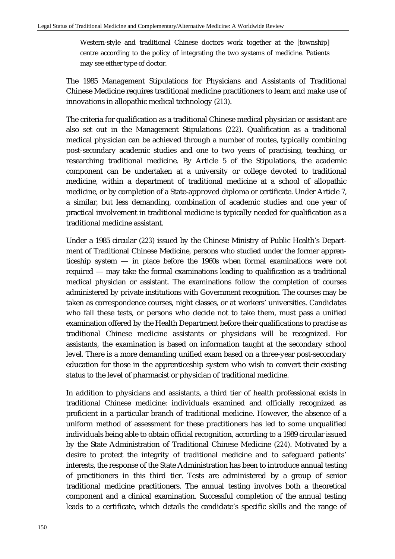Western-style and traditional Chinese doctors work together at the [township] centre according to the policy of integrating the two systems of medicine. Patients may see either type of doctor.

The 1985 Management Stipulations for Physicians and Assistants of Traditional Chinese Medicine requires traditional medicine practitioners to learn and make use of innovations in allopathic medical technology (*213*).

The criteria for qualification as a traditional Chinese medical physician or assistant are also set out in the Management Stipulations (*222*). Qualification as a traditional medical physician can be achieved through a number of routes, typically combining post-secondary academic studies and one to two years of practising, teaching, or researching traditional medicine. By Article 5 of the Stipulations, the academic component can be undertaken at a university or college devoted to traditional medicine, within a department of traditional medicine at a school of allopathic medicine, or by completion of a State-approved diploma or certificate. Under Article 7, a similar, but less demanding, combination of academic studies and one year of practical involvement in traditional medicine is typically needed for qualification as a traditional medicine assistant.

Under a 1985 circular (*223*) issued by the Chinese Ministry of Public Health's Department of Traditional Chinese Medicine, persons who studied under the former apprenticeship system — in place before the 1960s when formal examinations were not required — may take the formal examinations leading to qualification as a traditional medical physician or assistant. The examinations follow the completion of courses administered by private institutions with Government recognition. The courses may be taken as correspondence courses, night classes, or at workers' universities. Candidates who fail these tests, or persons who decide not to take them, must pass a unified examination offered by the Health Department before their qualifications to practise as traditional Chinese medicine assistants or physicians will be recognized. For assistants, the examination is based on information taught at the secondary school level. There is a more demanding unified exam based on a three-year post-secondary education for those in the apprenticeship system who wish to convert their existing status to the level of pharmacist or physician of traditional medicine.

In addition to physicians and assistants, a third tier of health professional exists in traditional Chinese medicine: individuals examined and officially recognized as proficient in a particular branch of traditional medicine. However, the absence of a uniform method of assessment for these practitioners has led to some unqualified individuals being able to obtain official recognition, according to a 1989 circular issued by the State Administration of Traditional Chinese Medicine (*224*). Motivated by a desire to protect the integrity of traditional medicine and to safeguard patients' interests, the response of the State Administration has been to introduce annual testing of practitioners in this third tier. Tests are administered by a group of senior traditional medicine practitioners. The annual testing involves both a theoretical component and a clinical examination. Successful completion of the annual testing leads to a certificate, which details the candidate's specific skills and the range of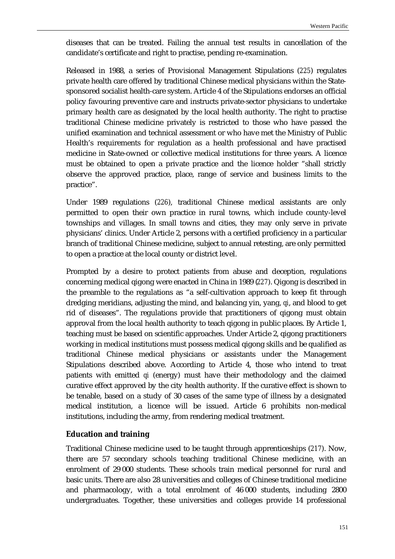diseases that can be treated. Failing the annual test results in cancellation of the candidate's certificate and right to practise, pending re-examination.

Released in 1988, a series of Provisional Management Stipulations (*225*) regulates private health care offered by traditional Chinese medical physicians within the Statesponsored socialist health-care system. Article 4 of the Stipulations endorses an official policy favouring preventive care and instructs private-sector physicians to undertake primary health care as designated by the local health authority. The right to practise traditional Chinese medicine privately is restricted to those who have passed the unified examination and technical assessment or who have met the Ministry of Public Health's requirements for regulation as a health professional and have practised medicine in State-owned or collective medical institutions for three years. A licence must be obtained to open a private practice and the licence holder "shall strictly observe the approved practice, place, range of service and business limits to the practice".

Under 1989 regulations (*226*), traditional Chinese medical assistants are only permitted to open their own practice in rural towns, which include county-level townships and villages. In small towns and cities, they may only serve in private physicians' clinics. Under Article 2, persons with a certified proficiency in a particular branch of traditional Chinese medicine, subject to annual retesting, are only permitted to open a practice at the local county or district level.

Prompted by a desire to protect patients from abuse and deception, regulations concerning medical qigong were enacted in China in 1989 (*227*). Qigong is described in the preamble to the regulations as "a self-cultivation approach to keep fit through dredging meridians, adjusting the mind, and balancing yin, yang, *qi*, and blood to get rid of diseases". The regulations provide that practitioners of qigong must obtain approval from the local health authority to teach qigong in public places. By Article 1, teaching must be based on scientific approaches. Under Article 2, qigong practitioners working in medical institutions must possess medical qigong skills and be qualified as traditional Chinese medical physicians or assistants under the Management Stipulations described above. According to Article 4, those who intend to treat patients with emitted *qi* (energy) must have their methodology and the claimed curative effect approved by the city health authority. If the curative effect is shown to be tenable, based on a study of 30 cases of the same type of illness by a designated medical institution, a licence will be issued. Article 6 prohibits non-medical institutions, including the army, from rendering medical treatment.

### **Education and training**

Traditional Chinese medicine used to be taught through apprenticeships (*217*). Now, there are 57 secondary schools teaching traditional Chinese medicine, with an enrolment of 29 000 students. These schools train medical personnel for rural and basic units. There are also 28 universities and colleges of Chinese traditional medicine and pharmacology, with a total enrolment of 46 000 students, including 2800 undergraduates. Together, these universities and colleges provide 14 professional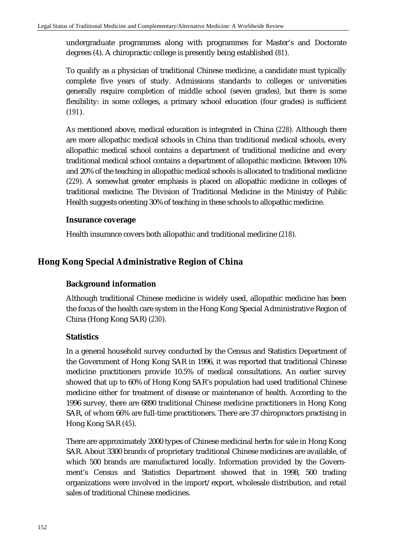undergraduate programmes along with programmes for Master's and Doctorate degrees (*4*). A chiropractic college is presently being established (*81*).

To qualify as a physician of traditional Chinese medicine, a candidate must typically complete five years of study. Admissions standards to colleges or universities generally require completion of middle school (seven grades), but there is some flexibility: in some colleges, a primary school education (four grades) is sufficient (*191*).

As mentioned above, medical education is integrated in China (*228*). Although there are more allopathic medical schools in China than traditional medical schools, every allopathic medical school contains a department of traditional medicine and every traditional medical school contains a department of allopathic medicine. Between 10% and 20% of the teaching in allopathic medical schools is allocated to traditional medicine (*229*). A somewhat greater emphasis is placed on allopathic medicine in colleges of traditional medicine. The Division of Traditional Medicine in the Ministry of Public Health suggests orienting 30% of teaching in these schools to allopathic medicine.

### **Insurance coverage**

Health insurance covers both allopathic and traditional medicine (*218*).

# **Hong Kong Special Administrative Region of China**

# **Background information**

Although traditional Chinese medicine is widely used, allopathic medicine has been the focus of the health care system in the Hong Kong Special Administrative Region of China (Hong Kong SAR) (*230*).

# **Statistics**

In a general household survey conducted by the Census and Statistics Department of the Government of Hong Kong SAR in 1996, it was reported that traditional Chinese medicine practitioners provide 10.5% of medical consultations. An earlier survey showed that up to 60% of Hong Kong SAR's population had used traditional Chinese medicine either for treatment of disease or maintenance of health. According to the 1996 survey, there are 6890 traditional Chinese medicine practitioners in Hong Kong SAR, of whom 66% are full-time practitioners. There are 37 chiropractors practising in Hong Kong SAR (*45*).

There are approximately 2000 types of Chinese medicinal herbs for sale in Hong Kong SAR. About 3300 brands of proprietary traditional Chinese medicines are available, of which 500 brands are manufactured locally. Information provided by the Government's Census and Statistics Department showed that in 1998, 500 trading organizations were involved in the import/export, wholesale distribution, and retail sales of traditional Chinese medicines.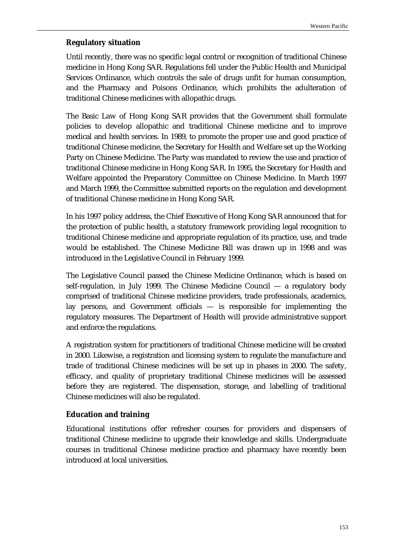### **Regulatory situation**

Until recently, there was no specific legal control or recognition of traditional Chinese medicine in Hong Kong SAR. Regulations fell under the Public Health and Municipal Services Ordinance, which controls the sale of drugs unfit for human consumption, and the Pharmacy and Poisons Ordinance, which prohibits the adulteration of traditional Chinese medicines with allopathic drugs.

The Basic Law of Hong Kong SAR provides that the Government shall formulate policies to develop allopathic and traditional Chinese medicine and to improve medical and health services. In 1989, to promote the proper use and good practice of traditional Chinese medicine, the Secretary for Health and Welfare set up the Working Party on Chinese Medicine. The Party was mandated to review the use and practice of traditional Chinese medicine in Hong Kong SAR. In 1995, the Secretary for Health and Welfare appointed the Preparatory Committee on Chinese Medicine. In March 1997 and March 1999, the Committee submitted reports on the regulation and development of traditional Chinese medicine in Hong Kong SAR.

In his 1997 policy address, the Chief Executive of Hong Kong SAR announced that for the protection of public health, a statutory framework providing legal recognition to traditional Chinese medicine and appropriate regulation of its practice, use, and trade would be established. The Chinese Medicine Bill was drawn up in 1998 and was introduced in the Legislative Council in February 1999.

The Legislative Council passed the Chinese Medicine Ordinance, which is based on self-regulation, in July 1999. The Chinese Medicine Council — a regulatory body comprised of traditional Chinese medicine providers, trade professionals, academics, lay persons, and Government officials — is responsible for implementing the regulatory measures. The Department of Health will provide administrative support and enforce the regulations.

A registration system for practitioners of traditional Chinese medicine will be created in 2000. Likewise, a registration and licensing system to regulate the manufacture and trade of traditional Chinese medicines will be set up in phases in 2000. The safety, efficacy, and quality of proprietary traditional Chinese medicines will be assessed before they are registered. The dispensation, storage, and labelling of traditional Chinese medicines will also be regulated.

### **Education and training**

Educational institutions offer refresher courses for providers and dispensers of traditional Chinese medicine to upgrade their knowledge and skills. Undergraduate courses in traditional Chinese medicine practice and pharmacy have recently been introduced at local universities.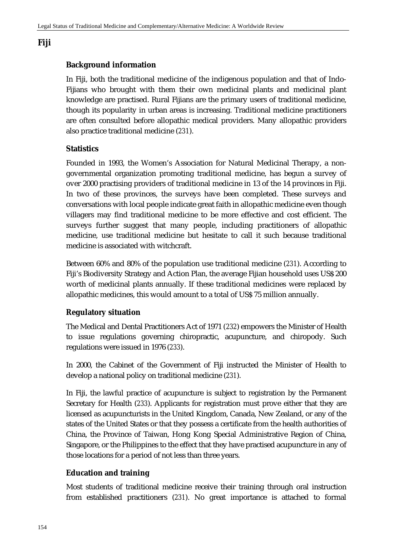# **Fiji**

# **Background information**

In Fiji, both the traditional medicine of the indigenous population and that of Indo-Fijians who brought with them their own medicinal plants and medicinal plant knowledge are practised. Rural Fijians are the primary users of traditional medicine, though its popularity in urban areas is increasing. Traditional medicine practitioners are often consulted before allopathic medical providers. Many allopathic providers also practice traditional medicine (*231*).

# **Statistics**

Founded in 1993, the Women's Association for Natural Medicinal Therapy, a nongovernmental organization promoting traditional medicine, has begun a survey of over 2000 practising providers of traditional medicine in 13 of the 14 provinces in Fiji. In two of these provinces, the surveys have been completed. These surveys and conversations with local people indicate great faith in allopathic medicine even though villagers may find traditional medicine to be more effective and cost efficient. The surveys further suggest that many people, including practitioners of allopathic medicine, use traditional medicine but hesitate to call it such because traditional medicine is associated with witchcraft.

Between 60% and 80% of the population use traditional medicine (*231*). According to Fiji's Biodiversity Strategy and Action Plan, the average Fijian household uses US\$ 200 worth of medicinal plants annually. If these traditional medicines were replaced by allopathic medicines, this would amount to a total of US\$ 75 million annually.

# **Regulatory situation**

The Medical and Dental Practitioners Act of 1971 (*232*) empowers the Minister of Health to issue regulations governing chiropractic, acupuncture, and chiropody. Such regulations were issued in 1976 (*233*).

In 2000, the Cabinet of the Government of Fiji instructed the Minister of Health to develop a national policy on traditional medicine (*231*).

In Fiji, the lawful practice of acupuncture is subject to registration by the Permanent Secretary for Health (*233*). Applicants for registration must prove either that they are licensed as acupuncturists in the United Kingdom, Canada, New Zealand, or any of the states of the United States or that they possess a certificate from the health authorities of China, the Province of Taiwan, Hong Kong Special Administrative Region of China, Singapore, or the Philippines to the effect that they have practised acupuncture in any of those locations for a period of not less than three years.

# **Education and training**

Most students of traditional medicine receive their training through oral instruction from established practitioners (*231*). No great importance is attached to formal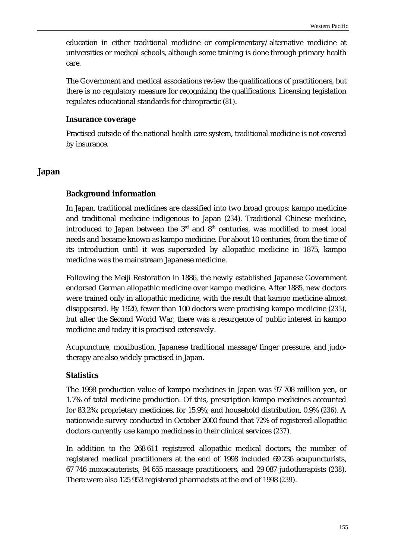education in either traditional medicine or complementary/alternative medicine at universities or medical schools, although some training is done through primary health care.

The Government and medical associations review the qualifications of practitioners, but there is no regulatory measure for recognizing the qualifications. Licensing legislation regulates educational standards for chiropractic (*81*).

#### **Insurance coverage**

Practised outside of the national health care system, traditional medicine is not covered by insurance.

### **Japan**

### **Background information**

In Japan, traditional medicines are classified into two broad groups: kampo medicine and traditional medicine indigenous to Japan (*234*). Traditional Chinese medicine, introduced to Japan between the  $3<sup>rd</sup>$  and  $8<sup>th</sup>$  centuries, was modified to meet local needs and became known as kampo medicine. For about 10 centuries, from the time of its introduction until it was superseded by allopathic medicine in 1875, kampo medicine was the mainstream Japanese medicine.

Following the Meiji Restoration in 1886, the newly established Japanese Government endorsed German allopathic medicine over kampo medicine. After 1885, new doctors were trained only in allopathic medicine, with the result that kampo medicine almost disappeared. By 1920, fewer than 100 doctors were practising kampo medicine (*235*), but after the Second World War, there was a resurgence of public interest in kampo medicine and today it is practised extensively.

Acupuncture, moxibustion, Japanese traditional massage/finger pressure, and judotherapy are also widely practised in Japan.

### **Statistics**

The 1998 production value of kampo medicines in Japan was 97 708 million yen, or 1.7% of total medicine production. Of this, prescription kampo medicines accounted for 83.2%; proprietary medicines, for 15.9%; and household distribution, 0.9% (*236*). A nationwide survey conducted in October 2000 found that 72% of registered allopathic doctors currently use kampo medicines in their clinical services (*237*).

In addition to the 268 611 registered allopathic medical doctors, the number of registered medical practitioners at the end of 1998 included 69 236 acupuncturists, 67 746 moxacauterists, 94 655 massage practitioners, and 29 087 judotherapists (*238*). There were also 125 953 registered pharmacists at the end of 1998 (*239*).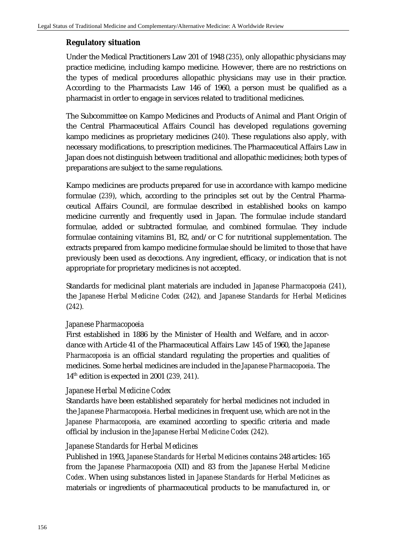### **Regulatory situation**

Under the Medical Practitioners Law 201 of 1948 (*235*), only allopathic physicians may practice medicine, including kampo medicine. However, there are no restrictions on the types of medical procedures allopathic physicians may use in their practice. According to the Pharmacists Law 146 of 1960, a person must be qualified as a pharmacist in order to engage in services related to traditional medicines.

The Subcommittee on Kampo Medicines and Products of Animal and Plant Origin of the Central Pharmaceutical Affairs Council has developed regulations governing kampo medicines as proprietary medicines (*240*). These regulations also apply, with necessary modifications, to prescription medicines. The Pharmaceutical Affairs Law in Japan does not distinguish between traditional and allopathic medicines; both types of preparations are subject to the same regulations.

Kampo medicines are products prepared for use in accordance with kampo medicine formulae (*239*), which, according to the principles set out by the Central Pharmaceutical Affairs Council, are formulae described in established books on kampo medicine currently and frequently used in Japan. The formulae include standard formulae, added or subtracted formulae, and combined formulae. They include formulae containing vitamins B1, B2, and/or C for nutritional supplementation. The extracts prepared from kampo medicine formulae should be limited to those that have previously been used as decoctions. Any ingredient, efficacy, or indication that is not appropriate for proprietary medicines is not accepted.

Standards for medicinal plant materials are included in *Japanese Pharmacopoeia* (*241*), the *Japanese Herbal Medicine Codex* (*242*)*,* and *Japanese Standards for Herbal Medicines*  (*242*)*.*

### *Japanese Pharmacopoeia*

First established in 1886 by the Minister of Health and Welfare, and in accordance with Article 41 of the Pharmaceutical Affairs Law 145 of 1960, the *Japanese Pharmacopoeia* is an official standard regulating the properties and qualities of medicines. Some herbal medicines are included in the *Japanese Pharmacopoeia*. The 14th edition is expected in 2001 (*239, 241*).

### *Japanese Herbal Medicine Codex*

Standards have been established separately for herbal medicines not included in the *Japanese Pharmacopoeia*. Herbal medicines in frequent use, which are not in the *Japanese Pharmacopoeia,* are examined according to specific criteria and made official by inclusion in the *Japanese Herbal Medicine Codex* (*242*).

### *Japanese Standards for Herbal Medicines*

Published in 1993, *Japanese Standards for Herbal Medicines* contains 248 articles: 165 from the *Japanese Pharmacopoeia* (XII) and 83 from the *Japanese Herbal Medicine Codex*. When using substances listed in *Japanese Standards for Herbal Medicines* as materials or ingredients of pharmaceutical products to be manufactured in, or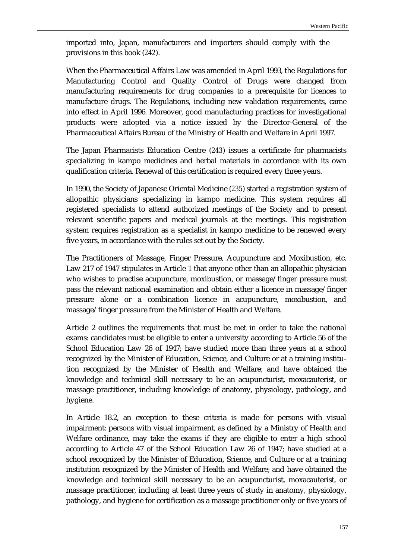imported into, Japan, manufacturers and importers should comply with the provisions in this book (*242*).

When the Pharmaceutical Affairs Law was amended in April 1993, the Regulations for Manufacturing Control and Quality Control of Drugs were changed from manufacturing requirements for drug companies to a prerequisite for licences to manufacture drugs. The Regulations, including new validation requirements, came into effect in April 1996. Moreover, good manufacturing practices for investigational products were adopted via a notice issued by the Director-General of the Pharmaceutical Affairs Bureau of the Ministry of Health and Welfare in April 1997.

The Japan Pharmacists Education Centre (*243*) issues a certificate for pharmacists specializing in kampo medicines and herbal materials in accordance with its own qualification criteria. Renewal of this certification is required every three years.

In 1990, the Society of Japanese Oriental Medicine (*235*) started a registration system of allopathic physicians specializing in kampo medicine. This system requires all registered specialists to attend authorized meetings of the Society and to present relevant scientific papers and medical journals at the meetings. This registration system requires registration as a specialist in kampo medicine to be renewed every five years, in accordance with the rules set out by the Society.

The Practitioners of Massage, Finger Pressure, Acupuncture and Moxibustion, etc. Law 217 of 1947 stipulates in Article 1 that anyone other than an allopathic physician who wishes to practise acupuncture, moxibustion, or massage/finger pressure must pass the relevant national examination and obtain either a licence in massage/finger pressure alone or a combination licence in acupuncture, moxibustion, and massage/finger pressure from the Minister of Health and Welfare.

Article 2 outlines the requirements that must be met in order to take the national exams: candidates must be eligible to enter a university according to Article 56 of the School Education Law 26 of 1947; have studied more than three years at a school recognized by the Minister of Education, Science, and Culture or at a training institution recognized by the Minister of Health and Welfare; and have obtained the knowledge and technical skill necessary to be an acupuncturist, moxacauterist, or massage practitioner, including knowledge of anatomy, physiology, pathology, and hygiene.

In Article 18.2, an exception to these criteria is made for persons with visual impairment: persons with visual impairment, as defined by a Ministry of Health and Welfare ordinance, may take the exams if they are eligible to enter a high school according to Article 47 of the School Education Law 26 of 1947; have studied at a school recognized by the Minister of Education, Science, and Culture or at a training institution recognized by the Minister of Health and Welfare; and have obtained the knowledge and technical skill necessary to be an acupuncturist, moxacauterist, or massage practitioner, including at least three years of study in anatomy, physiology, pathology, and hygiene for certification as a massage practitioner only or five years of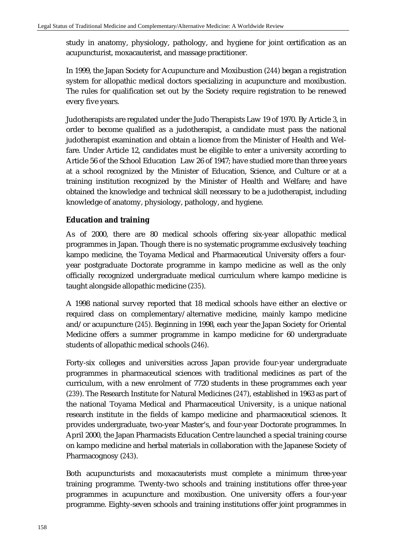study in anatomy, physiology, pathology, and hygiene for joint certification as an acupuncturist, moxacauterist, and massage practitioner.

In 1999, the Japan Society for Acupuncture and Moxibustion (*244*) began a registration system for allopathic medical doctors specializing in acupuncture and moxibustion. The rules for qualification set out by the Society require registration to be renewed every five years.

Judotherapists are regulated under the Judo Therapists Law 19 of 1970. By Article 3, in order to become qualified as a judotherapist, a candidate must pass the national judotherapist examination and obtain a licence from the Minister of Health and Welfare. Under Article 12, candidates must be eligible to enter a university according to Article 56 of the School Education Law 26 of 1947; have studied more than three years at a school recognized by the Minister of Education, Science, and Culture or at a training institution recognized by the Minister of Health and Welfare; and have obtained the knowledge and technical skill necessary to be a judotherapist, including knowledge of anatomy, physiology, pathology, and hygiene.

# **Education and training**

As of 2000, there are 80 medical schools offering six-year allopathic medical programmes in Japan. Though there is no systematic programme exclusively teaching kampo medicine, the Toyama Medical and Pharmaceutical University offers a fouryear postgraduate Doctorate programme in kampo medicine as well as the only officially recognized undergraduate medical curriculum where kampo medicine is taught alongside allopathic medicine (*235*).

A 1998 national survey reported that 18 medical schools have either an elective or required class on complementary/alternative medicine, mainly kampo medicine and/or acupuncture (*245*). Beginning in 1998, each year the Japan Society for Oriental Medicine offers a summer programme in kampo medicine for 60 undergraduate students of allopathic medical schools (*246*).

Forty-six colleges and universities across Japan provide four-year undergraduate programmes in pharmaceutical sciences with traditional medicines as part of the curriculum, with a new enrolment of 7720 students in these programmes each year (*239*). The Research Institute for Natural Medicines (*247*), established in 1963 as part of the national Toyama Medical and Pharmaceutical University, is a unique national research institute in the fields of kampo medicine and pharmaceutical sciences. It provides undergraduate, two-year Master's, and four-year Doctorate programmes. In April 2000, the Japan Pharmacists Education Centre launched a special training course on kampo medicine and herbal materials in collaboration with the Japanese Society of Pharmacognosy (*243*).

Both acupuncturists and moxacauterists must complete a minimum three-year training programme. Twenty-two schools and training institutions offer three-year programmes in acupuncture and moxibustion. One university offers a four-year programme. Eighty-seven schools and training institutions offer joint programmes in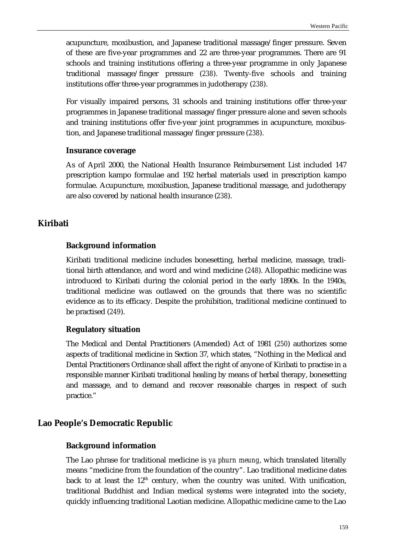acupuncture, moxibustion, and Japanese traditional massage/finger pressure. Seven of these are five-year programmes and 22 are three-year programmes. There are 91 schools and training institutions offering a three-year programme in only Japanese traditional massage/finger pressure (*238*). Twenty-five schools and training institutions offer three-year programmes in judotherapy (*238*).

For visually impaired persons, 31 schools and training institutions offer three-year programmes in Japanese traditional massage/finger pressure alone and seven schools and training institutions offer five-year joint programmes in acupuncture, moxibustion, and Japanese traditional massage/finger pressure (*238*).

#### **Insurance coverage**

As of April 2000, the National Health Insurance Reimbursement List included 147 prescription kampo formulae and 192 herbal materials used in prescription kampo formulae. Acupuncture, moxibustion, Japanese traditional massage, and judotherapy are also covered by national health insurance (*238*).

# **Kiribati**

#### **Background information**

Kiribati traditional medicine includes bonesetting, herbal medicine, massage, traditional birth attendance, and word and wind medicine (*248*). Allopathic medicine was introduced to Kiribati during the colonial period in the early 1890s. In the 1940s, traditional medicine was outlawed on the grounds that there was no scientific evidence as to its efficacy. Despite the prohibition, traditional medicine continued to be practised (*249*).

### **Regulatory situation**

The Medical and Dental Practitioners (Amended) Act of 1981 (*250*) authorizes some aspects of traditional medicine in Section 37, which states, "Nothing in the Medical and Dental Practitioners Ordinance shall affect the right of anyone of Kiribati to practise in a responsible manner Kiribati traditional healing by means of herbal therapy, bonesetting and massage, and to demand and recover reasonable charges in respect of such practice."

#### **Lao People's Democratic Republic**

#### **Background information**

The Lao phrase for traditional medicine is *ya phurn meung*, which translated literally means "medicine from the foundation of the country". Lao traditional medicine dates back to at least the  $12<sup>th</sup>$  century, when the country was united. With unification, traditional Buddhist and Indian medical systems were integrated into the society, quickly influencing traditional Laotian medicine. Allopathic medicine came to the Lao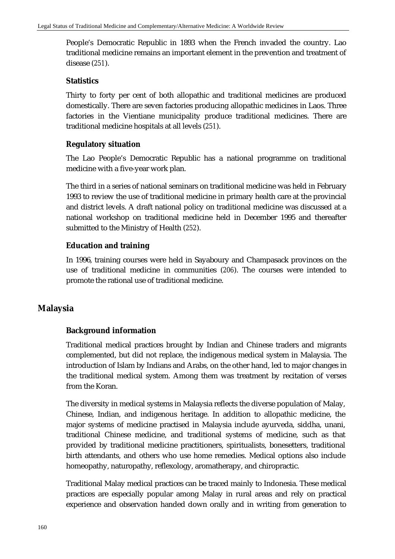People's Democratic Republic in 1893 when the French invaded the country. Lao traditional medicine remains an important element in the prevention and treatment of disease (*251*).

### **Statistics**

Thirty to forty per cent of both allopathic and traditional medicines are produced domestically. There are seven factories producing allopathic medicines in Laos. Three factories in the Vientiane municipality produce traditional medicines. There are traditional medicine hospitals at all levels (*251*).

### **Regulatory situation**

The Lao People's Democratic Republic has a national programme on traditional medicine with a five-year work plan.

The third in a series of national seminars on traditional medicine was held in February 1993 to review the use of traditional medicine in primary health care at the provincial and district levels. A draft national policy on traditional medicine was discussed at a national workshop on traditional medicine held in December 1995 and thereafter submitted to the Ministry of Health (*252*).

### **Education and training**

In 1996, training courses were held in Sayaboury and Champasack provinces on the use of traditional medicine in communities (*206*). The courses were intended to promote the rational use of traditional medicine.

# **Malaysia**

### **Background information**

Traditional medical practices brought by Indian and Chinese traders and migrants complemented, but did not replace, the indigenous medical system in Malaysia. The introduction of Islam by Indians and Arabs, on the other hand, led to major changes in the traditional medical system. Among them was treatment by recitation of verses from the Koran.

The diversity in medical systems in Malaysia reflects the diverse population of Malay, Chinese, Indian, and indigenous heritage. In addition to allopathic medicine, the major systems of medicine practised in Malaysia include ayurveda, siddha, unani, traditional Chinese medicine, and traditional systems of medicine, such as that provided by traditional medicine practitioners, spiritualists, bonesetters, traditional birth attendants, and others who use home remedies. Medical options also include homeopathy, naturopathy, reflexology, aromatherapy, and chiropractic.

Traditional Malay medical practices can be traced mainly to Indonesia. These medical practices are especially popular among Malay in rural areas and rely on practical experience and observation handed down orally and in writing from generation to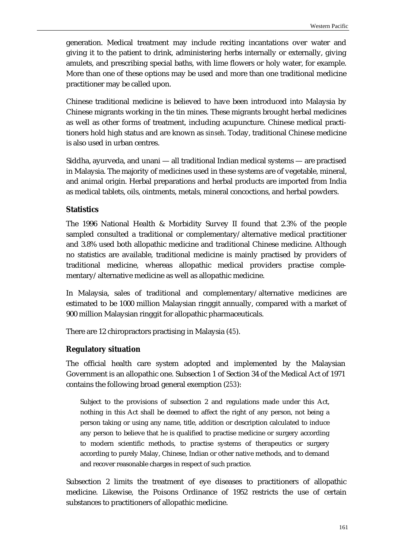generation. Medical treatment may include reciting incantations over water and giving it to the patient to drink, administering herbs internally or externally, giving amulets, and prescribing special baths, with lime flowers or holy water, for example. More than one of these options may be used and more than one traditional medicine practitioner may be called upon.

Chinese traditional medicine is believed to have been introduced into Malaysia by Chinese migrants working in the tin mines. These migrants brought herbal medicines as well as other forms of treatment, including acupuncture. Chinese medical practitioners hold high status and are known as *sinseh*. Today, traditional Chinese medicine is also used in urban centres.

Siddha, ayurveda, and unani — all traditional Indian medical systems — are practised in Malaysia. The majority of medicines used in these systems are of vegetable, mineral, and animal origin. Herbal preparations and herbal products are imported from India as medical tablets, oils, ointments, metals, mineral concoctions, and herbal powders.

### **Statistics**

The 1996 National Health & Morbidity Survey II found that 2.3% of the people sampled consulted a traditional or complementary/alternative medical practitioner and 3.8% used both allopathic medicine and traditional Chinese medicine. Although no statistics are available, traditional medicine is mainly practised by providers of traditional medicine, whereas allopathic medical providers practise complementary/alternative medicine as well as allopathic medicine.

In Malaysia, sales of traditional and complementary/alternative medicines are estimated to be 1000 million Malaysian ringgit annually, compared with a market of 900 million Malaysian ringgit for allopathic pharmaceuticals.

There are 12 chiropractors practising in Malaysia (*45*).

### **Regulatory situation**

The official health care system adopted and implemented by the Malaysian Government is an allopathic one. Subsection 1 of Section 34 of the Medical Act of 1971 contains the following broad general exemption (*253*):

Subject to the provisions of subsection 2 and regulations made under this Act, nothing in this Act shall be deemed to affect the right of any person, not being a person taking or using any name, title, addition or description calculated to induce any person to believe that he is qualified to practise medicine or surgery according to modern scientific methods, to practise systems of therapeutics or surgery according to purely Malay, Chinese, Indian or other native methods, and to demand and recover reasonable charges in respect of such practice.

Subsection 2 limits the treatment of eye diseases to practitioners of allopathic medicine. Likewise, the Poisons Ordinance of 1952 restricts the use of certain substances to practitioners of allopathic medicine.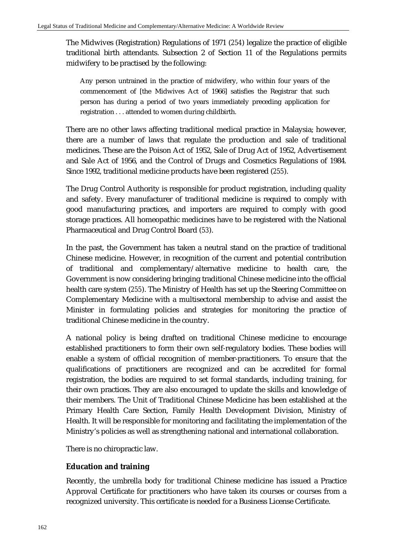The Midwives (Registration) Regulations of 1971 (*254*) legalize the practice of eligible traditional birth attendants. Subsection 2 of Section 11 of the Regulations permits midwifery to be practised by the following:

Any person untrained in the practice of midwifery, who within four years of the commencement of [the Midwives Act of 1966] satisfies the Registrar that such person has during a period of two years immediately preceding application for registration . . . attended to women during childbirth.

There are no other laws affecting traditional medical practice in Malaysia; however, there are a number of laws that regulate the production and sale of traditional medicines. These are the Poison Act of 1952, Sale of Drug Act of 1952, Advertisement and Sale Act of 1956, and the Control of Drugs and Cosmetics Regulations of 1984. Since 1992, traditional medicine products have been registered (*255*).

The Drug Control Authority is responsible for product registration, including quality and safety. Every manufacturer of traditional medicine is required to comply with good manufacturing practices, and importers are required to comply with good storage practices. All homeopathic medicines have to be registered with the National Pharmaceutical and Drug Control Board (*53*).

In the past, the Government has taken a neutral stand on the practice of traditional Chinese medicine. However, in recognition of the current and potential contribution of traditional and complementary/alternative medicine to health care, the Government is now considering bringing traditional Chinese medicine into the official health care system (*255*). The Ministry of Health has set up the Steering Committee on Complementary Medicine with a multisectoral membership to advise and assist the Minister in formulating policies and strategies for monitoring the practice of traditional Chinese medicine in the country.

A national policy is being drafted on traditional Chinese medicine to encourage established practitioners to form their own self-regulatory bodies. These bodies will enable a system of official recognition of member-practitioners. To ensure that the qualifications of practitioners are recognized and can be accredited for formal registration, the bodies are required to set formal standards, including training, for their own practices. They are also encouraged to update the skills and knowledge of their members. The Unit of Traditional Chinese Medicine has been established at the Primary Health Care Section, Family Health Development Division, Ministry of Health. It will be responsible for monitoring and facilitating the implementation of the Ministry's policies as well as strengthening national and international collaboration.

There is no chiropractic law.

# **Education and training**

Recently, the umbrella body for traditional Chinese medicine has issued a Practice Approval Certificate for practitioners who have taken its courses or courses from a recognized university. This certificate is needed for a Business License Certificate.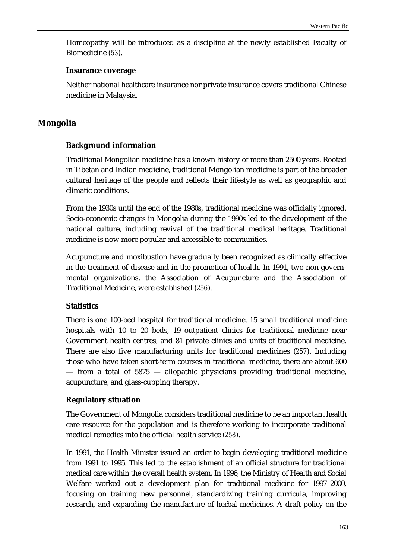Homeopathy will be introduced as a discipline at the newly established Faculty of Biomedicine (*53*).

#### **Insurance coverage**

Neither national healthcare insurance nor private insurance covers traditional Chinese medicine in Malaysia.

# **Mongolia**

### **Background information**

Traditional Mongolian medicine has a known history of more than 2500 years. Rooted in Tibetan and Indian medicine, traditional Mongolian medicine is part of the broader cultural heritage of the people and reflects their lifestyle as well as geographic and climatic conditions.

From the 1930s until the end of the 1980s, traditional medicine was officially ignored. Socio-economic changes in Mongolia during the 1990s led to the development of the national culture, including revival of the traditional medical heritage. Traditional medicine is now more popular and accessible to communities.

Acupuncture and moxibustion have gradually been recognized as clinically effective in the treatment of disease and in the promotion of health. In 1991, two non-governmental organizations, the Association of Acupuncture and the Association of Traditional Medicine, were established (*256*).

### **Statistics**

There is one 100-bed hospital for traditional medicine, 15 small traditional medicine hospitals with 10 to 20 beds, 19 outpatient clinics for traditional medicine near Government health centres, and 81 private clinics and units of traditional medicine. There are also five manufacturing units for traditional medicines (*257*). Including those who have taken short-term courses in traditional medicine, there are about 600 — from a total of 5875 — allopathic physicians providing traditional medicine, acupuncture, and glass-cupping therapy.

### **Regulatory situation**

The Government of Mongolia considers traditional medicine to be an important health care resource for the population and is therefore working to incorporate traditional medical remedies into the official health service (*258*).

In 1991, the Health Minister issued an order to begin developing traditional medicine from 1991 to 1995. This led to the establishment of an official structure for traditional medical care within the overall health system. In 1996, the Ministry of Health and Social Welfare worked out a development plan for traditional medicine for 1997–2000, focusing on training new personnel, standardizing training curricula, improving research, and expanding the manufacture of herbal medicines. A draft policy on the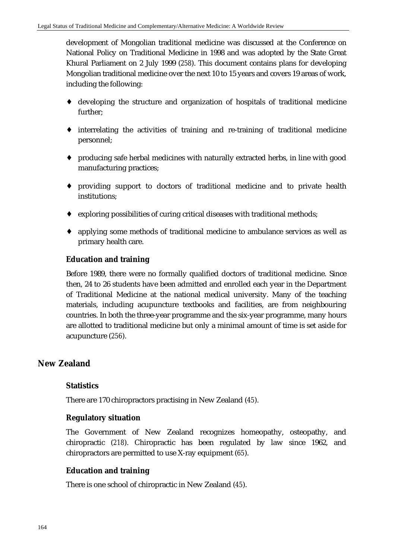development of Mongolian traditional medicine was discussed at the Conference on National Policy on Traditional Medicine in 1998 and was adopted by the State Great Khural Parliament on 2 July 1999 (*258*). This document contains plans for developing Mongolian traditional medicine over the next 10 to 15 years and covers 19 areas of work, including the following:

- ♦ developing the structure and organization of hospitals of traditional medicine further;
- ♦ interrelating the activities of training and re-training of traditional medicine personnel;
- ♦ producing safe herbal medicines with naturally extracted herbs, in line with good manufacturing practices;
- ♦ providing support to doctors of traditional medicine and to private health institutions;
- ♦ exploring possibilities of curing critical diseases with traditional methods;
- ♦ applying some methods of traditional medicine to ambulance services as well as primary health care.

### **Education and training**

Before 1989, there were no formally qualified doctors of traditional medicine. Since then, 24 to 26 students have been admitted and enrolled each year in the Department of Traditional Medicine at the national medical university. Many of the teaching materials, including acupuncture textbooks and facilities, are from neighbouring countries. In both the three-year programme and the six-year programme, many hours are allotted to traditional medicine but only a minimal amount of time is set aside for acupuncture (*256*).

# **New Zealand**

### **Statistics**

There are 170 chiropractors practising in New Zealand (*45*).

### **Regulatory situation**

The Government of New Zealand recognizes homeopathy, osteopathy, and chiropractic (*218*). Chiropractic has been regulated by law since 1962, and chiropractors are permitted to use X-ray equipment (*65*).

#### **Education and training**

There is one school of chiropractic in New Zealand (*45*).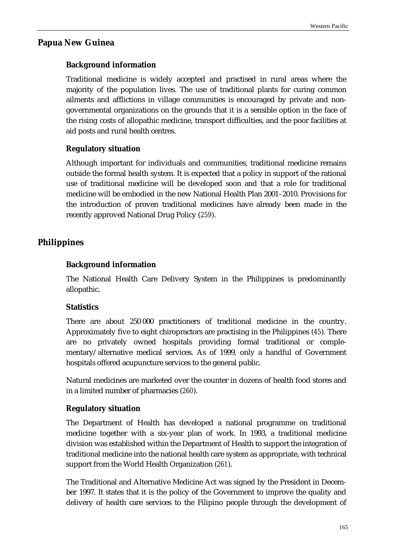# **Papua New Guinea**

# **Background information**

Traditional medicine is widely accepted and practised in rural areas where the majority of the population lives. The use of traditional plants for curing common ailments and afflictions in village communities is encouraged by private and nongovernmental organizations on the grounds that it is a sensible option in the face of the rising costs of allopathic medicine, transport difficulties, and the poor facilities at aid posts and rural health centres.

# **Regulatory situation**

Although important for individuals and communities, traditional medicine remains outside the formal health system. It is expected that a policy in support of the rational use of traditional medicine will be developed soon and that a role for traditional medicine will be embodied in the new National Health Plan 2001–2010. Provisions for the introduction of proven traditional medicines have already been made in the recently approved National Drug Policy (*259*).

# **Philippines**

# **Background information**

The National Health Care Delivery System in the Philippines is predominantly allopathic.

# **Statistics**

There are about 250 000 practitioners of traditional medicine in the country. Approximately five to eight chiropractors are practising in the Philippines (*45*). There are no privately owned hospitals providing formal traditional or complementary/alternative medical services. As of 1999, only a handful of Government hospitals offered acupuncture services to the general public.

Natural medicines are marketed over the counter in dozens of health food stores and in a limited number of pharmacies (*260*).

# **Regulatory situation**

The Department of Health has developed a national programme on traditional medicine together with a six-year plan of work. In 1993, a traditional medicine division was established within the Department of Health to support the integration of traditional medicine into the national health care system as appropriate, with technical support from the World Health Organization (*261*).

The Traditional and Alternative Medicine Act was signed by the President in December 1997. It states that it is the policy of the Government to improve the quality and delivery of health care services to the Filipino people through the development of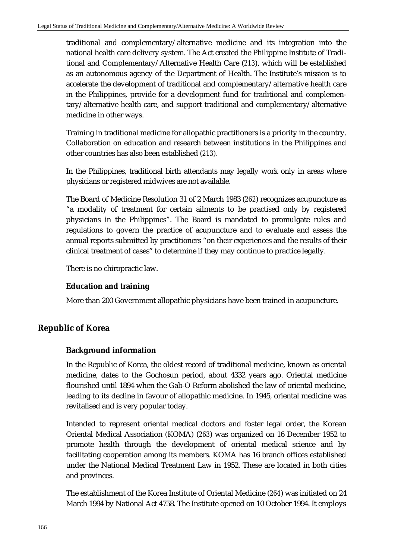traditional and complementary/alternative medicine and its integration into the national health care delivery system. The Act created the Philippine Institute of Traditional and Complementary/Alternative Health Care (*213*), which will be established as an autonomous agency of the Department of Health. The Institute's mission is to accelerate the development of traditional and complementary/alternative health care in the Philippines, provide for a development fund for traditional and complementary/alternative health care, and support traditional and complementary/alternative medicine in other ways.

Training in traditional medicine for allopathic practitioners is a priority in the country. Collaboration on education and research between institutions in the Philippines and other countries has also been established (*213*).

In the Philippines, traditional birth attendants may legally work only in areas where physicians or registered midwives are not available.

The Board of Medicine Resolution 31 of 2 March 1983 (*262*) recognizes acupuncture as "a modality of treatment for certain ailments to be practised only by registered physicians in the Philippines". The Board is mandated to promulgate rules and regulations to govern the practice of acupuncture and to evaluate and assess the annual reports submitted by practitioners "on their experiences and the results of their clinical treatment of cases" to determine if they may continue to practice legally.

There is no chiropractic law.

# **Education and training**

More than 200 Government allopathic physicians have been trained in acupuncture.

# **Republic of Korea**

# **Background information**

In the Republic of Korea, the oldest record of traditional medicine, known as oriental medicine, dates to the Gochosun period, about 4332 years ago. Oriental medicine flourished until 1894 when the Gab-O Reform abolished the law of oriental medicine, leading to its decline in favour of allopathic medicine. In 1945, oriental medicine was revitalised and is very popular today.

Intended to represent oriental medical doctors and foster legal order, the Korean Oriental Medical Association (KOMA) (*263*) was organized on 16 December 1952 to promote health through the development of oriental medical science and by facilitating cooperation among its members. KOMA has 16 branch offices established under the National Medical Treatment Law in 1952. These are located in both cities and provinces.

The establishment of the Korea Institute of Oriental Medicine (*264*) was initiated on 24 March 1994 by National Act 4758. The Institute opened on 10 October 1994. It employs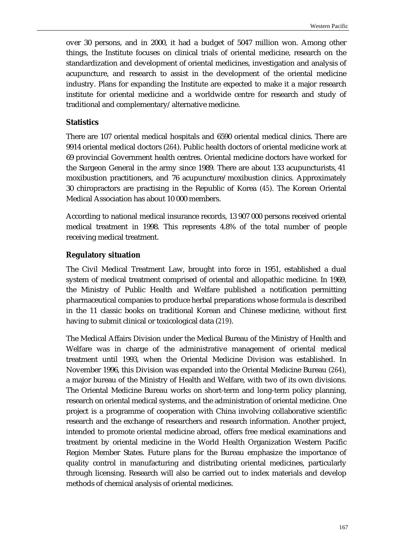over 30 persons, and in 2000, it had a budget of 5047 million won. Among other things, the Institute focuses on clinical trials of oriental medicine, research on the standardization and development of oriental medicines, investigation and analysis of acupuncture, and research to assist in the development of the oriental medicine industry. Plans for expanding the Institute are expected to make it a major research institute for oriental medicine and a worldwide centre for research and study of traditional and complementary/alternative medicine.

#### **Statistics**

There are 107 oriental medical hospitals and 6590 oriental medical clinics. There are 9914 oriental medical doctors (*264*). Public health doctors of oriental medicine work at 69 provincial Government health centres. Oriental medicine doctors have worked for the Surgeon General in the army since 1989. There are about 133 acupuncturists, 41 moxibustion practitioners, and 76 acupuncture/moxibustion clinics. Approximately 30 chiropractors are practising in the Republic of Korea (*45*). The Korean Oriental Medical Association has about 10 000 members.

According to national medical insurance records, 13 907 000 persons received oriental medical treatment in 1998. This represents 4.8% of the total number of people receiving medical treatment.

#### **Regulatory situation**

The Civil Medical Treatment Law, brought into force in 1951, established a dual system of medical treatment comprised of oriental and allopathic medicine. In 1969, the Ministry of Public Health and Welfare published a notification permitting pharmaceutical companies to produce herbal preparations whose formula is described in the 11 classic books on traditional Korean and Chinese medicine, without first having to submit clinical or toxicological data (*219*).

The Medical Affairs Division under the Medical Bureau of the Ministry of Health and Welfare was in charge of the administrative management of oriental medical treatment until 1993, when the Oriental Medicine Division was established. In November 1996, this Division was expanded into the Oriental Medicine Bureau (*264*), a major bureau of the Ministry of Health and Welfare, with two of its own divisions. The Oriental Medicine Bureau works on short-term and long-term policy planning, research on oriental medical systems, and the administration of oriental medicine. One project is a programme of cooperation with China involving collaborative scientific research and the exchange of researchers and research information. Another project, intended to promote oriental medicine abroad, offers free medical examinations and treatment by oriental medicine in the World Health Organization Western Pacific Region Member States. Future plans for the Bureau emphasize the importance of quality control in manufacturing and distributing oriental medicines, particularly through licensing. Research will also be carried out to index materials and develop methods of chemical analysis of oriental medicines.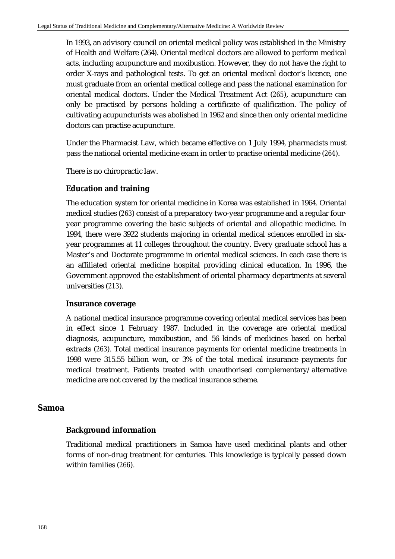In 1993, an advisory council on oriental medical policy was established in the Ministry of Health and Welfare (264). Oriental medical doctors are allowed to perform medical acts, including acupuncture and moxibustion. However, they do not have the right to order X-rays and pathological tests. To get an oriental medical doctor's licence, one must graduate from an oriental medical college and pass the national examination for oriental medical doctors. Under the Medical Treatment Act (*265*), acupuncture can only be practised by persons holding a certificate of qualification. The policy of cultivating acupuncturists was abolished in 1962 and since then only oriental medicine doctors can practise acupuncture.

Under the Pharmacist Law, which became effective on 1 July 1994, pharmacists must pass the national oriental medicine exam in order to practise oriental medicine (*264*).

There is no chiropractic law.

# **Education and training**

The education system for oriental medicine in Korea was established in 1964. Oriental medical studies (*263*) consist of a preparatory two-year programme and a regular fouryear programme covering the basic subjects of oriental and allopathic medicine. In 1994, there were 3922 students majoring in oriental medical sciences enrolled in sixyear programmes at 11 colleges throughout the country. Every graduate school has a Master's and Doctorate programme in oriental medical sciences. In each case there is an affiliated oriental medicine hospital providing clinical education. In 1996, the Government approved the establishment of oriental pharmacy departments at several universities (*213*).

### **Insurance coverage**

A national medical insurance programme covering oriental medical services has been in effect since 1 February 1987. Included in the coverage are oriental medical diagnosis, acupuncture, moxibustion, and 56 kinds of medicines based on herbal extracts (*263*). Total medical insurance payments for oriental medicine treatments in 1998 were 315.55 billion won, or 3% of the total medical insurance payments for medical treatment. Patients treated with unauthorised complementary/alternative medicine are not covered by the medical insurance scheme.

### **Samoa**

# **Background information**

Traditional medical practitioners in Samoa have used medicinal plants and other forms of non-drug treatment for centuries. This knowledge is typically passed down within families (*266*).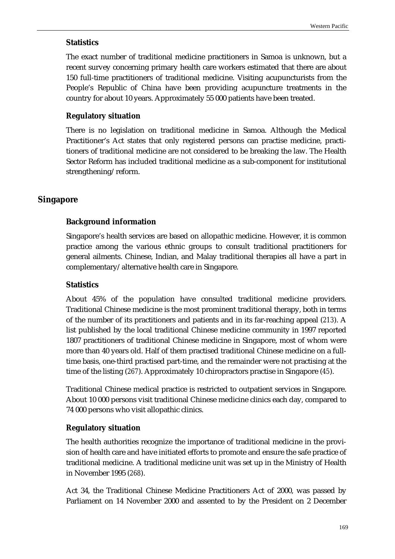#### **Statistics**

The exact number of traditional medicine practitioners in Samoa is unknown, but a recent survey concerning primary health care workers estimated that there are about 150 full-time practitioners of traditional medicine. Visiting acupuncturists from the People's Republic of China have been providing acupuncture treatments in the country for about 10 years. Approximately 55 000 patients have been treated.

#### **Regulatory situation**

There is no legislation on traditional medicine in Samoa. Although the Medical Practitioner's Act states that only registered persons can practise medicine, practitioners of traditional medicine are not considered to be breaking the law. The Health Sector Reform has included traditional medicine as a sub-component for institutional strengthening/reform.

#### **Singapore**

### **Background information**

Singapore's health services are based on allopathic medicine. However, it is common practice among the various ethnic groups to consult traditional practitioners for general ailments. Chinese, Indian, and Malay traditional therapies all have a part in complementary/alternative health care in Singapore.

#### **Statistics**

About 45% of the population have consulted traditional medicine providers. Traditional Chinese medicine is the most prominent traditional therapy, both in terms of the number of its practitioners and patients and in its far-reaching appeal (*213*). A list published by the local traditional Chinese medicine community in 1997 reported 1807 practitioners of traditional Chinese medicine in Singapore, most of whom were more than 40 years old. Half of them practised traditional Chinese medicine on a fulltime basis, one-third practised part-time, and the remainder were not practising at the time of the listing (*267*). Approximately 10 chiropractors practise in Singapore (*45*).

Traditional Chinese medical practice is restricted to outpatient services in Singapore. About 10 000 persons visit traditional Chinese medicine clinics each day, compared to 74 000 persons who visit allopathic clinics.

### **Regulatory situation**

The health authorities recognize the importance of traditional medicine in the provision of health care and have initiated efforts to promote and ensure the safe practice of traditional medicine. A traditional medicine unit was set up in the Ministry of Health in November 1995 (*268*).

Act 34, the Traditional Chinese Medicine Practitioners Act of 2000, was passed by Parliament on 14 November 2000 and assented to by the President on 2 December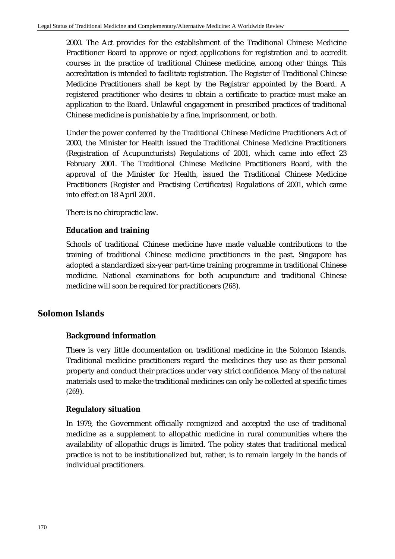2000. The Act provides for the establishment of the Traditional Chinese Medicine Practitioner Board to approve or reject applications for registration and to accredit courses in the practice of traditional Chinese medicine, among other things. This accreditation is intended to facilitate registration. The Register of Traditional Chinese Medicine Practitioners shall be kept by the Registrar appointed by the Board. A registered practitioner who desires to obtain a certificate to practice must make an application to the Board. Unlawful engagement in prescribed practices of traditional Chinese medicine is punishable by a fine, imprisonment, or both.

Under the power conferred by the Traditional Chinese Medicine Practitioners Act of 2000, the Minister for Health issued the Traditional Chinese Medicine Practitioners (Registration of Acupuncturists) Regulations of 2001, which came into effect 23 February 2001. The Traditional Chinese Medicine Practitioners Board, with the approval of the Minister for Health, issued the Traditional Chinese Medicine Practitioners (Register and Practising Certificates) Regulations of 2001, which came into effect on 18 April 2001.

There is no chiropractic law.

# **Education and training**

Schools of traditional Chinese medicine have made valuable contributions to the training of traditional Chinese medicine practitioners in the past. Singapore has adopted a standardized six-year part-time training programme in traditional Chinese medicine. National examinations for both acupuncture and traditional Chinese medicine will soon be required for practitioners (*268*).

# **Solomon Islands**

# **Background information**

There is very little documentation on traditional medicine in the Solomon Islands. Traditional medicine practitioners regard the medicines they use as their personal property and conduct their practices under very strict confidence. Many of the natural materials used to make the traditional medicines can only be collected at specific times (*269*).

# **Regulatory situation**

In 1979, the Government officially recognized and accepted the use of traditional medicine as a supplement to allopathic medicine in rural communities where the availability of allopathic drugs is limited. The policy states that traditional medical practice is not to be institutionalized but, rather, is to remain largely in the hands of individual practitioners.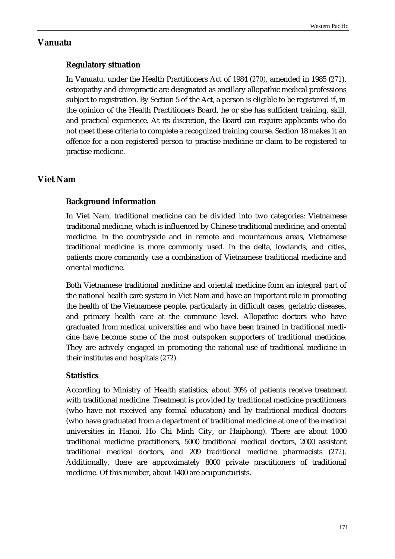#### **Vanuatu**

# **Regulatory situation**

In Vanuatu, under the Health Practitioners Act of 1984 (*270*), amended in 1985 (*271*), osteopathy and chiropractic are designated as ancillary allopathic medical professions subject to registration. By Section 5 of the Act, a person is eligible to be registered if, in the opinion of the Health Practitioners Board, he or she has sufficient training, skill, and practical experience. At its discretion, the Board can require applicants who do not meet these criteria to complete a recognized training course. Section 18 makes it an offence for a non-registered person to practise medicine or claim to be registered to practise medicine.

# **Viet Nam**

# **Background information**

In Viet Nam, traditional medicine can be divided into two categories: Vietnamese traditional medicine, which is influenced by Chinese traditional medicine, and oriental medicine. In the countryside and in remote and mountainous areas, Vietnamese traditional medicine is more commonly used. In the delta, lowlands, and cities, patients more commonly use a combination of Vietnamese traditional medicine and oriental medicine.

Both Vietnamese traditional medicine and oriental medicine form an integral part of the national health care system in Viet Nam and have an important role in promoting the health of the Vietnamese people, particularly in difficult cases, geriatric diseases, and primary health care at the commune level. Allopathic doctors who have graduated from medical universities and who have been trained in traditional medicine have become some of the most outspoken supporters of traditional medicine. They are actively engaged in promoting the rational use of traditional medicine in their institutes and hospitals (*272*).

# **Statistics**

According to Ministry of Health statistics, about 30% of patients receive treatment with traditional medicine. Treatment is provided by traditional medicine practitioners (who have not received any formal education) and by traditional medical doctors (who have graduated from a department of traditional medicine at one of the medical universities in Hanoi, Ho Chi Minh City, or Haiphong). There are about 1000 traditional medicine practitioners, 5000 traditional medical doctors, 2000 assistant traditional medical doctors, and 209 traditional medicine pharmacists (*272*). Additionally, there are approximately 8000 private practitioners of traditional medicine. Of this number, about 1400 are acupuncturists.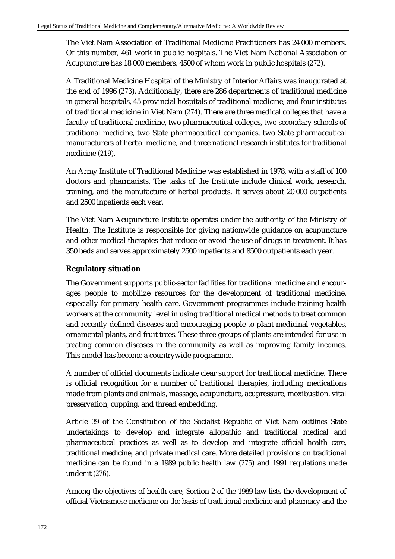The Viet Nam Association of Traditional Medicine Practitioners has 24 000 members. Of this number, 461 work in public hospitals. The Viet Nam National Association of Acupuncture has 18 000 members, 4500 of whom work in public hospitals (*272*).

A Traditional Medicine Hospital of the Ministry of Interior Affairs was inaugurated at the end of 1996 (*273*). Additionally, there are 286 departments of traditional medicine in general hospitals, 45 provincial hospitals of traditional medicine, and four institutes of traditional medicine in Viet Nam (*274*). There are three medical colleges that have a faculty of traditional medicine, two pharmaceutical colleges, two secondary schools of traditional medicine, two State pharmaceutical companies, two State pharmaceutical manufacturers of herbal medicine, and three national research institutes for traditional medicine (*219*).

An Army Institute of Traditional Medicine was established in 1978, with a staff of 100 doctors and pharmacists. The tasks of the Institute include clinical work, research, training, and the manufacture of herbal products. It serves about 20 000 outpatients and 2500 inpatients each year.

The Viet Nam Acupuncture Institute operates under the authority of the Ministry of Health. The Institute is responsible for giving nationwide guidance on acupuncture and other medical therapies that reduce or avoid the use of drugs in treatment. It has 350 beds and serves approximately 2500 inpatients and 8500 outpatients each year.

#### **Regulatory situation**

The Government supports public-sector facilities for traditional medicine and encourages people to mobilize resources for the development of traditional medicine, especially for primary health care. Government programmes include training health workers at the community level in using traditional medical methods to treat common and recently defined diseases and encouraging people to plant medicinal vegetables, ornamental plants, and fruit trees. These three groups of plants are intended for use in treating common diseases in the community as well as improving family incomes. This model has become a countrywide programme.

A number of official documents indicate clear support for traditional medicine. There is official recognition for a number of traditional therapies, including medications made from plants and animals, massage, acupuncture, acupressure, moxibustion, vital preservation, cupping, and thread embedding.

Article 39 of the Constitution of the Socialist Republic of Viet Nam outlines State undertakings to develop and integrate allopathic and traditional medical and pharmaceutical practices as well as to develop and integrate official health care, traditional medicine, and private medical care. More detailed provisions on traditional medicine can be found in a 1989 public health law (*275*) and 1991 regulations made under it (*276*).

Among the objectives of health care, Section 2 of the 1989 law lists the development of official Vietnamese medicine on the basis of traditional medicine and pharmacy and the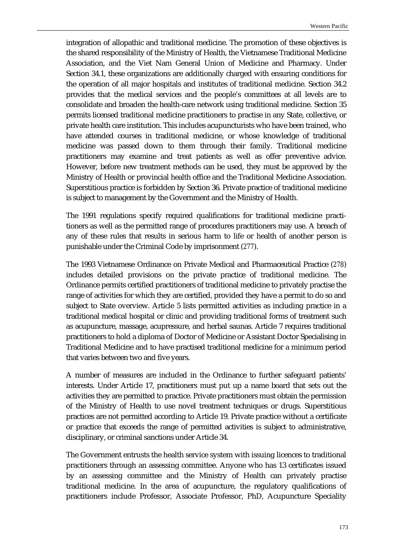integration of allopathic and traditional medicine. The promotion of these objectives is the shared responsibility of the Ministry of Health, the Vietnamese Traditional Medicine Association, and the Viet Nam General Union of Medicine and Pharmacy. Under Section 34.1, these organizations are additionally charged with ensuring conditions for the operation of all major hospitals and institutes of traditional medicine. Section 34.2 provides that the medical services and the people's committees at all levels are to consolidate and broaden the health-care network using traditional medicine. Section 35 permits licensed traditional medicine practitioners to practise in any State, collective, or private health care institution. This includes acupuncturists who have been trained, who have attended courses in traditional medicine, or whose knowledge of traditional medicine was passed down to them through their family. Traditional medicine practitioners may examine and treat patients as well as offer preventive advice. However, before new treatment methods can be used, they must be approved by the Ministry of Health or provincial health office and the Traditional Medicine Association. Superstitious practice is forbidden by Section 36. Private practice of traditional medicine is subject to management by the Government and the Ministry of Health.

The 1991 regulations specify required qualifications for traditional medicine practitioners as well as the permitted range of procedures practitioners may use. A breach of any of these rules that results in serious harm to life or health of another person is punishable under the Criminal Code by imprisonment (*277*).

The 1993 Vietnamese Ordinance on Private Medical and Pharmaceutical Practice (*278*) includes detailed provisions on the private practice of traditional medicine. The Ordinance permits certified practitioners of traditional medicine to privately practise the range of activities for which they are certified, provided they have a permit to do so and subject to State overview. Article 5 lists permitted activities as including practice in a traditional medical hospital or clinic and providing traditional forms of treatment such as acupuncture, massage, acupressure, and herbal saunas. Article 7 requires traditional practitioners to hold a diploma of Doctor of Medicine or Assistant Doctor Specialising in Traditional Medicine and to have practised traditional medicine for a minimum period that varies between two and five years.

A number of measures are included in the Ordinance to further safeguard patients' interests. Under Article 17, practitioners must put up a name board that sets out the activities they are permitted to practice. Private practitioners must obtain the permission of the Ministry of Health to use novel treatment techniques or drugs. Superstitious practices are not permitted according to Article 19. Private practice without a certificate or practice that exceeds the range of permitted activities is subject to administrative, disciplinary, or criminal sanctions under Article 34.

The Government entrusts the health service system with issuing licences to traditional practitioners through an assessing committee. Anyone who has 13 certificates issued by an assessing committee and the Ministry of Health can privately practise traditional medicine. In the area of acupuncture, the regulatory qualifications of practitioners include Professor, Associate Professor, PhD, Acupuncture Speciality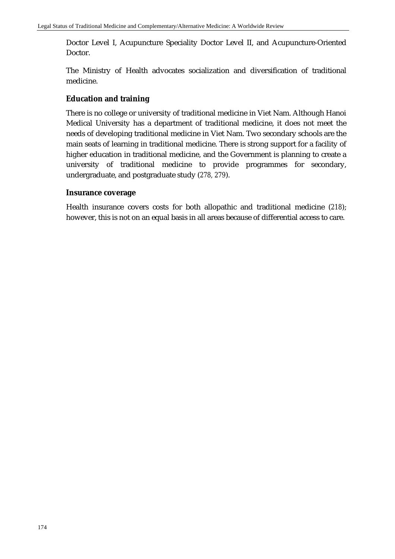Doctor Level I, Acupuncture Speciality Doctor Level II, and Acupuncture-Oriented Doctor.

The Ministry of Health advocates socialization and diversification of traditional medicine.

# **Education and training**

There is no college or university of traditional medicine in Viet Nam. Although Hanoi Medical University has a department of traditional medicine, it does not meet the needs of developing traditional medicine in Viet Nam. Two secondary schools are the main seats of learning in traditional medicine. There is strong support for a facility of higher education in traditional medicine, and the Government is planning to create a university of traditional medicine to provide programmes for secondary, undergraduate, and postgraduate study (*278, 279*).

#### **Insurance coverage**

Health insurance covers costs for both allopathic and traditional medicine (*218*); however, this is not on an equal basis in all areas because of differential access to care.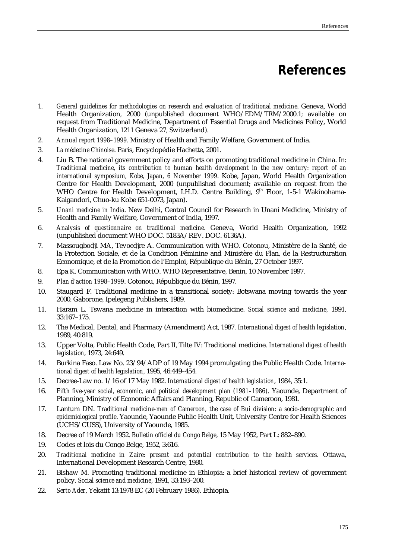# **References**

- 1. *General guidelines for methodologies on research and evaluation of traditional medicine*. Geneva, World Health Organization, 2000 (unpublished document WHO/EDM/TRM/2000.1; available on request from Traditional Medicine, Department of Essential Drugs and Medicines Policy, World Health Organization, 1211 Geneva 27, Switzerland).
- 2. *Annual report 1998–1999*. Ministry of Health and Family Welfare, Government of India.
- 3. *La médecine Chinoise*. Paris, Encyclopédie Hachette, 2001.
- 4. Liu B. The national government policy and efforts on promoting traditional medicine in China. In: *Traditional medicine, its contribution to human health development in the new century: report of an international symposium, Kobe, Japan, 6 November 1999*. Kobe, Japan, World Health Organization Centre for Health Development, 2000 (unpublished document; available on request from the WHO Centre for Health Development, I.H.D. Centre Building, 9<sup>th</sup> Floor, 1-5-1 Wakinohama-Kaigandori, Chuo-ku Kobe 651-0073, Japan).
- 5. *Unani medicine in India*. New Delhi, Central Council for Research in Unani Medicine, Ministry of Health and Family Welfare, Government of India, 1997.
- 6. *Analysis of questionnaire on traditional medicine*. Geneva, World Health Organization, 1992 (unpublished document WHO DOC. 5183A/REV. DOC. 6136A).
- 7. Massougbodji MA, Tevoedjre A. Communication with WHO. Cotonou, Ministère de la Santé, de la Protection Sociale, et de la Condition Féminine and Ministère du Plan, de la Restructuration Economique, et de la Promotion de l'Emploi, République du Bénin, 27 October 1997.
- 8. Epa K. Communication with WHO. WHO Representative, Benin, 10 November 1997.
- 9. *Plan d'action 1998–1999*. Cotonou, République du Bénin, 1997.
- 10. Staugard F. Traditional medicine in a transitional society: Botswana moving towards the year 2000. Gaborone, Ipelegeng Publishers, 1989.
- 11. Haram L. Tswana medicine in interaction with biomedicine. *Social science and medicine*, 1991,  $33.167 - 175$
- 12. The Medical, Dental, and Pharmacy (Amendment) Act, 1987. *International digest of health legislation*, 1989, 40:819.
- 13. Upper Volta, Public Health Code, Part II, Tilte IV: Traditional medicine. *International digest of health legislation*, 1973, 24:649.
- 14. Burkina Faso. Law No. 23/94/ADP of 19 May 1994 promulgating the Public Health Code. *International digest of health legislation*, 1995, 46:449–454.
- 15. Decree-Law no. 1/16 of 17 May 1982. *International digest of health legislation*, 1984, 35:1.
- 16. *Fifth five-year social, economic, and political development plan (1981–1986)*. Yaounde, Department of Planning, Ministry of Economic Affairs and Planning, Republic of Cameroon, 1981.
- 17. Lantum DN. *Traditional medicine-men of Cameroon, the case of Bui division: a socio-demographic and epidemiological profile*. Yaounde, Yaounde Public Health Unit, University Centre for Health Sciences (UCHS/CUSS), University of Yaounde, 1985.
- 18. Decree of 19 March 1952. *Bulletin officiel du Congo Belge*, 15 May 1952, Part L: 882–890.
- 19. Codes et lois du Congo Belge, 1952, 3:616.
- 20. *Traditional medicine in Zaire: present and potential contribution to the health services*. Ottawa, International Development Research Centre, 1980.
- 21. Bishaw M. Promoting traditional medicine in Ethiopia: a brief historical review of government policy. *Social science and medicine*, 1991, 33:193–200.
- 22. *Serto Ader*, Yekatit 13:1978 EC (20 February 1986). Ethiopia.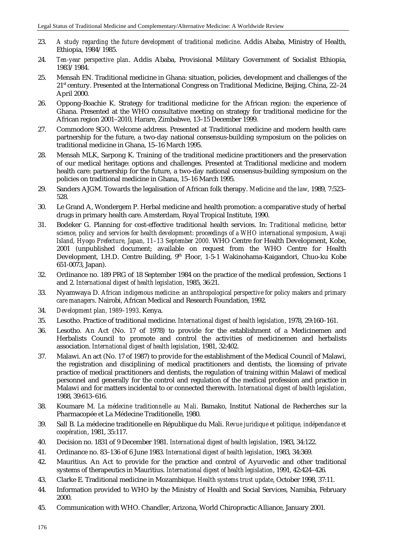- 23. *A study regarding the future development of traditional medicine*. Addis Ababa, Ministry of Health, Ethiopia, 1984/1985.
- 24. *Ten-year perspective plan*. Addis Ababa, Provisional Military Government of Socialist Ethiopia, 1983/1984.
- 25. Mensah EN. Traditional medicine in Ghana: situation, policies, development and challenges of the 21st century. Presented at the International Congress on Traditional Medicine, Beijing, China, 22–24 April 2000.
- 26. Oppong-Boachie K. Strategy for traditional medicine for the African region: the experience of Ghana. Presented at the WHO consultative meeting on strategy for traditional medicine for the African region 2001–2010, Harare, Zimbabwe, 13–15 December 1999.
- 27. Commodore SGO. Welcome address. Presented at Traditional medicine and modern health care: partnership for the future, a two-day national consensus-building symposium on the policies on traditional medicine in Ghana, 15–16 March 1995.
- 28. Mensah MLK, Sarpong K. Training of the traditional medicine practitioners and the preservation of our medical heritage: options and challenges. Presented at Traditional medicine and modern health care: partnership for the future, a two-day national consensus-building symposium on the policies on traditional medicine in Ghana, 15–16 March 1995.
- 29. Sanders AJGM. Towards the legalisation of African folk therapy. *Medicine and the law*, 1989, 7:523– 528.
- 30. Le Grand A, Wondergem P. Herbal medicine and health promotion: a comparative study of herbal drugs in primary health care. Amsterdam, Royal Tropical Institute, 1990.
- 31. Bodeker G. Planning for cost-effective traditional health services. In: *Traditional medicine, better science, policy and services for health development: proceedings of a WHO international symposium, Awaji Island, Hyogo Prefecture, Japan, 11–13 September 2000.* WHO Centre for Health Development, Kobe, 2001 (unpublished document; available on request from the WHO Centre for Health Development, I.H.D. Centre Building, 9<sup>th</sup> Floor, 1-5-1 Wakinohama-Kaigandori, Chuo-ku Kobe 651-0073, Japan).
- 32. Ordinance no. 189 PRG of 18 September 1984 on the practice of the medical profession, Sections 1 and 2. *International digest of health legislation*, 1985, 36:21.
- 33. Nyamwaya D. *African indigenous medicine: an anthropological perspective for policy makers and primary care managers*. Nairobi, African Medical and Research Foundation, 1992.
- 34. *Development plan, 1989–1993*. Kenya.
- 35. Lesotho. Practice of traditional medicine. *International digest of health legislation*, 1978, 29:160–161.
- 36. Lesotho. An Act (No. 17 of 1978) to provide for the establishment of a Medicinemen and Herbalists Council to promote and control the activities of medicinemen and herbalists association. *International digest of health legislation*, 1981, 32:402.
- 37. Malawi. An act (No. 17 of 1987) to provide for the establishment of the Medical Council of Malawi, the registration and disciplining of medical practitioners and dentists, the licensing of private practice of medical practitioners and dentists, the regulation of training within Malawi of medical personnel and generally for the control and regulation of the medical profession and practice in Malawi and for matters incidental to or connected therewith. *International digest of health legislation*, 1988, 39:613–616.
- 38. Koumare M. *La médecine traditionnelle au Mali*. Bamako, Institut National de Recherches sur la Pharmacopée et La Médecine Traditionelle, 1980.
- 39. Sall B. La médecine traditionelle en République du Mali. *Revue juridique et politique, indépendance et coopération*, 1981, 35:117.
- 40. Decision no. 1831 of 9 December 1981. *International digest of health legislation*, 1983, 34:122.
- 41. Ordinance no. 83–136 of 6 June 1983. *International digest of health legislation*, 1983, 34:369.
- 42. Mauritius. An Act to provide for the practice and control of Ayurvedic and other traditional systems of therapeutics in Mauritius. *International digest of health legislation*, 1991, 42:424–426.
- 43. Clarke E. Traditional medicine in Mozambique. *Health systems trust update*, October 1998, 37:11.
- 44. Information provided to WHO by the Ministry of Health and Social Services, Namibia, February 2000.
- 45. Communication with WHO. Chandler, Arizona, World Chiropractic Alliance, January 2001.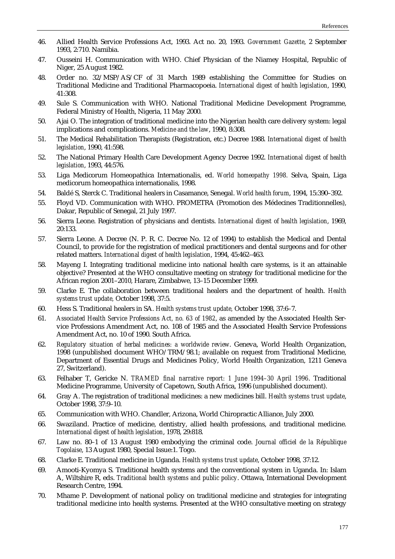- 46. Allied Health Service Professions Act, 1993. Act no. 20, 1993. *Government Gazette*, 2 September 1993, 2:710. Namibia.
- 47. Ousseini H. Communication with WHO. Chief Physician of the Niamey Hospital, Republic of Niger, 25 August 1982.
- 48. Order no. 32/MSP/AS/CF of 31 March 1989 establishing the Committee for Studies on Traditional Medicine and Traditional Pharmacopoeia. *International digest of health legislation*, 1990, 41:308.
- 49. Sule S. Communication with WHO. National Traditional Medicine Development Programme, Federal Ministry of Health, Nigeria, 11 May 2000.
- 50. Ajai O. The integration of traditional medicine into the Nigerian health care delivery system: legal implications and complications. *Medicine and the law*, 1990, 8:308.
- 51. The Medical Rehabilitation Therapists (Registration, etc.) Decree 1988. *International digest of health legislation*, 1990, 41:598.
- 52. The National Primary Health Care Development Agency Decree 1992. *International digest of health legislation*, 1993, 44:576.
- 53. Liga Medicorum Homeopathica Internationalis, ed. *World homeopathy 1998.* Selva, Spain, Liga medicorum homeopathica internationalis, 1998.
- 54. Baldé S, Sterck C. Traditional healers in Casamance, Senegal. *World health forum*, 1994, 15:390–392.
- 55. Floyd VD. Communication with WHO. PROMETRA (Promotion des Médecines Traditionnelles), Dakar, Republic of Senegal, 21 July 1997.
- 56. Sierra Leone. Registration of physicians and dentists. *International digest of health legislation*, 1969, 20:133.
- 57. Sierra Leone. A Decree (N. P. R. C. Decree No. 12 of 1994) to establish the Medical and Dental Council, to provide for the registration of medical practitioners and dental surgeons and for other related matters. *International digest of health legislation*, 1994, 45:462–463.
- 58. Mayeng I. Integrating traditional medicine into national health care systems, is it an attainable objective? Presented at the WHO consultative meeting on strategy for traditional medicine for the African region 2001–2010, Harare, Zimbabwe, 13–15 December 1999.
- 59. Clarke E. The collaboration between traditional healers and the department of health. *Health systems trust update,* October 1998, 37:5.
- 60. Hess S. Traditional healers in SA. *Health systems trust update,* October 1998, 37:6–7.
- 61. *Associated Health Service Professions Act, no. 63 of 1982*, as amended by the Associated Health Service Professions Amendment Act, no. 108 of 1985 and the Associated Health Service Professions Amendment Act, no. 10 of 1990. South Africa.
- 62. *Regulatory situation of herbal medicines: a worldwide review*. Geneva, World Health Organization, 1998 (unpublished document WHO/TRM/98.1; available on request from Traditional Medicine, Department of Essential Drugs and Medicines Policy, World Health Organization, 1211 Geneva 27, Switzerland).
- 63. Felhaber T, Gericke N. *TRAMED final narrative report: 1 June 1994–30 April 1996*. Traditional Medicine Programme, University of Capetown, South Africa, 1996 (unpublished document).
- 64. Gray A. The registration of traditional medicines: a new medicines bill. *Health systems trust update*, October 1998, 37:9–10.
- 65. Communication with WHO. Chandler, Arizona, World Chiropractic Alliance, July 2000.
- 66. Swaziland. Practice of medicine, dentistry, allied health professions, and traditional medicine. *International digest of health legislation*, 1978, 29:818.
- 67. Law no. 80–1 of 13 August 1980 embodying the criminal code. *J*o*urnal officiel de la République Togolaise*, 13 August 1980, Special Issue:1. Togo.
- 68. Clarke E. Traditional medicine in Uganda. *Health systems trust update*, October 1998, 37:12.
- 69. Amooti-Kyomya S. Traditional health systems and the conventional system in Uganda. In: Islam A, Wiltshire R, eds. *Traditional health systems and public policy*. Ottawa, International Development Research Centre, 1994.
- 70. Mhame P. Development of national policy on traditional medicine and strategies for integrating traditional medicine into health systems. Presented at the WHO consultative meeting on strategy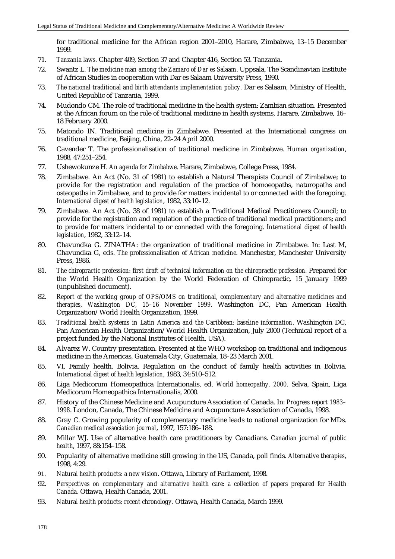for traditional medicine for the African region 2001–2010, Harare, Zimbabwe, 13–15 December 1999.

- 71. *Tanzania laws.* Chapter 409, Section 37 and Chapter 416, Section 53. Tanzania.
- 72. Swantz L. *The medicine man among the Zamaro of Dar es Salaam*. Uppsala, The Scandinavian Institute of African Studies in cooperation with Dar es Salaam University Press, 1990.
- 73. *The national traditional and birth attendants implementation policy*. Dar es Salaam, Ministry of Health, United Republic of Tanzania, 1999.
- 74. Mudondo CM. The role of traditional medicine in the health system: Zambian situation. Presented at the African forum on the role of traditional medicine in health systems, Harare, Zimbabwe, 16– 18 February 2000.
- 75. Matondo IN. Traditional medicine in Zimbabwe. Presented at the International congress on traditional medicine, Beijing, China, 22–24 April 2000.
- 76. Cavender T. The professionalisation of traditional medicine in Zimbabwe. *Human organization*, 1988, 47:251–254.
- 77. Ushewokunze H. *An agenda for Zimbabwe*. Harare, Zimbabwe, College Press, 1984.
- 78. Zimbabwe. An Act (No. 31 of 1981) to establish a Natural Therapists Council of Zimbabwe; to provide for the registration and regulation of the practice of homoeopaths, naturopaths and osteopaths in Zimbabwe, and to provide for matters incidental to or connected with the foregoing. *International digest of health legislation*, 1982, 33:10–12.
- 79. Zimbabwe. An Act (No. 38 of 1981) to establish a Traditional Medical Practitioners Council; to provide for the registration and regulation of the practice of traditional medical practitioners; and to provide for matters incidental to or connected with the foregoing. *International digest of health legislation*, 1982, 33:12–14.
- 80. Chavundka G. ZINATHA: the organization of traditional medicine in Zimbabwe. In: Last M, Chavundka G, eds. *The professionalisation of African medicine*. Manchester, Manchester University Press, 1986.
- 81. The chiropractic profession: first draft of technical information on the chiropractic profession. Prepared for the World Health Organization by the World Federation of Chiropractic, 15 January 1999 (unpublished document).
- 82. *Report of the working group of OPS/OMS on traditional, complementary and alternative medicines and therapies, Washington DC, 15–16 November 1999.* Washington DC, Pan American Health Organization/World Health Organization, 1999.
- 83. *Traditional health systems in Latin America and the Caribbean: baseline information*. Washington DC, Pan American Health Organization/World Health Organization, July 2000 (Technical report of a project funded by the National Institutes of Health, USA).
- 84. Alvarez W. Country presentation. Presented at the WHO workshop on traditional and indigenous medicine in the Americas, Guatemala City, Guatemala, 18–23 March 2001.
- 85. VI. Family health. Bolivia. Regulation on the conduct of family health activities in Bolivia. *International digest of health legislation*, 1983, 34:510–512.
- 86. Liga Medicorum Homeopathica Internationalis, ed. *World homeopathy, 2000.* Selva, Spain, Liga Medicorum Homeopathica Internationalis, 2000.
- 87. History of the Chinese Medicine and Acupuncture Association of Canada. In: *Progress report 1983– 1998*. London, Canada, The Chinese Medicine and Acupuncture Association of Canada, 1998.
- 88. Gray C. Growing popularity of complementary medicine leads to national organization for MDs. *Canadian medical association journal*, 1997, 157:186–188.
- 89. Millar WJ. Use of alternative health care practitioners by Canadians. *Canadian journal of public health*, 1997, 88:154–158.
- 90. Popularity of alternative medicine still growing in the US, Canada, poll finds. *Alternative therapies*, 1998, 4:29.
- 91. *Natural health products: a new vision*. Ottawa, Library of Parliament, 1998.
- 92. *Perspectives on complementary and alternative health care: a collection of papers prepared for Health Canada*. Ottawa, Health Canada, 2001.
- 93. *Natural health products: recent chronology*. Ottawa, Health Canada, March 1999.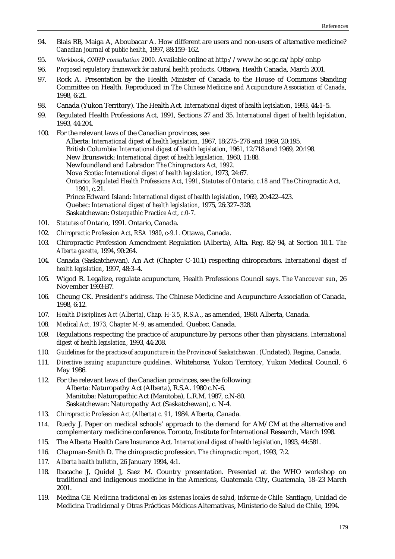- 94. Blais RB, Maiga A, Aboubacar A. How different are users and non-users of alternative medicine? *Canadian journal of public health*, 1997, 88:159–162.
- 95. *Workbook, ONHP consultation 2000*. Available online at http://www.hc-sc.gc.ca/hpb/onhp
- 96. *Proposed regulatory framework for natural health products*. Ottawa, Health Canada, March 2001.
- 97. Rock A. Presentation by the Health Minister of Canada to the House of Commons Standing Committee on Health. Reproduced in *The Chinese Medicine and Acupuncture Association of Canada*, 1998, 6:21.
- 98. Canada (Yukon Territory). The Health Act. *International digest of health legislation*, 1993, 44:1–5.
- 99. Regulated Health Professions Act, 1991, Sections 27 and 35. *International digest of health legislation*, 1993, 44:204.
- 100. For the relevant laws of the Canadian provinces, see Alberta: *International digest of health legislation*, 1967, 18:275–276 and 1969, 20:195. British Columbia: *International digest of health legislation*, 1961, 12:718 and 1969, 20:198. New Brunswick: *International digest of health legislation*, 1960, 11:88. Newfoundland and Labrador: *The Chiropractors Act, 1992.* Nova Scotia: *International digest of health legislation*, 1973, 24:67. Ontario: *Regulated Health Professions Act, 1991*, *Statutes of Ontario, c.18* and *The Chiropractic Act, 1991, c.*21. Prince Edward Island: *International digest of health legislation*, 1969, 20:422–423. Quebec: *International digest of health legislation*, 1975, 26:327–328. Saskatchewan: *Osteopathic Practice Act, c.0-7*.
- 101. *Statutes of Ontario*, 1991. Ontario, Canada.
- 102. *Chiropractic Profession Act, RSA 1980, c-9.1.* Ottawa, Canada.
- 103. Chiropractic Profession Amendment Regulation (Alberta), Alta. Reg. 82/94, at Section 10.1. *The Alberta gazette*, 1994, 90:264.
- 104. Canada (Saskatchewan). An Act (Chapter C-10.1) respecting chiropractors. *International digest of health legislation*, 1997, 48:3–4.
- 105. Wigod R. Legalize, regulate acupuncture, Health Professions Council says. *The Vancouver sun*, 26 November 1993:B7.
- 106. Cheung CK. President's address. The Chinese Medicine and Acupuncture Association of Canada, 1998, 6:12.
- 107. *Health Disciplines Act (Alberta), Chap. H-3.5, R.S.A.*, as amended, 1980. Alberta, Canada.
- 108. *Medical Act, 1973, Chapter M-9*, as amended. Quebec, Canada.
- 109. Regulations respecting the practice of acupuncture by persons other than physicians. *International digest of health legislation*, 1993, 44:208.
- 110. *Guidelines for the practice of acupuncture in the Province of Saskatchewan*. (Undated). Regina, Canada.
- 111. *Directive issuing acupuncture guidelines*. Whitehorse, Yukon Territory, Yukon Medical Council, 6 May 1986.
- 112. For the relevant laws of the Canadian provinces, see the following: Alberta: Naturopathy Act (Alberta), R.S.A. 1980 c.N-6. Manitoba: Naturopathic Act (Manitoba), L.R.M. 1987, c.N-80. Saskatchewan: Naturopathy Act (Saskatchewan), c. N-4.
- 113. *Chiropractic Profession Act (Alberta) c. 91*, 1984. Alberta, Canada.
- 114. Ruedy J. Paper on medical schools' approach to the demand for AM/CM at the alternative and complementary medicine conference. Toronto, Institute for International Research, March 1998.
- 115. The Alberta Health Care Insurance Act. *International digest of health legislation*, 1993, 44:581.
- 116. Chapman-Smith D. The chiropractic profession. *The chiropractic report*, 1993, 7:2.
- 117. *Alberta health bulletin*, 26 January 1994, 4:1.
- 118. Ibacache J, Quidel J, Saez M. Country presentation. Presented at the WHO workshop on traditional and indigenous medicine in the Americas, Guatemala City, Guatemala, 18–23 March 2001.
- 119. Medina CE. *Medicina tradicional en los sistemas locales de salud, informe de Chile.* Santiago, Unidad de Medicina Tradicional y Otras Prácticas Médicas Alternativas, Ministerio de Salud de Chile, 1994.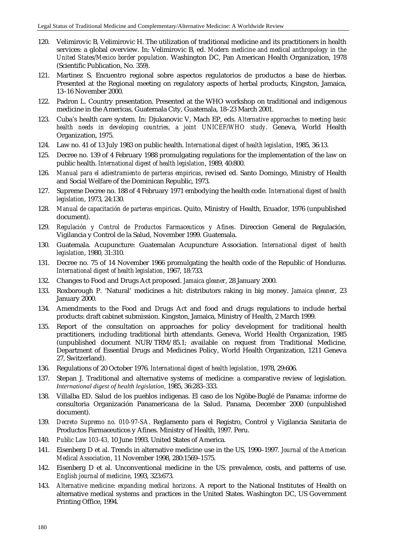- 120. Velimirovic B, Velimirovic H. The utilization of traditional medicine and its practitioners in health services: a global overview. In: Velimirovic B, ed. *Modern medicine and medical anthropology in the United States/Mexico border population*. Washington DC, Pan American Health Organization, 1978 (Scientific Publication, No. 359).
- 121. Martinez S. Encuentro regional sobre aspectos regulatorios de productos a base de hierbas. Presented at the Regional meeting on regulatory aspects of herbal products, Kingston, Jamaica, 13–16 November 2000.
- 122. Padron L. Country presentation. Presented at the WHO workshop on traditional and indigenous medicine in the Americas, Guatemala City, Guatemala, 18–23 March 2001.
- 123. Cuba's health care system. In: Djukanovic V, Mach EP, eds. *Alternative approaches to meeting basic health needs in developing countries, a joint UNICEF/WHO study*. Geneva, World Health Organization, 1975.
- 124. Law no. 41 of 13 July 1983 on public health. *International digest of health legislation*, 1985, 36:13.
- 125. Decree no. 139 of 4 February 1988 promulgating regulations for the implementation of the law on public health. *International digest of health legislation*, 1989, 40:800.
- 126. *Manual para el adiestramiento de parteras empiricas*, revised ed. Santo Domingo, Ministry of Health and Social Welfare of the Dominican Republic, 1973.
- 127. Supreme Decree no. 188 of 4 February 1971 embodying the health code. *International digest of health legislation*, 1973, 24:130.
- 128. *Manual de capacitación de parteras empiricas*. Quito, Ministry of Health, Ecuador, 1976 (unpublished document).
- 129. *Regulación y Control de Productos Farmaceuticos y Afines*. Direccion General de Regulación, Vigilancia y Control de la Salud, November 1999. Guatemala.
- 130. Guatemala. Acupuncture: Guatemalan Acupuncture Association. *International digest of health legislation*, 1980, 31:310.
- 131. Decree no. 75 of 14 November 1966 promulgating the health code of the Republic of Honduras. *International digest of health legislation*, 1967, 18:733.
- 132. Changes to Food and Drugs Act proposed. *Jamaica gleaner*, 28 January 2000.
- 133. Roxborough P. 'Natural' medicines a hit: distributors raking in big money. *Jamaica gleaner*, 23 January 2000.
- 134. Amendments to the Food and Drugs Act and food and drugs regulations to include herbal products: draft cabinet submission. Kingston, Jamaica, Ministry of Health, 2 March 1999.
- 135. Report of the consultation on approaches for policy development for traditional health practitioners, including traditional birth attendants. Geneva, World Health Organization, 1985 (unpublished document NUR/TRM/85.1; available on request from Traditional Medicine, Department of Essential Drugs and Medicines Policy, World Health Organization, 1211 Geneva 27, Switzerland).
- 136. Regulations of 20 October 1976. *International digest of health legislation*, 1978, 29:606.
- 137. Stepan J. Traditional and alternative systems of medicine: a comparative review of legislation. *International digest of health legislation*, 1985, 36:283–333.
- 138. Villalba ED. Salud de los pueblos indigenas. El caso de los Ngöbe-Buglé de Panama: informe de consultoria Organización Panamericana de la Salud. Panama, December 2000 (unpublished document).
- 139. *Decreto Supremo no. 010-97-SA*. Reglamento para el Registro, Control y Vigilancia Sanitaria de Productos Farmaceuticos y Afines. Ministry of Health, 1997. Peru.
- 140. *Public Law 103-43,* 10 June 1993. United States of America.
- 141. Eisenberg D et al. Trends in alternative medicine use in the US, 1990–1997. *Journal of the American Medical Association*, 11 November 1998, 280:1569–1575.
- 142. Eisenberg D et al. Unconventional medicine in the US: prevalence, costs, and patterns of use. *English journal of medicine*, 1993, 323:673.
- 143. *Alternative medicine: expanding medical horizons*. A report to the National Institutes of Health on alternative medical systems and practices in the United States. Washington DC, US Government Printing Office, 1994.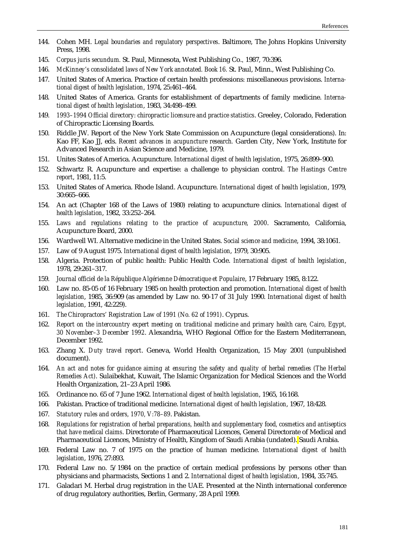- 144. Cohen MH. *Legal boundaries and regulatory perspectives*. Baltimore, The Johns Hopkins University Press, 1998.
- 145. *Corpus juris secundum.* St. Paul, Minnesota, West Publishing Co., 1987, 70:396.
- 146. *McKinney's consolidated laws of New York annotated. Book 16.* St. Paul, Minn., West Publishing Co.
- 147. United States of America. Practice of certain health professions: miscellaneous provisions. *International digest of health legislation*, 1974, 25:461–464.
- 148. United States of America. Grants for establishment of departments of family medicine. *International digest of health legislation*, 1983, 34:498–499.
- 149. *1993–1994 Official directory: chiropractic licensure and practice statistics*. Greeley, Colorado, Federation of Chiropractic Licensing Boards.
- 150. Riddle JW. Report of the New York State Commission on Acupuncture (legal considerations). In: Kao FF, Kao JJ, eds. *Recent advances in acupuncture research.* Garden City, New York, Institute for Advanced Research in Asian Science and Medicine, 1979.
- 151. Unites States of America. Acupuncture. *International digest of health legislation*, 1975, 26:899–900.
- 152. Schwartz R. Acupuncture and expertise: a challenge to physician control. *The Hastings Centre report*, 1981, 11:5.
- 153. United States of America. Rhode Island. Acupuncture. *International digest of health legislation*, 1979, 30:665–666.
- 154. An act (Chapter 168 of the Laws of 1980) relating to acupuncture clinics. *International digest of health legislation*, 1982, 33:252–264.
- 155. *Laws and regulations relating to the practice of acupuncture, 2000*. Sacramento, California, Acupuncture Board, 2000.
- 156. Wardwell WI. Alternative medicine in the United States. *Social science and medicine*, 1994, 38:1061.
- 157. Law of 9 August 1975. *International digest of health legislation*, 1979, 30:905.
- 158. Algeria. Protection of public health: Public Health Code. *International digest of health legislation*, 1978, 29:261–317.
- 159. *Journal officiel de la République Algérienne Démocratique et Populaire*, 17 February 1985, 8:122.
- 160. Law no. 85-05 of 16 February 1985 on health protection and promotion. *International digest of health legislation*, 1985, 36:909 (as amended by Law no. 90-17 of 31 July 1990. *International digest of health legislation*, 1991, 42:229).
- 161. *The Chiropractors' Registration Law of 1991 (No. 62 of 1991)*. Cyprus.
- 162. *Report on the intercountry expert meeting on traditional medicine and primary health care, Cairo, Egypt, 30 November–3 December 1992*. Alexandria, WHO Regional Office for the Eastern Mediterranean, December 1992.
- 163. Zhang X. *Duty travel report*. Geneva, World Health Organization, 15 May 2001 (unpublished document).
- 164. *An act and notes for guidance aiming at ensuring the safety and quality of herbal remedies (The Herbal Remedies Act)*. Sulaibekhat, Kuwait, The Islamic Organization for Medical Sciences and the World Health Organization, 21–23 April 1986.
- 165. Ordinance no. 65 of 7 June 1962. *International digest of health legislation*, 1965, 16:168.
- 166. Pakistan. Practice of traditional medicine. *International digest of health legislation*, 1967, 18:428.
- 167. *Statutory rules and orders, 1970, V:78–89*. Pakistan.
- 168. *Regulations for registration of herbal preparations, health and supplementary food, cosmetics and antiseptics that have medical claims*. Directorate of Pharmaceutical Licences, General Directorate of Medical and Pharmaceutical Licences, Ministry of Health, Kingdom of Saudi Arabia (undated). Saudi Arabia.
- 169. Federal Law no. 7 of 1975 on the practice of human medicine. *International digest of health legislation*, 1976, 27:893.
- 170. Federal Law no. 5/1984 on the practice of certain medical professions by persons other than physicians and pharmacists, Sections 1 and 2. *International digest of health legislation*, 1984, 35:745.
- 171. Galadari M. Herbal drug registration in the UAE. Presented at the Ninth international conference of drug regulatory authorities, Berlin, Germany, 28 April 1999.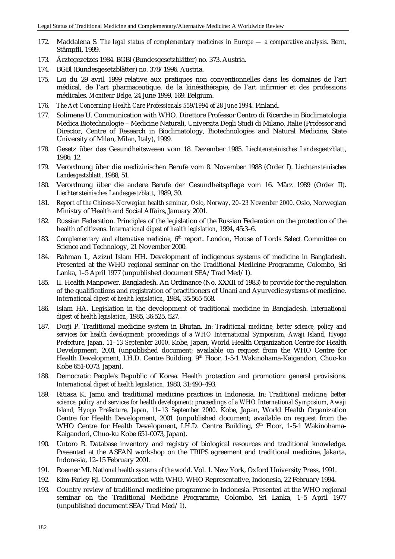- 172. Maddalena S. *The legal status of complementary medicines in Europe a comparative analysis*. Bern, Stämpfli, 1999.
- 173. Ärztegezetzes 1984. BGBl (Bundesgesetzblätter) no. 373. Austria.
- 174. BGBl (Bundesgesetzblätter) no. 378/1996. Austria.
- 175. Loi du 29 avril 1999 relative aux pratiques non conventionnelles dans les domaines de l'art médical, de l'art pharmaceutique, de la kinésithérapie, de l'art infirmier et des professions médicales*. Moniteur Belge*, 24 June 1999, 169. Belgium.
- 176. *The Act Concerning Health Care Professionals 559/1994 of 28 June 1994*. Finland.
- 177. Solimene U. Communication with WHO. Direttore Professor Centro di Ricerche in Bioclimatologia Medica Biotechnologie – Medicine Naturali, Universita Degli Studi di Milano, Italie (Professor and Director, Centre of Research in Bioclimatology, Biotechnologies and Natural Medicine, State University of Milan, Milan, Italy), 1999.
- 178. Gesetz über das Gesundheitswesen vom 18. Dezember 1985. *Liechtensteinisches Landesgestzblatt*, 1986, 12.
- 179. Verordnung über die medizinischen Berufe vom 8. November 1988 (Order I). *Liechtensteinisches Landesgestzblatt*, 1988, 51.
- 180. Verordnung über die andere Berufe der Gesundheitspflege vom 16. März 1989 (Order II). *Liechtensteinisches Landesgestzblatt*, 1989, 30.
- 181. *Report of the Chinese-Norwegian health seminar, Oslo, Norway, 20–23 November 2000*. Oslo, Norwegian Ministry of Health and Social Affairs, January 2001.
- 182. Russian Federation. Principles of the legislation of the Russian Federation on the protection of the health of citizens. *International digest of health legislation*, 1994, 45:3–6.
- 183. *Complementary and alternative medicine*, 6<sup>th</sup> report. London, House of Lords Select Committee on Science and Technology, 21 November 2000.
- 184. Rahman L, Azizul Islam HH. Development of indigenous systems of medicine in Bangladesh. Presented at the WHO regional seminar on the Traditional Medicine Programme, Colombo, Sri Lanka, 1–5 April 1977 (unpublished document SEA/Trad Med/1).
- 185. II. Health Manpower. Bangladesh. An Ordinance (No. XXXII of 1983) to provide for the regulation of the qualifications and registration of practitioners of Unani and Ayurvedic systems of medicine. *International digest of health legislation*, 1984, 35:565-568.
- 186. Islam HA. Legislation in the development of traditional medicine in Bangladesh. *International digest of health legislation*, 1985, 36:525, 527.
- 187. Dorji P. Traditional medicine system in Bhutan. In: *Traditional medicine, better science, policy and services for health development: proceedings of a WHO International Symposium, Awaji Island, Hyogo Prefecture, Japan, 11–13 September 2000*. Kobe, Japan, World Health Organization Centre for Health Development, 2001 (unpublished document; available on request from the WHO Centre for Health Development, I.H.D. Centre Building, 9<sup>th</sup> Floor, 1-5-1 Wakinohama-Kaigandori, Chuo-ku Kobe 651-0073, Japan).
- 188. Democratic People's Republic of Korea. Health protection and promotion: general provisions. *International digest of health legislation*, 1980, 31:490–493.
- 189. Ritiasa K. Jamu and traditional medicine practices in Indonesia. In: *Traditional medicine, better science, policy and services for health development: proceedings of a WHO International Symposium, Awaji Island, Hyogo Prefecture, Japan, 11–13 September 2000*. Kobe, Japan, World Health Organization Centre for Health Development, 2001 (unpublished document; available on request from the WHO Centre for Health Development, I.H.D. Centre Building,  $9<sup>th</sup>$  Floor, 1-5-1 Wakinohama-Kaigandori, Chuo-ku Kobe 651-0073, Japan).
- 190. Untoro R. Database inventory and registry of biological resources and traditional knowledge. Presented at the ASEAN workshop on the TRIPS agreement and traditional medicine, Jakarta, Indonesia, 12–15 February 2001.
- 191. Roemer MI. *National health systems of the world*. Vol. 1. New York, Oxford University Press, 1991.
- 192. Kim-Farley RJ. Communication with WHO. WHO Representative, Indonesia, 22 February 1994.
- 193. Country review of traditional medicine programme in Indonesia. Presented at the WHO regional seminar on the Traditional Medicine Programme, Colombo, Sri Lanka, 1–5 April 1977 (unpublished document SEA/Trad Med/1).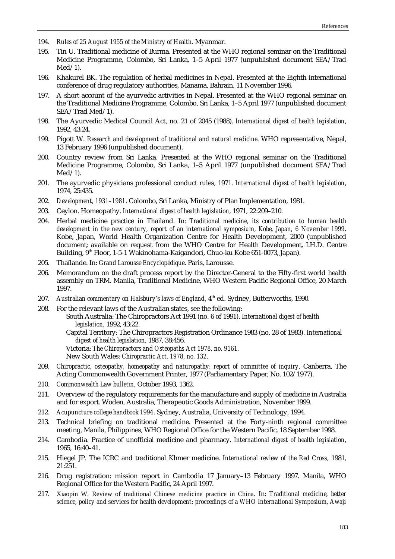- 194. *Rules of 25 August 1955 of the Ministry of Health*. Myanmar.
- 195. Tin U. Traditional medicine of Burma. Presented at the WHO regional seminar on the Traditional Medicine Programme, Colombo, Sri Lanka, 1–5 April 1977 (unpublished document SEA/Trad Med/1).
- 196. Khakurel BK. The regulation of herbal medicines in Nepal. Presented at the Eighth international conference of drug regulatory authorities, Manama, Bahrain, 11 November 1996.
- 197. A short account of the ayurvedic activities in Nepal. Presented at the WHO regional seminar on the Traditional Medicine Programme, Colombo, Sri Lanka, 1–5 April 1977 (unpublished document SEA/Trad Med/1).
- 198. The Ayurvedic Medical Council Act, no. 21 of 2045 (1988). *International digest of health legislation*, 1992, 43:24.
- 199. Pigott W. *Research and development of traditional and natural medicine*. WHO representative, Nepal, 13 February 1996 (unpublished document).
- 200. Country review from Sri Lanka. Presented at the WHO regional seminar on the Traditional Medicine Programme, Colombo, Sri Lanka, 1–5 April 1977 (unpublished document SEA/Trad  $Med/1$ ).
- 201. The ayurvedic physicians professional conduct rules, 1971. *International digest of health legislation*, 1974, 25:435.
- 202. *Development, 1931–1981*. Colombo, Sri Lanka, Ministry of Plan Implementation, 1981.
- 203. Ceylon. Homeopathy. *International digest of health legislation*, 1971, 22:209–210.
- 204. Herbal medicine practice in Thailand. In: *Traditional medicine, its contribution to human health development in the new century, report of an international symposium, Kobe, Japan, 6 November 1999*. Kobe, Japan, World Health Organization Centre for Health Development, 2000 (unpublished document; available on request from the WHO Centre for Health Development, I.H.D. Centre Building, 9th Floor, 1-5-1 Wakinohama-Kaigandori, Chuo-ku Kobe 651-0073, Japan).
- 205. Thaïlande. In: *Grand Larousse Encyclopédique*. Paris, Larousse.
- 206. Memorandum on the draft process report by the Director-General to the Fifty-first world health assembly on TRM. Manila, Traditional Medicine, WHO Western Pacific Regional Office, 20 March 1997.
- 207. Australian commentary on Halsbury's laws of England, 4<sup>th</sup> ed. Sydney, Butterworths, 1990.
- 208. For the relevant laws of the Australian states, see the following: South Australia: The Chiropractors Act 1991 (no. 6 of 1991). *International digest of health legislation*, 1992, 43:22. Capital Territory: The Chiropractors Registration Ordinance 1983 (no. 28 of 1983). *International digest of health legislation*, 1987, 38:456. Victoria: *The Chiropractors and Osteopaths Act 1978, no. 9161.*  New South Wales: *Chiropractic Act, 1978, no. 132*.
- 209. *Chiropractic, osteopathy, homeopathy and naturopathy: report of committee of inquiry*. Canberra, The Acting Commonwealth Government Printer, 1977 (Parliamentary Paper, No. 102/1977).
- 210. *Commonwealth Law bulletin*, October 1993, 1362.
- 211. Overview of the regulatory requirements for the manufacture and supply of medicine in Australia and for export. Woden, Australia, Therapeutic Goods Administration, November 1999.
- 212. *Acupuncture college handbook 1994*. Sydney, Australia, University of Technology, 1994.
- 213. Technical briefing on traditional medicine. Presented at the Forty-ninth regional committee meeting, Manila, Philippines, WHO Regional Office for the Western Pacific, 18 September 1998.
- 214. Cambodia. Practice of unofficial medicine and pharmacy. *International digest of health legislation*, 1965, 16:40–41.
- 215. Hiegel JP. The ICRC and traditional Khmer medicine. *International review of the Red Cross*, 1981, 21:251.
- 216. Drug registration: mission report in Cambodia 17 January–13 February 1997. Manila, WHO Regional Office for the Western Pacific, 24 April 1997.
- 217. Xiaopin W. Review of traditional Chinese medicine practice in China. In: *Traditional medicine, better science, policy and services for health development: proceedings of a WHO International Symposium, Awaji*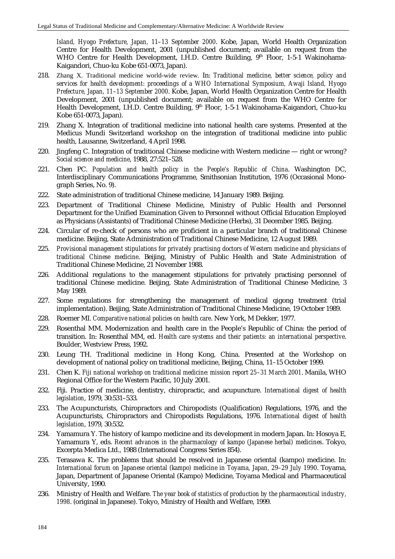*Island, Hyogo Prefecture, Japan, 11–13 September 2000*. Kobe, Japan, World Health Organization Centre for Health Development, 2001 (unpublished document; available on request from the WHO Centre for Health Development, I.H.D. Centre Building,  $9<sup>th</sup>$  Floor, 1-5-1 Wakinohama-Kaigandori, Chuo-ku Kobe 651-0073, Japan).

- 218. Zhang X. Traditional medicine world-wide review. In: *Traditional medicine, better science, policy and services for health development: proceedings of a WHO International Symposium, Awaji Island, Hyogo Prefecture, Japan, 11–13 September 2000*. Kobe, Japan, World Health Organization Centre for Health Development, 2001 (unpublished document; available on request from the WHO Centre for Health Development, I.H.D. Centre Building, 9<sup>th</sup> Floor, 1-5-1 Wakinohama-Kaigandori, Chuo-ku Kobe 651-0073, Japan).
- 219. Zhang X. Integration of traditional medicine into national health care systems. Presented at the Medicus Mundi Switzerland workshop on the integration of traditional medicine into public health, Lausanne, Switzerland, 4 April 1998.
- 220. Jingfeng C. Integration of traditional Chinese medicine with Western medicine right or wrong? *Social science and medicine*, 1988, 27:521–528.
- 221. Chen PC. *Population and health policy in the People's Republic of China*. Washington DC, Interdisciplinary Communications Programme, Smithsonian Institution, 1976 (Occasional Monograph Series, No. 9).
- 222. State administration of traditional Chinese medicine, 14 January 1989. Beijing.
- 223. Department of Traditional Chinese Medicine, Ministry of Public Health and Personnel Department for the Unified Examination Given to Personnel without Official Education Employed as Physicians (Assistants) of Traditional Chinese Medicine (Herbs), 31 December 1985. Beijing.
- 224. Circular of re-check of persons who are proficient in a particular branch of traditional Chinese medicine. Beijing, State Administration of Traditional Chinese Medicine, 12 August 1989.
- 225. *Provisional management stipulations for privately practising doctors of Western medicine and physicians of traditional Chinese medicine*. Beijing, Ministry of Public Health and State Administration of Traditional Chinese Medicine, 21 November 1988.
- 226. Additional regulations to the management stipulations for privately practising personnel of traditional Chinese medicine. Beijing, State Administration of Traditional Chinese Medicine, 3 May 1989.
- 227. Some regulations for strengthening the management of medical qigong treatment (trial implementation). Beijing, State Administration of Traditional Chinese Medicine, 19 October 1989.
- 228. Roemer MI. *Comparative national policies on health care*. New York, M Dekker, 1977.
- 229. Rosenthal MM. Modernization and health care in the People's Republic of China: the period of transition. In: Rosenthal MM, ed. *Health care systems and their patients: an international perspective*. Boulder, Westview Press, 1992.
- 230. Leung TH. Traditional medicine in Hong Kong, China. Presented at the Workshop on development of national policy on traditional medicine, Beijing, China, 11–15 October 1999.
- 231. Chen K. *Fiji national workshop on traditional medicine: mission report 25–31 March 2001*. Manila, WHO Regional Office for the Western Pacific, 10 July 2001.
- 232. Fiji. Practice of medicine, dentistry, chiropractic, and acupuncture. *International digest of health legislation*, 1979, 30:531–533.
- 233. The Acupuncturists, Chiropractors and Chiropodists (Qualification) Regulations, 1976, and the Acupuncturists, Chiropractors and Chiropodists Regulations, 1976. *International digest of health legislation*, 1979, 30:532.
- 234. Yamamura Y. The history of kampo medicine and its development in modern Japan. In: Hosoya E, Yamamura Y, eds. *Recent advances in the pharmacology of kampo (Japanese herbal) medicines*. Tokyo, Excerpta Medica Ltd., 1988 (International Congress Series 854).
- 235. Terasawa K. The problems that should be resolved in Japanese oriental (kampo) medicine. In: *International forum on Japanese oriental (kampo) medicine in Toyama, Japan, 29–29 July 1990*. Toyama, Japan, Department of Japanese Oriental (Kampo) Medicine, Toyama Medical and Pharmaceutical University, 1990.
- 236. Ministry of Health and Welfare. *The year book of statistics of production by the pharmaceutical industry, 1998*. (original in Japanese). Tokyo, Ministry of Health and Welfare, 1999.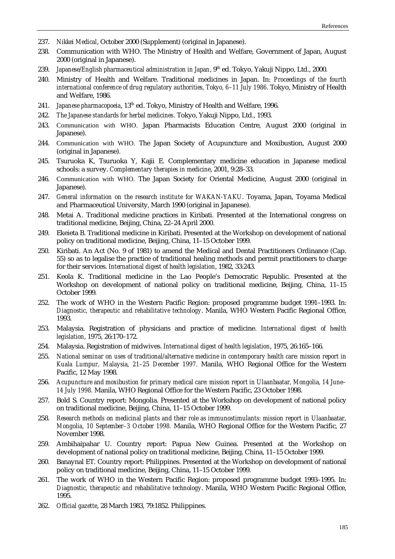- 237. *Nikkei Medical*, October 2000 (Supplement) (original in Japanese).
- 238. Communication with WHO. The Ministry of Health and Welfare, Government of Japan, August 2000 (original in Japanese).
- 239. *Japanese/English pharmaceutical administration in Japan*, 9<sup>th</sup> ed. Tokyo, Yakuji Nippo, Ltd., 2000.
- 240. Ministry of Health and Welfare. Traditional medicines in Japan. In: *Proceedings of the fourth international conference of drug regulatory authorities, Tokyo, 6–11 July 1986.* Tokyo, Ministry of Health and Welfare, 1986.
- 241. *Japanese pharmacopoeia*, 13th ed. Tokyo, Ministry of Health and Welfare, 1996.
- 242. *The Japanese standards for herbal medicines*. Tokyo, Yakuji Nippo, Ltd., 1993.
- 243. Communication with WHO. Japan Pharmacists Education Centre, August 2000 (original in Japanese).
- 244. Communication with WHO. The Japan Society of Acupuncture and Moxibustion, August 2000 (original in Japanese).
- 245. Tsuruoka K, Tsuruoka Y, Kajii E. Complementary medicine education in Japanese medical schools: a survey. *Complementary therapies in medicine*, 2001, 9:28–33.
- 246. Communication with WHO. The Japan Society for Oriental Medicine, August 2000 (original in Japanese).
- 247. *General information on the research institute for WAKAN-YAKU*. Toyama, Japan, Toyama Medical and Pharmaceutical University, March 1990 (original in Japanese).
- 248. Metai A. Traditional medicine practices in Kiribati. Presented at the International congress on traditional medicine, Beijing, China, 22–24 April 2000.
- 249. Ekeieta B. Traditional medicine in Kiribati. Presented at the Workshop on development of national policy on traditional medicine, Beijing, China, 11–15 October 1999.
- 250. Kiribati. An Act (No. 9 of 1981) to amend the Medical and Dental Practitioners Ordinance (Cap. 55) so as to legalise the practice of traditional healing methods and permit practitioners to charge for their services. *International digest of health legislation*, 1982, 33:243.
- 251. Keola K. Traditional medicine in the Lao People's Democratic Republic. Presented at the Workshop on development of national policy on traditional medicine, Beijing, China, 11–15 October 1999.
- 252. The work of WHO in the Western Pacific Region: proposed programme budget 1991–1993. In: *Diagnostic, therapeutic and rehabilitative technology*. Manila, WHO Western Pacific Regional Office, 1993.
- 253. Malaysia. Registration of physicians and practice of medicine. *International digest of health legislation*, 1975, 26:170–172.
- 254. Malaysia. Registration of midwives. *International digest of health legislation*, 1975, 26:165–166.
- 255. *National seminar on uses of traditional/alternative medicine in contemporary health care: mission report in Kuala Lumpur, Malaysia, 21–25 December 1997.* Manila, WHO Regional Office for the Western Pacific, 12 May 1998.
- 256. *Acupuncture and moxibustion for primary medical care: mission report in Ulaanbaatar, Mongolia, 14 June– 14 July 1998.* Manila, WHO Regional Office for the Western Pacific, 23 October 1998.
- 257. Bold S. Country report: Mongolia. Presented at the Workshop on development of national policy on traditional medicine, Beijing, China, 11–15 October 1999.
- 258. *Research methods on medicinal plants and their role as immunostimulants: mission report in Ulaanbaatar, Mongolia, 10 September–3 October 1998.* Manila, WHO Regional Office for the Western Pacific, 27 November 1998.
- 259. Ambihaipahar U. Country report: Papua New Guinea. Presented at the Workshop on development of national policy on traditional medicine, Beijing, China, 11–15 October 1999.
- 260. Banaynal ET. Country report: Philippines. Presented at the Workshop on development of national policy on traditional medicine, Beijing, China, 11–15 October 1999.
- 261. The work of WHO in the Western Pacific Region: proposed programme budget 1993–1995. In: *Diagnostic, therapeutic and rehabilitative technology*. Manila, WHO Western Pacific Regional Office, 1995.
- 262. *Official gazette*, 28 March 1983, 79:1852. Philippines.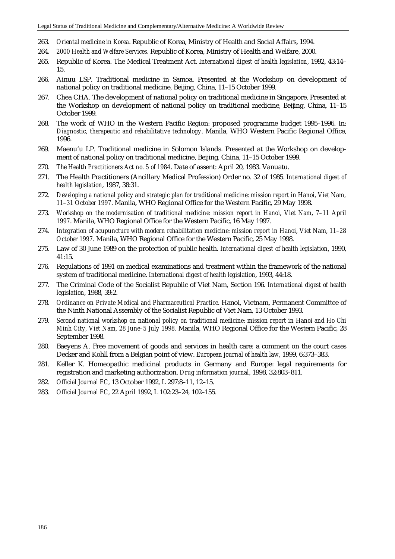- 263. *Oriental medicine in Korea*. Republic of Korea, Ministry of Health and Social Affairs, 1994.
- 264. *2000 Health and Welfare Services*. Republic of Korea, Ministry of Health and Welfare, 2000.
- 265. Republic of Korea. The Medical Treatment Act. *International digest of health legislation*, 1992, 43:14– 15.
- 266. Ainuu LSP. Traditional medicine in Samoa. Presented at the Workshop on development of national policy on traditional medicine, Beijing, China, 11–15 October 1999.
- 267. Chea CHA. The development of national policy on traditional medicine in Singapore. Presented at the Workshop on development of national policy on traditional medicine, Beijing, China, 11–15 October 1999.
- 268. The work of WHO in the Western Pacific Region: proposed programme budget 1995–1996. In: *Diagnostic, therapeutic and rehabilitative technology*. Manila, WHO Western Pacific Regional Office, 1996.
- 269. Maenu'u LP. Traditional medicine in Solomon Islands. Presented at the Workshop on development of national policy on traditional medicine, Beijing, China, 11–15 October 1999.
- 270. *The Health Practitioners Act no. 5 of 1984*. Date of assent: April 20, 1983. Vanuatu.
- 271. The Health Practitioners (Ancillary Medical Profession) Order no. 32 of 1985. *International digest of health legislation*, 1987, 38:31.
- 272. *Developing a national policy and strategic plan for traditional medicine: mission report in Hanoi, Viet Nam, 11–31 October 1997*. Manila, WHO Regional Office for the Western Pacific, 29 May 1998.
- 273. *Workshop on the modernisation of traditional medicine: mission report in Hanoi, Viet Nam, 7–11 April 1997*. Manila, WHO Regional Office for the Western Pacific, 16 May 1997.
- 274. *Integration of acupuncture with modern rehabilitation medicine: mission report in Hanoi, Viet Nam, 11–28 October 1997*. Manila, WHO Regional Office for the Western Pacific, 25 May 1998.
- 275. Law of 30 June 1989 on the protection of public health. *International digest of health legislation*, 1990, 41:15.
- 276. Regulations of 1991 on medical examinations and treatment within the framework of the national system of traditional medicine. *International digest of health legislation*, 1993, 44:18.
- 277. The Criminal Code of the Socialist Republic of Viet Nam, Section 196. *International digest of health legislation*, 1988, 39:2.
- 278. *Ordinance on Private Medical and Pharmaceutical Practice*. Hanoi, Vietnam, Permanent Committee of the Ninth National Assembly of the Socialist Republic of Viet Nam, 13 October 1993.
- 279. *Second national workshop on national policy on traditional medicine: mission report in Hanoi and Ho Chi Minh City, Viet Nam, 28 June–5 July 1998*. Manila, WHO Regional Office for the Western Pacific, 28 September 1998.
- 280. Baeyens A. Free movement of goods and services in health care: a comment on the court cases Decker and Kohll from a Belgian point of view. *European journal of health law*, 1999, 6:373–383.
- 281. Keller K. Homeopathic medicinal products in Germany and Europe: legal requirements for registration and marketing authorization. *Drug information journal*, 1998, 32:803–811.
- 282. *Official Journal EC*, 13 October 1992, L 297:8–11, 12–15.
- 283. *Official Journal EC*, 22 April 1992, L 102:23–24, 102–155.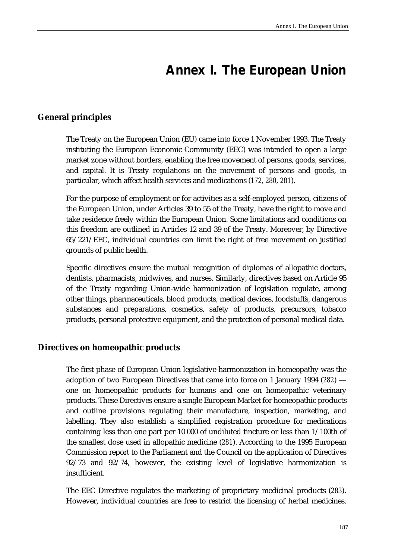# **Annex I. The European Union**

# **General principles**

The Treaty on the European Union (EU) came into force 1 November 1993. The Treaty instituting the European Economic Community (EEC) was intended to open a large market zone without borders, enabling the free movement of persons, goods, services, and capital. It is Treaty regulations on the movement of persons and goods, in particular, which affect health services and medications (*172, 280, 281*).

For the purpose of employment or for activities as a self-employed person, citizens of the European Union, under Articles 39 to 55 of the Treaty, have the right to move and take residence freely within the European Union. Some limitations and conditions on this freedom are outlined in Articles 12 and 39 of the Treaty. Moreover, by Directive 65/221/EEC, individual countries can limit the right of free movement on justified grounds of public health.

Specific directives ensure the mutual recognition of diplomas of allopathic doctors, dentists, pharmacists, midwives, and nurses. Similarly, directives based on Article 95 of the Treaty regarding Union-wide harmonization of legislation regulate, among other things, pharmaceuticals, blood products, medical devices, foodstuffs, dangerous substances and preparations, cosmetics, safety of products, precursors, tobacco products, personal protective equipment, and the protection of personal medical data.

#### **Directives on homeopathic products**

The first phase of European Union legislative harmonization in homeopathy was the adoption of two European Directives that came into force on 1 January 1994 (*282*) one on homeopathic products for humans and one on homeopathic veterinary products. These Directives ensure a single European Market for homeopathic products and outline provisions regulating their manufacture, inspection, marketing, and labelling. They also establish a simplified registration procedure for medications containing less than one part per 10 000 of undiluted tincture or less than 1/100th of the smallest dose used in allopathic medicine (*281*). According to the 1995 European Commission report to the Parliament and the Council on the application of Directives 92/73 and 92/74, however, the existing level of legislative harmonization is insufficient.

The EEC Directive regulates the marketing of proprietary medicinal products (*283*). However, individual countries are free to restrict the licensing of herbal medicines.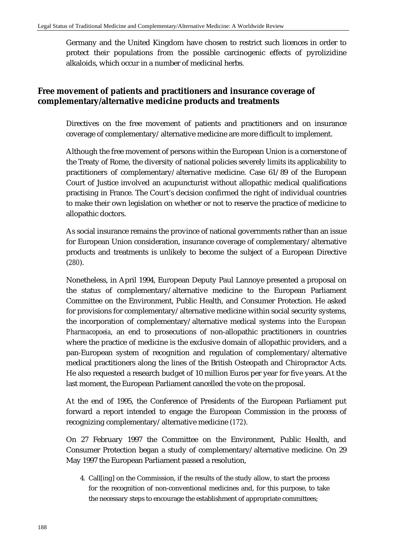Germany and the United Kingdom have chosen to restrict such licences in order to protect their populations from the possible carcinogenic effects of pyrolizidine alkaloids, which occur in a number of medicinal herbs.

# **Free movement of patients and practitioners and insurance coverage of complementary/alternative medicine products and treatments**

Directives on the free movement of patients and practitioners and on insurance coverage of complementary/alternative medicine are more difficult to implement.

Although the free movement of persons within the European Union is a cornerstone of the Treaty of Rome, the diversity of national policies severely limits its applicability to practitioners of complementary/alternative medicine. Case 61/89 of the European Court of Justice involved an acupuncturist without allopathic medical qualifications practising in France. The Court's decision confirmed the right of individual countries to make their own legislation on whether or not to reserve the practice of medicine to allopathic doctors.

As social insurance remains the province of national governments rather than an issue for European Union consideration, insurance coverage of complementary/alternative products and treatments is unlikely to become the subject of a European Directive (*280*).

Nonetheless, in April 1994, European Deputy Paul Lannoye presented a proposal on the status of complementary/alternative medicine to the European Parliament Committee on the Environment, Public Health, and Consumer Protection. He asked for provisions for complementary/alternative medicine within social security systems, the incorporation of complementary/alternative medical systems into the *European Pharmacopoeia*, an end to prosecutions of non-allopathic practitioners in countries where the practice of medicine is the exclusive domain of allopathic providers, and a pan-European system of recognition and regulation of complementary/alternative medical practitioners along the lines of the British Osteopath and Chiropractor Acts. He also requested a research budget of 10 million Euros per year for five years. At the last moment, the European Parliament cancelled the vote on the proposal.

At the end of 1995, the Conference of Presidents of the European Parliament put forward a report intended to engage the European Commission in the process of recognizing complementary/alternative medicine (*172*).

On 27 February 1997 the Committee on the Environment, Public Health, and Consumer Protection began a study of complementary/alternative medicine. On 29 May 1997 the European Parliament passed a resolution,

4. Call[ing] on the Commission, if the results of the study allow, to start the process for the recognition of non-conventional medicines and, for this purpose, to take the necessary steps to encourage the establishment of appropriate committees;